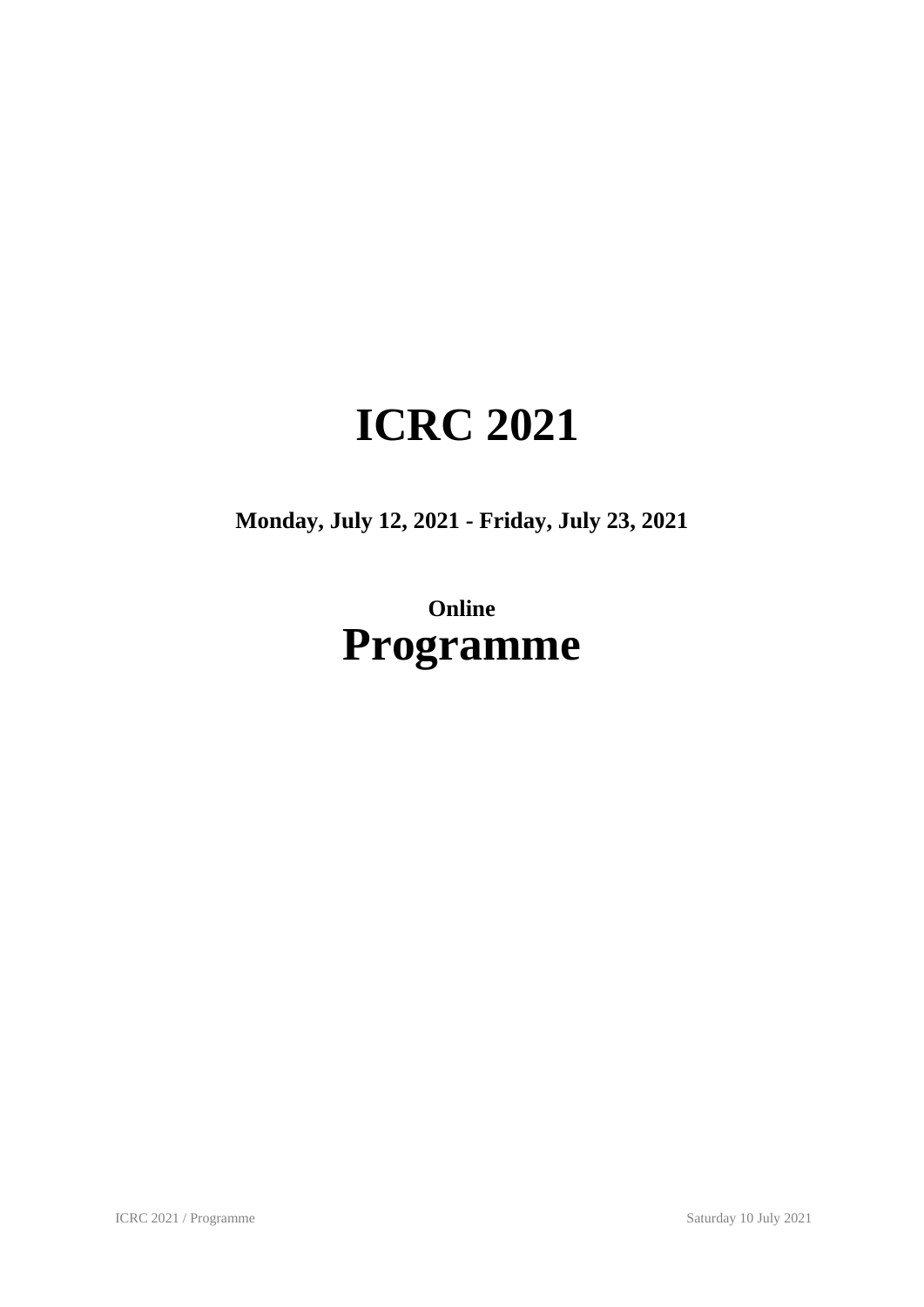# **ICRC 2021**

**Monday, July 12, 2021 - Friday, July 23, 2021**

# **Online Programme**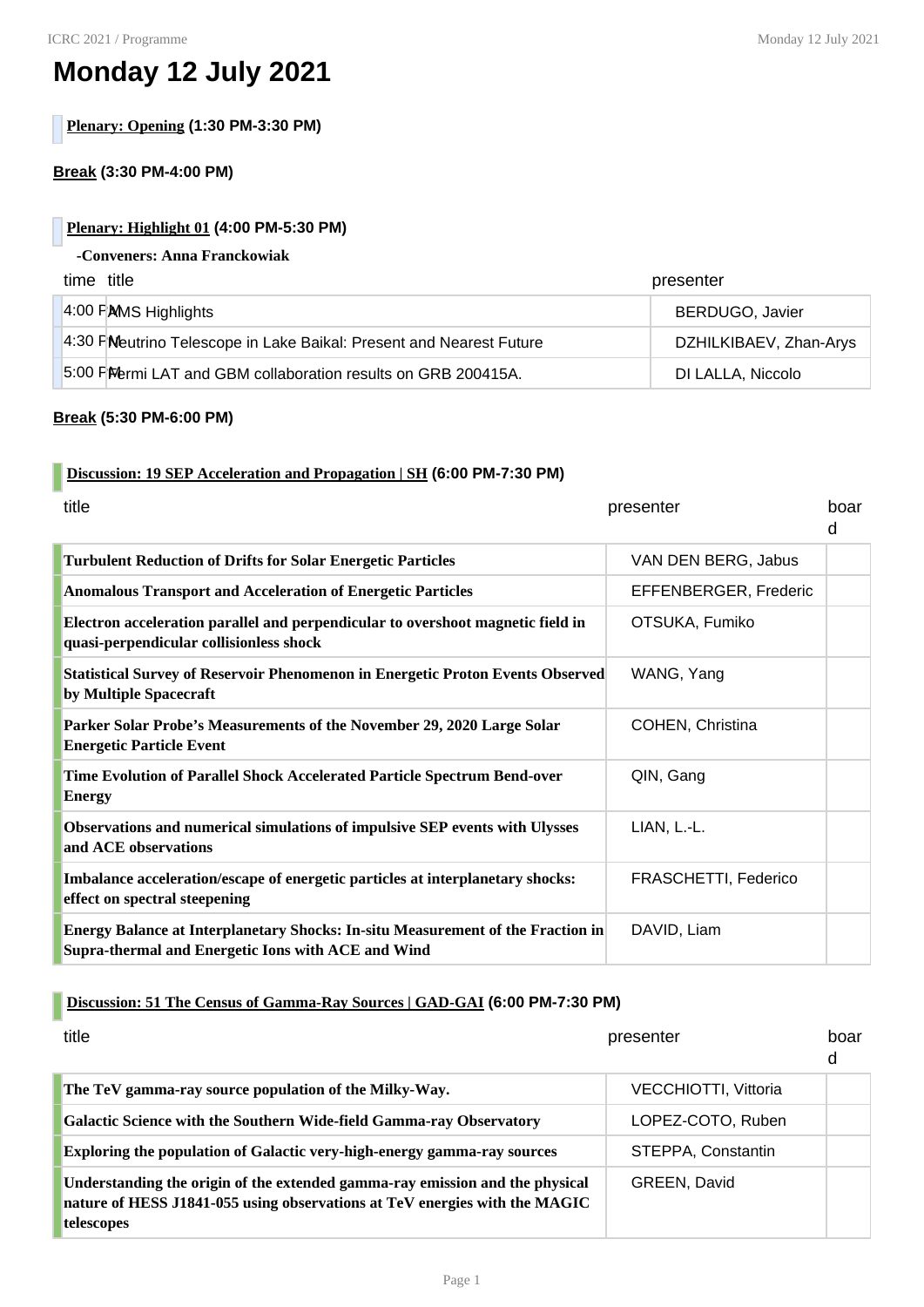# **Monday 12 July 2021**

**Plenary: Opening (1:30 PM-3:30 PM)**

#### **Break (3:30 PM-4:00 PM)**

#### **Plenary: Highlight 01 (4:00 PM-5:30 PM)**

#### **-Conveners: Anna Franckowiak**

| time title                                                          | presenter              |
|---------------------------------------------------------------------|------------------------|
| $4:00$ PAMS Highlights                                              | <b>BERDUGO, Javier</b> |
| 4:30 FMeutrino Telescope in Lake Baikal: Present and Nearest Future | DZHILKIBAEV, Zhan-Arys |
| 5:00 PM bermi LAT and GBM collaboration results on GRB 200415A.     | DI LALLA, Niccolo      |

#### **Break (5:30 PM-6:00 PM)**

#### **Discussion: 19 SEP Acceleration and Propagation | SH (6:00 PM-7:30 PM)**

| title                                                                                                                                        | presenter             | boar<br>d |
|----------------------------------------------------------------------------------------------------------------------------------------------|-----------------------|-----------|
| <b>Turbulent Reduction of Drifts for Solar Energetic Particles</b>                                                                           | VAN DEN BERG, Jabus   |           |
| Anomalous Transport and Acceleration of Energetic Particles                                                                                  | EFFENBERGER, Frederic |           |
| Electron acceleration parallel and perpendicular to overshoot magnetic field in<br>quasi-perpendicular collisionless shock                   | OTSUKA, Fumiko        |           |
| Statistical Survey of Reservoir Phenomenon in Energetic Proton Events Observed<br>by Multiple Spacecraft                                     | WANG, Yang            |           |
| Parker Solar Probe's Measurements of the November 29, 2020 Large Solar<br><b>Energetic Particle Event</b>                                    | COHEN, Christina      |           |
| Time Evolution of Parallel Shock Accelerated Particle Spectrum Bend-over<br>Energy                                                           | QIN, Gang             |           |
| Observations and numerical simulations of impulsive SEP events with Ulysses<br>and ACE observations                                          | LIAN, L.-L.           |           |
| Imbalance acceleration/escape of energetic particles at interplanetary shocks:<br>effect on spectral steepening                              | FRASCHETTI, Federico  |           |
| <b>Energy Balance at Interplanetary Shocks: In-situ Measurement of the Fraction in</b><br>Supra-thermal and Energetic Ions with ACE and Wind | DAVID, Liam           |           |

## **Discussion: 51 The Census of Gamma-Ray Sources | GAD-GAI (6:00 PM-7:30 PM)**

| title                                                                                                                                                                    | presenter            | boar<br>d |
|--------------------------------------------------------------------------------------------------------------------------------------------------------------------------|----------------------|-----------|
| The TeV gamma-ray source population of the Milky-Way.                                                                                                                    | VECCHIOTTI, Vittoria |           |
| <b>Galactic Science with the Southern Wide-field Gamma-ray Observatory</b>                                                                                               | LOPEZ-COTO, Ruben    |           |
| Exploring the population of Galactic very-high-energy gamma-ray sources                                                                                                  | STEPPA, Constantin   |           |
| Understanding the origin of the extended gamma-ray emission and the physical<br>nature of HESS J1841-055 using observations at TeV energies with the MAGIC<br>telescopes | GREEN, David         |           |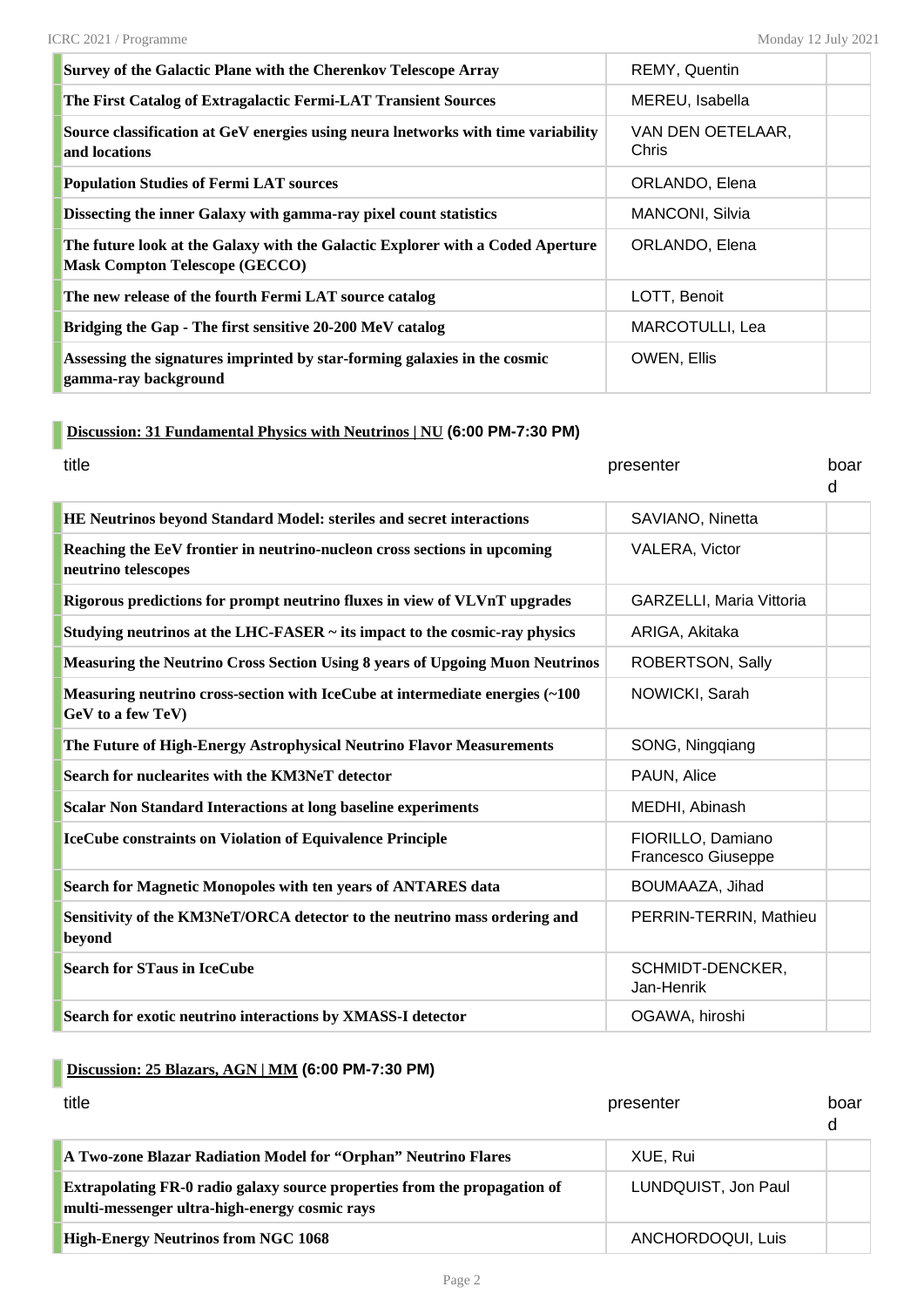| Survey of the Galactic Plane with the Cherenkov Telescope Array                                                         | REMY, Quentin              |  |
|-------------------------------------------------------------------------------------------------------------------------|----------------------------|--|
| The First Catalog of Extragalactic Fermi-LAT Transient Sources                                                          | MEREU, Isabella            |  |
| Source classification at GeV energies using neura lnetworks with time variability<br>and locations                      | VAN DEN OETELAAR,<br>Chris |  |
| <b>Population Studies of Fermi LAT sources</b>                                                                          | ORLANDO, Elena             |  |
| Dissecting the inner Galaxy with gamma-ray pixel count statistics                                                       | <b>MANCONI, Silvia</b>     |  |
| The future look at the Galaxy with the Galactic Explorer with a Coded Aperture<br><b>Mask Compton Telescope (GECCO)</b> | ORLANDO, Elena             |  |
| The new release of the fourth Fermi LAT source catalog                                                                  | LOTT, Benoit               |  |
| Bridging the Gap - The first sensitive 20-200 MeV catalog                                                               | MARCOTULLI, Lea            |  |
| Assessing the signatures imprinted by star-forming galaxies in the cosmic<br>gamma-ray background                       | OWEN, Ellis                |  |

### **Discussion: 31 Fundamental Physics with Neutrinos | NU (6:00 PM-7:30 PM)**

| title                                                                                             | presenter                                      | boar<br>d |
|---------------------------------------------------------------------------------------------------|------------------------------------------------|-----------|
| HE Neutrinos beyond Standard Model: steriles and secret interactions                              | SAVIANO, Ninetta                               |           |
| Reaching the EeV frontier in neutrino-nucleon cross sections in upcoming<br>neutrino telescopes   | <b>VALERA, Victor</b>                          |           |
| Rigorous predictions for prompt neutrino fluxes in view of VLVnT upgrades                         | GARZELLI, Maria Vittoria                       |           |
| Studying neutrinos at the LHC-FASER $\sim$ its impact to the cosmic-ray physics                   | ARIGA, Akitaka                                 |           |
| <b>Measuring the Neutrino Cross Section Using 8 years of Upgoing Muon Neutrinos</b>               | ROBERTSON, Sally                               |           |
| Measuring neutrino cross-section with IceCube at intermediate energies (~100<br>GeV to a few TeV) | NOWICKI, Sarah                                 |           |
| The Future of High-Energy Astrophysical Neutrino Flavor Measurements                              | SONG, Ningqiang                                |           |
| Search for nuclearites with the KM3NeT detector                                                   | PAUN, Alice                                    |           |
| <b>Scalar Non Standard Interactions at long baseline experiments</b>                              | MEDHI, Abinash                                 |           |
| <b>IceCube constraints on Violation of Equivalence Principle</b>                                  | FIORILLO, Damiano<br><b>Francesco Giuseppe</b> |           |
| Search for Magnetic Monopoles with ten years of ANTARES data                                      | BOUMAAZA, Jihad                                |           |
| Sensitivity of the KM3NeT/ORCA detector to the neutrino mass ordering and<br>beyond               | PERRIN-TERRIN, Mathieu                         |           |
| <b>Search for STaus in IceCube</b>                                                                | SCHMIDT-DENCKER,<br>Jan-Henrik                 |           |
| Search for exotic neutrino interactions by XMASS-I detector                                       | OGAWA, hiroshi                                 |           |

# **Discussion: 25 Blazars, AGN | MM (6:00 PM-7:30 PM)**

| title                                                                                                                      | presenter           | boar<br>d |
|----------------------------------------------------------------------------------------------------------------------------|---------------------|-----------|
| A Two-zone Blazar Radiation Model for "Orphan" Neutrino Flares                                                             | XUE, Rui            |           |
| Extrapolating FR-0 radio galaxy source properties from the propagation of<br>multi-messenger ultra-high-energy cosmic rays | LUNDQUIST, Jon Paul |           |
| <b>High-Energy Neutrinos from NGC 1068</b>                                                                                 | ANCHORDOQUI, Luis   |           |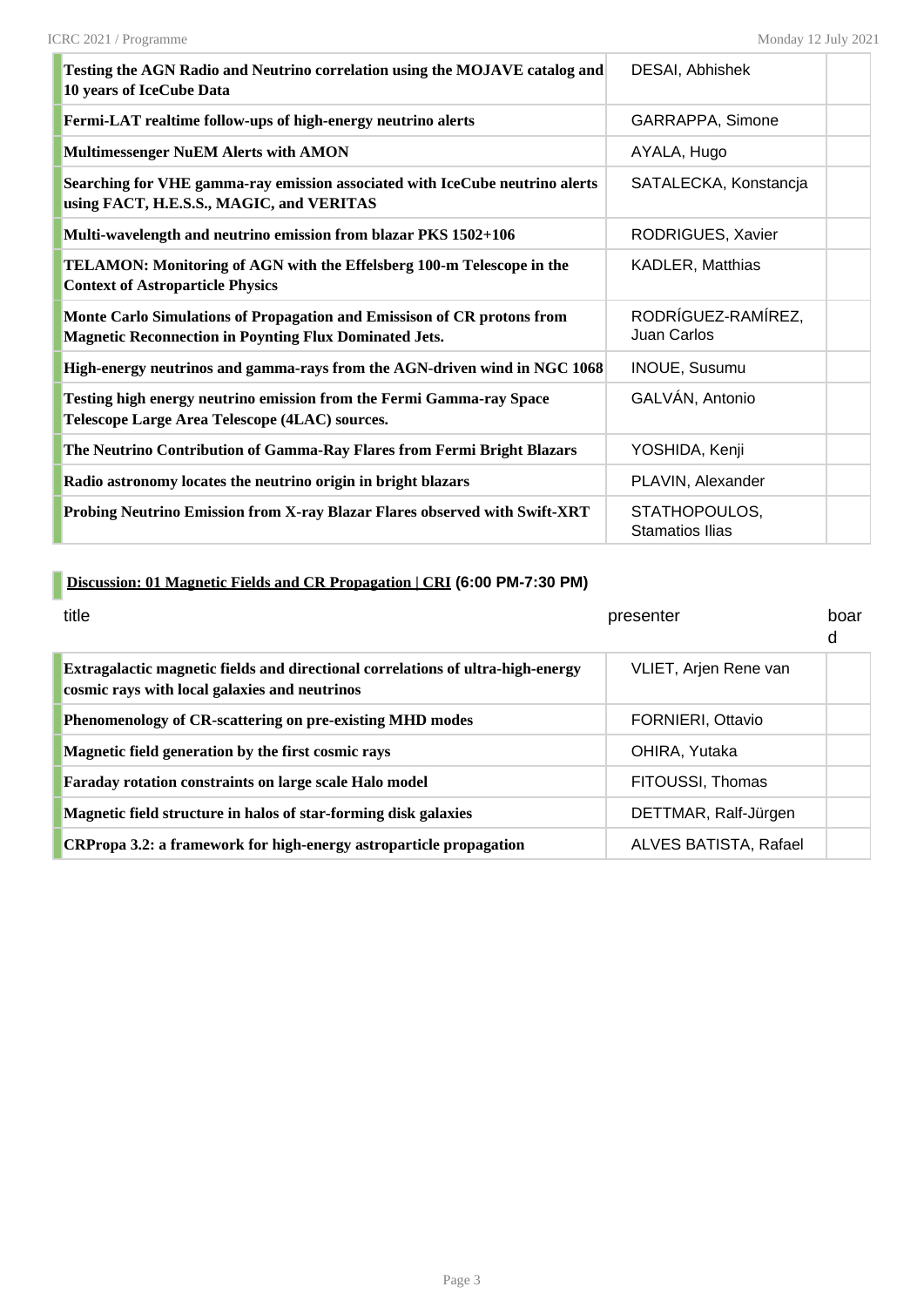| Testing the AGN Radio and Neutrino correlation using the MOJAVE catalog and<br>10 years of IceCube Data                                  | <b>DESAI, Abhishek</b>                  |  |
|------------------------------------------------------------------------------------------------------------------------------------------|-----------------------------------------|--|
| Fermi-LAT realtime follow-ups of high-energy neutrino alerts                                                                             | GARRAPPA, Simone                        |  |
| <b>Multimessenger NuEM Alerts with AMON</b>                                                                                              | AYALA, Hugo                             |  |
| Searching for VHE gamma-ray emission associated with IceCube neutrino alerts<br>using FACT, H.E.S.S., MAGIC, and VERITAS                 | SATALECKA, Konstancja                   |  |
| Multi-wavelength and neutrino emission from blazar PKS 1502+106                                                                          | RODRIGUES, Xavier                       |  |
| <b>TELAMON: Monitoring of AGN with the Effelsberg 100-m Telescope in the</b><br><b>Context of Astroparticle Physics</b>                  | KADLER, Matthias                        |  |
| Monte Carlo Simulations of Propagation and Emissison of CR protons from<br><b>Magnetic Reconnection in Poynting Flux Dominated Jets.</b> | RODRÍGUEZ-RAMÍREZ,<br>Juan Carlos       |  |
| High-energy neutrinos and gamma-rays from the AGN-driven wind in NGC 1068                                                                | <b>INOUE, Susumu</b>                    |  |
| Testing high energy neutrino emission from the Fermi Gamma-ray Space<br>Telescope Large Area Telescope (4LAC) sources.                   | GALVÁN, Antonio                         |  |
| The Neutrino Contribution of Gamma-Ray Flares from Fermi Bright Blazars                                                                  | YOSHIDA, Kenji                          |  |
| Radio astronomy locates the neutrino origin in bright blazars                                                                            | PLAVIN, Alexander                       |  |
| Probing Neutrino Emission from X-ray Blazar Flares observed with Swift-XRT                                                               | STATHOPOULOS,<br><b>Stamatios Ilias</b> |  |

# **Discussion: 01 Magnetic Fields and CR Propagation | CRI (6:00 PM-7:30 PM)**

| title                                                                                                                            | presenter             | boar<br>d |
|----------------------------------------------------------------------------------------------------------------------------------|-----------------------|-----------|
| Extragalactic magnetic fields and directional correlations of ultra-high-energy<br>cosmic rays with local galaxies and neutrinos | VLIET, Arjen Rene van |           |
| Phenomenology of CR-scattering on pre-existing MHD modes                                                                         | FORNIERI, Ottavio     |           |
| Magnetic field generation by the first cosmic rays                                                                               | OHIRA, Yutaka         |           |
| Faraday rotation constraints on large scale Halo model                                                                           | FITOUSSI, Thomas      |           |
| Magnetic field structure in halos of star-forming disk galaxies                                                                  | DETTMAR, Ralf-Jürgen  |           |
| CRPropa 3.2: a framework for high-energy astroparticle propagation                                                               | ALVES BATISTA, Rafael |           |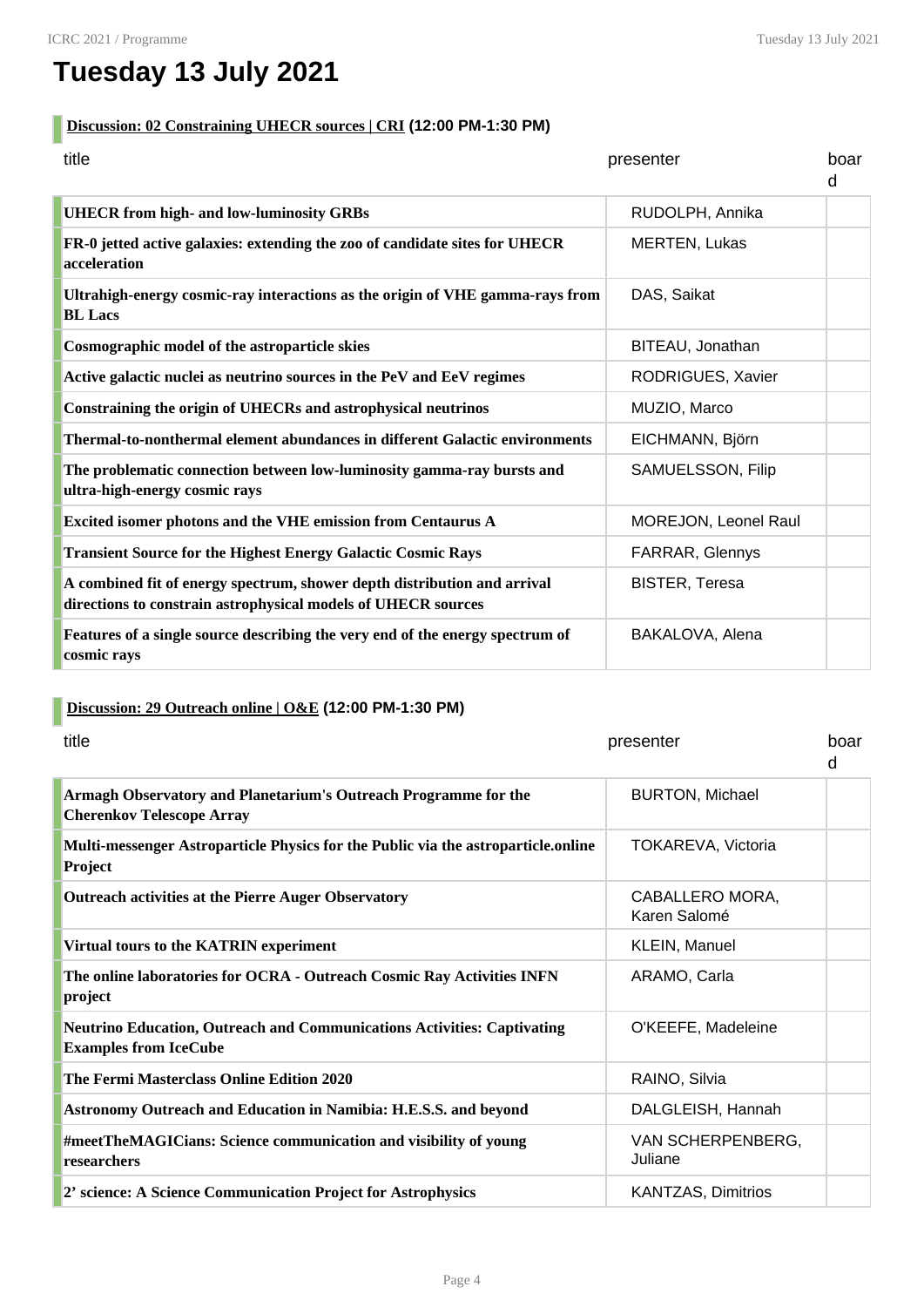# **Tuesday 13 July 2021**

#### **Discussion: 02 Constraining UHECR sources | CRI (12:00 PM-1:30 PM)**

| title                                                                                                                                     | presenter             | boar<br>d |
|-------------------------------------------------------------------------------------------------------------------------------------------|-----------------------|-----------|
| <b>UHECR</b> from high- and low-luminosity GRBs                                                                                           | RUDOLPH, Annika       |           |
| FR-0 jetted active galaxies: extending the zoo of candidate sites for UHECR<br>acceleration                                               | <b>MERTEN, Lukas</b>  |           |
| Ultrahigh-energy cosmic-ray interactions as the origin of VHE gamma-rays from<br><b>BL</b> Lacs                                           | DAS, Saikat           |           |
| Cosmographic model of the astroparticle skies                                                                                             | BITEAU, Jonathan      |           |
| Active galactic nuclei as neutrino sources in the PeV and EeV regimes                                                                     | RODRIGUES, Xavier     |           |
| Constraining the origin of UHECRs and astrophysical neutrinos                                                                             | MUZIO, Marco          |           |
| Thermal-to-nonthermal element abundances in different Galactic environments                                                               | EICHMANN, Björn       |           |
| The problematic connection between low-luminosity gamma-ray bursts and<br>ultra-high-energy cosmic rays                                   | SAMUELSSON, Filip     |           |
| Excited isomer photons and the VHE emission from Centaurus A                                                                              | MOREJON, Leonel Raul  |           |
| <b>Transient Source for the Highest Energy Galactic Cosmic Rays</b>                                                                       | FARRAR, Glennys       |           |
| A combined fit of energy spectrum, shower depth distribution and arrival<br>directions to constrain astrophysical models of UHECR sources | <b>BISTER, Teresa</b> |           |
| Features of a single source describing the very end of the energy spectrum of<br>cosmic rays                                              | BAKALOVA, Alena       |           |

# **Discussion: 29 Outreach online | O&E (12:00 PM-1:30 PM)**

| title                                                                                                          | presenter                       | boar<br>d |
|----------------------------------------------------------------------------------------------------------------|---------------------------------|-----------|
| Armagh Observatory and Planetarium's Outreach Programme for the<br><b>Cherenkov Telescope Array</b>            | <b>BURTON, Michael</b>          |           |
| Multi-messenger Astroparticle Physics for the Public via the astroparticle.online<br>Project                   | TOKAREVA, Victoria              |           |
| <b>Outreach activities at the Pierre Auger Observatory</b>                                                     | CABALLERO MORA,<br>Karen Salomé |           |
| Virtual tours to the KATRIN experiment                                                                         | KLEIN, Manuel                   |           |
| The online laboratories for OCRA - Outreach Cosmic Ray Activities INFN<br>project                              | ARAMO, Carla                    |           |
| <b>Neutrino Education, Outreach and Communications Activities: Captivating</b><br><b>Examples from IceCube</b> | O'KEEFE, Madeleine              |           |
| The Fermi Masterclass Online Edition 2020                                                                      | RAINO, Silvia                   |           |
| Astronomy Outreach and Education in Namibia: H.E.S.S. and beyond                                               | DALGLEISH, Hannah               |           |
| #meetTheMAGICians: Science communication and visibility of young<br>researchers                                | VAN SCHERPENBERG,<br>Juliane    |           |
| 2' science: A Science Communication Project for Astrophysics                                                   | <b>KANTZAS, Dimitrios</b>       |           |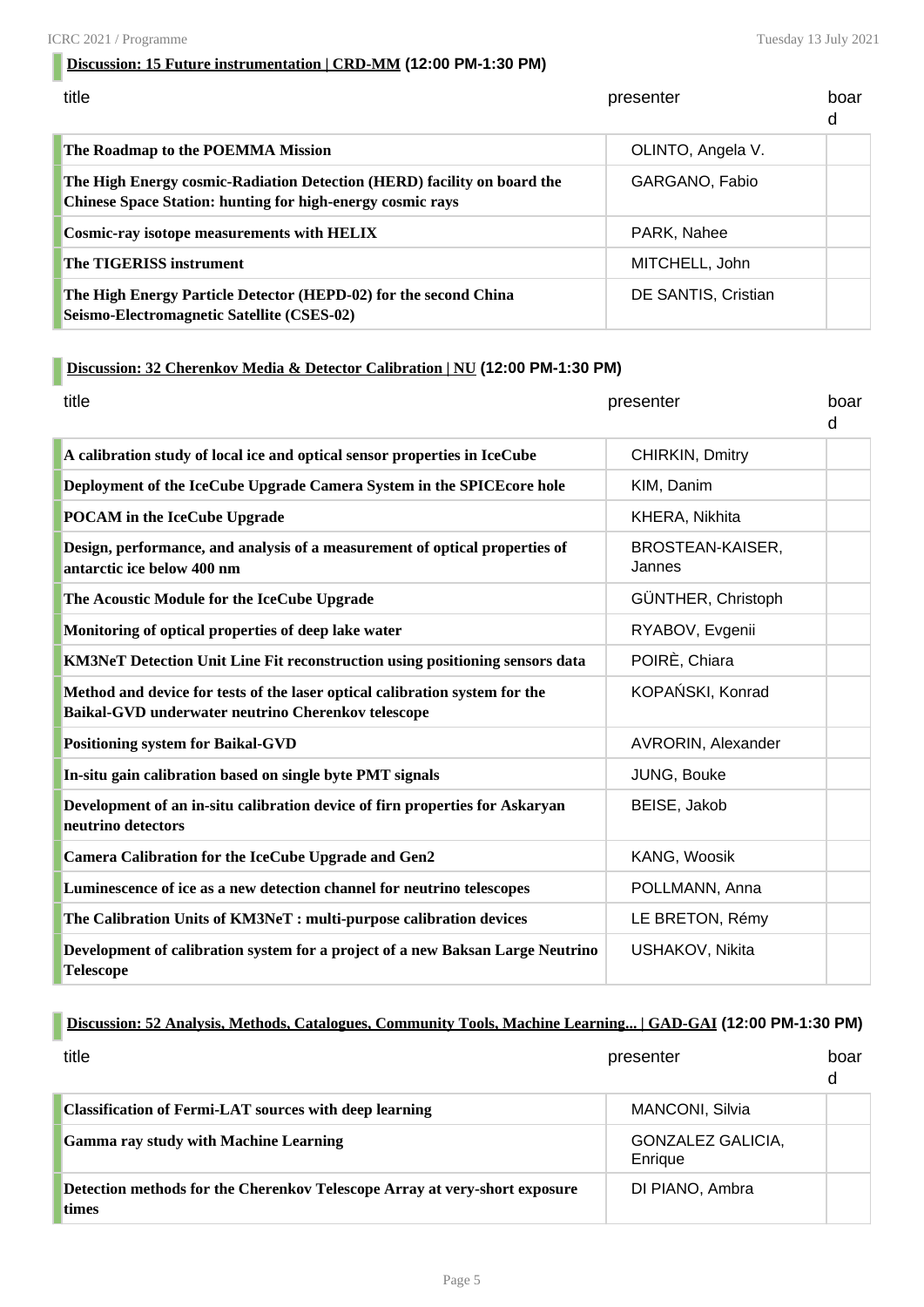### **Discussion: 15 Future instrumentation | CRD-MM (12:00 PM-1:30 PM)**

| title                                                                                                                                        | presenter           | boar<br>d |
|----------------------------------------------------------------------------------------------------------------------------------------------|---------------------|-----------|
| The Roadmap to the POEMMA Mission                                                                                                            | OLINTO, Angela V.   |           |
| The High Energy cosmic-Radiation Detection (HERD) facility on board the<br><b>Chinese Space Station: hunting for high-energy cosmic rays</b> | GARGANO, Fabio      |           |
| Cosmic-ray isotope measurements with HELIX                                                                                                   | PARK, Nahee         |           |
| <b>The TIGERISS instrument</b>                                                                                                               | MITCHELL, John      |           |
| The High Energy Particle Detector (HEPD-02) for the second China<br>Seismo-Electromagnetic Satellite (CSES-02)                               | DE SANTIS, Cristian |           |

## **Discussion: 32 Cherenkov Media & Detector Calibration | NU (12:00 PM-1:30 PM)**

| title                                                                                                                             | presenter                  | boar<br>d |
|-----------------------------------------------------------------------------------------------------------------------------------|----------------------------|-----------|
| A calibration study of local ice and optical sensor properties in IceCube                                                         | CHIRKIN, Dmitry            |           |
| Deployment of the IceCube Upgrade Camera System in the SPICE core hole                                                            | KIM, Danim                 |           |
| <b>POCAM</b> in the IceCube Upgrade                                                                                               | KHERA, Nikhita             |           |
| Design, performance, and analysis of a measurement of optical properties of<br>antarctic ice below 400 nm                         | BROSTEAN-KAISER,<br>Jannes |           |
| The Acoustic Module for the IceCube Upgrade                                                                                       | GÜNTHER, Christoph         |           |
| Monitoring of optical properties of deep lake water                                                                               | RYABOV, Evgenii            |           |
| KM3NeT Detection Unit Line Fit reconstruction using positioning sensors data                                                      | POIRÈ, Chiara              |           |
| Method and device for tests of the laser optical calibration system for the<br>Baikal-GVD underwater neutrino Cherenkov telescope | KOPAŃSKI, Konrad           |           |
| <b>Positioning system for Baikal-GVD</b>                                                                                          | AVRORIN, Alexander         |           |
| In-situ gain calibration based on single byte PMT signals                                                                         | JUNG, Bouke                |           |
| Development of an in-situ calibration device of firn properties for Askaryan<br>neutrino detectors                                | BEISE, Jakob               |           |
| <b>Camera Calibration for the IceCube Upgrade and Gen2</b>                                                                        | KANG, Woosik               |           |
| Luminescence of ice as a new detection channel for neutrino telescopes                                                            | POLLMANN, Anna             |           |
| The Calibration Units of KM3NeT : multi-purpose calibration devices                                                               | LE BRETON, Rémy            |           |
| Development of calibration system for a project of a new Baksan Large Neutrino<br><b>Telescope</b>                                | USHAKOV, Nikita            |           |

#### **Discussion: 52 Analysis, Methods, Catalogues, Community Tools, Machine Learning... | GAD-GAI (12:00 PM-1:30 PM)**

| title                                                                               | presenter                           | boar<br>d |
|-------------------------------------------------------------------------------------|-------------------------------------|-----------|
| <b>Classification of Fermi-LAT sources with deep learning</b>                       | <b>MANCONI, Silvia</b>              |           |
| <b>Gamma ray study with Machine Learning</b>                                        | <b>GONZALEZ GALICIA,</b><br>Enrique |           |
| Detection methods for the Cherenkov Telescope Array at very-short exposure<br>times | DI PIANO, Ambra                     |           |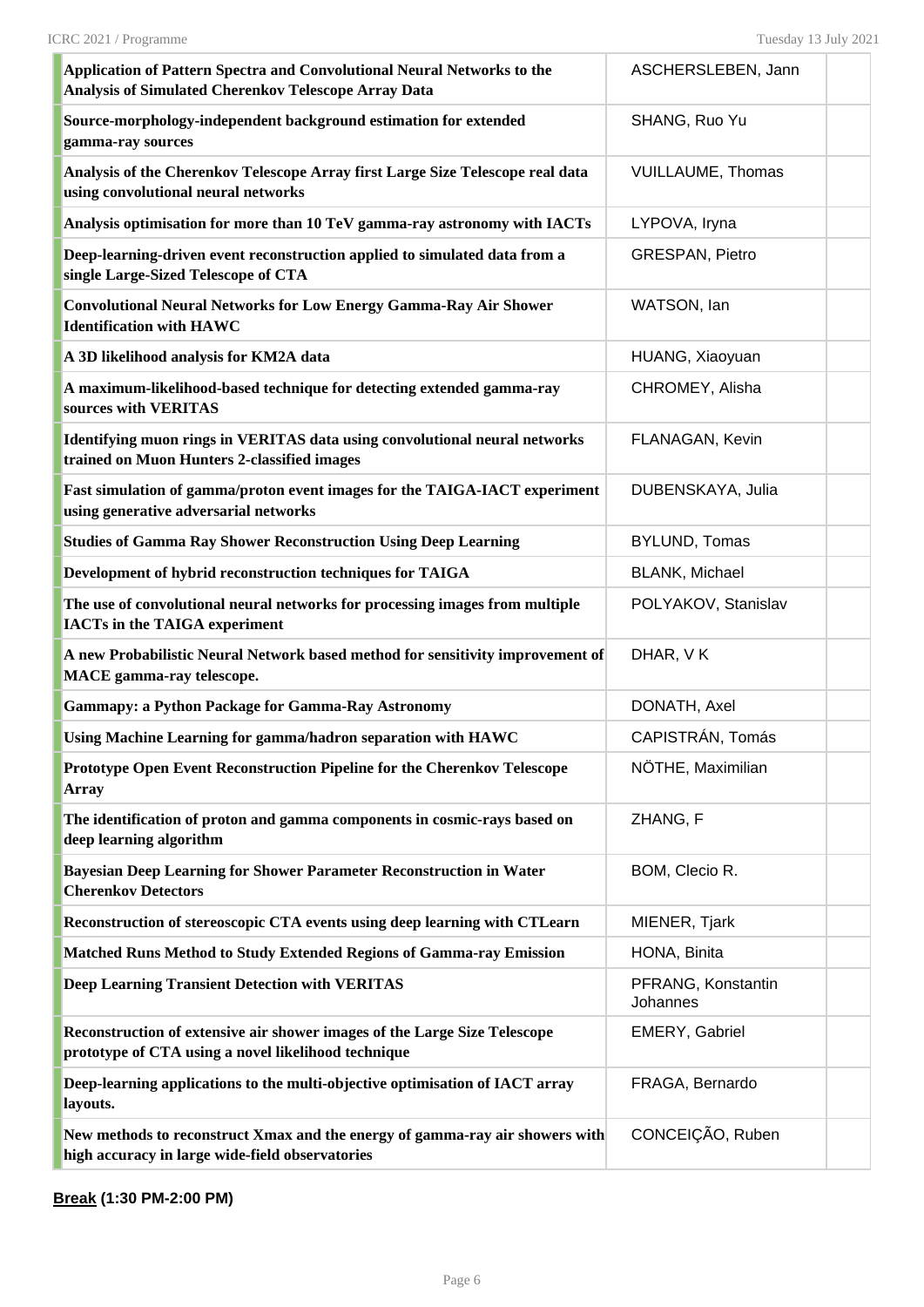| Application of Pattern Spectra and Convolutional Neural Networks to the<br>Analysis of Simulated Cherenkov Telescope Array Data  | ASCHERSLEBEN, Jann                    |  |
|----------------------------------------------------------------------------------------------------------------------------------|---------------------------------------|--|
| Source-morphology-independent background estimation for extended<br>gamma-ray sources                                            | SHANG, Ruo Yu                         |  |
| Analysis of the Cherenkov Telescope Array first Large Size Telescope real data<br>using convolutional neural networks            | <b>VUILLAUME, Thomas</b>              |  |
| Analysis optimisation for more than 10 TeV gamma-ray astronomy with IACTs                                                        | LYPOVA, Iryna                         |  |
| Deep-learning-driven event reconstruction applied to simulated data from a<br>single Large-Sized Telescope of CTA                | <b>GRESPAN, Pietro</b>                |  |
| <b>Convolutional Neural Networks for Low Energy Gamma-Ray Air Shower</b><br><b>Identification with HAWC</b>                      | WATSON, Ian                           |  |
| A 3D likelihood analysis for KM2A data                                                                                           | HUANG, Xiaoyuan                       |  |
| A maximum-likelihood-based technique for detecting extended gamma-ray<br>sources with VERITAS                                    | CHROMEY, Alisha                       |  |
| Identifying muon rings in VERITAS data using convolutional neural networks<br>trained on Muon Hunters 2-classified images        | FLANAGAN, Kevin                       |  |
| Fast simulation of gamma/proton event images for the TAIGA-IACT experiment<br>using generative adversarial networks              | DUBENSKAYA, Julia                     |  |
| <b>Studies of Gamma Ray Shower Reconstruction Using Deep Learning</b>                                                            | <b>BYLUND, Tomas</b>                  |  |
| Development of hybrid reconstruction techniques for TAIGA                                                                        | BLANK, Michael                        |  |
| The use of convolutional neural networks for processing images from multiple<br><b>IACTs in the TAIGA experiment</b>             | POLYAKOV, Stanislav                   |  |
| A new Probabilistic Neural Network based method for sensitivity improvement of<br><b>MACE</b> gamma-ray telescope.               | DHAR, VK                              |  |
| <b>Gammapy: a Python Package for Gamma-Ray Astronomy</b>                                                                         | DONATH, Axel                          |  |
| Using Machine Learning for gamma/hadron separation with HAWC                                                                     | CAPISTRÁN, Tomás                      |  |
| Prototype Open Event Reconstruction Pipeline for the Cherenkov Telescope<br>Array                                                | NÖTHE, Maximilian                     |  |
| The identification of proton and gamma components in cosmic-rays based on<br>deep learning algorithm                             | ZHANG, F                              |  |
| Bayesian Deep Learning for Shower Parameter Reconstruction in Water<br><b>Cherenkov Detectors</b>                                | BOM, Clecio R.                        |  |
| Reconstruction of stereoscopic CTA events using deep learning with CTLearn                                                       | MIENER, Tjark                         |  |
| Matched Runs Method to Study Extended Regions of Gamma-ray Emission                                                              | HONA, Binita                          |  |
| <b>Deep Learning Transient Detection with VERITAS</b>                                                                            | PFRANG, Konstantin<br><b>Johannes</b> |  |
| Reconstruction of extensive air shower images of the Large Size Telescope<br>prototype of CTA using a novel likelihood technique | EMERY, Gabriel                        |  |
| Deep-learning applications to the multi-objective optimisation of IACT array<br>layouts.                                         | FRAGA, Bernardo                       |  |
| New methods to reconstruct Xmax and the energy of gamma-ray air showers with<br>high accuracy in large wide-field observatories  | CONCEIÇÃO, Ruben                      |  |

**Break (1:30 PM-2:00 PM)**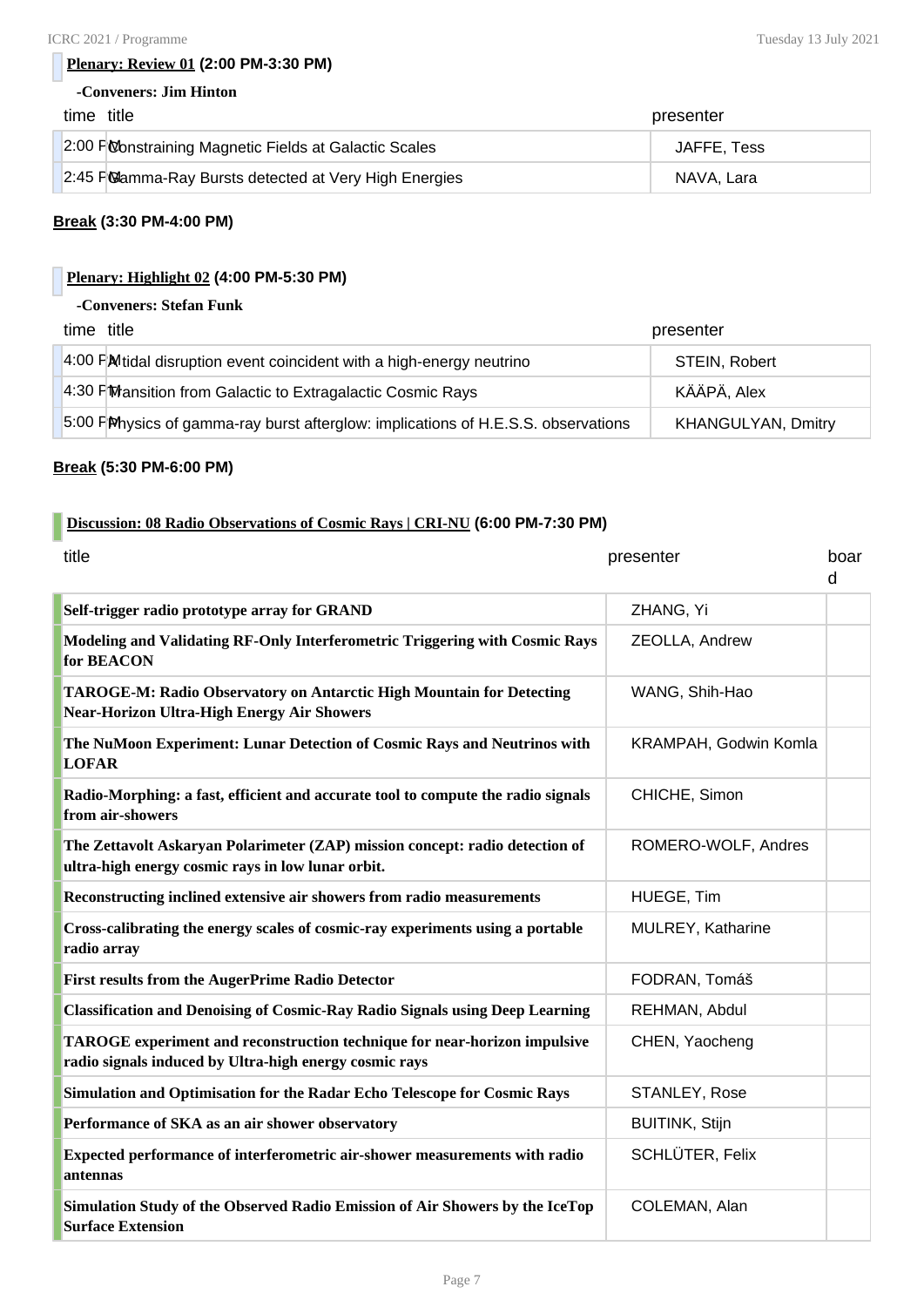#### **Plenary: Review 01 (2:00 PM-3:30 PM)**

#### **-Conveners: Jim Hinton**

| time title                                             | presenter   |
|--------------------------------------------------------|-------------|
| 2:00 P Constraining Magnetic Fields at Galactic Scales | JAFFE, Tess |
| 2:45 F Mamma-Ray Bursts detected at Very High Energies | NAVA. Lara  |

#### **Break (3:30 PM-4:00 PM)**

#### **Plenary: Highlight 02 (4:00 PM-5:30 PM)**

#### **-Conveners: Stefan Funk**

| time title                                                                         | presenter                 |
|------------------------------------------------------------------------------------|---------------------------|
| 4:00 FM tidal disruption event coincident with a high-energy neutrino              | STEIN, Robert             |
| 4:30 FM ansition from Galactic to Extragalactic Cosmic Rays                        | KÄÄPÄ, Alex               |
| 5:00 PM hysics of gamma-ray burst afterglow: implications of H.E.S.S. observations | <b>KHANGULYAN, Dmitry</b> |

#### **Break (5:30 PM-6:00 PM)**

#### **Discussion: 08 Radio Observations of Cosmic Rays | CRI-NU (6:00 PM-7:30 PM)**

| title                                                                                                                               | presenter             | boar<br>d |
|-------------------------------------------------------------------------------------------------------------------------------------|-----------------------|-----------|
| Self-trigger radio prototype array for GRAND                                                                                        | ZHANG, Yi             |           |
| Modeling and Validating RF-Only Interferometric Triggering with Cosmic Rays<br>for <b>BEACON</b>                                    | ZEOLLA, Andrew        |           |
| <b>TAROGE-M: Radio Observatory on Antarctic High Mountain for Detecting</b><br><b>Near-Horizon Ultra-High Energy Air Showers</b>    | WANG, Shih-Hao        |           |
| The NuMoon Experiment: Lunar Detection of Cosmic Rays and Neutrinos with<br><b>LOFAR</b>                                            | KRAMPAH, Godwin Komla |           |
| Radio-Morphing: a fast, efficient and accurate tool to compute the radio signals<br>from air-showers                                | CHICHE, Simon         |           |
| The Zettavolt Askaryan Polarimeter (ZAP) mission concept: radio detection of<br>ultra-high energy cosmic rays in low lunar orbit.   | ROMERO-WOLF, Andres   |           |
| Reconstructing inclined extensive air showers from radio measurements                                                               | HUEGE, Tim            |           |
| Cross-calibrating the energy scales of cosmic-ray experiments using a portable<br>radio array                                       | MULREY, Katharine     |           |
| <b>First results from the AugerPrime Radio Detector</b>                                                                             | FODRAN, Tomáš         |           |
| <b>Classification and Denoising of Cosmic-Ray Radio Signals using Deep Learning</b>                                                 | REHMAN, Abdul         |           |
| TAROGE experiment and reconstruction technique for near-horizon impulsive<br>radio signals induced by Ultra-high energy cosmic rays | CHEN, Yaocheng        |           |
| Simulation and Optimisation for the Radar Echo Telescope for Cosmic Rays                                                            | STANLEY, Rose         |           |
| Performance of SKA as an air shower observatory                                                                                     | <b>BUITINK, Stijn</b> |           |
| Expected performance of interferometric air-shower measurements with radio<br>antennas                                              | SCHLÜTER, Felix       |           |
| Simulation Study of the Observed Radio Emission of Air Showers by the IceTop<br><b>Surface Extension</b>                            | COLEMAN, Alan         |           |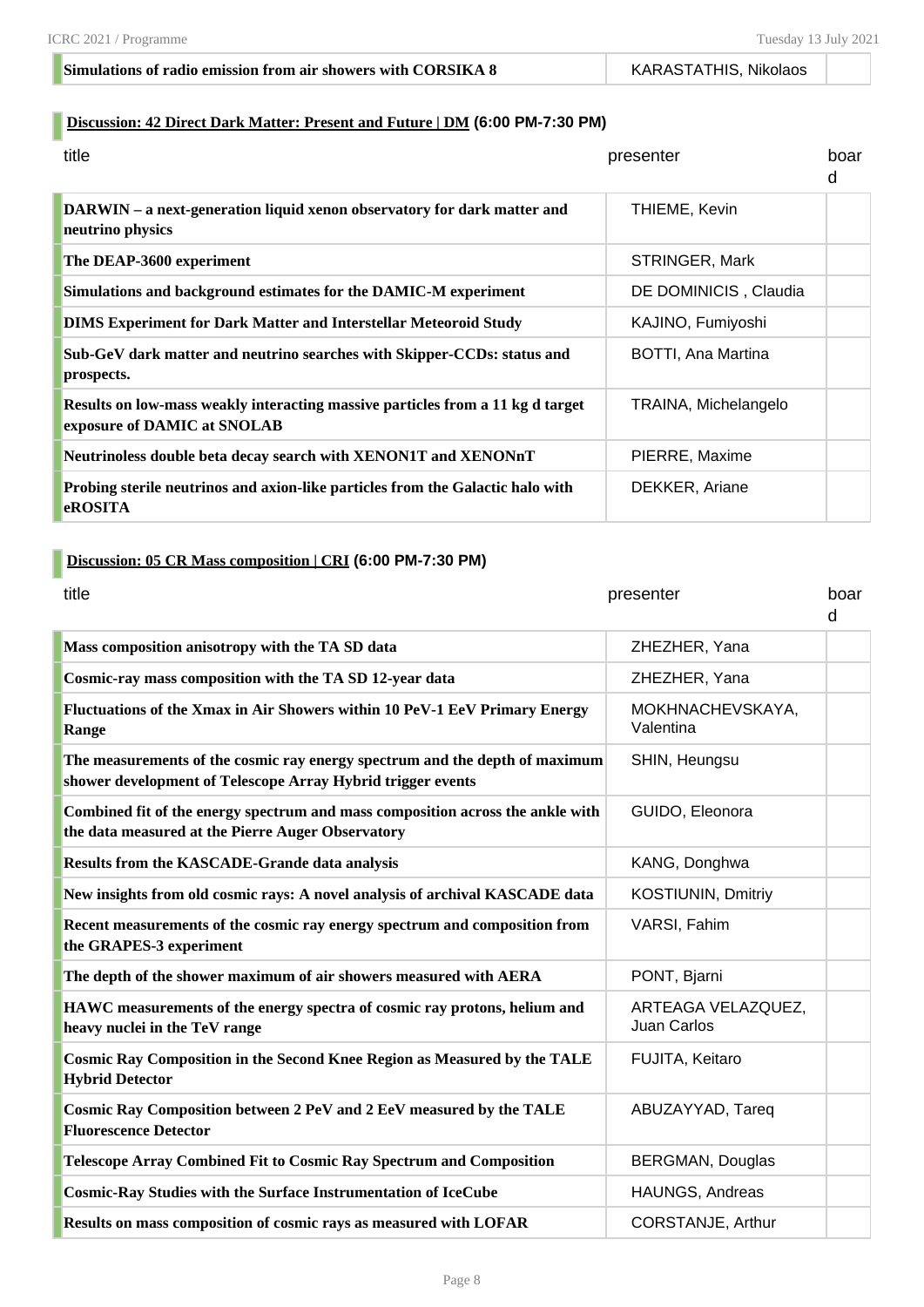#### **Simulations of radio emission from air showers with CORSIKA 8** KARASTATHIS, Nikolaos

#### **Discussion: 42 Direct Dark Matter: Present and Future | DM (6:00 PM-7:30 PM)**

| title                                                                                                         | presenter             | boar<br>d |
|---------------------------------------------------------------------------------------------------------------|-----------------------|-----------|
| DARWIN – a next-generation liquid xenon observatory for dark matter and<br>neutrino physics                   | THIEME, Kevin         |           |
| The DEAP-3600 experiment                                                                                      | STRINGER, Mark        |           |
| Simulations and background estimates for the DAMIC-M experiment                                               | DE DOMINICIS, Claudia |           |
| <b>DIMS Experiment for Dark Matter and Interstellar Meteoroid Study</b>                                       | KAJINO, Fumiyoshi     |           |
| Sub-GeV dark matter and neutrino searches with Skipper-CCDs: status and<br>prospects.                         | BOTTI, Ana Martina    |           |
| Results on low-mass weakly interacting massive particles from a 11 kg d target<br>exposure of DAMIC at SNOLAB | TRAINA, Michelangelo  |           |
| Neutrinoless double beta decay search with XENON1T and XENONnT                                                | PIERRE, Maxime        |           |
| Probing sterile neutrinos and axion-like particles from the Galactic halo with<br><b>eROSITA</b>              | DEKKER, Ariane        |           |

#### **Discussion: 05 CR Mass composition | CRI (6:00 PM-7:30 PM)**

| title                                                                                                                                      | presenter                         | boar<br>d |
|--------------------------------------------------------------------------------------------------------------------------------------------|-----------------------------------|-----------|
| Mass composition anisotropy with the TA SD data                                                                                            | ZHEZHER, Yana                     |           |
| Cosmic-ray mass composition with the TA SD 12-year data                                                                                    | ZHEZHER, Yana                     |           |
| Fluctuations of the Xmax in Air Showers within 10 PeV-1 EeV Primary Energy<br>Range                                                        | MOKHNACHEVSKAYA,<br>Valentina     |           |
| The measurements of the cosmic ray energy spectrum and the depth of maximum<br>shower development of Telescope Array Hybrid trigger events | SHIN, Heungsu                     |           |
| Combined fit of the energy spectrum and mass composition across the ankle with<br>the data measured at the Pierre Auger Observatory        | GUIDO, Eleonora                   |           |
| <b>Results from the KASCADE-Grande data analysis</b>                                                                                       | KANG, Donghwa                     |           |
| New insights from old cosmic rays: A novel analysis of archival KASCADE data                                                               | KOSTIUNIN, Dmitriy                |           |
| Recent measurements of the cosmic ray energy spectrum and composition from<br>the GRAPES-3 experiment                                      | <b>VARSI, Fahim</b>               |           |
| The depth of the shower maximum of air showers measured with AERA                                                                          | PONT, Bjarni                      |           |
| HAWC measurements of the energy spectra of cosmic ray protons, helium and<br>heavy nuclei in the TeV range                                 | ARTEAGA VELAZQUEZ,<br>Juan Carlos |           |
| <b>Cosmic Ray Composition in the Second Knee Region as Measured by the TALE</b><br><b>Hybrid Detector</b>                                  | FUJITA, Keitaro                   |           |
| <b>Cosmic Ray Composition between 2 PeV and 2 EeV measured by the TALE</b><br><b>Fluorescence Detector</b>                                 | ABUZAYYAD, Tareq                  |           |
| <b>Telescope Array Combined Fit to Cosmic Ray Spectrum and Composition</b>                                                                 | <b>BERGMAN, Douglas</b>           |           |
| <b>Cosmic-Ray Studies with the Surface Instrumentation of IceCube</b>                                                                      | HAUNGS, Andreas                   |           |
| Results on mass composition of cosmic rays as measured with LOFAR                                                                          | CORSTANJE, Arthur                 |           |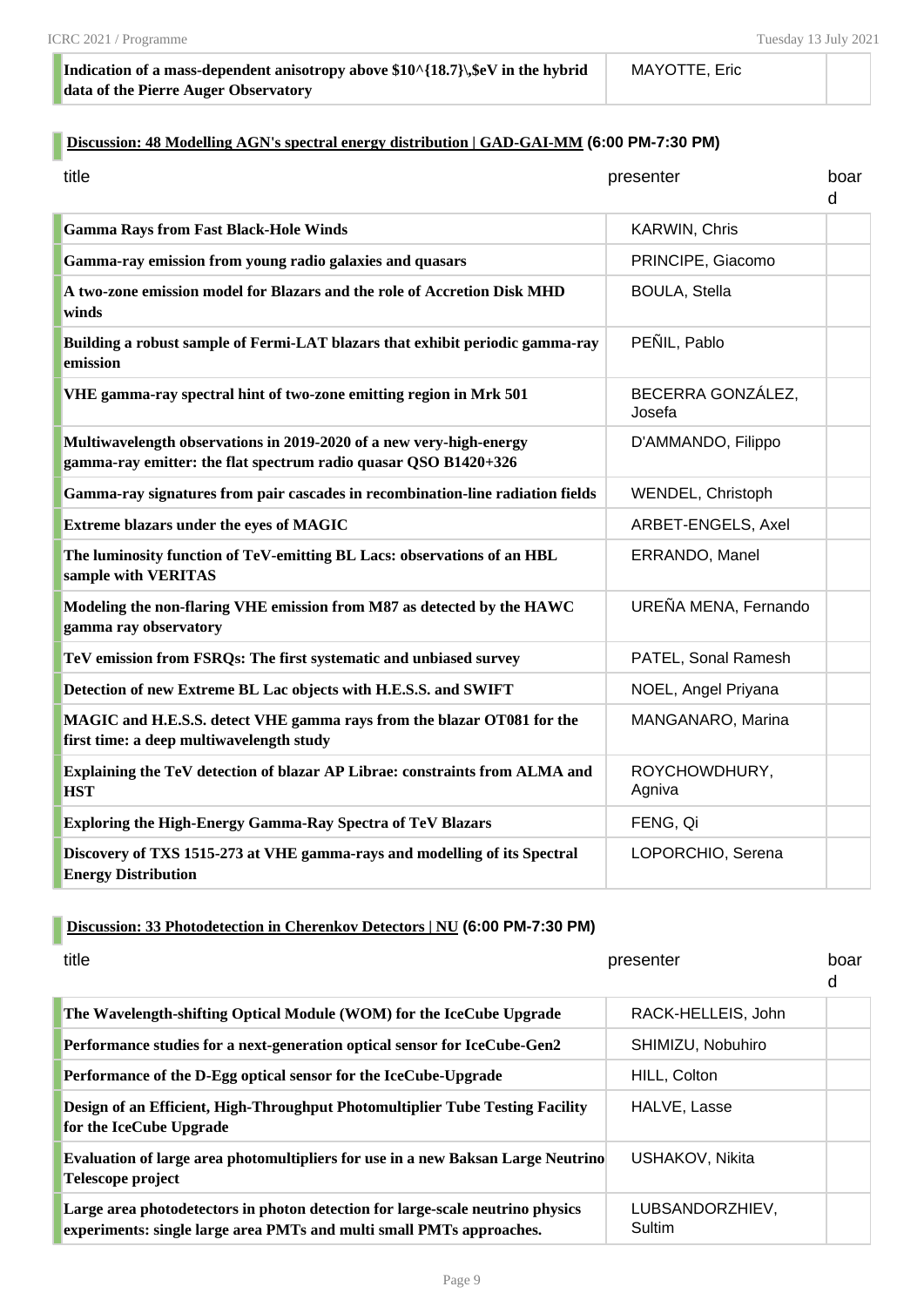#### **Indication of a mass-dependent anisotropy above \$10^{18.7}\,\$eV in the hybrid data of the Pierre Auger Observatory**

#### MAYOTTE, Eric

#### **Discussion: 48 Modelling AGN's spectral energy distribution | GAD-GAI-MM (6:00 PM-7:30 PM)**

| title                                                                                                                                  | presenter                   | boar<br>d |
|----------------------------------------------------------------------------------------------------------------------------------------|-----------------------------|-----------|
| <b>Gamma Rays from Fast Black-Hole Winds</b>                                                                                           | <b>KARWIN, Chris</b>        |           |
| Gamma-ray emission from young radio galaxies and quasars                                                                               | PRINCIPE, Giacomo           |           |
| A two-zone emission model for Blazars and the role of Accretion Disk MHD<br>winds                                                      | <b>BOULA, Stella</b>        |           |
| Building a robust sample of Fermi-LAT blazars that exhibit periodic gamma-ray<br>emission                                              | PEÑIL, Pablo                |           |
| VHE gamma-ray spectral hint of two-zone emitting region in Mrk 501                                                                     | BECERRA GONZÁLEZ,<br>Josefa |           |
| Multiwavelength observations in 2019-2020 of a new very-high-energy<br>gamma-ray emitter: the flat spectrum radio quasar QSO B1420+326 | D'AMMANDO, Filippo          |           |
| Gamma-ray signatures from pair cascades in recombination-line radiation fields                                                         | WENDEL, Christoph           |           |
| <b>Extreme blazars under the eyes of MAGIC</b>                                                                                         | ARBET-ENGELS, Axel          |           |
| The luminosity function of TeV-emitting BL Lacs: observations of an HBL<br>sample with VERITAS                                         | ERRANDO, Manel              |           |
| Modeling the non-flaring VHE emission from M87 as detected by the HAWC<br>gamma ray observatory                                        | UREÑA MENA, Fernando        |           |
| TeV emission from FSRQs: The first systematic and unbiased survey                                                                      | PATEL, Sonal Ramesh         |           |
| Detection of new Extreme BL Lac objects with H.E.S.S. and SWIFT                                                                        | NOEL, Angel Priyana         |           |
| MAGIC and H.E.S.S. detect VHE gamma rays from the blazar OT081 for the<br>first time: a deep multiwavelength study                     | MANGANARO, Marina           |           |
| Explaining the TeV detection of blazar AP Librae: constraints from ALMA and<br><b>HST</b>                                              | ROYCHOWDHURY,<br>Agniva     |           |
| <b>Exploring the High-Energy Gamma-Ray Spectra of TeV Blazars</b>                                                                      | FENG, Qi                    |           |
| Discovery of TXS 1515-273 at VHE gamma-rays and modelling of its Spectral<br><b>Energy Distribution</b>                                | LOPORCHIO, Serena           |           |

#### **Discussion: 33 Photodetection in Cherenkov Detectors | NU (6:00 PM-7:30 PM)**

| title                                                                                                                                                  | presenter                 | boar<br>d |
|--------------------------------------------------------------------------------------------------------------------------------------------------------|---------------------------|-----------|
| The Wavelength-shifting Optical Module (WOM) for the IceCube Upgrade                                                                                   | RACK-HELLEIS, John        |           |
| Performance studies for a next-generation optical sensor for IceCube-Gen2                                                                              | SHIMIZU, Nobuhiro         |           |
| Performance of the D-Egg optical sensor for the IceCube-Upgrade                                                                                        | HILL, Colton              |           |
| Design of an Efficient, High-Throughput Photomultiplier Tube Testing Facility<br>for the IceCube Upgrade                                               | HALVE, Lasse              |           |
| <b>Evaluation of large area photomultipliers for use in a new Baksan Large Neutrino</b><br>Telescope project                                           | USHAKOV, Nikita           |           |
| Large area photodetectors in photon detection for large-scale neutrino physics<br>experiments: single large area PMTs and multi small PMTs approaches. | LUBSANDORZHIEV,<br>Sultim |           |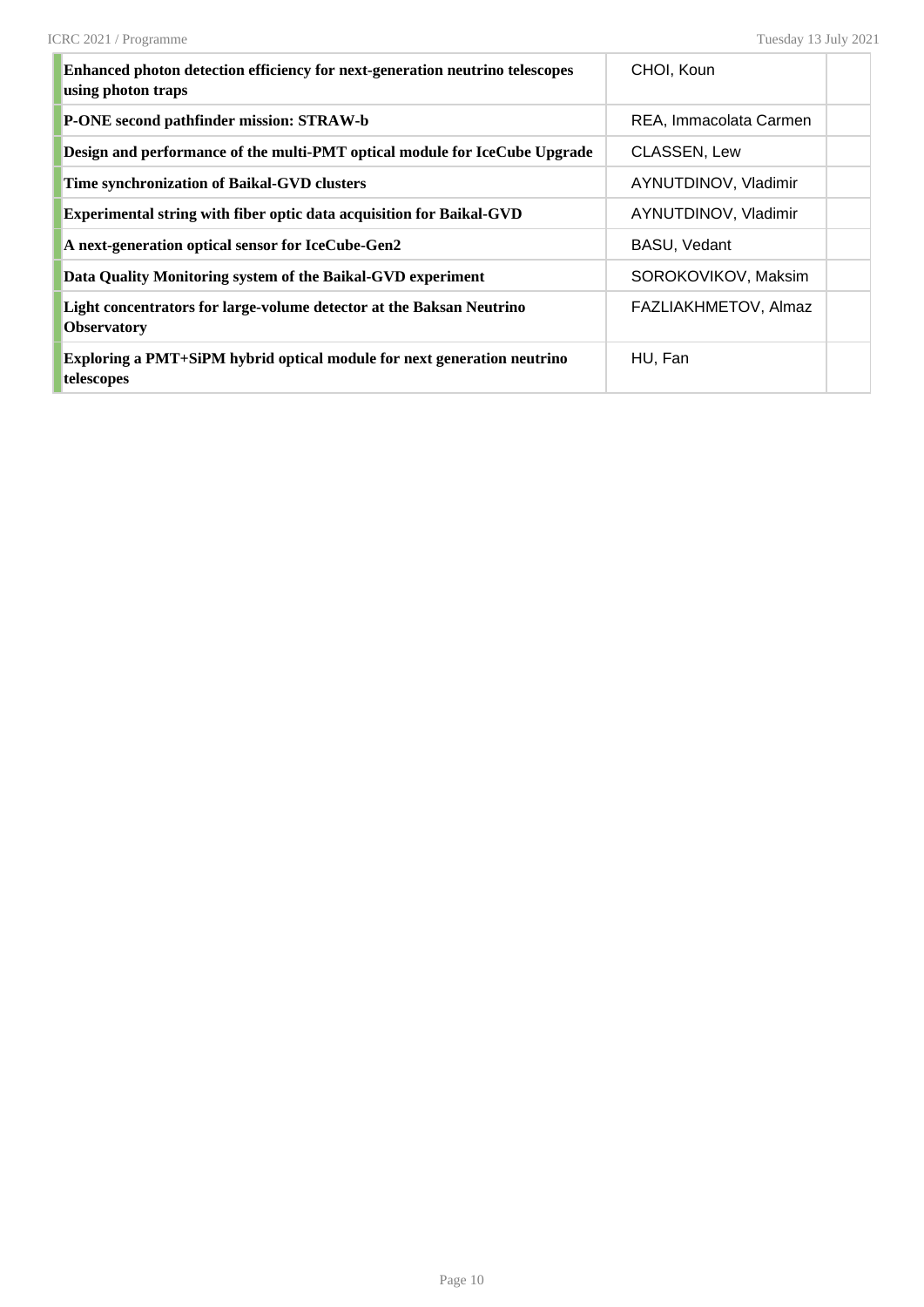| <b>Enhanced photon detection efficiency for next-generation neutrino telescopes</b><br>using photon traps | CHOI, Koun             |  |
|-----------------------------------------------------------------------------------------------------------|------------------------|--|
| P-ONE second pathfinder mission: STRAW-b                                                                  | REA, Immacolata Carmen |  |
| Design and performance of the multi-PMT optical module for IceCube Upgrade                                | CLASSEN, Lew           |  |
| Time synchronization of Baikal-GVD clusters                                                               | AYNUTDINOV, Vladimir   |  |
| Experimental string with fiber optic data acquisition for Baikal-GVD                                      | AYNUTDINOV, Vladimir   |  |
| A next-generation optical sensor for IceCube-Gen2                                                         | BASU, Vedant           |  |
| Data Quality Monitoring system of the Baikal-GVD experiment                                               | SOROKOVIKOV, Maksim    |  |
| Light concentrators for large-volume detector at the Baksan Neutrino<br><b>Observatory</b>                | FAZLIAKHMETOV, Almaz   |  |
| Exploring a PMT+SiPM hybrid optical module for next generation neutrino<br>telescopes                     | HU, Fan                |  |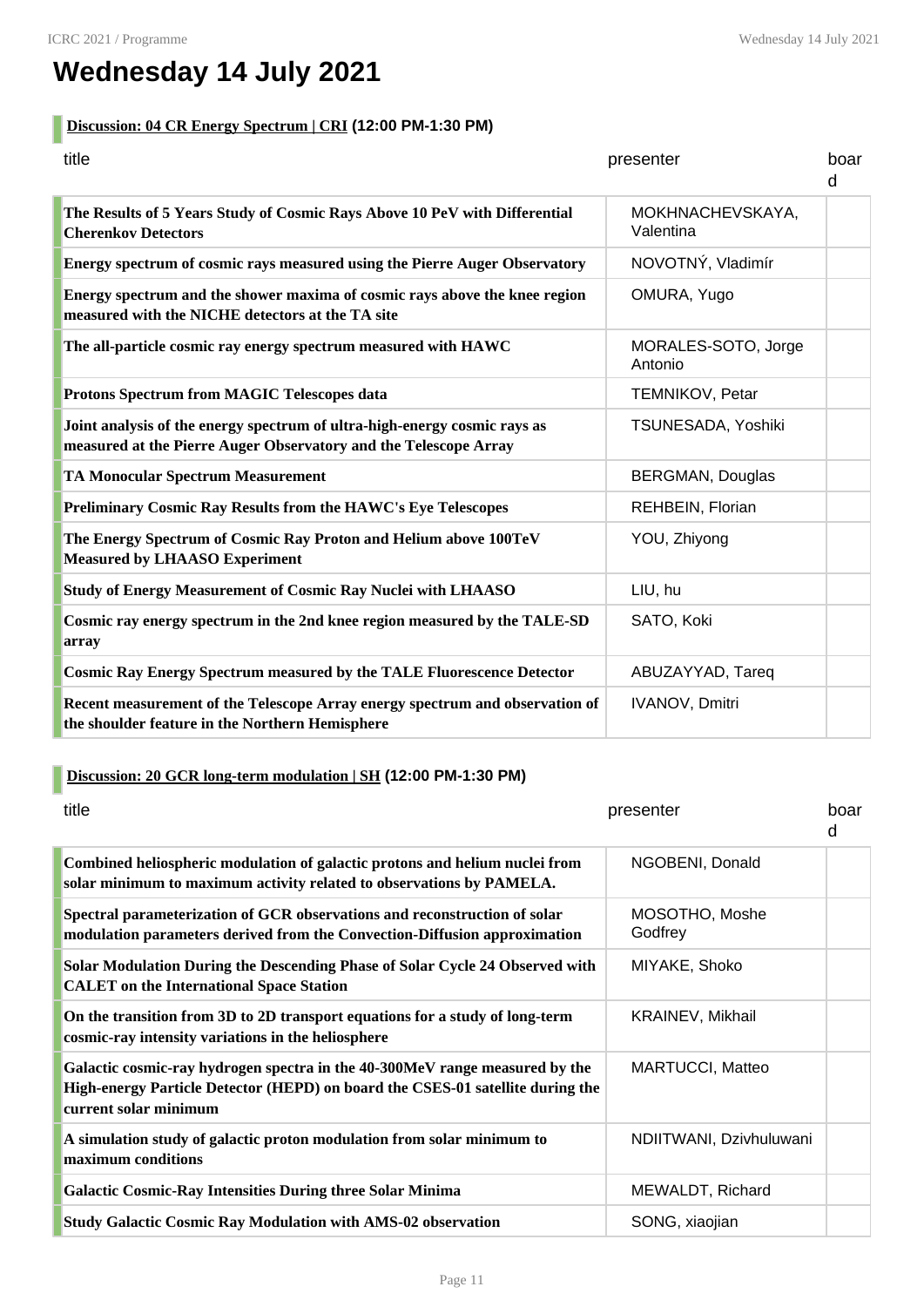# **Wednesday 14 July 2021**

#### **Discussion: 04 CR Energy Spectrum | CRI (12:00 PM-1:30 PM)**

| title                                                                                                                                         | presenter                      | boar<br>d |
|-----------------------------------------------------------------------------------------------------------------------------------------------|--------------------------------|-----------|
| The Results of 5 Years Study of Cosmic Rays Above 10 PeV with Differential<br><b>Cherenkov Detectors</b>                                      | MOKHNACHEVSKAYA,<br>Valentina  |           |
| Energy spectrum of cosmic rays measured using the Pierre Auger Observatory                                                                    | NOVOTNÝ, Vladimír              |           |
| Energy spectrum and the shower maxima of cosmic rays above the knee region<br>measured with the NICHE detectors at the TA site                | OMURA, Yugo                    |           |
| The all-particle cosmic ray energy spectrum measured with HAWC                                                                                | MORALES-SOTO, Jorge<br>Antonio |           |
| Protons Spectrum from MAGIC Telescopes data                                                                                                   | <b>TEMNIKOV, Petar</b>         |           |
| Joint analysis of the energy spectrum of ultra-high-energy cosmic rays as<br>measured at the Pierre Auger Observatory and the Telescope Array | TSUNESADA, Yoshiki             |           |
| <b>TA Monocular Spectrum Measurement</b>                                                                                                      | <b>BERGMAN, Douglas</b>        |           |
| <b>Preliminary Cosmic Ray Results from the HAWC's Eye Telescopes</b>                                                                          | REHBEIN, Florian               |           |
| The Energy Spectrum of Cosmic Ray Proton and Helium above 100TeV<br><b>Measured by LHAASO Experiment</b>                                      | YOU, Zhiyong                   |           |
| <b>Study of Energy Measurement of Cosmic Ray Nuclei with LHAASO</b>                                                                           | LIU, hu                        |           |
| Cosmic ray energy spectrum in the 2nd knee region measured by the TALE-SD<br>array                                                            | SATO, Koki                     |           |
| <b>Cosmic Ray Energy Spectrum measured by the TALE Fluorescence Detector</b>                                                                  | ABUZAYYAD, Tareq               |           |
| Recent measurement of the Telescope Array energy spectrum and observation of<br>the shoulder feature in the Northern Hemisphere               | <b>IVANOV, Dmitri</b>          |           |

#### **Discussion: 20 GCR long-term modulation | SH (12:00 PM-1:30 PM)**

| title                                                                                                                                                                                  | presenter                 | boar<br>d |
|----------------------------------------------------------------------------------------------------------------------------------------------------------------------------------------|---------------------------|-----------|
| Combined heliospheric modulation of galactic protons and helium nuclei from<br>solar minimum to maximum activity related to observations by PAMELA.                                    | NGOBENI, Donald           |           |
| Spectral parameterization of GCR observations and reconstruction of solar<br>modulation parameters derived from the Convection-Diffusion approximation                                 | MOSOTHO, Moshe<br>Godfrey |           |
| Solar Modulation During the Descending Phase of Solar Cycle 24 Observed with<br><b>CALET</b> on the International Space Station                                                        | MIYAKE, Shoko             |           |
| On the transition from 3D to 2D transport equations for a study of long-term<br>cosmic-ray intensity variations in the heliosphere                                                     | KRAINEV, Mikhail          |           |
| Galactic cosmic-ray hydrogen spectra in the 40-300MeV range measured by the<br>High-energy Particle Detector (HEPD) on board the CSES-01 satellite during the<br>current solar minimum | MARTUCCI, Matteo          |           |
| A simulation study of galactic proton modulation from solar minimum to<br>maximum conditions                                                                                           | NDIITWANI, Dzivhuluwani   |           |
| <b>Galactic Cosmic-Ray Intensities During three Solar Minima</b>                                                                                                                       | MEWALDT, Richard          |           |
| <b>Study Galactic Cosmic Ray Modulation with AMS-02 observation</b>                                                                                                                    | SONG, xiaojian            |           |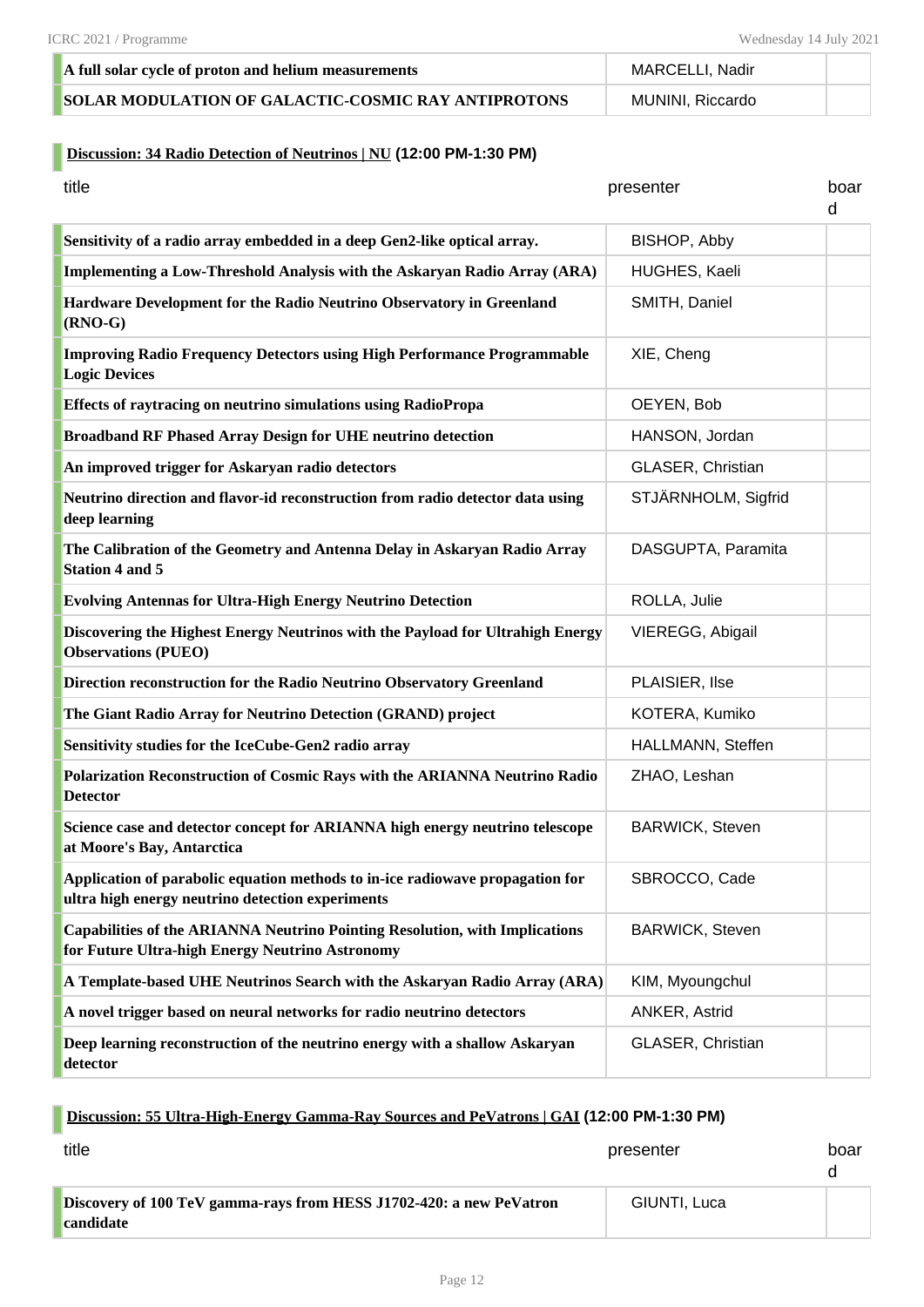| A full solar cycle of proton and helium measurements        | MARCELLI, Nadir  |  |
|-------------------------------------------------------------|------------------|--|
| <b>ISOLAR MODULATION OF GALACTIC-COSMIC RAY ANTIPROTONS</b> | MUNINI, Riccardo |  |

#### **Discussion: 34 Radio Detection of Neutrinos | NU (12:00 PM-1:30 PM)**

| title                                                                                                                                 | presenter              | boar<br>d |
|---------------------------------------------------------------------------------------------------------------------------------------|------------------------|-----------|
| Sensitivity of a radio array embedded in a deep Gen2-like optical array.                                                              | BISHOP, Abby           |           |
| Implementing a Low-Threshold Analysis with the Askaryan Radio Array (ARA)                                                             | HUGHES, Kaeli          |           |
| Hardware Development for the Radio Neutrino Observatory in Greenland<br>$(RNO-G)$                                                     | SMITH, Daniel          |           |
| <b>Improving Radio Frequency Detectors using High Performance Programmable</b><br><b>Logic Devices</b>                                | XIE, Cheng             |           |
| <b>Effects of raytracing on neutrino simulations using RadioPropa</b>                                                                 | OEYEN, Bob             |           |
| <b>Broadband RF Phased Array Design for UHE neutrino detection</b>                                                                    | HANSON, Jordan         |           |
| An improved trigger for Askaryan radio detectors                                                                                      | GLASER, Christian      |           |
| Neutrino direction and flavor-id reconstruction from radio detector data using<br>deep learning                                       | STJÄRNHOLM, Sigfrid    |           |
| The Calibration of the Geometry and Antenna Delay in Askaryan Radio Array<br><b>Station 4 and 5</b>                                   | DASGUPTA, Paramita     |           |
| <b>Evolving Antennas for Ultra-High Energy Neutrino Detection</b>                                                                     | ROLLA, Julie           |           |
| Discovering the Highest Energy Neutrinos with the Payload for Ultrahigh Energy<br><b>Observations (PUEO)</b>                          | VIEREGG, Abigail       |           |
| Direction reconstruction for the Radio Neutrino Observatory Greenland                                                                 | PLAISIER, Ilse         |           |
| The Giant Radio Array for Neutrino Detection (GRAND) project                                                                          | KOTERA, Kumiko         |           |
| Sensitivity studies for the IceCube-Gen2 radio array                                                                                  | HALLMANN, Steffen      |           |
| Polarization Reconstruction of Cosmic Rays with the ARIANNA Neutrino Radio<br><b>Detector</b>                                         | ZHAO, Leshan           |           |
| Science case and detector concept for ARIANNA high energy neutrino telescope<br>at Moore's Bay, Antarctica                            | <b>BARWICK, Steven</b> |           |
| Application of parabolic equation methods to in-ice radiowave propagation for<br>ultra high energy neutrino detection experiments     | SBROCCO, Cade          |           |
| <b>Capabilities of the ARIANNA Neutrino Pointing Resolution, with Implications</b><br>for Future Ultra-high Energy Neutrino Astronomy | <b>BARWICK, Steven</b> |           |
| A Template-based UHE Neutrinos Search with the Askaryan Radio Array (ARA)                                                             | KIM, Myoungchul        |           |
| A novel trigger based on neural networks for radio neutrino detectors                                                                 | ANKER, Astrid          |           |
| Deep learning reconstruction of the neutrino energy with a shallow Askaryan<br>detector                                               | GLASER, Christian      |           |

#### **Discussion: 55 Ultra-High-Energy Gamma-Ray Sources and PeVatrons | GAI (12:00 PM-1:30 PM)**

| title                                                                                   | presenter    | boar |
|-----------------------------------------------------------------------------------------|--------------|------|
| Discovery of 100 TeV gamma-rays from HESS J1702-420: a new PeVatron<br><b>candidate</b> | GIUNTI, Luca |      |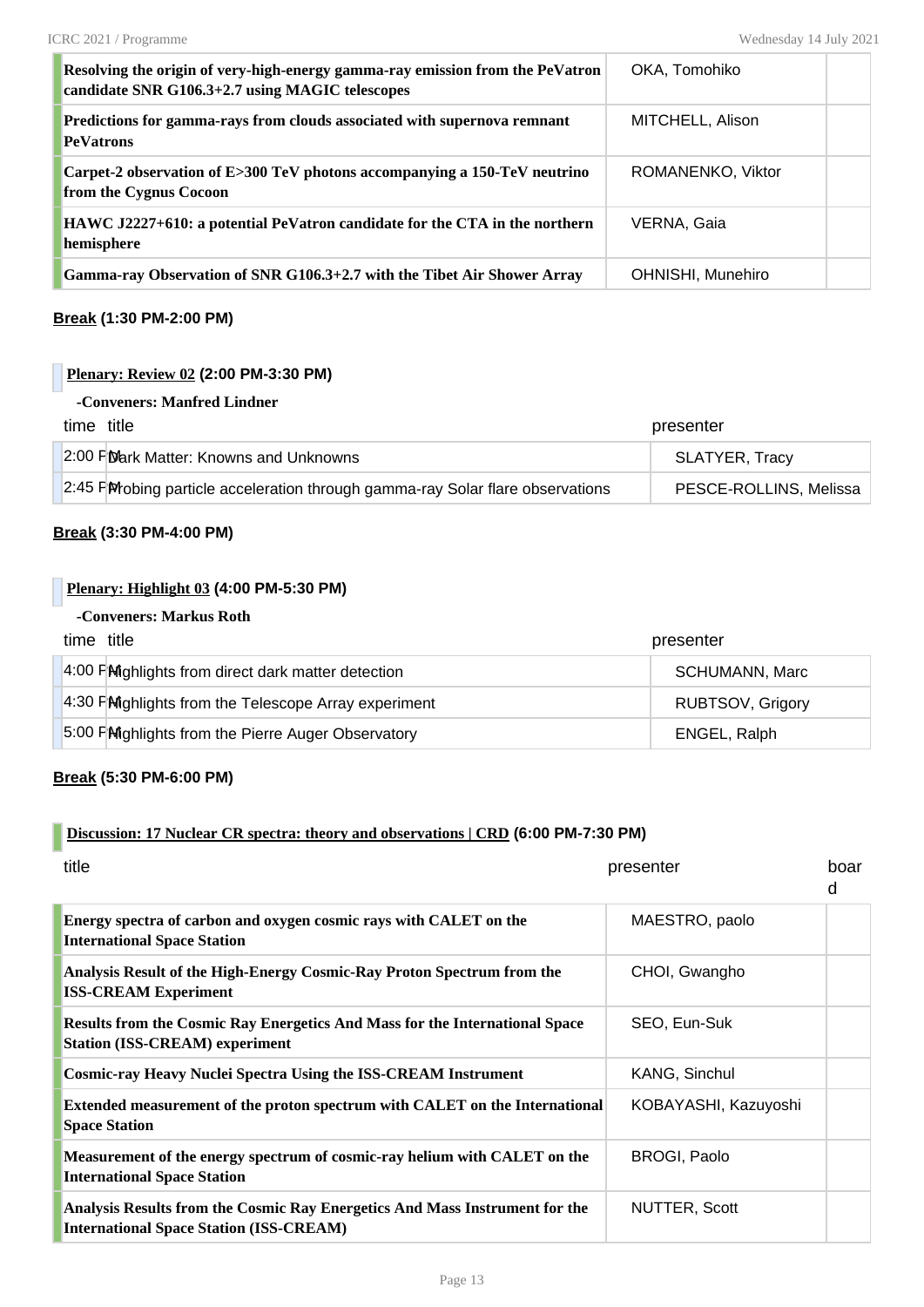| Resolving the origin of very-high-energy gamma-ray emission from the PeVatron<br>candidate SNR G106.3+2.7 using MAGIC telescopes | OKA, Tomohiko     |  |
|----------------------------------------------------------------------------------------------------------------------------------|-------------------|--|
| Predictions for gamma-rays from clouds associated with supernova remnant<br><b>PeVatrons</b>                                     | MITCHELL, Alison  |  |
| Carpet-2 observation of E>300 TeV photons accompanying a 150-TeV neutrino<br>from the Cygnus Cocoon                              | ROMANENKO, Viktor |  |
| HAWC J2227+610: a potential PeVatron candidate for the CTA in the northern<br>hemisphere                                         | VERNA, Gaia       |  |
| Gamma-ray Observation of SNR G106.3+2.7 with the Tibet Air Shower Array                                                          | OHNISHI, Munehiro |  |

#### **Break (1:30 PM-2:00 PM)**

#### **Plenary: Review 02 (2:00 PM-3:30 PM)**

| -Conveners: Manfred Lindner |  |
|-----------------------------|--|
|-----------------------------|--|

| time title |                                                                                 | presenter              |
|------------|---------------------------------------------------------------------------------|------------------------|
|            | 2:00 PD ark Matter: Knowns and Unknowns                                         | SLATYER, Tracy         |
|            | 2:45 Pirrobing particle acceleration through gamma-ray Solar flare observations | PESCE-ROLLINS, Melissa |

#### **Break (3:30 PM-4:00 PM)**

#### **Plenary: Highlight 03 (4:00 PM-5:30 PM)**

#### **-Conveners: Markus Roth**

| time title                                           | presenter               |
|------------------------------------------------------|-------------------------|
| 4:00 PM ghlights from direct dark matter detection   | <b>SCHUMANN, Marc</b>   |
| 4:30 FMighlights from the Telescope Array experiment | <b>RUBTSOV, Grigory</b> |
| 5:00 FMighlights from the Pierre Auger Observatory   | ENGEL, Ralph            |

#### **Break (5:30 PM-6:00 PM)**

#### **Discussion: 17 Nuclear CR spectra: theory and observations | CRD (6:00 PM-7:30 PM)**

| title                                                                                                                         | presenter            | boar<br>d |
|-------------------------------------------------------------------------------------------------------------------------------|----------------------|-----------|
| Energy spectra of carbon and oxygen cosmic rays with CALET on the<br><b>International Space Station</b>                       | MAESTRO, paolo       |           |
| Analysis Result of the High-Energy Cosmic-Ray Proton Spectrum from the<br><b>ISS-CREAM Experiment</b>                         | CHOI, Gwangho        |           |
| <b>Results from the Cosmic Ray Energetics And Mass for the International Space</b><br><b>Station (ISS-CREAM) experiment</b>   | SEO, Eun-Suk         |           |
| <b>Cosmic-ray Heavy Nuclei Spectra Using the ISS-CREAM Instrument</b>                                                         | KANG, Sinchul        |           |
| Extended measurement of the proton spectrum with CALET on the International<br><b>Space Station</b>                           | KOBAYASHI, Kazuyoshi |           |
| Measurement of the energy spectrum of cosmic-ray helium with CALET on the<br><b>International Space Station</b>               | <b>BROGI, Paolo</b>  |           |
| Analysis Results from the Cosmic Ray Energetics And Mass Instrument for the<br><b>International Space Station (ISS-CREAM)</b> | <b>NUTTER, Scott</b> |           |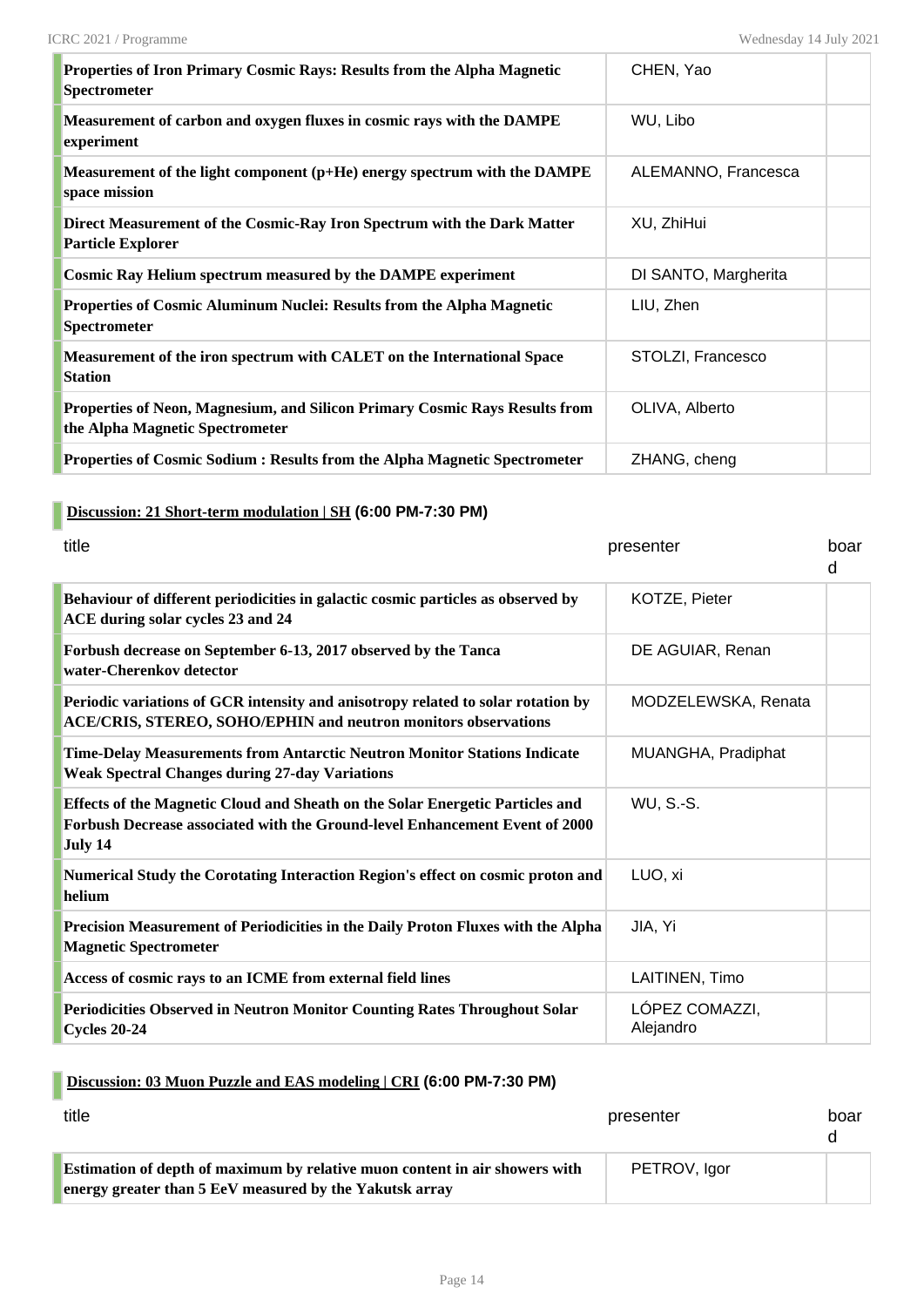| Properties of Iron Primary Cosmic Rays: Results from the Alpha Magnetic<br><b>Spectrometer</b>                 | CHEN, Yao            |  |
|----------------------------------------------------------------------------------------------------------------|----------------------|--|
| Measurement of carbon and oxygen fluxes in cosmic rays with the DAMPE<br>experiment                            | WU, Libo             |  |
| Measurement of the light component (p+He) energy spectrum with the DAMPE<br>space mission                      | ALEMANNO, Francesca  |  |
| Direct Measurement of the Cosmic-Ray Iron Spectrum with the Dark Matter<br><b>Particle Explorer</b>            | XU, ZhiHui           |  |
| <b>Cosmic Ray Helium spectrum measured by the DAMPE experiment</b>                                             | DI SANTO, Margherita |  |
| Properties of Cosmic Aluminum Nuclei: Results from the Alpha Magnetic<br>Spectrometer                          | LIU, Zhen            |  |
| Measurement of the iron spectrum with CALET on the International Space<br><b>Station</b>                       | STOLZI, Francesco    |  |
| Properties of Neon, Magnesium, and Silicon Primary Cosmic Rays Results from<br>the Alpha Magnetic Spectrometer | OLIVA, Alberto       |  |
| Properties of Cosmic Sodium: Results from the Alpha Magnetic Spectrometer                                      | ZHANG, cheng         |  |

# **Discussion: 21 Short-term modulation | SH (6:00 PM-7:30 PM)**

| title                                                                                                                                                                   | presenter                   | boar<br>d |
|-------------------------------------------------------------------------------------------------------------------------------------------------------------------------|-----------------------------|-----------|
| Behaviour of different periodicities in galactic cosmic particles as observed by<br>ACE during solar cycles 23 and 24                                                   | KOTZE, Pieter               |           |
| Forbush decrease on September 6-13, 2017 observed by the Tanca<br>water-Cherenkov detector                                                                              | DE AGUIAR, Renan            |           |
| Periodic variations of GCR intensity and anisotropy related to solar rotation by<br><b>ACE/CRIS, STEREO, SOHO/EPHIN and neutron monitors observations</b>               | MODZELEWSKA, Renata         |           |
| Time-Delay Measurements from Antarctic Neutron Monitor Stations Indicate<br><b>Weak Spectral Changes during 27-day Variations</b>                                       | MUANGHA, Pradiphat          |           |
| Effects of the Magnetic Cloud and Sheath on the Solar Energetic Particles and<br>Forbush Decrease associated with the Ground-level Enhancement Event of 2000<br>July 14 | <b>WU, S.-S.</b>            |           |
| Numerical Study the Corotating Interaction Region's effect on cosmic proton and<br>helium                                                                               | LUO, xi                     |           |
| Precision Measurement of Periodicities in the Daily Proton Fluxes with the Alpha<br><b>Magnetic Spectrometer</b>                                                        | JIA, Yi                     |           |
| Access of cosmic rays to an ICME from external field lines                                                                                                              | LAITINEN, Timo              |           |
| Periodicities Observed in Neutron Monitor Counting Rates Throughout Solar<br><b>Cycles 20-24</b>                                                                        | LÓPEZ COMAZZI,<br>Alejandro |           |

## **Discussion: 03 Muon Puzzle and EAS modeling | CRI (6:00 PM-7:30 PM)**

| title                                                                                                                                         | presenter    | boar |
|-----------------------------------------------------------------------------------------------------------------------------------------------|--------------|------|
| <b>Estimation of depth of maximum by relative muon content in air showers with</b><br>energy greater than 5 EeV measured by the Yakutsk array | PETROV, lgor |      |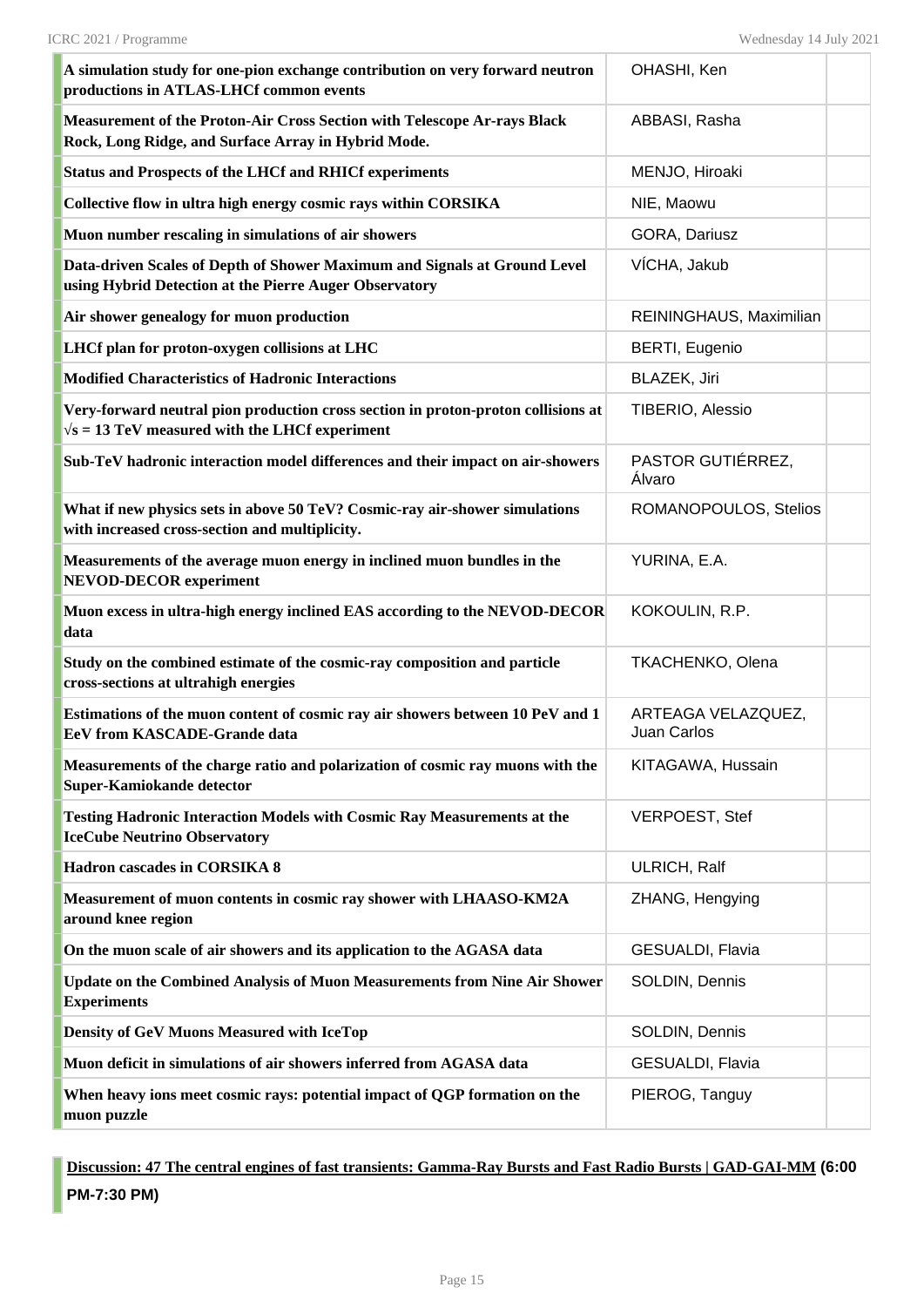| A simulation study for one-pion exchange contribution on very forward neutron<br>productions in ATLAS-LHCf common events                   | OHASHI, Ken                       |  |
|--------------------------------------------------------------------------------------------------------------------------------------------|-----------------------------------|--|
| Measurement of the Proton-Air Cross Section with Telescope Ar-rays Black<br>Rock, Long Ridge, and Surface Array in Hybrid Mode.            | ABBASI, Rasha                     |  |
| <b>Status and Prospects of the LHCf and RHICf experiments</b>                                                                              | MENJO, Hiroaki                    |  |
| Collective flow in ultra high energy cosmic rays within CORSIKA                                                                            | NIE, Maowu                        |  |
| Muon number rescaling in simulations of air showers                                                                                        | GORA, Dariusz                     |  |
| Data-driven Scales of Depth of Shower Maximum and Signals at Ground Level<br>using Hybrid Detection at the Pierre Auger Observatory        | VÍCHA, Jakub                      |  |
| Air shower genealogy for muon production                                                                                                   | REININGHAUS, Maximilian           |  |
| LHCf plan for proton-oxygen collisions at LHC                                                                                              | <b>BERTI, Eugenio</b>             |  |
| Modified Characteristics of Hadronic Interactions                                                                                          | BLAZEK, Jiri                      |  |
| Very-forward neutral pion production cross section in proton-proton collisions at<br>$\sqrt{s}$ = 13 TeV measured with the LHCf experiment | TIBERIO, Alessio                  |  |
| Sub-TeV hadronic interaction model differences and their impact on air-showers                                                             | PASTOR GUTIÉRREZ,<br>Álvaro       |  |
| What if new physics sets in above 50 TeV? Cosmic-ray air-shower simulations<br>with increased cross-section and multiplicity.              | ROMANOPOULOS, Stelios             |  |
| Measurements of the average muon energy in inclined muon bundles in the<br><b>NEVOD-DECOR</b> experiment                                   | YURINA, E.A.                      |  |
| Muon excess in ultra-high energy inclined EAS according to the NEVOD-DECOR<br>data                                                         | KOKOULIN, R.P.                    |  |
| Study on the combined estimate of the cosmic-ray composition and particle<br>cross-sections at ultrahigh energies                          | <b>TKACHENKO, Olena</b>           |  |
| Estimations of the muon content of cosmic ray air showers between 10 PeV and 1<br><b>EeV from KASCADE-Grande data</b>                      | ARTEAGA VELAZQUEZ,<br>Juan Carlos |  |
| Measurements of the charge ratio and polarization of cosmic ray muons with the<br>Super-Kamiokande detector                                | KITAGAWA, Hussain                 |  |
| <b>Testing Hadronic Interaction Models with Cosmic Ray Measurements at the</b><br><b>IceCube Neutrino Observatory</b>                      | <b>VERPOEST, Stef</b>             |  |
| Hadron cascades in CORSIKA 8                                                                                                               | ULRICH, Ralf                      |  |
| Measurement of muon contents in cosmic ray shower with LHAASO-KM2A<br>around knee region                                                   | ZHANG, Hengying                   |  |
| On the muon scale of air showers and its application to the AGASA data                                                                     | <b>GESUALDI, Flavia</b>           |  |
| <b>Update on the Combined Analysis of Muon Measurements from Nine Air Shower</b><br><b>Experiments</b>                                     | SOLDIN, Dennis                    |  |
| <b>Density of GeV Muons Measured with IceTop</b>                                                                                           | SOLDIN, Dennis                    |  |
| Muon deficit in simulations of air showers inferred from AGASA data                                                                        | GESUALDI, Flavia                  |  |
| When heavy ions meet cosmic rays: potential impact of QGP formation on the<br>muon puzzle                                                  | PIEROG, Tanguy                    |  |

**Discussion: 47 The central engines of fast transients: Gamma-Ray Bursts and Fast Radio Bursts | GAD-GAI-MM (6:00 PM-7:30 PM)**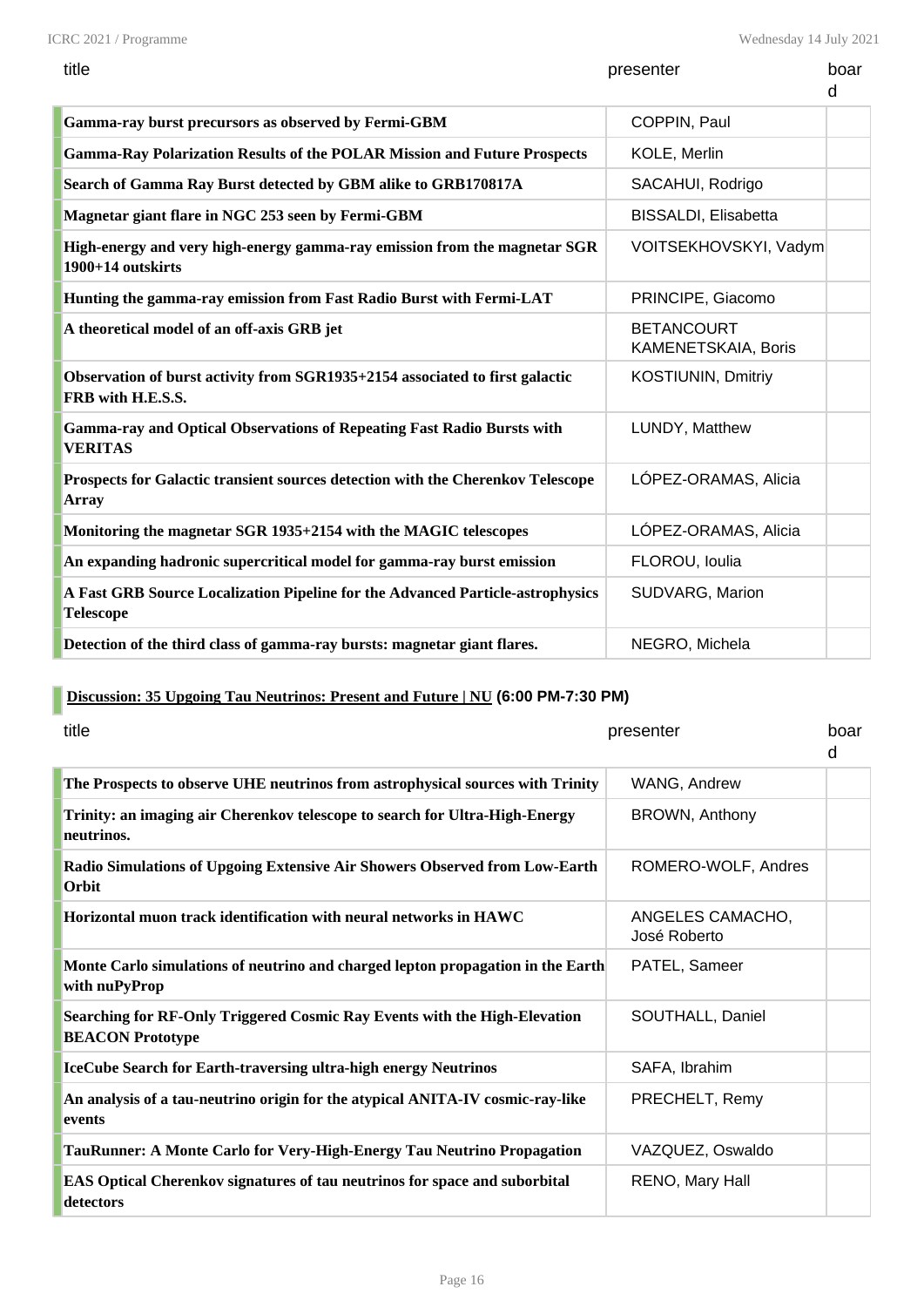Wednesday 14 July 2021

| title                                               | presenter    | boar |
|-----------------------------------------------------|--------------|------|
| Gamma-ray burst precursors as observed by Fermi-GBM | COPPIN, Paul |      |

| Gamma-ray burst precursors as observed by Fermi-GBM                                                | COPPIN, Paul                             |  |
|----------------------------------------------------------------------------------------------------|------------------------------------------|--|
| <b>Gamma-Ray Polarization Results of the POLAR Mission and Future Prospects</b>                    | KOLE, Merlin                             |  |
| Search of Gamma Ray Burst detected by GBM alike to GRB170817A                                      | SACAHUI, Rodrigo                         |  |
| Magnetar giant flare in NGC 253 seen by Fermi-GBM                                                  | BISSALDI, Elisabetta                     |  |
| High-energy and very high-energy gamma-ray emission from the magnetar SGR<br>1900+14 outskirts     | VOITSEKHOVSKYI, Vadym                    |  |
| Hunting the gamma-ray emission from Fast Radio Burst with Fermi-LAT                                | PRINCIPE, Giacomo                        |  |
| A theoretical model of an off-axis GRB jet                                                         | <b>BETANCOURT</b><br>KAMENETSKAIA, Boris |  |
| Observation of burst activity from SGR1935+2154 associated to first galactic<br>FRB with H.E.S.S.  | KOSTIUNIN, Dmitriy                       |  |
| <b>Gamma-ray and Optical Observations of Repeating Fast Radio Bursts with</b><br><b>VERITAS</b>    | LUNDY, Matthew                           |  |
| Prospects for Galactic transient sources detection with the Cherenkov Telescope<br>Array           | LÓPEZ-ORAMAS, Alicia                     |  |
| Monitoring the magnetar SGR 1935+2154 with the MAGIC telescopes                                    | LÓPEZ-ORAMAS, Alicia                     |  |
| An expanding hadronic supercritical model for gamma-ray burst emission                             | FLOROU, Ioulia                           |  |
| A Fast GRB Source Localization Pipeline for the Advanced Particle-astrophysics<br><b>Telescope</b> | SUDVARG, Marion                          |  |
| Detection of the third class of gamma-ray bursts: magnetar giant flares.                           | NEGRO, Michela                           |  |

# **Discussion: 35 Upgoing Tau Neutrinos: Present and Future | NU (6:00 PM-7:30 PM)**

| title                                                                                                | presenter                        | boar<br>d |
|------------------------------------------------------------------------------------------------------|----------------------------------|-----------|
| The Prospects to observe UHE neutrinos from astrophysical sources with Trinity                       | WANG, Andrew                     |           |
| Trinity: an imaging air Cherenkov telescope to search for Ultra-High-Energy<br>neutrinos.            | BROWN, Anthony                   |           |
| Radio Simulations of Upgoing Extensive Air Showers Observed from Low-Earth<br>Orbit                  | ROMERO-WOLF, Andres              |           |
| Horizontal muon track identification with neural networks in HAWC                                    | ANGELES CAMACHO,<br>José Roberto |           |
| Monte Carlo simulations of neutrino and charged lepton propagation in the Earth<br>with nuPyProp     | PATEL, Sameer                    |           |
| Searching for RF-Only Triggered Cosmic Ray Events with the High-Elevation<br><b>BEACON Prototype</b> | SOUTHALL, Daniel                 |           |
| IceCube Search for Earth-traversing ultra-high energy Neutrinos                                      | SAFA, Ibrahim                    |           |
| An analysis of a tau-neutrino origin for the atypical ANITA-IV cosmic-ray-like<br>events             | PRECHELT, Remy                   |           |
| TauRunner: A Monte Carlo for Very-High-Energy Tau Neutrino Propagation                               | VAZQUEZ, Oswaldo                 |           |
| EAS Optical Cherenkov signatures of tau neutrinos for space and suborbital<br>detectors              | RENO, Mary Hall                  |           |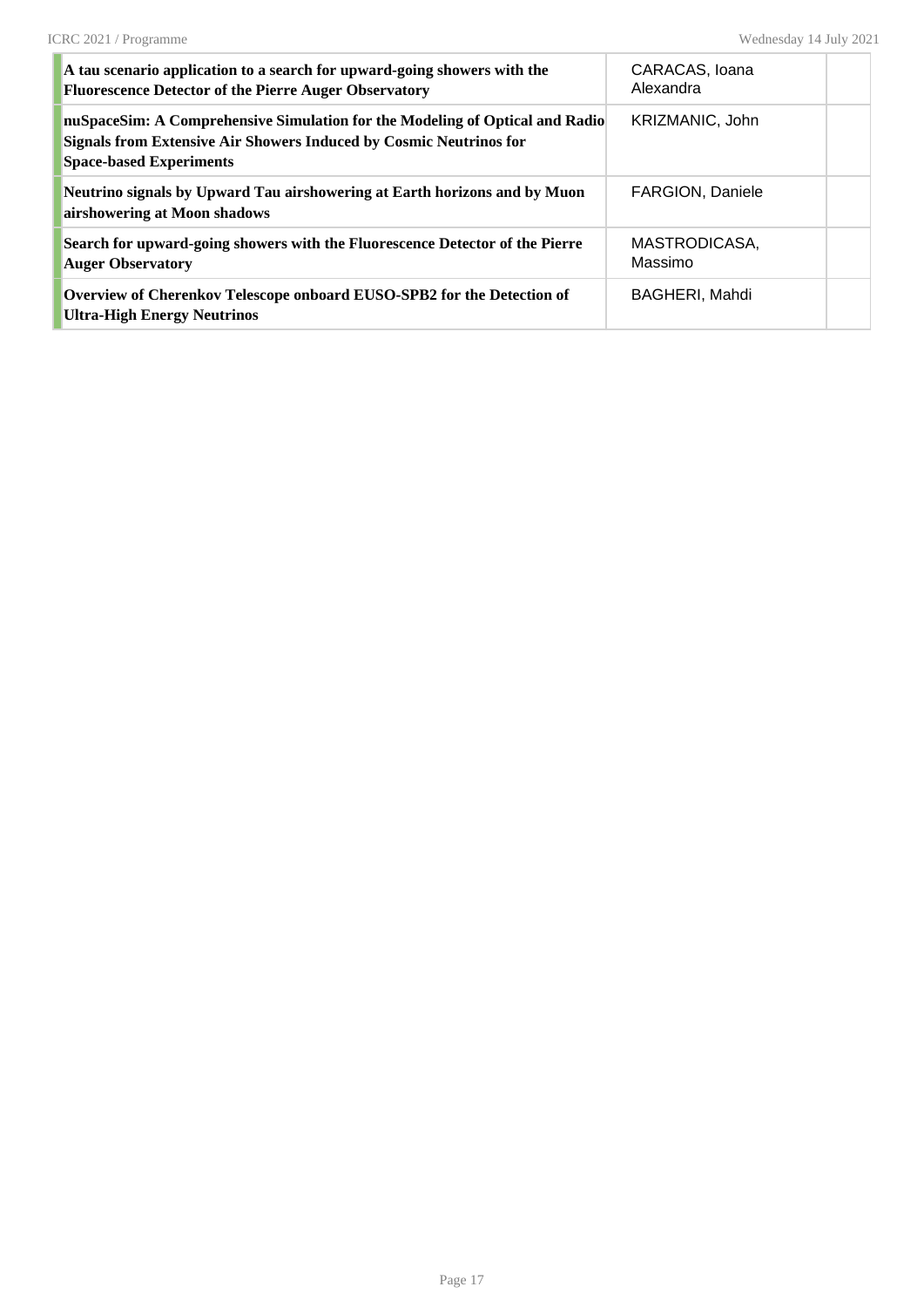| A tau scenario application to a search for upward-going showers with the<br><b>Fluorescence Detector of the Pierre Auger Observatory</b>                                                    | CARACAS, Ioana<br>Alexandra |  |
|---------------------------------------------------------------------------------------------------------------------------------------------------------------------------------------------|-----------------------------|--|
| nuSpaceSim: A Comprehensive Simulation for the Modeling of Optical and Radio<br><b>Signals from Extensive Air Showers Induced by Cosmic Neutrinos for</b><br><b>Space-based Experiments</b> | KRIZMANIC, John             |  |
| Neutrino signals by Upward Tau airshowering at Earth horizons and by Muon<br>airshowering at Moon shadows                                                                                   | <b>FARGION, Daniele</b>     |  |
| Search for upward-going showers with the Fluorescence Detector of the Pierre<br><b>Auger Observatory</b>                                                                                    | MASTRODICASA.<br>Massimo    |  |
| Overview of Cherenkov Telescope onboard EUSO-SPB2 for the Detection of<br><b>Ultra-High Energy Neutrinos</b>                                                                                | BAGHERI, Mahdi              |  |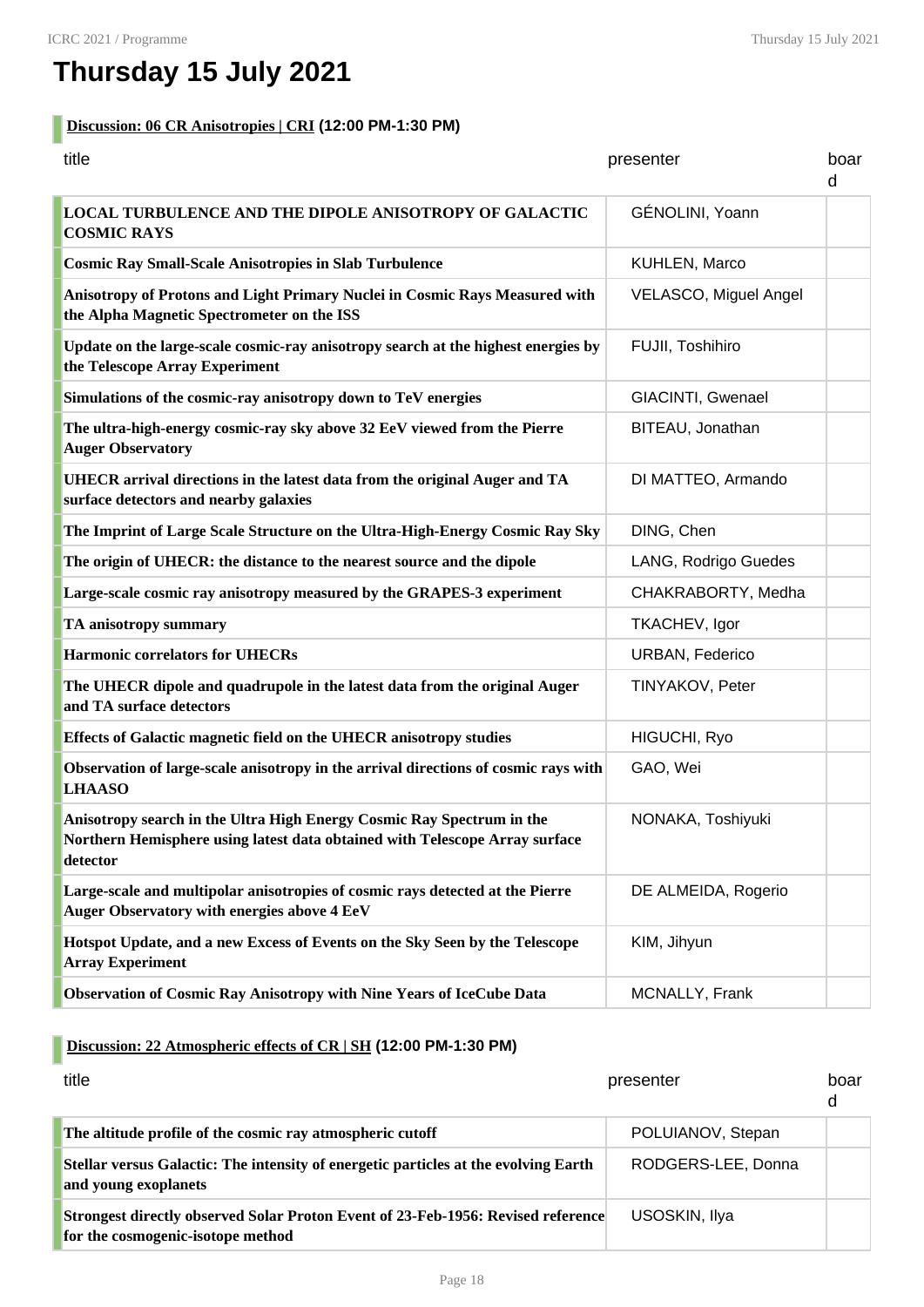# **Thursday 15 July 2021**

#### **Discussion: 06 CR Anisotropies | CRI (12:00 PM-1:30 PM)**

| title<br>presenter                                                                                                                                               |                       | boar<br>d |
|------------------------------------------------------------------------------------------------------------------------------------------------------------------|-----------------------|-----------|
| <b>LOCAL TURBULENCE AND THE DIPOLE ANISOTROPY OF GALACTIC</b><br><b>COSMIC RAYS</b>                                                                              | GÉNOLINI, Yoann       |           |
| <b>Cosmic Ray Small-Scale Anisotropies in Slab Turbulence</b>                                                                                                    | KUHLEN, Marco         |           |
| Anisotropy of Protons and Light Primary Nuclei in Cosmic Rays Measured with<br>the Alpha Magnetic Spectrometer on the ISS                                        | VELASCO, Miguel Angel |           |
| Update on the large-scale cosmic-ray anisotropy search at the highest energies by<br>the Telescope Array Experiment                                              | FUJII, Toshihiro      |           |
| Simulations of the cosmic-ray anisotropy down to TeV energies                                                                                                    | GIACINTI, Gwenael     |           |
| The ultra-high-energy cosmic-ray sky above 32 EeV viewed from the Pierre<br><b>Auger Observatory</b>                                                             | BITEAU, Jonathan      |           |
| UHECR arrival directions in the latest data from the original Auger and TA<br>surface detectors and nearby galaxies                                              | DI MATTEO, Armando    |           |
| The Imprint of Large Scale Structure on the Ultra-High-Energy Cosmic Ray Sky                                                                                     | DING, Chen            |           |
| The origin of UHECR: the distance to the nearest source and the dipole                                                                                           | LANG, Rodrigo Guedes  |           |
| Large-scale cosmic ray anisotropy measured by the GRAPES-3 experiment                                                                                            | CHAKRABORTY, Medha    |           |
| <b>TA anisotropy summary</b>                                                                                                                                     | <b>TKACHEV, Igor</b>  |           |
| <b>Harmonic correlators for UHECRs</b>                                                                                                                           | URBAN, Federico       |           |
| The UHECR dipole and quadrupole in the latest data from the original Auger<br>and TA surface detectors                                                           | TINYAKOV, Peter       |           |
| <b>Effects of Galactic magnetic field on the UHECR anisotropy studies</b>                                                                                        | HIGUCHI, Ryo          |           |
| Observation of large-scale anisotropy in the arrival directions of cosmic rays with<br><b>LHAASO</b>                                                             | GAO, Wei              |           |
| Anisotropy search in the Ultra High Energy Cosmic Ray Spectrum in the<br>Northern Hemisphere using latest data obtained with Telescope Array surface<br>detector | NONAKA, Toshiyuki     |           |
| Large-scale and multipolar anisotropies of cosmic rays detected at the Pierre<br>Auger Observatory with energies above 4 EeV                                     | DE ALMEIDA, Rogerio   |           |
| Hotspot Update, and a new Excess of Events on the Sky Seen by the Telescope<br><b>Array Experiment</b>                                                           | KIM, Jihyun           |           |
| <b>Observation of Cosmic Ray Anisotropy with Nine Years of IceCube Data</b>                                                                                      | MCNALLY, Frank        |           |

## **Discussion: 22 Atmospheric effects of CR | SH (12:00 PM-1:30 PM)**

| title                                                                                                                 | presenter          | boar<br>d |
|-----------------------------------------------------------------------------------------------------------------------|--------------------|-----------|
| The altitude profile of the cosmic ray atmospheric cutoff                                                             | POLUIANOV, Stepan  |           |
| Stellar versus Galactic: The intensity of energetic particles at the evolving Earth<br>and young exoplanets           | RODGERS-LEE, Donna |           |
| Strongest directly observed Solar Proton Event of 23-Feb-1956: Revised reference<br>for the cosmogenic-isotope method | USOSKIN, Ilya      |           |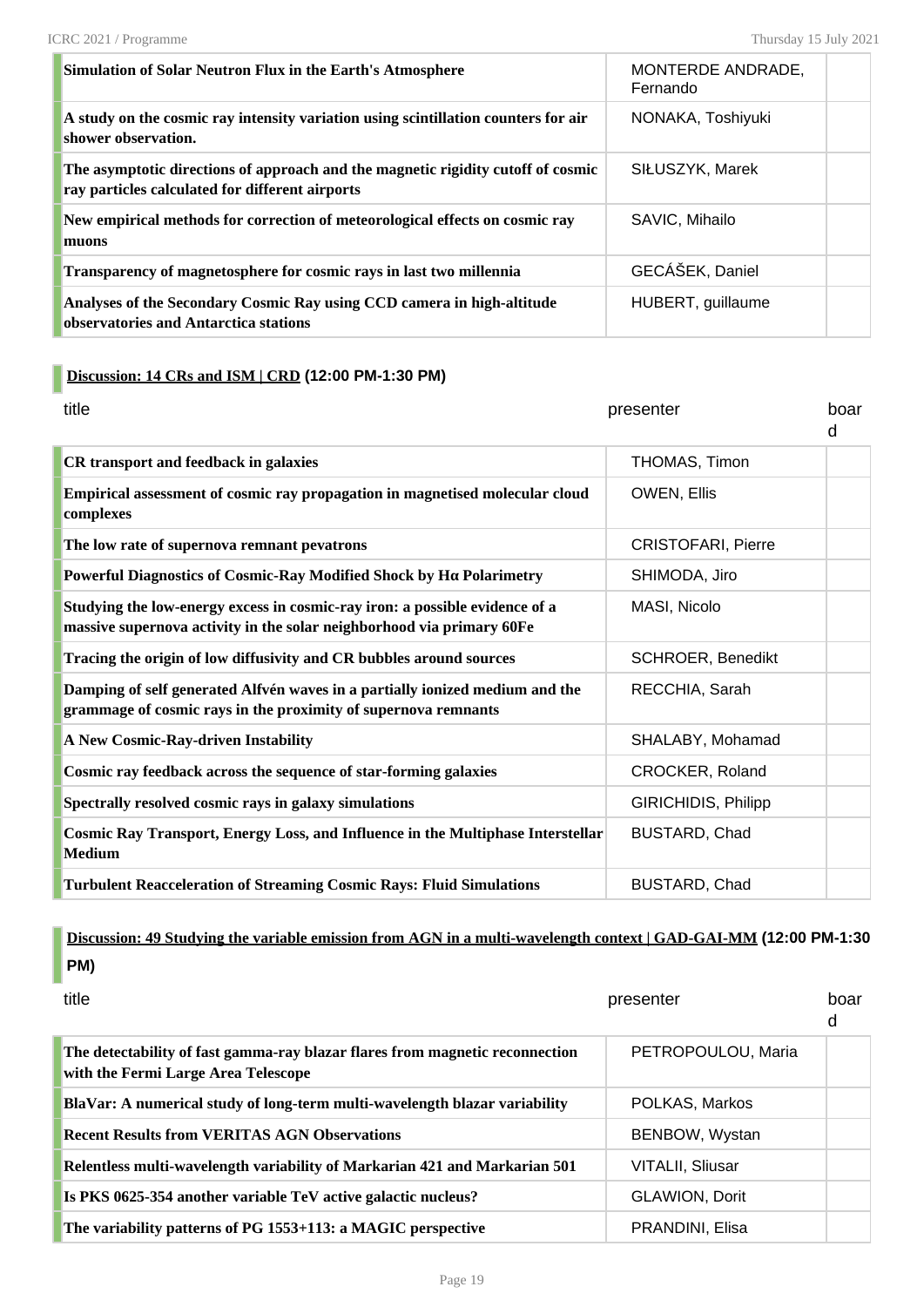| Simulation of Solar Neutron Flux in the Earth's Atmosphere                                                                          | MONTERDE ANDRADE,<br>Fernando |  |
|-------------------------------------------------------------------------------------------------------------------------------------|-------------------------------|--|
| A study on the cosmic ray intensity variation using scintillation counters for air<br>shower observation.                           | NONAKA, Toshiyuki             |  |
| The asymptotic directions of approach and the magnetic rigidity cutoff of cosmic<br>ray particles calculated for different airports | SIŁUSZYK, Marek               |  |
| New empirical methods for correction of meteorological effects on cosmic ray<br>muons                                               | SAVIC, Mihailo                |  |
| Transparency of magnetosphere for cosmic rays in last two millennia                                                                 | GECÁŠEK, Daniel               |  |
| Analyses of the Secondary Cosmic Ray using CCD camera in high-altitude<br>observatories and Antarctica stations                     | HUBERT, guillaume             |  |

#### **Discussion: 14 CRs and ISM | CRD (12:00 PM-1:30 PM)**

| title                                                                                                                                                | presenter                  | boar<br>d |
|------------------------------------------------------------------------------------------------------------------------------------------------------|----------------------------|-----------|
| <b>CR</b> transport and feedback in galaxies                                                                                                         | THOMAS, Timon              |           |
| Empirical assessment of cosmic ray propagation in magnetised molecular cloud<br>complexes                                                            | OWEN, Ellis                |           |
| The low rate of supernova remnant pevatrons                                                                                                          | <b>CRISTOFARI, Pierre</b>  |           |
| Powerful Diagnostics of Cosmic-Ray Modified Shock by Ηα Polarimetry                                                                                  | SHIMODA, Jiro              |           |
| Studying the low-energy excess in cosmic-ray iron: a possible evidence of a<br>massive supernova activity in the solar neighborhood via primary 60Fe | MASI, Nicolo               |           |
| Tracing the origin of low diffusivity and CR bubbles around sources                                                                                  | <b>SCHROER, Benedikt</b>   |           |
| Damping of self generated Alfvén waves in a partially ionized medium and the<br>grammage of cosmic rays in the proximity of supernova remnants       | RECCHIA, Sarah             |           |
| A New Cosmic-Ray-driven Instability                                                                                                                  | SHALABY, Mohamad           |           |
| Cosmic ray feedback across the sequence of star-forming galaxies                                                                                     | CROCKER, Roland            |           |
| Spectrally resolved cosmic rays in galaxy simulations                                                                                                | <b>GIRICHIDIS, Philipp</b> |           |
| Cosmic Ray Transport, Energy Loss, and Influence in the Multiphase Interstellar<br>Medium                                                            | BUSTARD, Chad              |           |
| <b>Turbulent Reacceleration of Streaming Cosmic Rays: Fluid Simulations</b>                                                                          | BUSTARD, Chad              |           |

**Discussion: 49 Studying the variable emission from AGN in a multi-wavelength context | GAD-GAI-MM (12:00 PM-1:30 PM)**

| title                                                                                                               | presenter               | hoar<br>d |
|---------------------------------------------------------------------------------------------------------------------|-------------------------|-----------|
| The detectability of fast gamma-ray blazar flares from magnetic reconnection<br>with the Fermi Large Area Telescope | PETROPOULOU, Maria      |           |
| BlaVar: A numerical study of long-term multi-wavelength blazar variability                                          | POLKAS, Markos          |           |
| <b>Recent Results from VERITAS AGN Observations</b>                                                                 | BENBOW, Wystan          |           |
| Relentless multi-wavelength variability of Markarian 421 and Markarian 501                                          | <b>VITALII, Sliusar</b> |           |
| Is PKS 0625-354 another variable TeV active galactic nucleus?                                                       | <b>GLAWION, Dorit</b>   |           |
| The variability patterns of PG 1553+113: a MAGIC perspective                                                        | PRANDINI, Elisa         |           |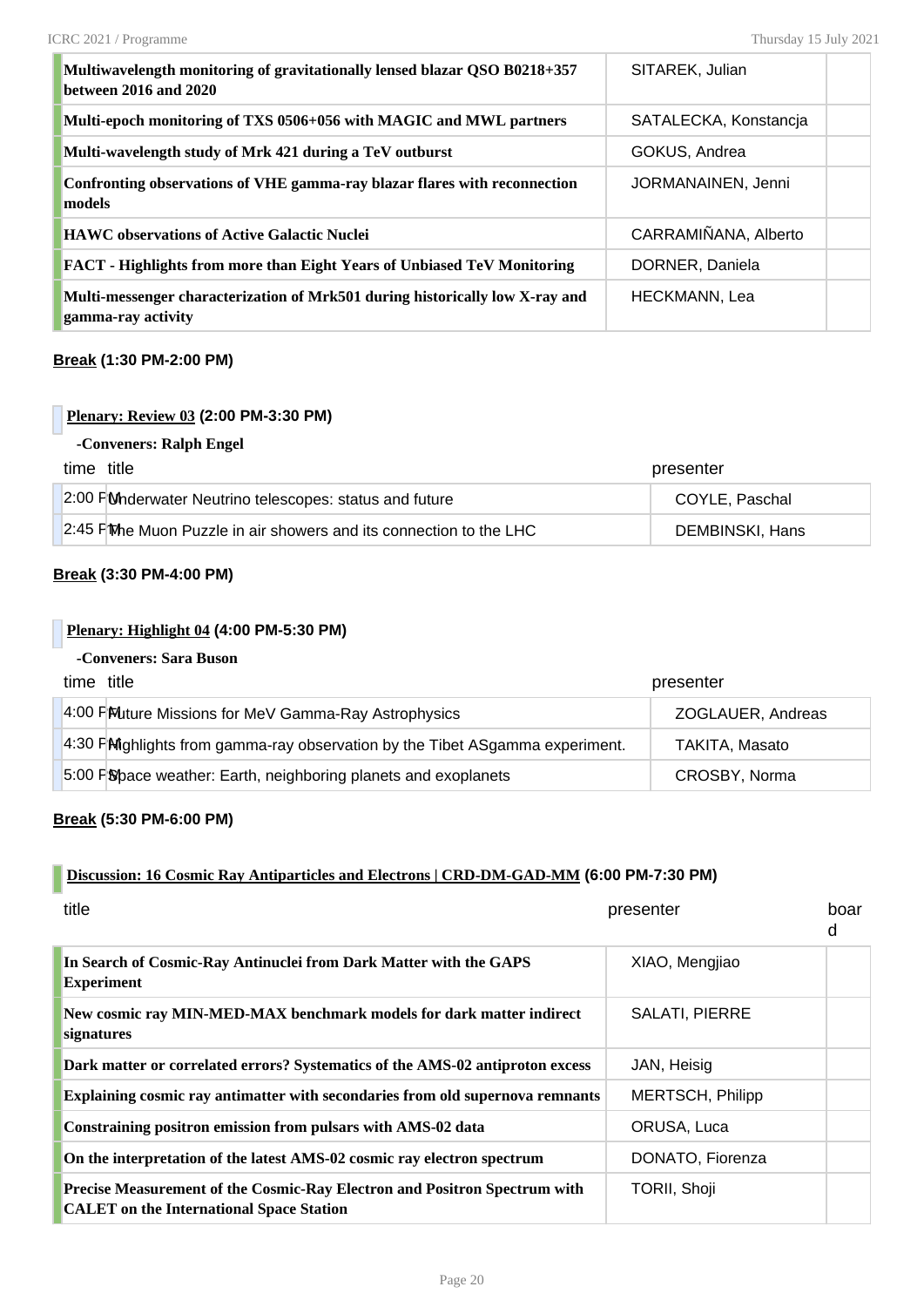| Multiwavelength monitoring of gravitationally lensed blazar QSO B0218+357<br>between 2016 and 2020 | SITAREK, Julian       |  |
|----------------------------------------------------------------------------------------------------|-----------------------|--|
| Multi-epoch monitoring of TXS 0506+056 with MAGIC and MWL partners                                 | SATALECKA, Konstancja |  |
| Multi-wavelength study of Mrk 421 during a TeV outburst                                            | GOKUS, Andrea         |  |
| Confronting observations of VHE gamma-ray blazar flares with reconnection<br>models                | JORMANAINEN, Jenni    |  |
| <b>HAWC</b> observations of Active Galactic Nuclei                                                 | CARRAMIÑANA, Alberto  |  |
| <b>FACT</b> - Highlights from more than Eight Years of Unbiased TeV Monitoring                     | DORNER, Daniela       |  |
| Multi-messenger characterization of Mrk501 during historically low X-ray and<br>gamma-ray activity | HECKMANN, Lea         |  |

#### **Break (1:30 PM-2:00 PM)**

#### **Plenary: Review 03 (2:00 PM-3:30 PM)**

#### **-Conveners: Ralph Engel**

| time title                                                          | presenter       |
|---------------------------------------------------------------------|-----------------|
| 2:00 FM Moderwater Neutrino telescopes: status and future           | COYLE, Paschal  |
| 2:45 FM be Muon Puzzle in air showers and its connection to the LHC | DEMBINSKI, Hans |

#### **Break (3:30 PM-4:00 PM)**

#### **Plenary: Highlight 04 (4:00 PM-5:30 PM)**

#### **-Conveners: Sara Buson**

| time title                                                                    | presenter         |
|-------------------------------------------------------------------------------|-------------------|
| 4:00 PM uture Missions for MeV Gamma-Ray Astrophysics                         | ZOGLAUER, Andreas |
| 4:30 PM ighlights from gamma-ray observation by the Tibet ASgamma experiment. | TAKITA, Masato    |
| 5:00 F Space weather: Earth, neighboring planets and exoplanets               | CROSBY, Norma     |

#### **Break (5:30 PM-6:00 PM)**

#### **Discussion: 16 Cosmic Ray Antiparticles and Electrons | CRD-DM-GAD-MM (6:00 PM-7:30 PM)**

| title                                                                                                                        | presenter               | boar<br>d |
|------------------------------------------------------------------------------------------------------------------------------|-------------------------|-----------|
| In Search of Cosmic-Ray Antinuclei from Dark Matter with the GAPS<br><b>Experiment</b>                                       | XIAO, Mengjiao          |           |
| New cosmic ray MIN-MED-MAX benchmark models for dark matter indirect<br>signatures                                           | <b>SALATI, PIERRE</b>   |           |
| Dark matter or correlated errors? Systematics of the AMS-02 antiproton excess                                                | JAN, Heisig             |           |
| Explaining cosmic ray antimatter with secondaries from old supernova remnants                                                | <b>MERTSCH, Philipp</b> |           |
| Constraining positron emission from pulsars with AMS-02 data                                                                 | ORUSA, Luca             |           |
| On the interpretation of the latest AMS-02 cosmic ray electron spectrum                                                      | DONATO, Fiorenza        |           |
| Precise Measurement of the Cosmic-Ray Electron and Positron Spectrum with<br><b>CALET</b> on the International Space Station | TORII, Shoji            |           |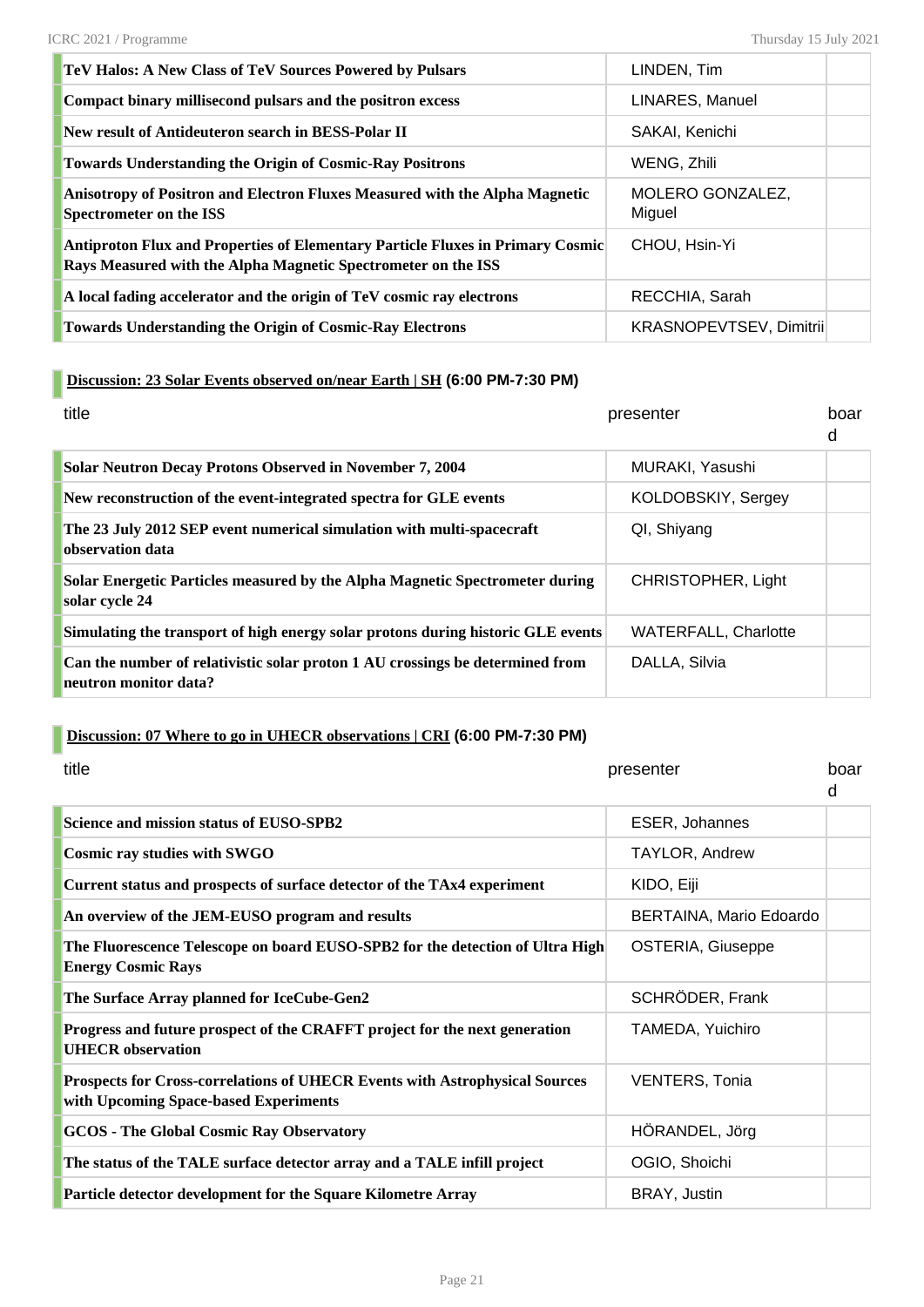| <b>TeV Halos: A New Class of TeV Sources Powered by Pulsars</b>                                                                                        | LINDEN, Tim                |  |
|--------------------------------------------------------------------------------------------------------------------------------------------------------|----------------------------|--|
| Compact binary millisecond pulsars and the positron excess                                                                                             | LINARES, Manuel            |  |
| New result of Antideuteron search in BESS-Polar II                                                                                                     | SAKAI, Kenichi             |  |
| <b>Towards Understanding the Origin of Cosmic-Ray Positrons</b>                                                                                        | WENG, Zhili                |  |
| Anisotropy of Positron and Electron Fluxes Measured with the Alpha Magnetic<br><b>Spectrometer on the ISS</b>                                          | MOLERO GONZALEZ,<br>Miguel |  |
| <b>Antiproton Flux and Properties of Elementary Particle Fluxes in Primary Cosmic</b><br>Rays Measured with the Alpha Magnetic Spectrometer on the ISS | CHOU, Hsin-Yi              |  |
| A local fading accelerator and the origin of TeV cosmic ray electrons                                                                                  | RECCHIA, Sarah             |  |
| <b>Towards Understanding the Origin of Cosmic-Ray Electrons</b>                                                                                        | KRASNOPEVTSEV, Dimitrii    |  |

#### **Discussion: 23 Solar Events observed on/near Earth | SH (6:00 PM-7:30 PM)**

| title                                                                                                  | presenter                   | boar<br>d |
|--------------------------------------------------------------------------------------------------------|-----------------------------|-----------|
| <b>Solar Neutron Decay Protons Observed in November 7, 2004</b>                                        | MURAKI, Yasushi             |           |
| New reconstruction of the event-integrated spectra for GLE events                                      | KOLDOBSKIY, Sergey          |           |
| The 23 July 2012 SEP event numerical simulation with multi-spacecraft<br>observation data              | QI, Shiyang                 |           |
| Solar Energetic Particles measured by the Alpha Magnetic Spectrometer during<br>solar cycle 24         | CHRISTOPHER, Light          |           |
| Simulating the transport of high energy solar protons during historic GLE events                       | <b>WATERFALL, Charlotte</b> |           |
| Can the number of relativistic solar proton 1 AU crossings be determined from<br>neutron monitor data? | DALLA, Silvia               |           |

### **Discussion: 07 Where to go in UHECR observations | CRI (6:00 PM-7:30 PM)**

| title                                                                                                                | presenter               | boar<br>d |
|----------------------------------------------------------------------------------------------------------------------|-------------------------|-----------|
| Science and mission status of EUSO-SPB2                                                                              | <b>ESER, Johannes</b>   |           |
| <b>Cosmic ray studies with SWGO</b>                                                                                  | TAYLOR, Andrew          |           |
| Current status and prospects of surface detector of the TAx4 experiment                                              | KIDO, Eiji              |           |
| An overview of the JEM-EUSO program and results                                                                      | BERTAINA, Mario Edoardo |           |
| The Fluorescence Telescope on board EUSO-SPB2 for the detection of Ultra High<br><b>Energy Cosmic Rays</b>           | OSTERIA, Giuseppe       |           |
| The Surface Array planned for IceCube-Gen2                                                                           | SCHRÖDER, Frank         |           |
| Progress and future prospect of the CRAFFT project for the next generation<br><b>UHECR</b> observation               | TAMEDA, Yuichiro        |           |
| Prospects for Cross-correlations of UHECR Events with Astrophysical Sources<br>with Upcoming Space-based Experiments | <b>VENTERS, Tonia</b>   |           |
| <b>GCOS - The Global Cosmic Ray Observatory</b>                                                                      | HÖRANDEL, Jörg          |           |
| The status of the TALE surface detector array and a TALE infill project                                              | OGIO, Shoichi           |           |
| Particle detector development for the Square Kilometre Array                                                         | BRAY, Justin            |           |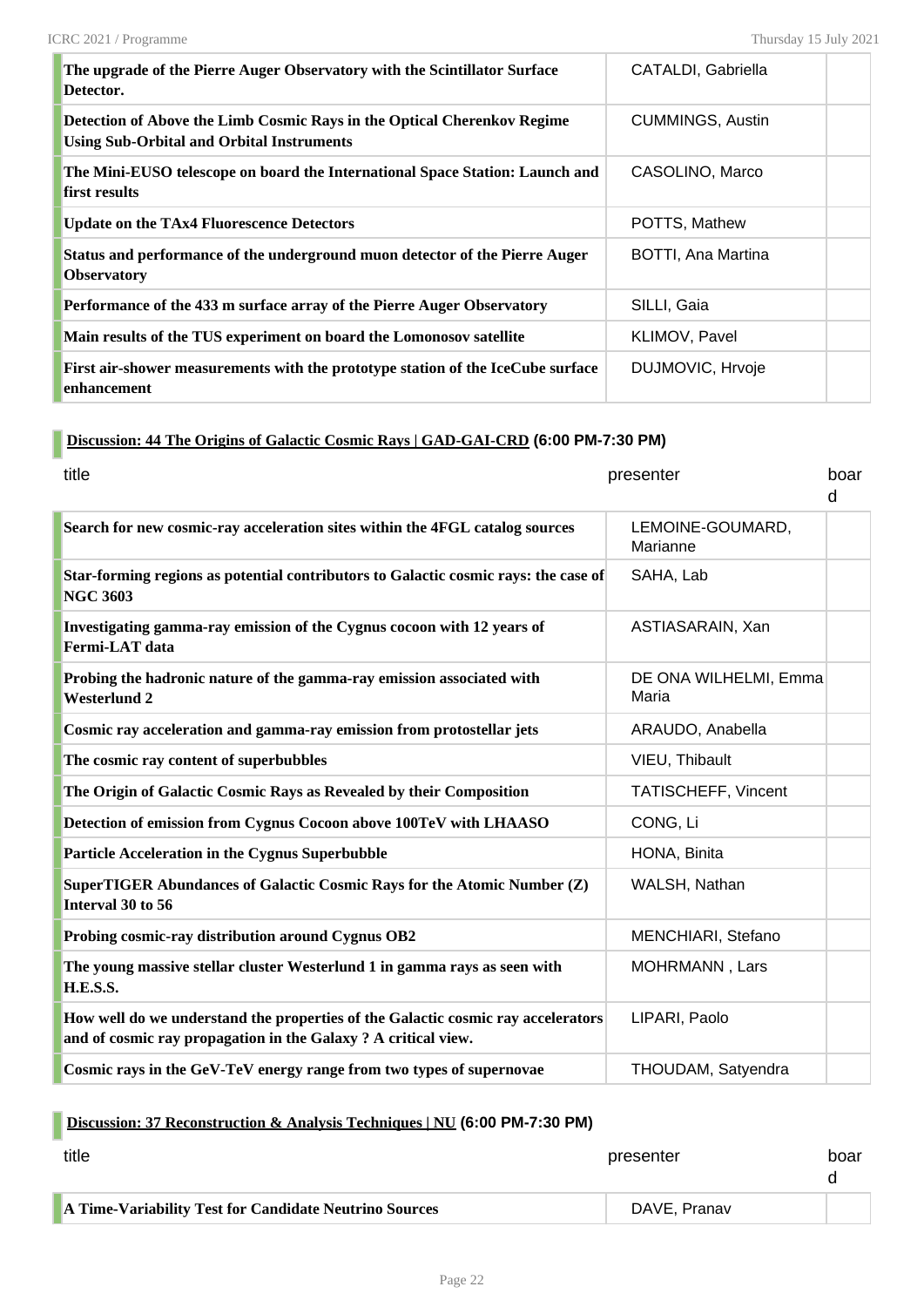| The upgrade of the Pierre Auger Observatory with the Scintillator Surface<br>Detector.                                      | CATALDI, Gabriella      |  |
|-----------------------------------------------------------------------------------------------------------------------------|-------------------------|--|
| Detection of Above the Limb Cosmic Rays in the Optical Cherenkov Regime<br><b>Using Sub-Orbital and Orbital Instruments</b> | <b>CUMMINGS, Austin</b> |  |
| The Mini-EUSO telescope on board the International Space Station: Launch and<br>first results                               | CASOLINO, Marco         |  |
| <b>Update on the TAx4 Fluorescence Detectors</b>                                                                            | POTTS, Mathew           |  |
| Status and performance of the underground muon detector of the Pierre Auger<br><b>Observatory</b>                           | BOTTI, Ana Martina      |  |
| Performance of the 433 m surface array of the Pierre Auger Observatory                                                      | SILLI, Gaia             |  |
| Main results of the TUS experiment on board the Lomonosov satellite                                                         | KLIMOV, Pavel           |  |
| First air-shower measurements with the prototype station of the IceCube surface<br>enhancement                              | DUJMOVIC, Hrvoje        |  |

#### **Discussion: 44 The Origins of Galactic Cosmic Rays | GAD-GAI-CRD (6:00 PM-7:30 PM)**

| title                                                                                                                                              | presenter                      | boar<br>d |
|----------------------------------------------------------------------------------------------------------------------------------------------------|--------------------------------|-----------|
| Search for new cosmic-ray acceleration sites within the 4FGL catalog sources                                                                       | LEMOINE-GOUMARD,<br>Marianne   |           |
| Star-forming regions as potential contributors to Galactic cosmic rays: the case of<br><b>NGC 3603</b>                                             | SAHA, Lab                      |           |
| Investigating gamma-ray emission of the Cygnus cocoon with 12 years of<br>Fermi-LAT data                                                           | ASTIASARAIN, Xan               |           |
| Probing the hadronic nature of the gamma-ray emission associated with<br><b>Westerlund 2</b>                                                       | DE ONA WILHELMI, Emma<br>Maria |           |
| Cosmic ray acceleration and gamma-ray emission from protostellar jets                                                                              | ARAUDO, Anabella               |           |
| The cosmic ray content of superbubbles                                                                                                             | VIEU, Thibault                 |           |
| The Origin of Galactic Cosmic Rays as Revealed by their Composition                                                                                | TATISCHEFF, Vincent            |           |
| Detection of emission from Cygnus Cocoon above 100TeV with LHAASO                                                                                  | CONG, Li                       |           |
| <b>Particle Acceleration in the Cygnus Superbubble</b>                                                                                             | HONA, Binita                   |           |
| SuperTIGER Abundances of Galactic Cosmic Rays for the Atomic Number (Z)<br>Interval 30 to 56                                                       | WALSH, Nathan                  |           |
| Probing cosmic-ray distribution around Cygnus OB2                                                                                                  | MENCHIARI, Stefano             |           |
| The young massive stellar cluster Westerlund 1 in gamma rays as seen with<br>H.E.S.S.                                                              | MOHRMANN, Lars                 |           |
| How well do we understand the properties of the Galactic cosmic ray accelerators<br>and of cosmic ray propagation in the Galaxy ? A critical view. | LIPARI, Paolo                  |           |
| Cosmic rays in the GeV-TeV energy range from two types of supernovae                                                                               | THOUDAM, Satyendra             |           |

## **Discussion: 37 Reconstruction & Analysis Techniques | NU (6:00 PM-7:30 PM)**

| title                                                  | presenter    | boar |
|--------------------------------------------------------|--------------|------|
| A Time-Variability Test for Candidate Neutrino Sources | DAVE, Pranav |      |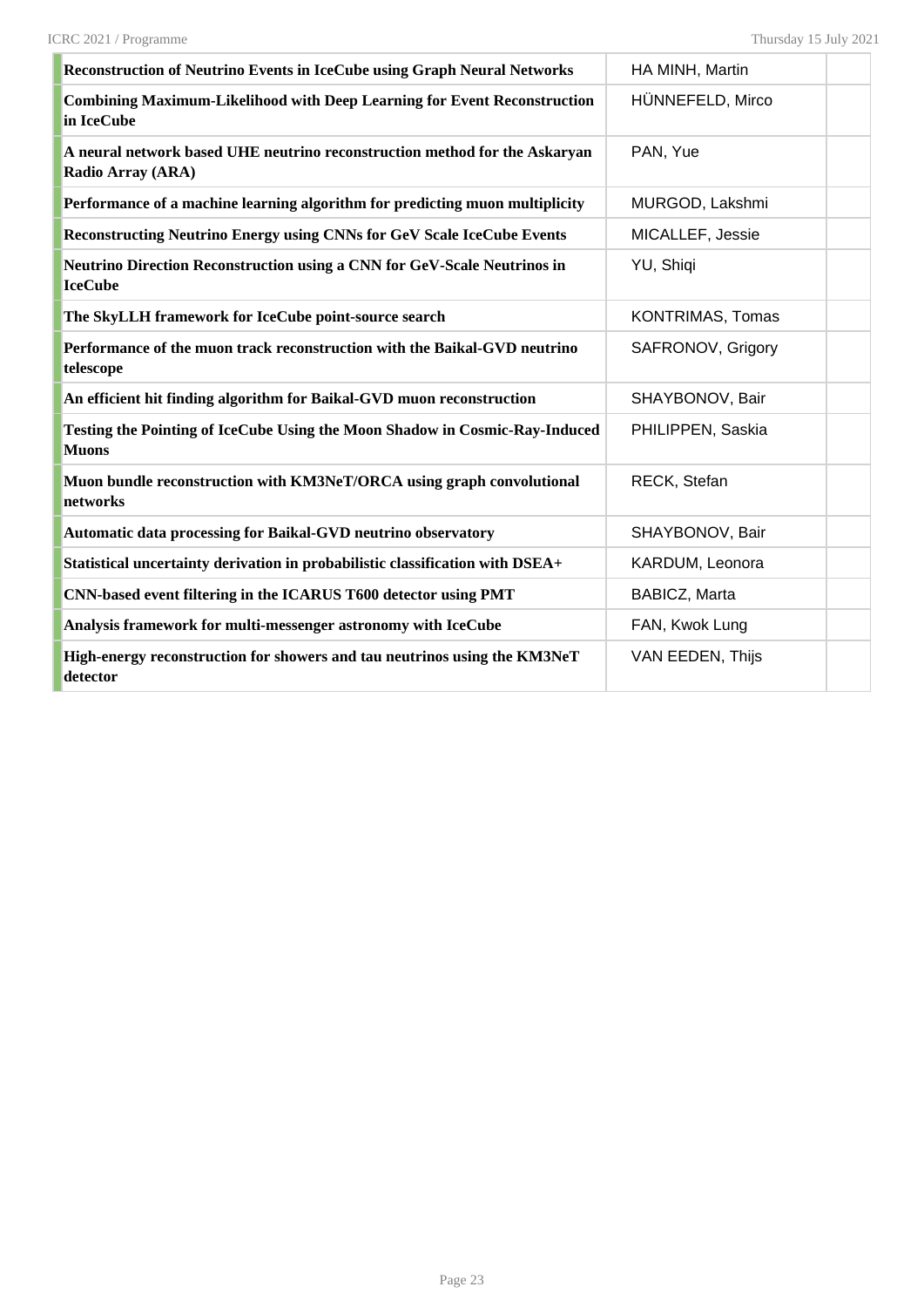| Reconstruction of Neutrino Events in IceCube using Graph Neural Networks                               | HA MINH, Martin         |  |
|--------------------------------------------------------------------------------------------------------|-------------------------|--|
| <b>Combining Maximum-Likelihood with Deep Learning for Event Reconstruction</b><br>in IceCube          | HÜNNEFELD, Mirco        |  |
| A neural network based UHE neutrino reconstruction method for the Askaryan<br><b>Radio Array (ARA)</b> | PAN, Yue                |  |
| Performance of a machine learning algorithm for predicting muon multiplicity                           | MURGOD, Lakshmi         |  |
| <b>Reconstructing Neutrino Energy using CNNs for GeV Scale IceCube Events</b>                          | MICALLEF, Jessie        |  |
| Neutrino Direction Reconstruction using a CNN for GeV-Scale Neutrinos in<br><b>IceCube</b>             | YU, Shiqi               |  |
| The SkyLLH framework for IceCube point-source search                                                   | <b>KONTRIMAS, Tomas</b> |  |
| Performance of the muon track reconstruction with the Baikal-GVD neutrino<br>telescope                 | SAFRONOV, Grigory       |  |
| An efficient hit finding algorithm for Baikal-GVD muon reconstruction                                  | SHAYBONOV, Bair         |  |
| Testing the Pointing of IceCube Using the Moon Shadow in Cosmic-Ray-Induced<br><b>Muons</b>            | PHILIPPEN, Saskia       |  |
| Muon bundle reconstruction with KM3NeT/ORCA using graph convolutional<br>networks                      | RECK, Stefan            |  |
| Automatic data processing for Baikal-GVD neutrino observatory                                          | SHAYBONOV, Bair         |  |
| Statistical uncertainty derivation in probabilistic classification with DSEA+                          | KARDUM, Leonora         |  |
| CNN-based event filtering in the ICARUS T600 detector using PMT                                        | BABICZ, Marta           |  |
| Analysis framework for multi-messenger astronomy with IceCube                                          | FAN, Kwok Lung          |  |
| High-energy reconstruction for showers and tau neutrinos using the KM3NeT<br>detector                  | VAN EEDEN, Thijs        |  |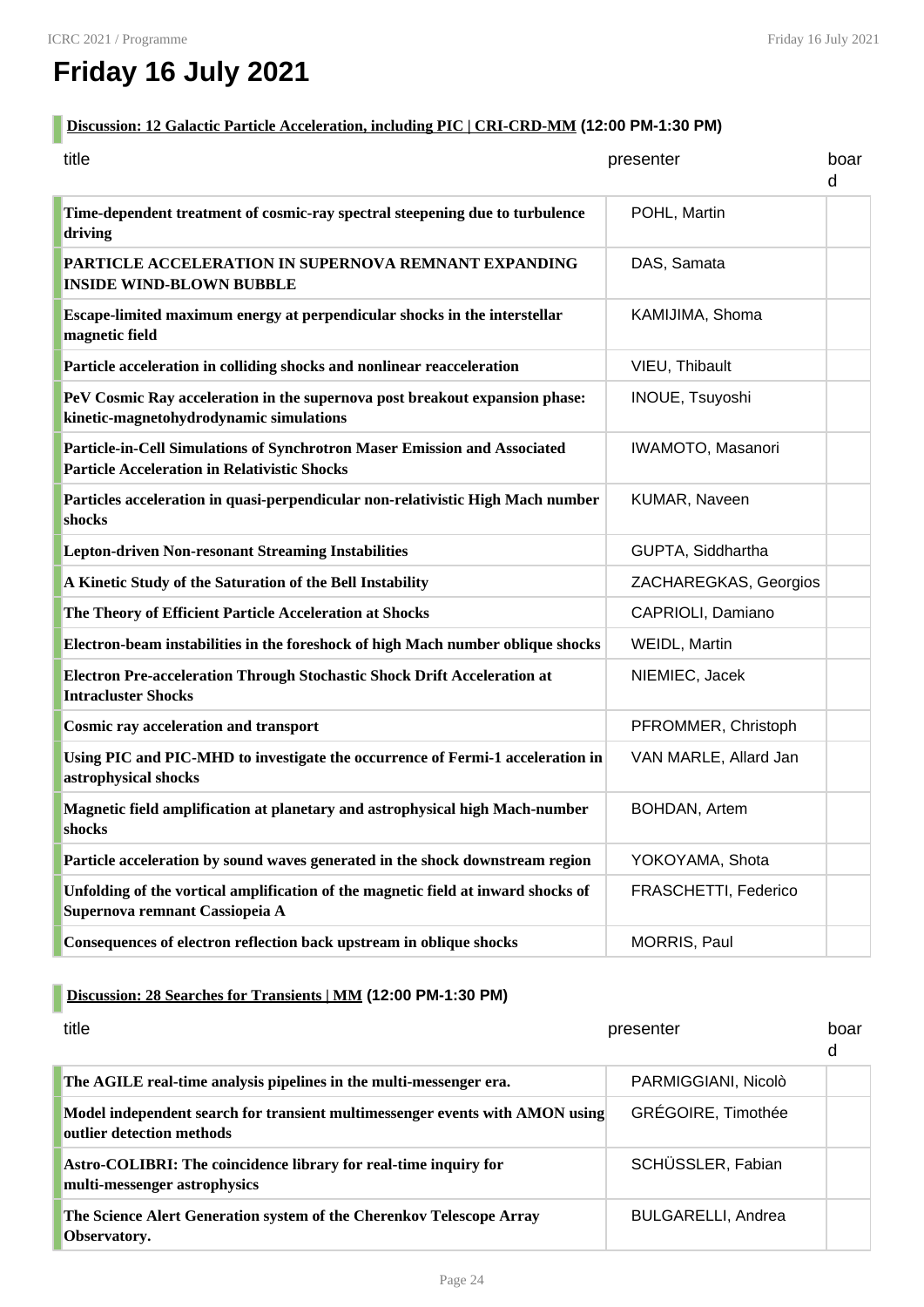# **Friday 16 July 2021**

#### **Discussion: 12 Galactic Particle Acceleration, including PIC | CRI-CRD-MM (12:00 PM-1:30 PM)**

| title                                                                                                                            | presenter             | boar<br>d |
|----------------------------------------------------------------------------------------------------------------------------------|-----------------------|-----------|
| Time-dependent treatment of cosmic-ray spectral steepening due to turbulence<br>driving                                          | POHL, Martin          |           |
| <b>PARTICLE ACCELERATION IN SUPERNOVA REMNANT EXPANDING</b><br><b>INSIDE WIND-BLOWN BUBBLE</b>                                   | DAS, Samata           |           |
| Escape-limited maximum energy at perpendicular shocks in the interstellar<br>magnetic field                                      | KAMIJIMA, Shoma       |           |
| Particle acceleration in colliding shocks and nonlinear reacceleration                                                           | VIEU, Thibault        |           |
| PeV Cosmic Ray acceleration in the supernova post breakout expansion phase:<br>kinetic-magnetohydrodynamic simulations           | INOUE, Tsuyoshi       |           |
| Particle-in-Cell Simulations of Synchrotron Maser Emission and Associated<br><b>Particle Acceleration in Relativistic Shocks</b> | IWAMOTO, Masanori     |           |
| Particles acceleration in quasi-perpendicular non-relativistic High Mach number<br>shocks                                        | KUMAR, Naveen         |           |
| <b>Lepton-driven Non-resonant Streaming Instabilities</b>                                                                        | GUPTA, Siddhartha     |           |
| A Kinetic Study of the Saturation of the Bell Instability                                                                        | ZACHAREGKAS, Georgios |           |
| The Theory of Efficient Particle Acceleration at Shocks                                                                          | CAPRIOLI, Damiano     |           |
| Electron-beam instabilities in the foreshock of high Mach number oblique shocks                                                  | WEIDL, Martin         |           |
| Electron Pre-acceleration Through Stochastic Shock Drift Acceleration at<br><b>Intracluster Shocks</b>                           | NIEMIEC, Jacek        |           |
| <b>Cosmic ray acceleration and transport</b>                                                                                     | PFROMMER, Christoph   |           |
| Using PIC and PIC-MHD to investigate the occurrence of Fermi-1 acceleration in<br>astrophysical shocks                           | VAN MARLE, Allard Jan |           |
| Magnetic field amplification at planetary and astrophysical high Mach-number<br>shocks                                           | BOHDAN, Artem         |           |
| Particle acceleration by sound waves generated in the shock downstream region                                                    | YOKOYAMA, Shota       |           |
| Unfolding of the vortical amplification of the magnetic field at inward shocks of<br>Supernova remnant Cassiopeia A              | FRASCHETTI, Federico  |           |
| Consequences of electron reflection back upstream in oblique shocks                                                              | MORRIS, Paul          |           |

#### **Discussion: 28 Searches for Transients | MM (12:00 PM-1:30 PM)**

| title                                                                                                     | presenter                 | hoar<br>d |
|-----------------------------------------------------------------------------------------------------------|---------------------------|-----------|
| The AGILE real-time analysis pipelines in the multi-messenger era.                                        | PARMIGGIANI, Nicolò       |           |
| Model independent search for transient multimessenger events with AMON using<br>outlier detection methods | GRÉGOIRE, Timothée        |           |
| Astro-COLIBRI: The coincidence library for real-time inquiry for<br>multi-messenger astrophysics          | SCHÜSSLER, Fabian         |           |
| The Science Alert Generation system of the Cherenkov Telescope Array<br>Observatory.                      | <b>BULGARELLI, Andrea</b> |           |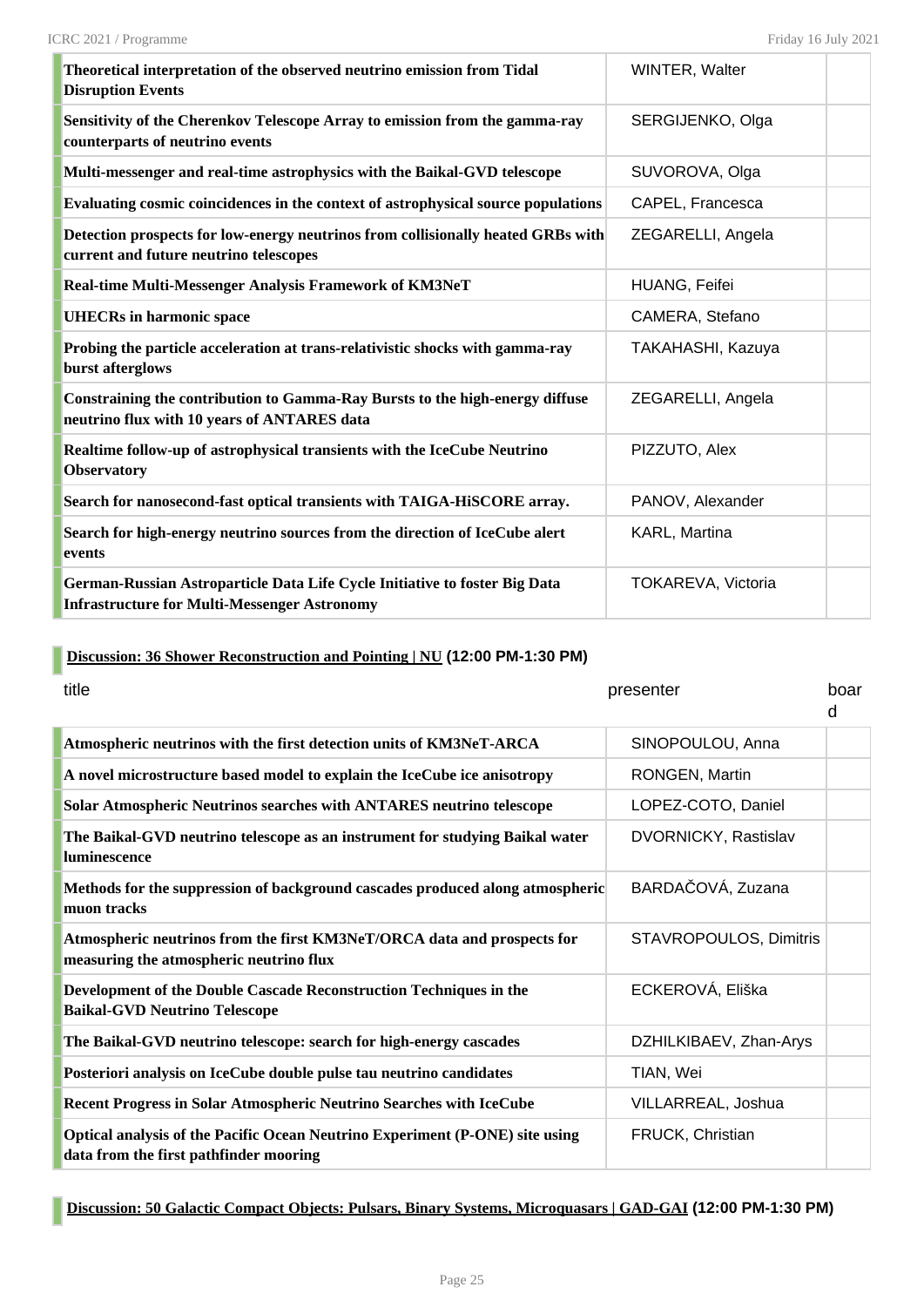| Theoretical interpretation of the observed neutrino emission from Tidal<br><b>Disruption Events</b>                               | WINTER, Walter       |  |
|-----------------------------------------------------------------------------------------------------------------------------------|----------------------|--|
| Sensitivity of the Cherenkov Telescope Array to emission from the gamma-ray<br>counterparts of neutrino events                    | SERGIJENKO, Olga     |  |
| Multi-messenger and real-time astrophysics with the Baikal-GVD telescope                                                          | SUVOROVA, Olga       |  |
| Evaluating cosmic coincidences in the context of astrophysical source populations                                                 | CAPEL, Francesca     |  |
| Detection prospects for low-energy neutrinos from collisionally heated GRBs with<br>current and future neutrino telescopes        | ZEGARELLI, Angela    |  |
| Real-time Multi-Messenger Analysis Framework of KM3NeT                                                                            | <b>HUANG, Feifei</b> |  |
| <b>UHECRs in harmonic space</b>                                                                                                   | CAMERA, Stefano      |  |
| Probing the particle acceleration at trans-relativistic shocks with gamma-ray<br>burst afterglows                                 | TAKAHASHI, Kazuya    |  |
| Constraining the contribution to Gamma-Ray Bursts to the high-energy diffuse<br>neutrino flux with 10 years of ANTARES data       | ZEGARELLI, Angela    |  |
| Realtime follow-up of astrophysical transients with the IceCube Neutrino<br><b>Observatory</b>                                    | PIZZUTO, Alex        |  |
| Search for nanosecond-fast optical transients with TAIGA-HiSCORE array.                                                           | PANOV, Alexander     |  |
| Search for high-energy neutrino sources from the direction of IceCube alert<br>events                                             | KARL, Martina        |  |
| German-Russian Astroparticle Data Life Cycle Initiative to foster Big Data<br><b>Infrastructure for Multi-Messenger Astronomy</b> | TOKAREVA, Victoria   |  |

## **Discussion: 36 Shower Reconstruction and Pointing | NU (12:00 PM-1:30 PM)**

| title                                                                                                                  | presenter                   | boar<br>d |
|------------------------------------------------------------------------------------------------------------------------|-----------------------------|-----------|
| Atmospheric neutrinos with the first detection units of KM3NeT-ARCA                                                    | SINOPOULOU, Anna            |           |
| A novel microstructure based model to explain the IceCube ice anisotropy                                               | RONGEN, Martin              |           |
| <b>Solar Atmospheric Neutrinos searches with ANTARES neutrino telescope</b>                                            | LOPEZ-COTO, Daniel          |           |
| The Baikal-GVD neutrino telescope as an instrument for studying Baikal water<br>luminescence                           | <b>DVORNICKY, Rastislav</b> |           |
| Methods for the suppression of background cascades produced along atmospheric<br>muon tracks                           | BARDAČOVÁ, Zuzana           |           |
| Atmospheric neutrinos from the first KM3NeT/ORCA data and prospects for<br>measuring the atmospheric neutrino flux     | STAVROPOULOS, Dimitris      |           |
| Development of the Double Cascade Reconstruction Techniques in the<br><b>Baikal-GVD Neutrino Telescope</b>             | ECKEROVÁ, Eliška            |           |
| The Baikal-GVD neutrino telescope: search for high-energy cascades                                                     | DZHILKIBAEV, Zhan-Arys      |           |
| Posteriori analysis on IceCube double pulse tau neutrino candidates                                                    | TIAN, Wei                   |           |
| Recent Progress in Solar Atmospheric Neutrino Searches with IceCube                                                    | VILLARREAL, Joshua          |           |
| Optical analysis of the Pacific Ocean Neutrino Experiment (P-ONE) site using<br>data from the first pathfinder mooring | FRUCK, Christian            |           |

#### **Discussion: 50 Galactic Compact Objects: Pulsars, Binary Systems, Microquasars | GAD-GAI (12:00 PM-1:30 PM)**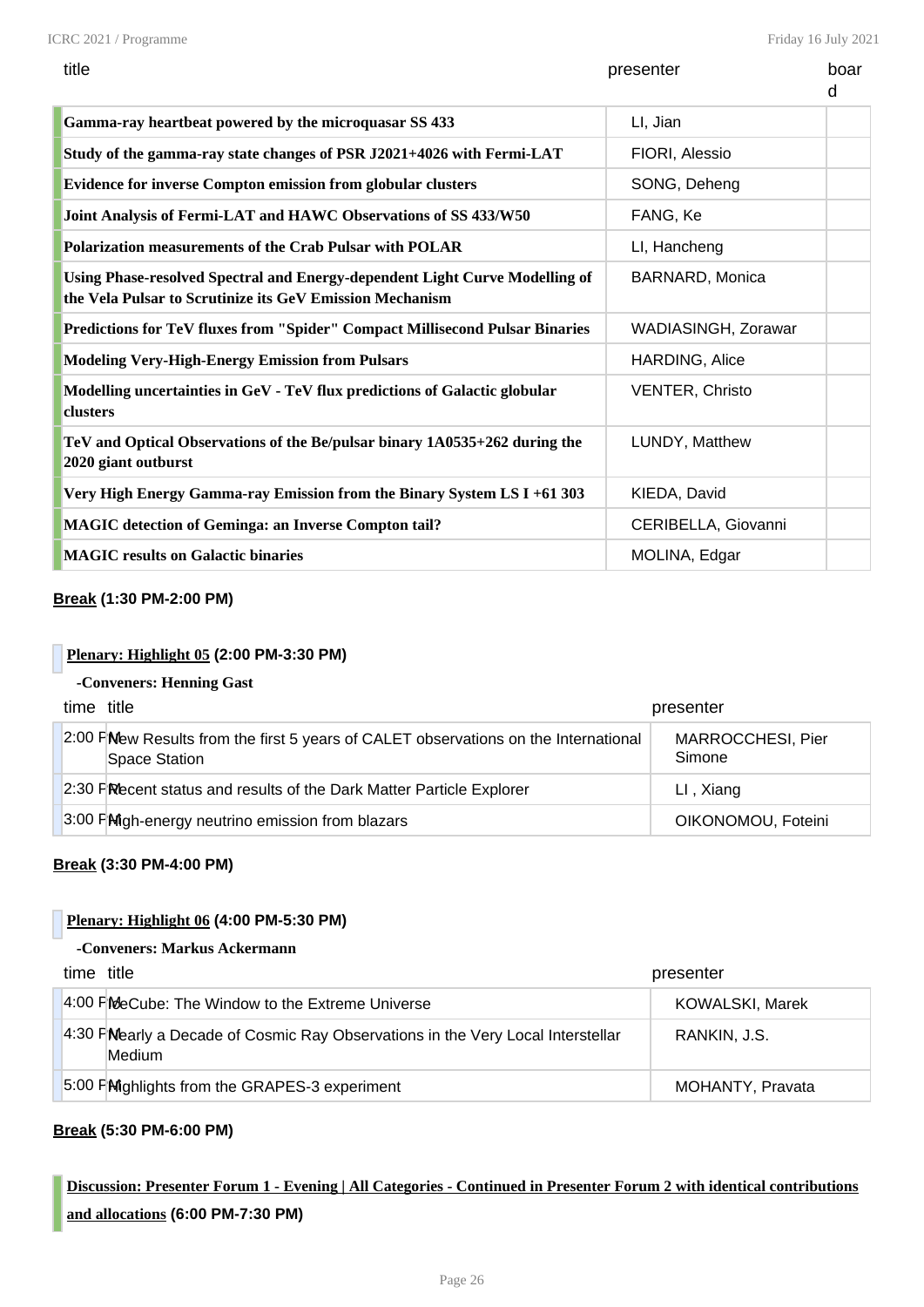| title                                                                                                                                   | presenter              | boar<br>d |
|-----------------------------------------------------------------------------------------------------------------------------------------|------------------------|-----------|
| Gamma-ray heartbeat powered by the microquasar SS 433                                                                                   | LI, Jian               |           |
| Study of the gamma-ray state changes of PSR J2021+4026 with Fermi-LAT                                                                   | FIORI, Alessio         |           |
| <b>Evidence for inverse Compton emission from globular clusters</b>                                                                     | SONG, Deheng           |           |
| Joint Analysis of Fermi-LAT and HAWC Observations of SS 433/W50                                                                         | FANG, Ke               |           |
| Polarization measurements of the Crab Pulsar with POLAR                                                                                 | LI, Hancheng           |           |
| Using Phase-resolved Spectral and Energy-dependent Light Curve Modelling of<br>the Vela Pulsar to Scrutinize its GeV Emission Mechanism | <b>BARNARD, Monica</b> |           |
| <b>Predictions for TeV fluxes from "Spider" Compact Millisecond Pulsar Binaries</b>                                                     | WADIASINGH, Zorawar    |           |
| <b>Modeling Very-High-Energy Emission from Pulsars</b>                                                                                  | HARDING, Alice         |           |
| Modelling uncertainties in GeV - TeV flux predictions of Galactic globular<br>clusters                                                  | <b>VENTER, Christo</b> |           |
| TeV and Optical Observations of the Be/pulsar binary 1A0535+262 during the<br>2020 giant outburst                                       | LUNDY, Matthew         |           |
| Very High Energy Gamma-ray Emission from the Binary System LS I +61 303                                                                 | KIEDA, David           |           |
| <b>MAGIC detection of Geminga: an Inverse Compton tail?</b>                                                                             | CERIBELLA, Giovanni    |           |
| <b>MAGIC results on Galactic binaries</b>                                                                                               | MOLINA, Edgar          |           |

#### **Break (1:30 PM-2:00 PM)**

#### **Plenary: Highlight 05 (2:00 PM-3:30 PM)**

#### **-Conveners: Henning Gast**

| time title                                                                                           | presenter                   |
|------------------------------------------------------------------------------------------------------|-----------------------------|
| 2:00 PMew Results from the first 5 years of CALET observations on the International<br>Space Station | MARROCCHESI, Pier<br>Simone |
| 2:30 PRecent status and results of the Dark Matter Particle Explorer                                 | LI, Xiang                   |
| 3:00 PMigh-energy neutrino emission from blazars                                                     | OIKONOMOU, Foteini          |

#### **Break (3:30 PM-4:00 PM)**

#### **Plenary: Highlight 06 (4:00 PM-5:30 PM)**

#### **-Conveners: Markus Ackermann**

| time title                                                                                | presenter              |
|-------------------------------------------------------------------------------------------|------------------------|
| 4:00 FMeCube: The Window to the Extreme Universe                                          | <b>KOWALSKI, Marek</b> |
| 4:30 FMearly a Decade of Cosmic Ray Observations in the Very Local Interstellar<br>Medium | RANKIN, J.S.           |
| 5:00 PM ghlights from the GRAPES-3 experiment                                             | MOHANTY, Pravata       |

#### **Break (5:30 PM-6:00 PM)**

# **Discussion: Presenter Forum 1 - Evening | All Categories - Continued in Presenter Forum 2 with identical contributions and allocations (6:00 PM-7:30 PM)**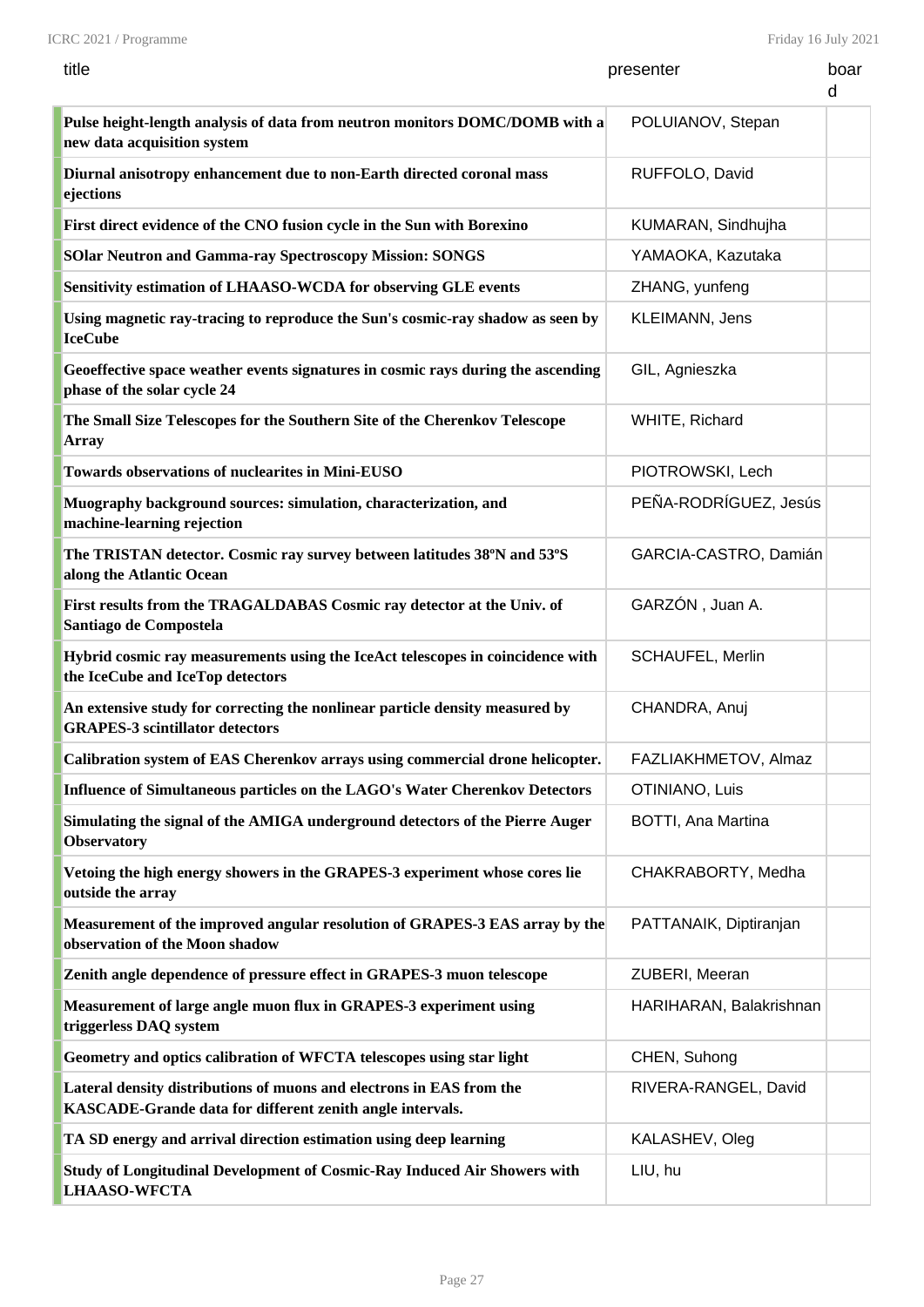Friday 16 July 2021

| title                                                                                                                             | presenter                 | boar<br>d |
|-----------------------------------------------------------------------------------------------------------------------------------|---------------------------|-----------|
| Pulse height-length analysis of data from neutron monitors DOMC/DOMB with a<br>new data acquisition system                        | POLUIANOV, Stepan         |           |
| Diurnal anisotropy enhancement due to non-Earth directed coronal mass<br>ejections                                                | RUFFOLO, David            |           |
| First direct evidence of the CNO fusion cycle in the Sun with Borexino                                                            | KUMARAN, Sindhujha        |           |
| <b>SOlar Neutron and Gamma-ray Spectroscopy Mission: SONGS</b>                                                                    | YAMAOKA, Kazutaka         |           |
| Sensitivity estimation of LHAASO-WCDA for observing GLE events                                                                    | ZHANG, yunfeng            |           |
| Using magnetic ray-tracing to reproduce the Sun's cosmic-ray shadow as seen by<br><b>IceCube</b>                                  | KLEIMANN, Jens            |           |
| Geoeffective space weather events signatures in cosmic rays during the ascending<br>phase of the solar cycle 24                   | GIL, Agnieszka            |           |
| The Small Size Telescopes for the Southern Site of the Cherenkov Telescope<br>Array                                               | WHITE, Richard            |           |
| <b>Towards observations of nuclearites in Mini-EUSO</b>                                                                           | PIOTROWSKI, Lech          |           |
| Muography background sources: simulation, characterization, and<br>machine-learning rejection                                     | PEÑA-RODRÍGUEZ, Jesús     |           |
| The TRISTAN detector. Cosmic ray survey between latitudes 38°N and 53°S<br>along the Atlantic Ocean                               | GARCIA-CASTRO, Damián     |           |
| First results from the TRAGALDABAS Cosmic ray detector at the Univ. of<br>Santiago de Compostela                                  | GARZÓN, Juan A.           |           |
| Hybrid cosmic ray measurements using the IceAct telescopes in coincidence with<br>the IceCube and IceTop detectors                | SCHAUFEL, Merlin          |           |
| An extensive study for correcting the nonlinear particle density measured by<br><b>GRAPES-3 scintillator detectors</b>            | CHANDRA, Anuj             |           |
| Calibration system of EAS Cherenkov arrays using commercial drone helicopter.                                                     | FAZLIAKHMETOV, Almaz      |           |
| Influence of Simultaneous particles on the LAGO's Water Cherenkov Detectors                                                       | OTINIANO, Luis            |           |
| Simulating the signal of the AMIGA underground detectors of the Pierre Auger<br><b>Observatory</b>                                | <b>BOTTI, Ana Martina</b> |           |
| Vetoing the high energy showers in the GRAPES-3 experiment whose cores lie<br>outside the array                                   | CHAKRABORTY, Medha        |           |
| Measurement of the improved angular resolution of GRAPES-3 EAS array by the<br>observation of the Moon shadow                     | PATTANAIK, Diptiranjan    |           |
| Zenith angle dependence of pressure effect in GRAPES-3 muon telescope                                                             | ZUBERI, Meeran            |           |
| Measurement of large angle muon flux in GRAPES-3 experiment using<br>triggerless DAQ system                                       | HARIHARAN, Balakrishnan   |           |
| Geometry and optics calibration of WFCTA telescopes using star light                                                              | CHEN, Suhong              |           |
| Lateral density distributions of muons and electrons in EAS from the<br>KASCADE-Grande data for different zenith angle intervals. | RIVERA-RANGEL, David      |           |
| TA SD energy and arrival direction estimation using deep learning                                                                 | KALASHEV, Oleg            |           |
| Study of Longitudinal Development of Cosmic-Ray Induced Air Showers with<br><b>LHAASO-WFCTA</b>                                   | LIU, hu                   |           |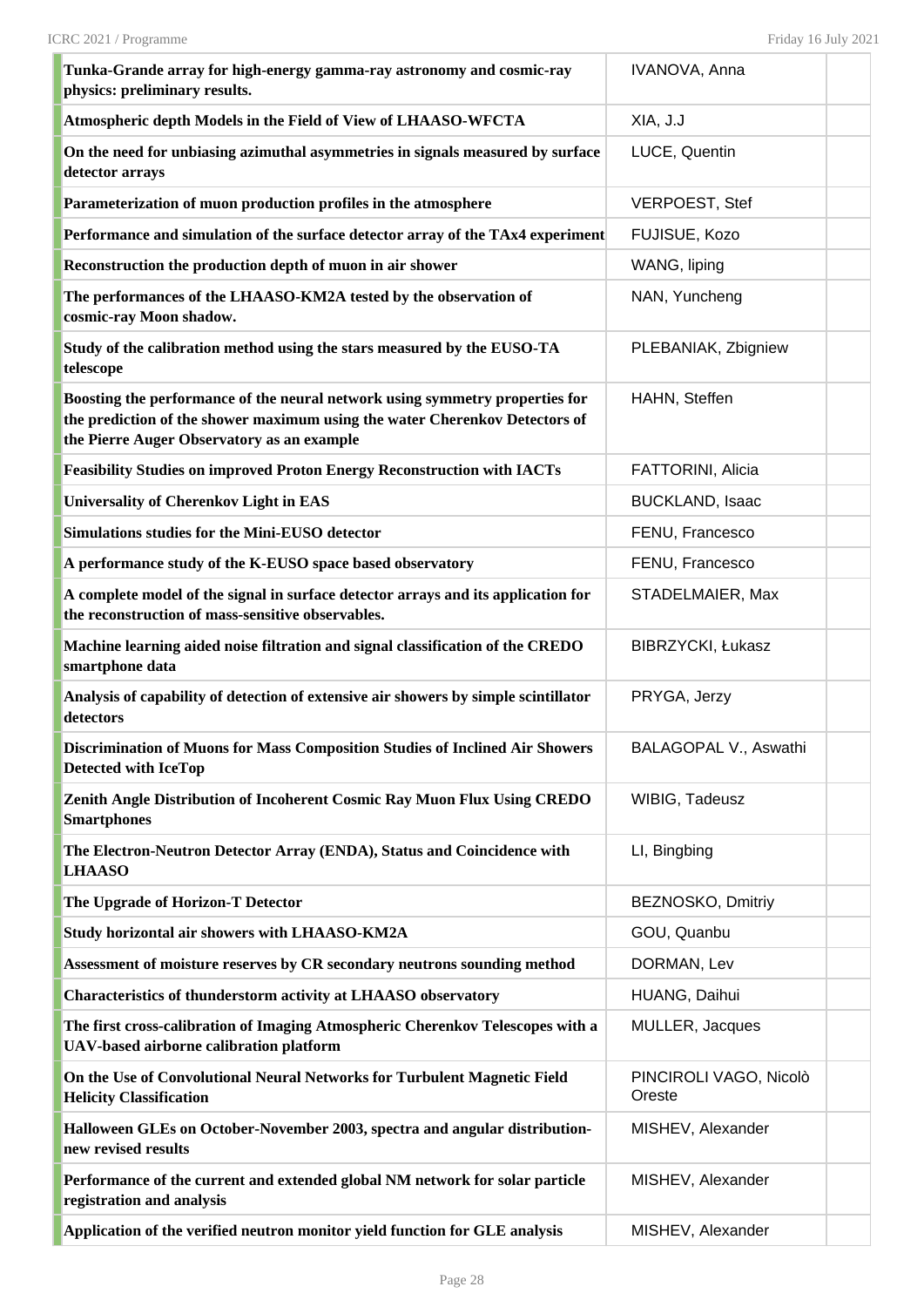| Tunka-Grande array for high-energy gamma-ray astronomy and cosmic-ray<br>physics: preliminary results.                                                                                                    | IVANOVA, Anna                    |  |
|-----------------------------------------------------------------------------------------------------------------------------------------------------------------------------------------------------------|----------------------------------|--|
| Atmospheric depth Models in the Field of View of LHAASO-WFCTA                                                                                                                                             | XIA, J.J                         |  |
| On the need for unbiasing azimuthal asymmetries in signals measured by surface<br>detector arrays                                                                                                         | LUCE, Quentin                    |  |
| Parameterization of muon production profiles in the atmosphere                                                                                                                                            | <b>VERPOEST, Stef</b>            |  |
| Performance and simulation of the surface detector array of the TAx4 experiment                                                                                                                           | FUJISUE, Kozo                    |  |
| Reconstruction the production depth of muon in air shower                                                                                                                                                 | WANG, liping                     |  |
| The performances of the LHAASO-KM2A tested by the observation of<br>cosmic-ray Moon shadow.                                                                                                               | NAN, Yuncheng                    |  |
| Study of the calibration method using the stars measured by the EUSO-TA<br>telescope                                                                                                                      | PLEBANIAK, Zbigniew              |  |
| Boosting the performance of the neural network using symmetry properties for<br>the prediction of the shower maximum using the water Cherenkov Detectors of<br>the Pierre Auger Observatory as an example | HAHN, Steffen                    |  |
| <b>Feasibility Studies on improved Proton Energy Reconstruction with IACTs</b>                                                                                                                            | <b>FATTORINI, Alicia</b>         |  |
| <b>Universality of Cherenkov Light in EAS</b>                                                                                                                                                             | <b>BUCKLAND, Isaac</b>           |  |
| <b>Simulations studies for the Mini-EUSO detector</b>                                                                                                                                                     | FENU, Francesco                  |  |
| A performance study of the K-EUSO space based observatory                                                                                                                                                 | FENU, Francesco                  |  |
| A complete model of the signal in surface detector arrays and its application for<br>the reconstruction of mass-sensitive observables.                                                                    | STADELMAIER, Max                 |  |
| Machine learning aided noise filtration and signal classification of the CREDO<br>smartphone data                                                                                                         | <b>BIBRZYCKI, Łukasz</b>         |  |
| Analysis of capability of detection of extensive air showers by simple scintillator<br>detectors                                                                                                          | PRYGA, Jerzy                     |  |
| <b>Discrimination of Muons for Mass Composition Studies of Inclined Air Showers</b><br><b>Detected with IceTop</b>                                                                                        | BALAGOPAL V., Aswathi            |  |
| Zenith Angle Distribution of Incoherent Cosmic Ray Muon Flux Using CREDO<br><b>Smartphones</b>                                                                                                            | WIBIG, Tadeusz                   |  |
| The Electron-Neutron Detector Array (ENDA), Status and Coincidence with<br><b>LHAASO</b>                                                                                                                  | LI, Bingbing                     |  |
| The Upgrade of Horizon-T Detector                                                                                                                                                                         | BEZNOSKO, Dmitriy                |  |
| Study horizontal air showers with LHAASO-KM2A                                                                                                                                                             | GOU, Quanbu                      |  |
| Assessment of moisture reserves by CR secondary neutrons sounding method                                                                                                                                  | DORMAN, Lev                      |  |
| <b>Characteristics of thunderstorm activity at LHAASO observatory</b>                                                                                                                                     | HUANG, Daihui                    |  |
| The first cross-calibration of Imaging Atmospheric Cherenkov Telescopes with a<br>UAV-based airborne calibration platform                                                                                 | MULLER, Jacques                  |  |
| On the Use of Convolutional Neural Networks for Turbulent Magnetic Field<br><b>Helicity Classification</b>                                                                                                | PINCIROLI VAGO, Nicolò<br>Oreste |  |
| Halloween GLEs on October-November 2003, spectra and angular distribution-<br>new revised results                                                                                                         | MISHEV, Alexander                |  |
| Performance of the current and extended global NM network for solar particle<br>registration and analysis                                                                                                 | MISHEV, Alexander                |  |
| Application of the verified neutron monitor yield function for GLE analysis                                                                                                                               | MISHEV, Alexander                |  |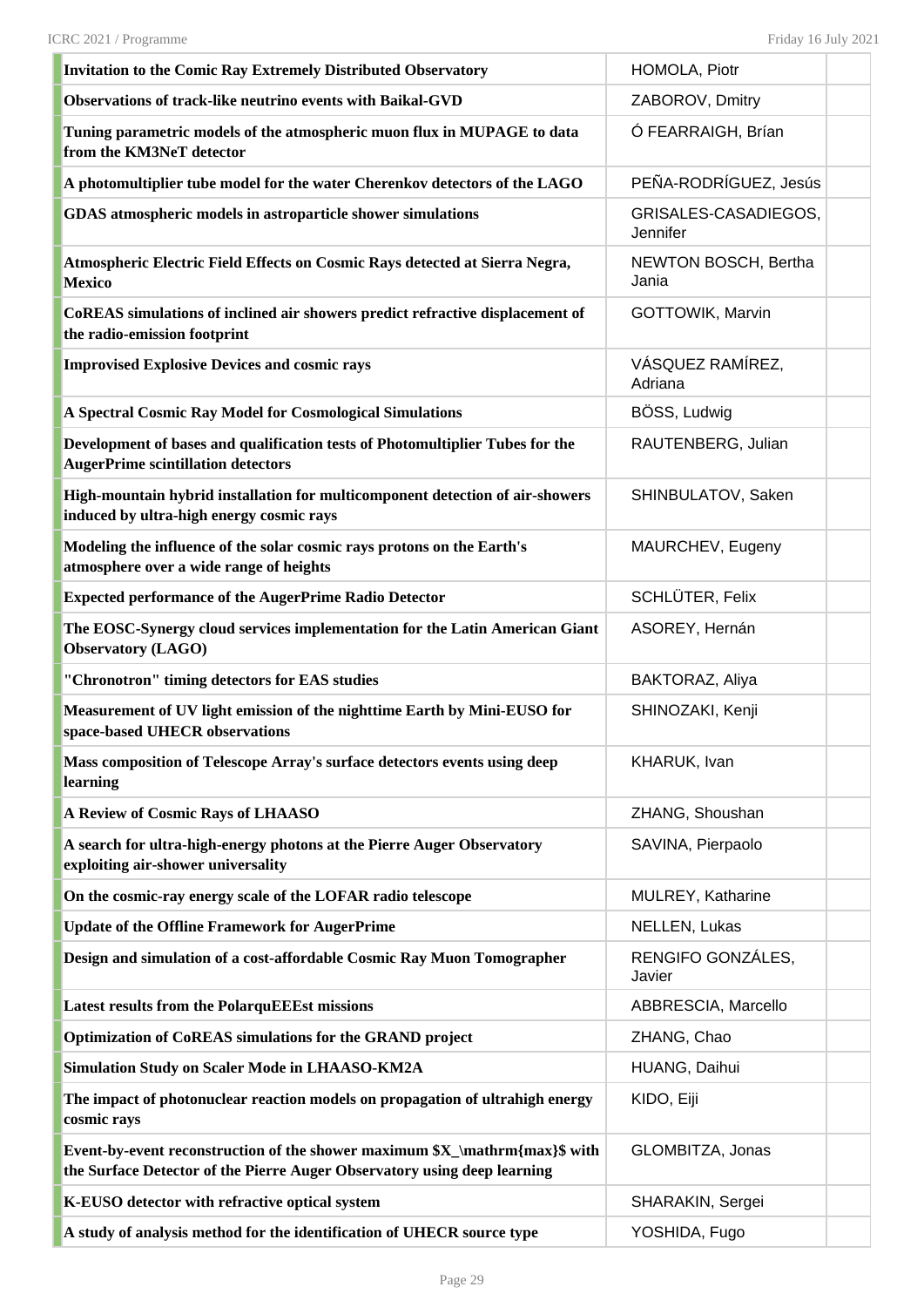| <b>Invitation to the Comic Ray Extremely Distributed Observatory</b>                                                                                    | HOMOLA, Piotr                           |
|---------------------------------------------------------------------------------------------------------------------------------------------------------|-----------------------------------------|
| Observations of track-like neutrino events with Baikal-GVD                                                                                              | ZABOROV, Dmitry                         |
| Tuning parametric models of the atmospheric muon flux in MUPAGE to data<br>from the KM3NeT detector                                                     | Ó FEARRAIGH, Brían                      |
| A photomultiplier tube model for the water Cherenkov detectors of the LAGO                                                                              | PEÑA-RODRÍGUEZ, Jesús                   |
| GDAS atmospheric models in astroparticle shower simulations                                                                                             | GRISALES-CASADIEGOS,<br><b>Jennifer</b> |
| Atmospheric Electric Field Effects on Cosmic Rays detected at Sierra Negra,<br><b>Mexico</b>                                                            | NEWTON BOSCH, Bertha<br>Jania           |
| CoREAS simulations of inclined air showers predict refractive displacement of<br>the radio-emission footprint                                           | GOTTOWIK, Marvin                        |
| <b>Improvised Explosive Devices and cosmic rays</b>                                                                                                     | VÁSQUEZ RAMÍREZ,<br>Adriana             |
| A Spectral Cosmic Ray Model for Cosmological Simulations                                                                                                | BÖSS, Ludwig                            |
| Development of bases and qualification tests of Photomultiplier Tubes for the<br><b>AugerPrime scintillation detectors</b>                              | RAUTENBERG, Julian                      |
| High-mountain hybrid installation for multicomponent detection of air-showers<br>induced by ultra-high energy cosmic rays                               | SHINBULATOV, Saken                      |
| Modeling the influence of the solar cosmic rays protons on the Earth's<br>atmosphere over a wide range of heights                                       | MAURCHEV, Eugeny                        |
| <b>Expected performance of the AugerPrime Radio Detector</b>                                                                                            | SCHLÜTER, Felix                         |
| The EOSC-Synergy cloud services implementation for the Latin American Giant<br><b>Observatory (LAGO)</b>                                                | ASOREY, Hernán                          |
| "Chronotron" timing detectors for EAS studies                                                                                                           | BAKTORAZ, Aliya                         |
| Measurement of UV light emission of the nighttime Earth by Mini-EUSO for<br>space-based UHECR observations                                              | SHINOZAKI, Kenji                        |
| Mass composition of Telescope Array's surface detectors events using deep<br>learning                                                                   | KHARUK, Ivan                            |
| A Review of Cosmic Rays of LHAASO                                                                                                                       | ZHANG, Shoushan                         |
| A search for ultra-high-energy photons at the Pierre Auger Observatory<br>exploiting air-shower universality                                            | SAVINA, Pierpaolo                       |
| On the cosmic-ray energy scale of the LOFAR radio telescope                                                                                             | MULREY, Katharine                       |
| <b>Update of the Offline Framework for AugerPrime</b>                                                                                                   | NELLEN, Lukas                           |
| Design and simulation of a cost-affordable Cosmic Ray Muon Tomographer                                                                                  | RENGIFO GONZÁLES,<br>Javier             |
| <b>Latest results from the PolarquEEEst missions</b>                                                                                                    | ABBRESCIA, Marcello                     |
| <b>Optimization of CoREAS simulations for the GRAND project</b>                                                                                         | ZHANG, Chao                             |
| <b>Simulation Study on Scaler Mode in LHAASO-KM2A</b>                                                                                                   | HUANG, Daihui                           |
| The impact of photonuclear reaction models on propagation of ultrahigh energy<br>cosmic rays                                                            | KIDO, Eiji                              |
| Event-by-event reconstruction of the shower maximum \$X_\mathrm{max}\$ with<br>the Surface Detector of the Pierre Auger Observatory using deep learning | GLOMBITZA, Jonas                        |
| K-EUSO detector with refractive optical system                                                                                                          | SHARAKIN, Sergei                        |
| A study of analysis method for the identification of UHECR source type                                                                                  | YOSHIDA, Fugo                           |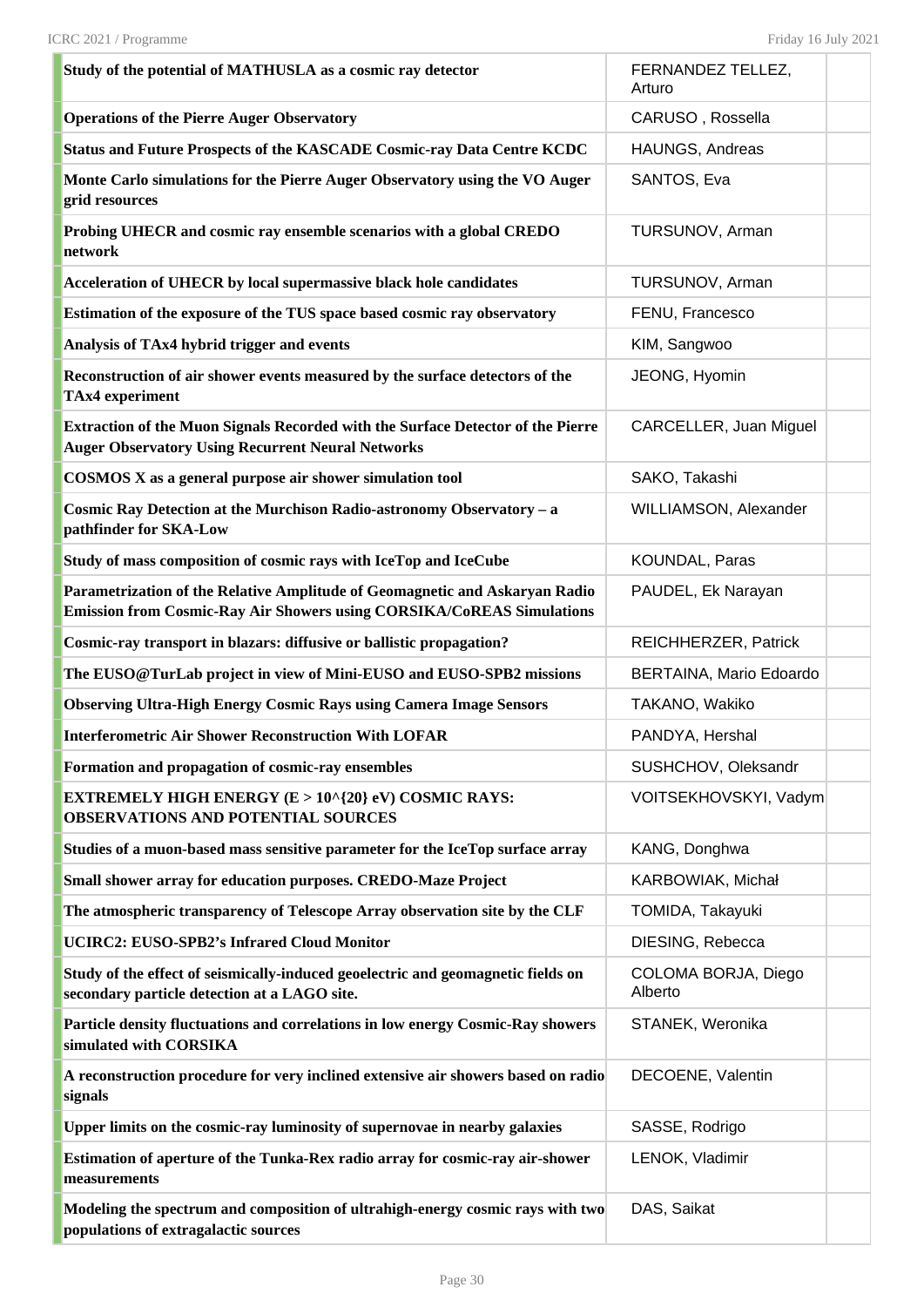| Study of the potential of MATHUSLA as a cosmic ray detector                                                                                                 | FERNANDEZ TELLEZ,<br>Arturo    |  |
|-------------------------------------------------------------------------------------------------------------------------------------------------------------|--------------------------------|--|
| <b>Operations of the Pierre Auger Observatory</b>                                                                                                           | CARUSO, Rossella               |  |
| <b>Status and Future Prospects of the KASCADE Cosmic-ray Data Centre KCDC</b>                                                                               | HAUNGS, Andreas                |  |
| Monte Carlo simulations for the Pierre Auger Observatory using the VO Auger<br>grid resources                                                               | SANTOS, Eva                    |  |
| Probing UHECR and cosmic ray ensemble scenarios with a global CREDO<br>network                                                                              | TURSUNOV, Arman                |  |
| Acceleration of UHECR by local supermassive black hole candidates                                                                                           | TURSUNOV, Arman                |  |
| Estimation of the exposure of the TUS space based cosmic ray observatory                                                                                    | FENU, Francesco                |  |
| Analysis of TAx4 hybrid trigger and events                                                                                                                  | KIM, Sangwoo                   |  |
| Reconstruction of air shower events measured by the surface detectors of the<br><b>TAx4</b> experiment                                                      | JEONG, Hyomin                  |  |
| Extraction of the Muon Signals Recorded with the Surface Detector of the Pierre<br><b>Auger Observatory Using Recurrent Neural Networks</b>                 | CARCELLER, Juan Miguel         |  |
| <b>COSMOS X</b> as a general purpose air shower simulation tool                                                                                             | SAKO, Takashi                  |  |
| Cosmic Ray Detection at the Murchison Radio-astronomy Observatory - a<br>pathfinder for SKA-Low                                                             | WILLIAMSON, Alexander          |  |
| Study of mass composition of cosmic rays with IceTop and IceCube                                                                                            | KOUNDAL, Paras                 |  |
| Parametrization of the Relative Amplitude of Geomagnetic and Askaryan Radio<br><b>Emission from Cosmic-Ray Air Showers using CORSIKA/CoREAS Simulations</b> | PAUDEL, Ek Narayan             |  |
| Cosmic-ray transport in blazars: diffusive or ballistic propagation?                                                                                        | REICHHERZER, Patrick           |  |
| The EUSO@TurLab project in view of Mini-EUSO and EUSO-SPB2 missions                                                                                         | BERTAINA, Mario Edoardo        |  |
| <b>Observing Ultra-High Energy Cosmic Rays using Camera Image Sensors</b>                                                                                   | TAKANO, Wakiko                 |  |
| <b>Interferometric Air Shower Reconstruction With LOFAR</b>                                                                                                 | PANDYA, Hershal                |  |
| Formation and propagation of cosmic-ray ensembles                                                                                                           | SUSHCHOV, Oleksandr            |  |
| EXTREMELY HIGH ENERGY (E > 10^{20} eV) COSMIC RAYS:<br><b>OBSERVATIONS AND POTENTIAL SOURCES</b>                                                            | VOITSEKHOVSKYI, Vadym          |  |
| Studies of a muon-based mass sensitive parameter for the IceTop surface array                                                                               | KANG, Donghwa                  |  |
| Small shower array for education purposes. CREDO-Maze Project                                                                                               | KARBOWIAK, Michał              |  |
| The atmospheric transparency of Telescope Array observation site by the CLF                                                                                 | TOMIDA, Takayuki               |  |
| <b>UCIRC2: EUSO-SPB2's Infrared Cloud Monitor</b>                                                                                                           | DIESING, Rebecca               |  |
| Study of the effect of seismically-induced geoelectric and geomagnetic fields on<br>secondary particle detection at a LAGO site.                            | COLOMA BORJA, Diego<br>Alberto |  |
| Particle density fluctuations and correlations in low energy Cosmic-Ray showers<br>simulated with CORSIKA                                                   | STANEK, Weronika               |  |
| A reconstruction procedure for very inclined extensive air showers based on radio<br>signals                                                                | DECOENE, Valentin              |  |
| Upper limits on the cosmic-ray luminosity of supernovae in nearby galaxies                                                                                  | SASSE, Rodrigo                 |  |
| Estimation of aperture of the Tunka-Rex radio array for cosmic-ray air-shower<br>measurements                                                               | LENOK, Vladimir                |  |
| Modeling the spectrum and composition of ultrahigh-energy cosmic rays with two<br>populations of extragalactic sources                                      | DAS, Saikat                    |  |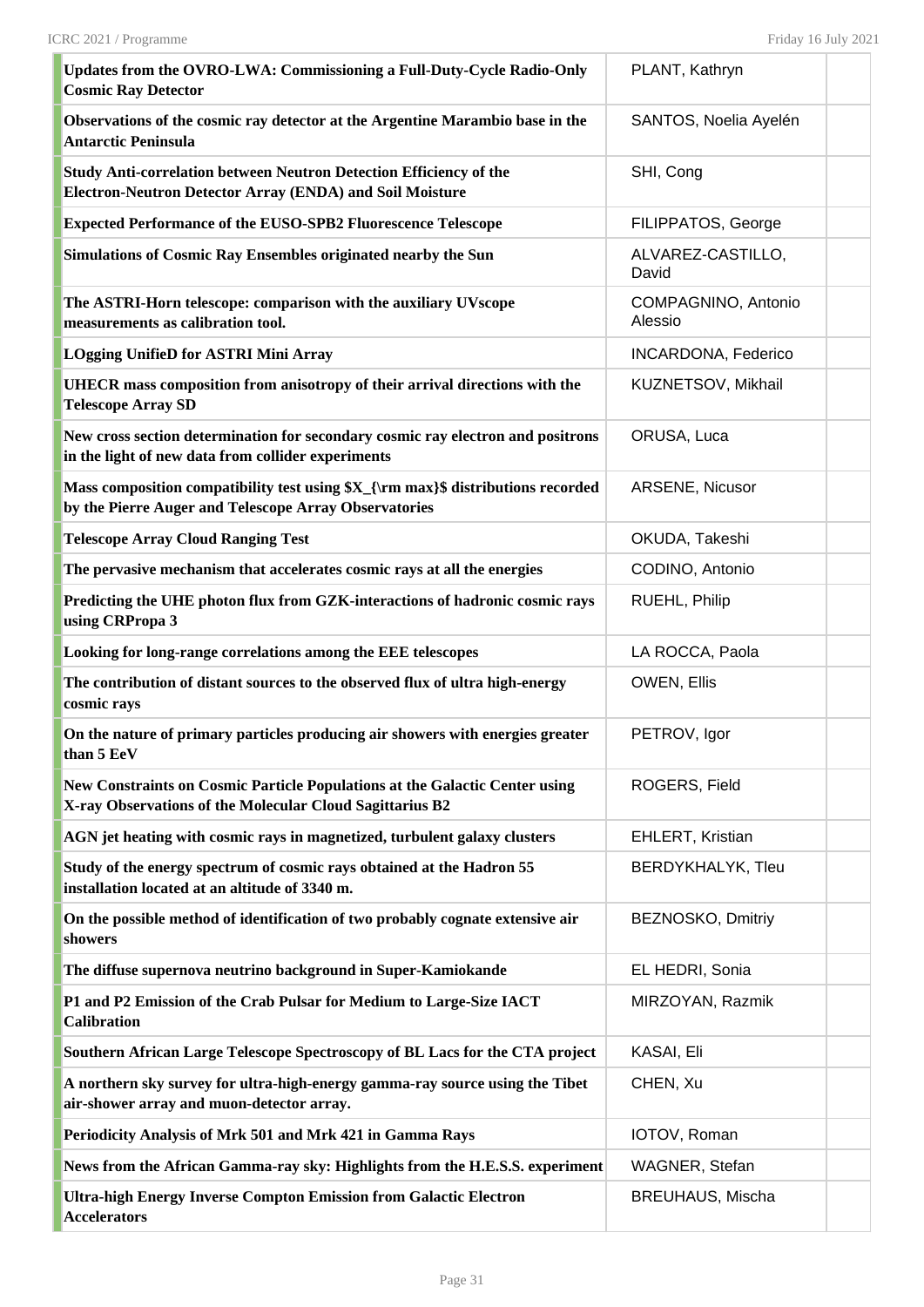| Updates from the OVRO-LWA: Commissioning a Full-Duty-Cycle Radio-Only<br><b>Cosmic Ray Detector</b>                                       | PLANT, Kathryn                 |  |
|-------------------------------------------------------------------------------------------------------------------------------------------|--------------------------------|--|
| Observations of the cosmic ray detector at the Argentine Marambio base in the<br><b>Antarctic Peninsula</b>                               | SANTOS, Noelia Ayelén          |  |
| Study Anti-correlation between Neutron Detection Efficiency of the<br><b>Electron-Neutron Detector Array (ENDA) and Soil Moisture</b>     | SHI, Cong                      |  |
| <b>Expected Performance of the EUSO-SPB2 Fluorescence Telescope</b>                                                                       | FILIPPATOS, George             |  |
| <b>Simulations of Cosmic Ray Ensembles originated nearby the Sun</b>                                                                      | ALVAREZ-CASTILLO,<br>David     |  |
| The ASTRI-Horn telescope: comparison with the auxiliary UVscope<br>measurements as calibration tool.                                      | COMPAGNINO, Antonio<br>Alessio |  |
| <b>LOgging UnifieD for ASTRI Mini Array</b>                                                                                               | <b>INCARDONA, Federico</b>     |  |
| UHECR mass composition from anisotropy of their arrival directions with the<br><b>Telescope Array SD</b>                                  | KUZNETSOV, Mikhail             |  |
| New cross section determination for secondary cosmic ray electron and positrons<br>in the light of new data from collider experiments     | ORUSA, Luca                    |  |
| Mass composition compatibility test using \$X_{\rm max}\$ distributions recorded<br>by the Pierre Auger and Telescope Array Observatories | ARSENE, Nicusor                |  |
| <b>Telescope Array Cloud Ranging Test</b>                                                                                                 | OKUDA, Takeshi                 |  |
| The pervasive mechanism that accelerates cosmic rays at all the energies                                                                  | CODINO, Antonio                |  |
| Predicting the UHE photon flux from GZK-interactions of hadronic cosmic rays<br>using CRPropa 3                                           | RUEHL, Philip                  |  |
| Looking for long-range correlations among the EEE telescopes                                                                              | LA ROCCA, Paola                |  |
| The contribution of distant sources to the observed flux of ultra high-energy<br>cosmic rays                                              | OWEN, Ellis                    |  |
| On the nature of primary particles producing air showers with energies greater<br>than 5 EeV                                              | PETROV, Igor                   |  |
| New Constraints on Cosmic Particle Populations at the Galactic Center using<br>X-ray Observations of the Molecular Cloud Sagittarius B2   | ROGERS, Field                  |  |
| AGN jet heating with cosmic rays in magnetized, turbulent galaxy clusters                                                                 | EHLERT, Kristian               |  |
| Study of the energy spectrum of cosmic rays obtained at the Hadron 55<br>installation located at an altitude of 3340 m.                   | BERDYKHALYK, Tleu              |  |
| On the possible method of identification of two probably cognate extensive air<br>showers                                                 | BEZNOSKO, Dmitriy              |  |
| The diffuse supernova neutrino background in Super-Kamiokande                                                                             | EL HEDRI, Sonia                |  |
| P1 and P2 Emission of the Crab Pulsar for Medium to Large-Size IACT<br><b>Calibration</b>                                                 | MIRZOYAN, Razmik               |  |
| Southern African Large Telescope Spectroscopy of BL Lacs for the CTA project                                                              | KASAI, Eli                     |  |
| A northern sky survey for ultra-high-energy gamma-ray source using the Tibet<br>air-shower array and muon-detector array.                 | CHEN, Xu                       |  |
| Periodicity Analysis of Mrk 501 and Mrk 421 in Gamma Rays                                                                                 | IOTOV, Roman                   |  |
| News from the African Gamma-ray sky: Highlights from the H.E.S.S. experiment                                                              | WAGNER, Stefan                 |  |
| Ultra-high Energy Inverse Compton Emission from Galactic Electron<br><b>Accelerators</b>                                                  | <b>BREUHAUS, Mischa</b>        |  |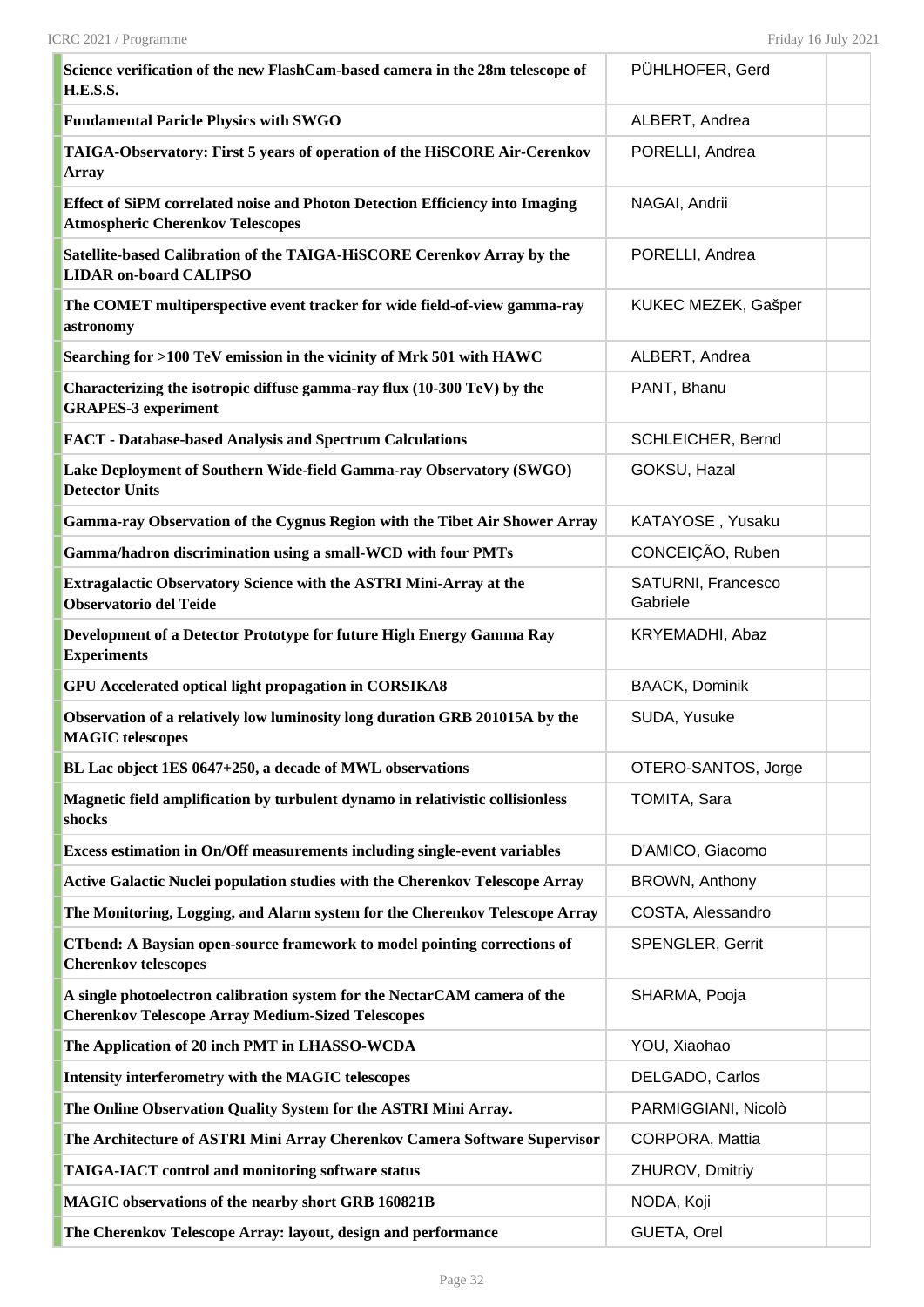| Science verification of the new FlashCam-based camera in the 28m telescope of<br><b>H.E.S.S.</b>                                      | PÜHLHOFER, Gerd                |  |
|---------------------------------------------------------------------------------------------------------------------------------------|--------------------------------|--|
| <b>Fundamental Paricle Physics with SWGO</b>                                                                                          | ALBERT, Andrea                 |  |
| TAIGA-Observatory: First 5 years of operation of the HiSCORE Air-Cerenkov<br><b>Array</b>                                             | PORELLI, Andrea                |  |
| Effect of SiPM correlated noise and Photon Detection Efficiency into Imaging<br><b>Atmospheric Cherenkov Telescopes</b>               | NAGAI, Andrii                  |  |
| Satellite-based Calibration of the TAIGA-HiSCORE Cerenkov Array by the<br><b>LIDAR on-board CALIPSO</b>                               | PORELLI, Andrea                |  |
| The COMET multiperspective event tracker for wide field-of-view gamma-ray<br>astronomy                                                | KUKEC MEZEK, Gašper            |  |
| Searching for >100 TeV emission in the vicinity of Mrk 501 with HAWC                                                                  | ALBERT, Andrea                 |  |
| Characterizing the isotropic diffuse gamma-ray flux (10-300 TeV) by the<br><b>GRAPES-3 experiment</b>                                 | PANT, Bhanu                    |  |
| <b>FACT</b> - Database-based Analysis and Spectrum Calculations                                                                       | <b>SCHLEICHER, Bernd</b>       |  |
| Lake Deployment of Southern Wide-field Gamma-ray Observatory (SWGO)<br><b>Detector Units</b>                                          | GOKSU, Hazal                   |  |
| Gamma-ray Observation of the Cygnus Region with the Tibet Air Shower Array                                                            | KATAYOSE, Yusaku               |  |
| Gamma/hadron discrimination using a small-WCD with four PMTs                                                                          | CONCEIÇÃO, Ruben               |  |
| Extragalactic Observatory Science with the ASTRI Mini-Array at the<br><b>Observatorio del Teide</b>                                   | SATURNI, Francesco<br>Gabriele |  |
| Development of a Detector Prototype for future High Energy Gamma Ray<br><b>Experiments</b>                                            | KRYEMADHI, Abaz                |  |
| <b>GPU Accelerated optical light propagation in CORSIKA8</b>                                                                          | <b>BAACK, Dominik</b>          |  |
| Observation of a relatively low luminosity long duration GRB 201015A by the<br><b>MAGIC</b> telescopes                                | SUDA, Yusuke                   |  |
| BL Lac object 1ES 0647+250, a decade of MWL observations                                                                              | OTERO-SANTOS, Jorge            |  |
| Magnetic field amplification by turbulent dynamo in relativistic collisionless<br>shocks                                              | TOMITA, Sara                   |  |
| Excess estimation in On/Off measurements including single-event variables                                                             | D'AMICO, Giacomo               |  |
| Active Galactic Nuclei population studies with the Cherenkov Telescope Array                                                          | <b>BROWN, Anthony</b>          |  |
| The Monitoring, Logging, and Alarm system for the Cherenkov Telescope Array                                                           | COSTA, Alessandro              |  |
| <b>CTbend: A Baysian open-source framework to model pointing corrections of</b><br><b>Cherenkov telescopes</b>                        | SPENGLER, Gerrit               |  |
| A single photoelectron calibration system for the NectarCAM camera of the<br><b>Cherenkov Telescope Array Medium-Sized Telescopes</b> | SHARMA, Pooja                  |  |
| The Application of 20 inch PMT in LHASSO-WCDA                                                                                         | YOU, Xiaohao                   |  |
| Intensity interferometry with the MAGIC telescopes                                                                                    | DELGADO, Carlos                |  |
| The Online Observation Quality System for the ASTRI Mini Array.                                                                       | PARMIGGIANI, Nicolò            |  |
| The Architecture of ASTRI Mini Array Cherenkov Camera Software Supervisor                                                             | CORPORA, Mattia                |  |
| <b>TAIGA-IACT control and monitoring software status</b>                                                                              | ZHUROV, Dmitriy                |  |
| MAGIC observations of the nearby short GRB 160821B                                                                                    | NODA, Koji                     |  |
| The Cherenkov Telescope Array: layout, design and performance                                                                         | GUETA, Orel                    |  |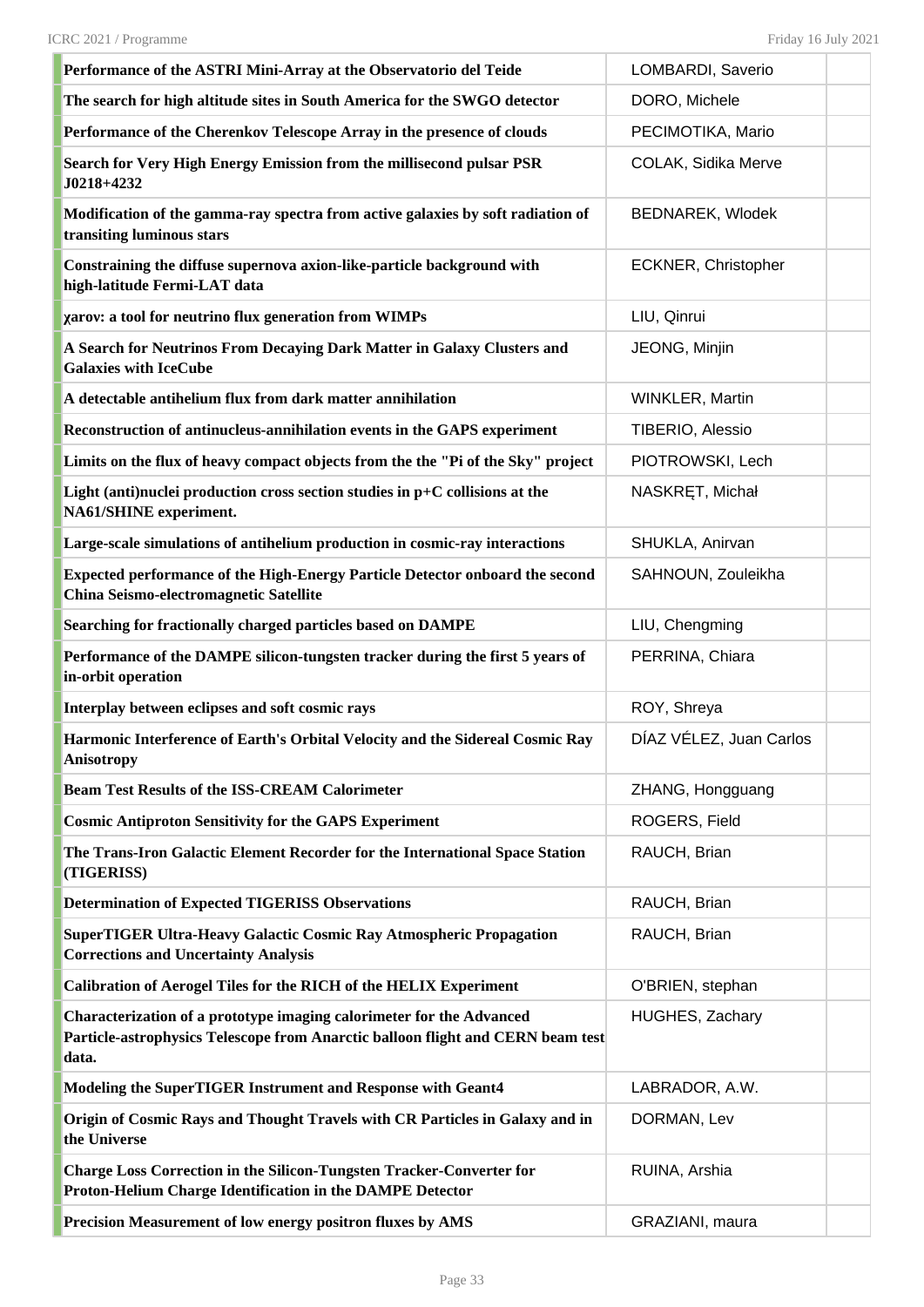| Performance of the ASTRI Mini-Array at the Observatorio del Teide                                                                                                | LOMBARDI, Saverio       |
|------------------------------------------------------------------------------------------------------------------------------------------------------------------|-------------------------|
| The search for high altitude sites in South America for the SWGO detector                                                                                        | DORO, Michele           |
| Performance of the Cherenkov Telescope Array in the presence of clouds                                                                                           | PECIMOTIKA, Mario       |
| Search for Very High Energy Emission from the millisecond pulsar PSR<br>J0218+4232                                                                               | COLAK, Sidika Merve     |
| Modification of the gamma-ray spectra from active galaxies by soft radiation of<br>transiting luminous stars                                                     | BEDNAREK, Wlodek        |
| Constraining the diffuse supernova axion-like-particle background with<br>high-latitude Fermi-LAT data                                                           | ECKNER, Christopher     |
| xarov: a tool for neutrino flux generation from WIMPs                                                                                                            | LIU, Qinrui             |
| A Search for Neutrinos From Decaying Dark Matter in Galaxy Clusters and<br><b>Galaxies with IceCube</b>                                                          | JEONG, Minjin           |
| A detectable antihelium flux from dark matter annihilation                                                                                                       | WINKLER, Martin         |
| Reconstruction of antinucleus-annihilation events in the GAPS experiment                                                                                         | TIBERIO, Alessio        |
| Limits on the flux of heavy compact objects from the the "Pi of the Sky" project                                                                                 | PIOTROWSKI, Lech        |
| Light (anti)nuclei production cross section studies in $p+C$ collisions at the<br>NA61/SHINE experiment.                                                         | NASKRET, Michał         |
| Large-scale simulations of antihelium production in cosmic-ray interactions                                                                                      | SHUKLA, Anirvan         |
| Expected performance of the High-Energy Particle Detector onboard the second<br>China Seismo-electromagnetic Satellite                                           | SAHNOUN, Zouleikha      |
| Searching for fractionally charged particles based on DAMPE                                                                                                      | LIU, Chengming          |
| Performance of the DAMPE silicon-tungsten tracker during the first 5 years of<br>in-orbit operation                                                              | PERRINA, Chiara         |
| Interplay between eclipses and soft cosmic rays                                                                                                                  | ROY, Shreya             |
|                                                                                                                                                                  |                         |
| Harmonic Interference of Earth's Orbital Velocity and the Sidereal Cosmic Ray<br><b>Anisotropy</b>                                                               | DÍAZ VÉLEZ, Juan Carlos |
| <b>Beam Test Results of the ISS-CREAM Calorimeter</b>                                                                                                            | ZHANG, Hongguang        |
| <b>Cosmic Antiproton Sensitivity for the GAPS Experiment</b>                                                                                                     | ROGERS, Field           |
| The Trans-Iron Galactic Element Recorder for the International Space Station<br>(TIGERISS)                                                                       | RAUCH, Brian            |
| <b>Determination of Expected TIGERISS Observations</b>                                                                                                           | RAUCH, Brian            |
| SuperTIGER Ultra-Heavy Galactic Cosmic Ray Atmospheric Propagation<br><b>Corrections and Uncertainty Analysis</b>                                                | RAUCH, Brian            |
| Calibration of Aerogel Tiles for the RICH of the HELIX Experiment                                                                                                | O'BRIEN, stephan        |
| Characterization of a prototype imaging calorimeter for the Advanced<br>Particle-astrophysics Telescope from Anarctic balloon flight and CERN beam test<br>data. | HUGHES, Zachary         |
| Modeling the SuperTIGER Instrument and Response with Geant4                                                                                                      | LABRADOR, A.W.          |
| Origin of Cosmic Rays and Thought Travels with CR Particles in Galaxy and in<br>the Universe                                                                     | DORMAN, Lev             |
| <b>Charge Loss Correction in the Silicon-Tungsten Tracker-Converter for</b><br>Proton-Helium Charge Identification in the DAMPE Detector                         | RUINA, Arshia           |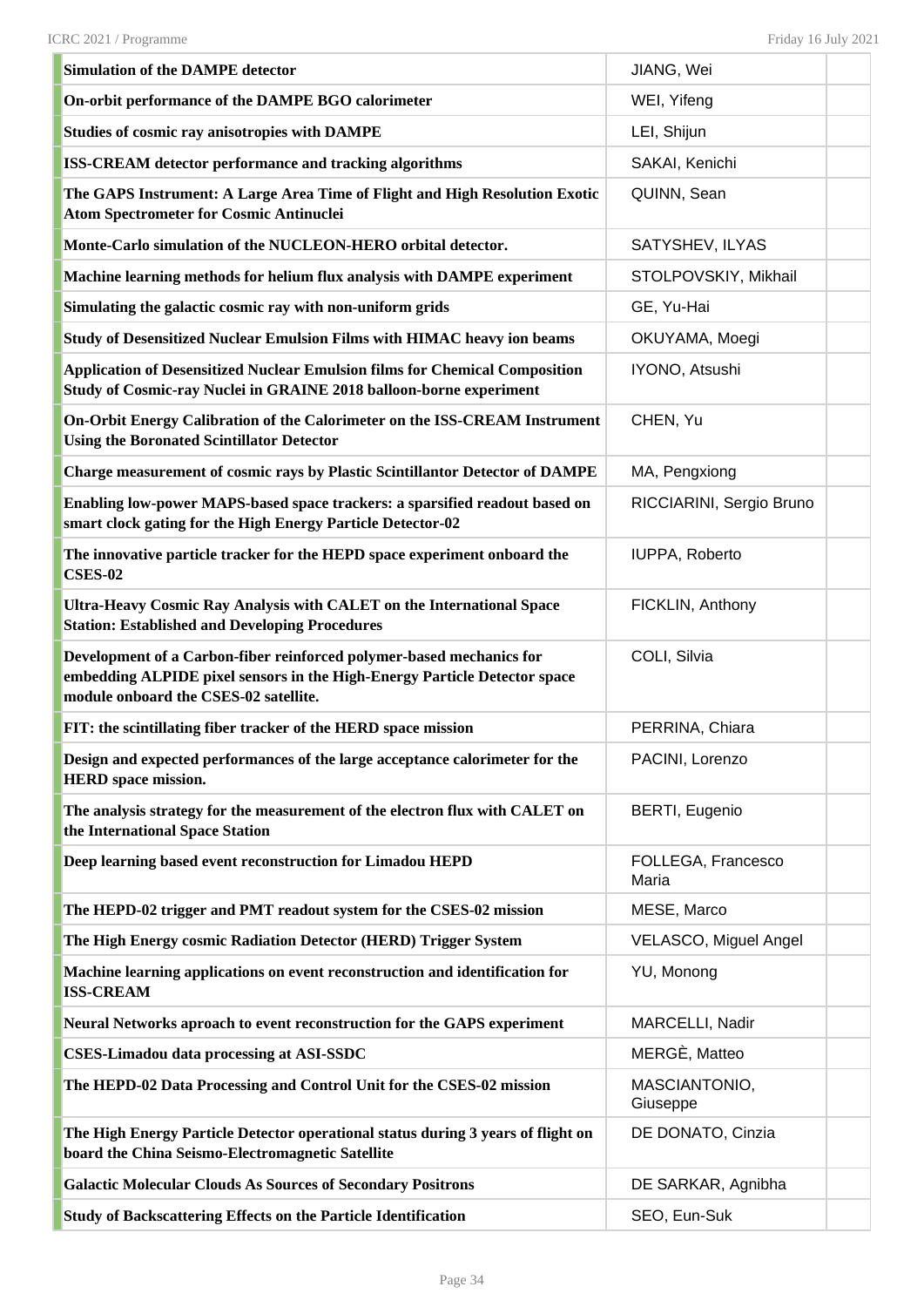| <b>Simulation of the DAMPE detector</b>                                                                                                                                                    | JIANG, Wei                  |  |
|--------------------------------------------------------------------------------------------------------------------------------------------------------------------------------------------|-----------------------------|--|
| On-orbit performance of the DAMPE BGO calorimeter                                                                                                                                          | WEI, Yifeng                 |  |
| <b>Studies of cosmic ray anisotropies with DAMPE</b>                                                                                                                                       | LEI, Shijun                 |  |
| <b>ISS-CREAM detector performance and tracking algorithms</b>                                                                                                                              | SAKAI, Kenichi              |  |
| The GAPS Instrument: A Large Area Time of Flight and High Resolution Exotic<br><b>Atom Spectrometer for Cosmic Antinuclei</b>                                                              | QUINN, Sean                 |  |
| Monte-Carlo simulation of the NUCLEON-HERO orbital detector.                                                                                                                               | SATYSHEV, ILYAS             |  |
| Machine learning methods for helium flux analysis with DAMPE experiment                                                                                                                    | STOLPOVSKIY, Mikhail        |  |
| Simulating the galactic cosmic ray with non-uniform grids                                                                                                                                  | GE, Yu-Hai                  |  |
| Study of Desensitized Nuclear Emulsion Films with HIMAC heavy ion beams                                                                                                                    | OKUYAMA, Moegi              |  |
| <b>Application of Desensitized Nuclear Emulsion films for Chemical Composition</b><br>Study of Cosmic-ray Nuclei in GRAINE 2018 balloon-borne experiment                                   | IYONO, Atsushi              |  |
| On-Orbit Energy Calibration of the Calorimeter on the ISS-CREAM Instrument<br><b>Using the Boronated Scintillator Detector</b>                                                             | CHEN, Yu                    |  |
| Charge measurement of cosmic rays by Plastic Scintillantor Detector of DAMPE                                                                                                               | MA, Pengxiong               |  |
| Enabling low-power MAPS-based space trackers: a sparsified readout based on<br>smart clock gating for the High Energy Particle Detector-02                                                 | RICCIARINI, Sergio Bruno    |  |
| The innovative particle tracker for the HEPD space experiment onboard the<br><b>CSES-02</b>                                                                                                | IUPPA, Roberto              |  |
| Ultra-Heavy Cosmic Ray Analysis with CALET on the International Space<br><b>Station: Established and Developing Procedures</b>                                                             | FICKLIN, Anthony            |  |
| Development of a Carbon-fiber reinforced polymer-based mechanics for<br>embedding ALPIDE pixel sensors in the High-Energy Particle Detector space<br>module onboard the CSES-02 satellite. | COLI, Silvia                |  |
| FIT: the scintillating fiber tracker of the HERD space mission                                                                                                                             | PERRINA, Chiara             |  |
| Design and expected performances of the large acceptance calorimeter for the<br><b>HERD</b> space mission.                                                                                 | PACINI, Lorenzo             |  |
| The analysis strategy for the measurement of the electron flux with CALET on<br>the International Space Station                                                                            | <b>BERTI, Eugenio</b>       |  |
| Deep learning based event reconstruction for Limadou HEPD                                                                                                                                  | FOLLEGA, Francesco<br>Maria |  |
| The HEPD-02 trigger and PMT readout system for the CSES-02 mission                                                                                                                         | MESE, Marco                 |  |
| The High Energy cosmic Radiation Detector (HERD) Trigger System                                                                                                                            | VELASCO, Miguel Angel       |  |
| Machine learning applications on event reconstruction and identification for<br><b>ISS-CREAM</b>                                                                                           | YU, Monong                  |  |
| Neural Networks aproach to event reconstruction for the GAPS experiment                                                                                                                    | MARCELLI, Nadir             |  |
| <b>CSES-Limadou data processing at ASI-SSDC</b>                                                                                                                                            | MERGÈ, Matteo               |  |
| The HEPD-02 Data Processing and Control Unit for the CSES-02 mission                                                                                                                       | MASCIANTONIO,<br>Giuseppe   |  |
| The High Energy Particle Detector operational status during 3 years of flight on<br>board the China Seismo-Electromagnetic Satellite                                                       | DE DONATO, Cinzia           |  |
| <b>Galactic Molecular Clouds As Sources of Secondary Positrons</b>                                                                                                                         | DE SARKAR, Agnibha          |  |
| <b>Study of Backscattering Effects on the Particle Identification</b>                                                                                                                      | SEO, Eun-Suk                |  |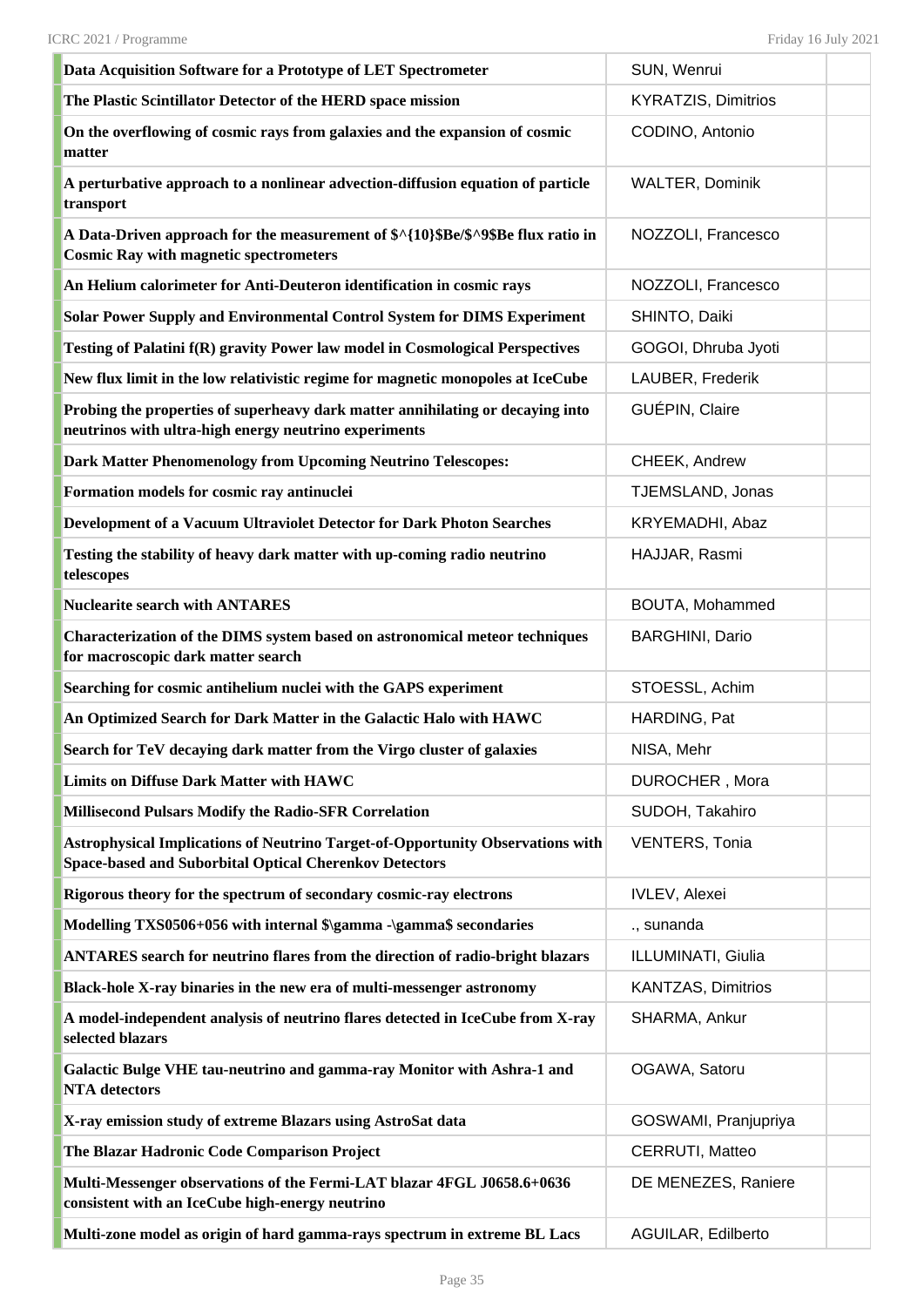| Data Acquisition Software for a Prototype of LET Spectrometer                                                                                   | SUN, Wenrui                |
|-------------------------------------------------------------------------------------------------------------------------------------------------|----------------------------|
| The Plastic Scintillator Detector of the HERD space mission                                                                                     | <b>KYRATZIS, Dimitrios</b> |
| On the overflowing of cosmic rays from galaxies and the expansion of cosmic<br>matter                                                           | CODINO, Antonio            |
| A perturbative approach to a nonlinear advection-diffusion equation of particle<br>transport                                                    | <b>WALTER, Dominik</b>     |
| A Data-Driven approach for the measurement of \$^{10}\$Be/\$^9\$Be flux ratio in<br><b>Cosmic Ray with magnetic spectrometers</b>               | NOZZOLI, Francesco         |
| An Helium calorimeter for Anti-Deuteron identification in cosmic rays                                                                           | NOZZOLI, Francesco         |
| Solar Power Supply and Environmental Control System for DIMS Experiment                                                                         | SHINTO, Daiki              |
| Testing of Palatini f(R) gravity Power law model in Cosmological Perspectives                                                                   | GOGOI, Dhruba Jyoti        |
| New flux limit in the low relativistic regime for magnetic monopoles at IceCube                                                                 | LAUBER, Frederik           |
| Probing the properties of superheavy dark matter annihilating or decaying into<br>neutrinos with ultra-high energy neutrino experiments         | GUÉPIN, Claire             |
| <b>Dark Matter Phenomenology from Upcoming Neutrino Telescopes:</b>                                                                             | CHEEK, Andrew              |
| Formation models for cosmic ray antinuclei                                                                                                      | TJEMSLAND, Jonas           |
| Development of a Vacuum Ultraviolet Detector for Dark Photon Searches                                                                           | KRYEMADHI, Abaz            |
| Testing the stability of heavy dark matter with up-coming radio neutrino<br>telescopes                                                          | HAJJAR, Rasmi              |
| <b>Nuclearite search with ANTARES</b>                                                                                                           | BOUTA, Mohammed            |
| Characterization of the DIMS system based on astronomical meteor techniques<br>for macroscopic dark matter search                               | <b>BARGHINI, Dario</b>     |
| Searching for cosmic antihelium nuclei with the GAPS experiment                                                                                 | STOESSL, Achim             |
| An Optimized Search for Dark Matter in the Galactic Halo with HAWC                                                                              | HARDING, Pat               |
| Search for TeV decaying dark matter from the Virgo cluster of galaxies                                                                          | NISA, Mehr                 |
| <b>Limits on Diffuse Dark Matter with HAWC</b>                                                                                                  | DUROCHER, Mora             |
| <b>Millisecond Pulsars Modify the Radio-SFR Correlation</b>                                                                                     | SUDOH, Takahiro            |
| Astrophysical Implications of Neutrino Target-of-Opportunity Observations with<br><b>Space-based and Suborbital Optical Cherenkov Detectors</b> | <b>VENTERS, Tonia</b>      |
| Rigorous theory for the spectrum of secondary cosmic-ray electrons                                                                              | <b>IVLEV, Alexei</b>       |
| Modelling TXS0506+056 with internal \$\gamma -\gamma\$ secondaries                                                                              | ., sunanda                 |
| ANTARES search for neutrino flares from the direction of radio-bright blazars                                                                   | ILLUMINATI, Giulia         |
| Black-hole X-ray binaries in the new era of multi-messenger astronomy                                                                           | <b>KANTZAS, Dimitrios</b>  |
| A model-independent analysis of neutrino flares detected in IceCube from X-ray<br>selected blazars                                              | SHARMA, Ankur              |
| Galactic Bulge VHE tau-neutrino and gamma-ray Monitor with Ashra-1 and<br><b>NTA</b> detectors                                                  | OGAWA, Satoru              |
| X-ray emission study of extreme Blazars using AstroSat data                                                                                     | GOSWAMI, Pranjupriya       |
| The Blazar Hadronic Code Comparison Project                                                                                                     | CERRUTI, Matteo            |
| Multi-Messenger observations of the Fermi-LAT blazar 4FGL J0658.6+0636<br>consistent with an IceCube high-energy neutrino                       | DE MENEZES, Raniere        |
| Multi-zone model as origin of hard gamma-rays spectrum in extreme BL Lacs                                                                       | AGUILAR, Edilberto         |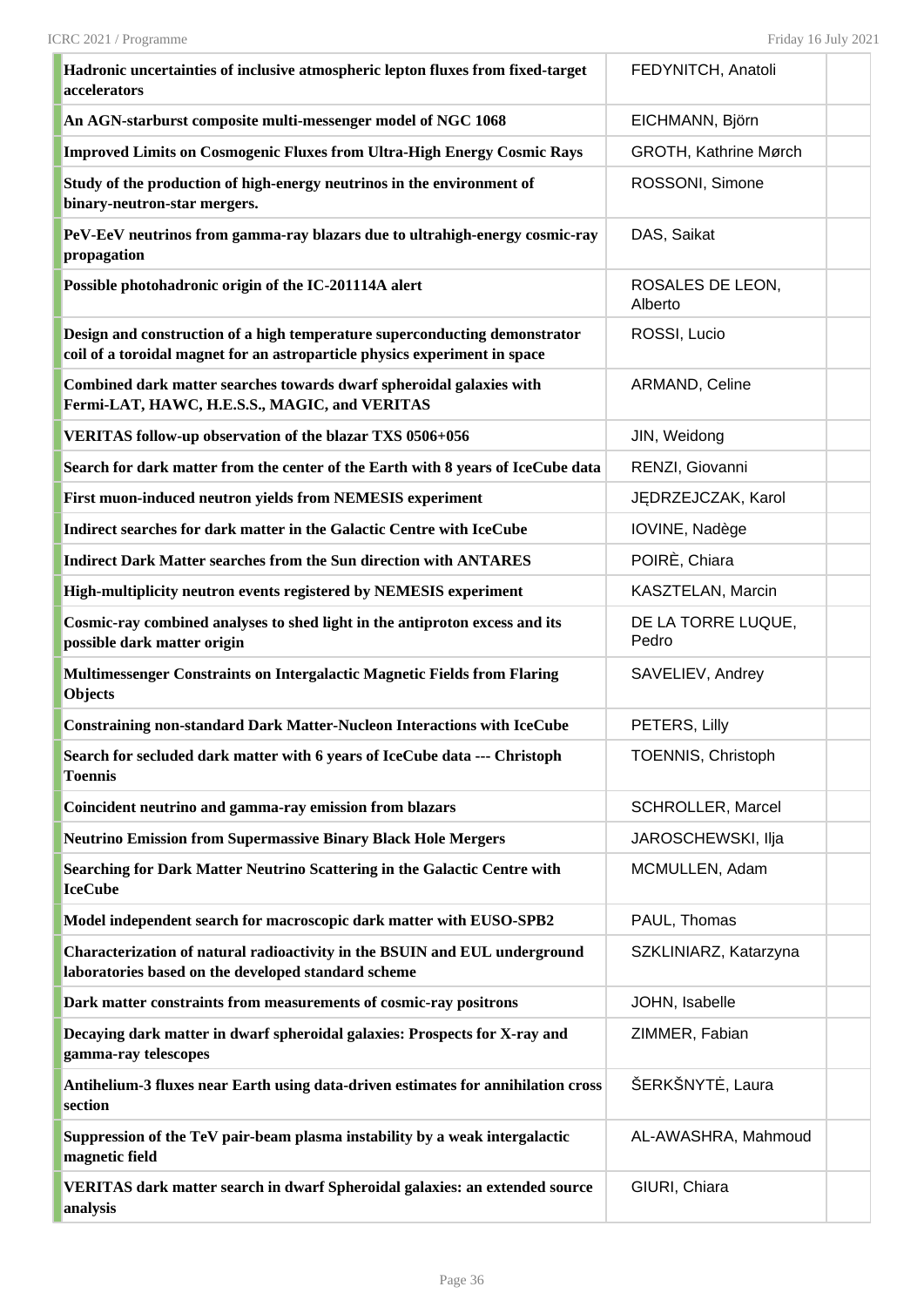| Hadronic uncertainties of inclusive atmospheric lepton fluxes from fixed-target<br>accelerators                                                          | FEDYNITCH, Anatoli          |  |
|----------------------------------------------------------------------------------------------------------------------------------------------------------|-----------------------------|--|
| An AGN-starburst composite multi-messenger model of NGC 1068                                                                                             | EICHMANN, Björn             |  |
| <b>Improved Limits on Cosmogenic Fluxes from Ultra-High Energy Cosmic Rays</b>                                                                           | GROTH, Kathrine Mørch       |  |
| Study of the production of high-energy neutrinos in the environment of<br>binary-neutron-star mergers.                                                   | ROSSONI, Simone             |  |
| PeV-EeV neutrinos from gamma-ray blazars due to ultrahigh-energy cosmic-ray<br>propagation                                                               | DAS, Saikat                 |  |
| Possible photohadronic origin of the IC-201114A alert                                                                                                    | ROSALES DE LEON,<br>Alberto |  |
| Design and construction of a high temperature superconducting demonstrator<br>coil of a toroidal magnet for an astroparticle physics experiment in space | ROSSI, Lucio                |  |
| Combined dark matter searches towards dwarf spheroidal galaxies with<br>Fermi-LAT, HAWC, H.E.S.S., MAGIC, and VERITAS                                    | ARMAND, Celine              |  |
| VERITAS follow-up observation of the blazar TXS 0506+056                                                                                                 | JIN, Weidong                |  |
| Search for dark matter from the center of the Earth with 8 years of IceCube data                                                                         | RENZI, Giovanni             |  |
| First muon-induced neutron yields from NEMESIS experiment                                                                                                | JĘDRZEJCZAK, Karol          |  |
| Indirect searches for dark matter in the Galactic Centre with IceCube                                                                                    | IOVINE, Nadège              |  |
| <b>Indirect Dark Matter searches from the Sun direction with ANTARES</b>                                                                                 | POIRÈ, Chiara               |  |
| High-multiplicity neutron events registered by NEMESIS experiment                                                                                        | KASZTELAN, Marcin           |  |
| Cosmic-ray combined analyses to shed light in the antiproton excess and its<br>possible dark matter origin                                               | DE LA TORRE LUQUE,<br>Pedro |  |
| Multimessenger Constraints on Intergalactic Magnetic Fields from Flaring<br><b>Objects</b>                                                               | SAVELIEV, Andrey            |  |
| <b>Constraining non-standard Dark Matter-Nucleon Interactions with IceCube</b>                                                                           | PETERS, Lilly               |  |
| Search for secluded dark matter with 6 years of IceCube data --- Christoph<br><b>Toennis</b>                                                             | TOENNIS, Christoph          |  |
| Coincident neutrino and gamma-ray emission from blazars                                                                                                  | SCHROLLER, Marcel           |  |
| <b>Neutrino Emission from Supermassive Binary Black Hole Mergers</b>                                                                                     | JAROSCHEWSKI, Ilja          |  |
| Searching for Dark Matter Neutrino Scattering in the Galactic Centre with<br><b>IceCube</b>                                                              | MCMULLEN, Adam              |  |
| Model independent search for macroscopic dark matter with EUSO-SPB2                                                                                      | PAUL, Thomas                |  |
| Characterization of natural radioactivity in the BSUIN and EUL underground<br>laboratories based on the developed standard scheme                        | SZKLINIARZ, Katarzyna       |  |
| Dark matter constraints from measurements of cosmic-ray positrons                                                                                        | JOHN, Isabelle              |  |
| Decaying dark matter in dwarf spheroidal galaxies: Prospects for X-ray and<br>gamma-ray telescopes                                                       | ZIMMER, Fabian              |  |
| Antihelium-3 fluxes near Earth using data-driven estimates for annihilation cross<br>section                                                             | ŠERKŠNYTĖ, Laura            |  |
| Suppression of the TeV pair-beam plasma instability by a weak intergalactic<br>magnetic field                                                            | AL-AWASHRA, Mahmoud         |  |
| VERITAS dark matter search in dwarf Spheroidal galaxies: an extended source<br>analysis                                                                  | GIURI, Chiara               |  |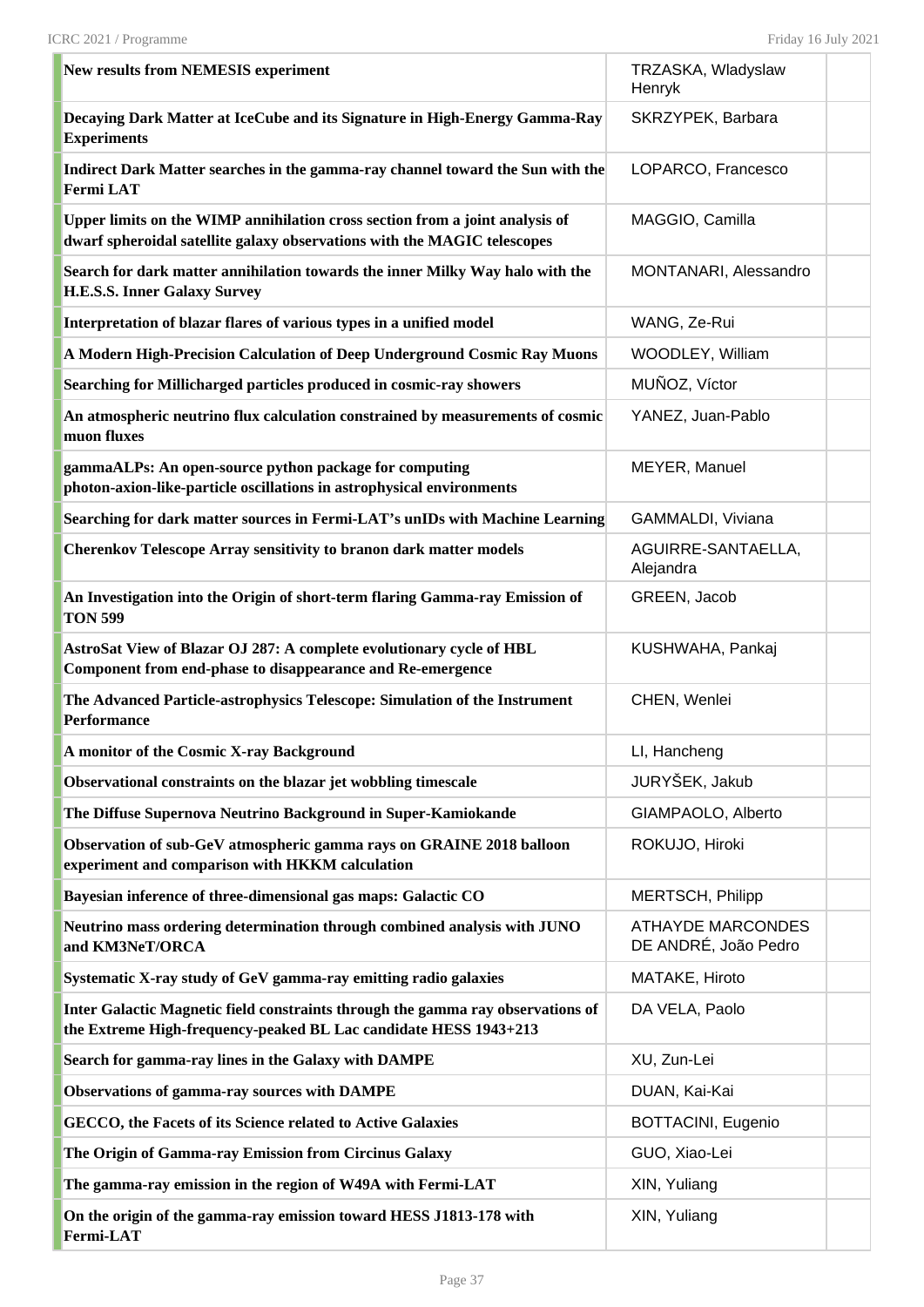| <b>New results from NEMESIS experiment</b>                                                                                                               | TRZASKA, Wladyslaw<br>Henryk                     |  |
|----------------------------------------------------------------------------------------------------------------------------------------------------------|--------------------------------------------------|--|
| Decaying Dark Matter at IceCube and its Signature in High-Energy Gamma-Ray<br><b>Experiments</b>                                                         | SKRZYPEK, Barbara                                |  |
| Indirect Dark Matter searches in the gamma-ray channel toward the Sun with the<br><b>Fermi LAT</b>                                                       | LOPARCO, Francesco                               |  |
| Upper limits on the WIMP annihilation cross section from a joint analysis of<br>dwarf spheroidal satellite galaxy observations with the MAGIC telescopes | MAGGIO, Camilla                                  |  |
| Search for dark matter annihilation towards the inner Milky Way halo with the<br><b>H.E.S.S. Inner Galaxy Survey</b>                                     | MONTANARI, Alessandro                            |  |
| Interpretation of blazar flares of various types in a unified model                                                                                      | WANG, Ze-Rui                                     |  |
| A Modern High-Precision Calculation of Deep Underground Cosmic Ray Muons                                                                                 | WOODLEY, William                                 |  |
| Searching for Millicharged particles produced in cosmic-ray showers                                                                                      | MUÑOZ, Víctor                                    |  |
| An atmospheric neutrino flux calculation constrained by measurements of cosmic<br>muon fluxes                                                            | YANEZ, Juan-Pablo                                |  |
| gammaALPs: An open-source python package for computing<br>photon-axion-like-particle oscillations in astrophysical environments                          | MEYER, Manuel                                    |  |
| Searching for dark matter sources in Fermi-LAT's unIDs with Machine Learning                                                                             | GAMMALDI, Viviana                                |  |
| <b>Cherenkov Telescope Array sensitivity to branon dark matter models</b>                                                                                | AGUIRRE-SANTAELLA,<br>Alejandra                  |  |
| An Investigation into the Origin of short-term flaring Gamma-ray Emission of<br><b>TON 599</b>                                                           | GREEN, Jacob                                     |  |
| AstroSat View of Blazar OJ 287: A complete evolutionary cycle of HBL<br>Component from end-phase to disappearance and Re-emergence                       | KUSHWAHA, Pankaj                                 |  |
| The Advanced Particle-astrophysics Telescope: Simulation of the Instrument<br>Performance                                                                | CHEN, Wenlei                                     |  |
| A monitor of the Cosmic X-ray Background                                                                                                                 | LI, Hancheng                                     |  |
| Observational constraints on the blazar jet wobbling timescale                                                                                           | JURYŠEK, Jakub                                   |  |
| The Diffuse Supernova Neutrino Background in Super-Kamiokande                                                                                            | GIAMPAOLO, Alberto                               |  |
| Observation of sub-GeV atmospheric gamma rays on GRAINE 2018 balloon<br>experiment and comparison with HKKM calculation                                  | ROKUJO, Hiroki                                   |  |
| Bayesian inference of three-dimensional gas maps: Galactic CO                                                                                            | MERTSCH, Philipp                                 |  |
| Neutrino mass ordering determination through combined analysis with JUNO<br>and KM3NeT/ORCA                                                              | <b>ATHAYDE MARCONDES</b><br>DE ANDRÉ, João Pedro |  |
| Systematic X-ray study of GeV gamma-ray emitting radio galaxies                                                                                          | MATAKE, Hiroto                                   |  |
| Inter Galactic Magnetic field constraints through the gamma ray observations of<br>the Extreme High-frequency-peaked BL Lac candidate HESS 1943+213      | DA VELA, Paolo                                   |  |
| Search for gamma-ray lines in the Galaxy with DAMPE                                                                                                      | XU, Zun-Lei                                      |  |
| <b>Observations of gamma-ray sources with DAMPE</b>                                                                                                      | DUAN, Kai-Kai                                    |  |
| GECCO, the Facets of its Science related to Active Galaxies                                                                                              | BOTTACINI, Eugenio                               |  |
| The Origin of Gamma-ray Emission from Circinus Galaxy                                                                                                    | GUO, Xiao-Lei                                    |  |
| The gamma-ray emission in the region of W49A with Fermi-LAT                                                                                              | XIN, Yuliang                                     |  |
| On the origin of the gamma-ray emission toward HESS J1813-178 with<br>Fermi-LAT                                                                          | XIN, Yuliang                                     |  |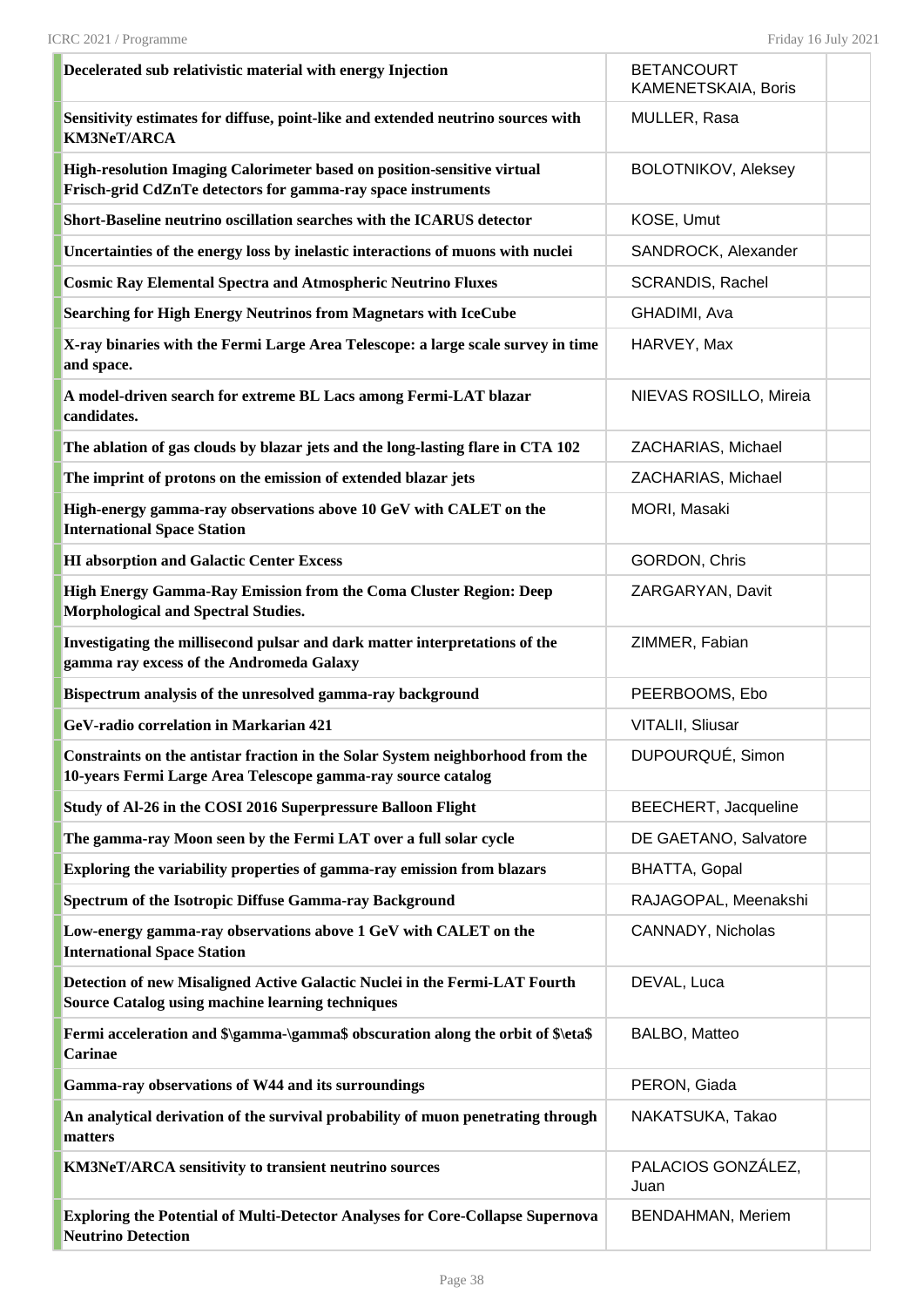| Decelerated sub relativistic material with energy Injection                                                                                    | <b>BETANCOURT</b><br>KAMENETSKAIA, Boris |  |
|------------------------------------------------------------------------------------------------------------------------------------------------|------------------------------------------|--|
| Sensitivity estimates for diffuse, point-like and extended neutrino sources with<br><b>KM3NeT/ARCA</b>                                         | MULLER, Rasa                             |  |
| High-resolution Imaging Calorimeter based on position-sensitive virtual<br>Frisch-grid CdZnTe detectors for gamma-ray space instruments        | BOLOTNIKOV, Aleksey                      |  |
| Short-Baseline neutrino oscillation searches with the ICARUS detector                                                                          | KOSE, Umut                               |  |
| Uncertainties of the energy loss by inelastic interactions of muons with nuclei                                                                | SANDROCK, Alexander                      |  |
| <b>Cosmic Ray Elemental Spectra and Atmospheric Neutrino Fluxes</b>                                                                            | SCRANDIS, Rachel                         |  |
| Searching for High Energy Neutrinos from Magnetars with IceCube                                                                                | GHADIMI, Ava                             |  |
| X-ray binaries with the Fermi Large Area Telescope: a large scale survey in time<br>and space.                                                 | HARVEY, Max                              |  |
| A model-driven search for extreme BL Lacs among Fermi-LAT blazar<br>candidates.                                                                | NIEVAS ROSILLO, Mireia                   |  |
| The ablation of gas clouds by blazar jets and the long-lasting flare in CTA 102                                                                | ZACHARIAS, Michael                       |  |
| The imprint of protons on the emission of extended blazar jets                                                                                 | ZACHARIAS, Michael                       |  |
| High-energy gamma-ray observations above 10 GeV with CALET on the<br><b>International Space Station</b>                                        | MORI, Masaki                             |  |
| <b>HI</b> absorption and Galactic Center Excess                                                                                                | GORDON, Chris                            |  |
| High Energy Gamma-Ray Emission from the Coma Cluster Region: Deep<br><b>Morphological and Spectral Studies.</b>                                | ZARGARYAN, Davit                         |  |
| Investigating the millisecond pulsar and dark matter interpretations of the<br>gamma ray excess of the Andromeda Galaxy                        | ZIMMER, Fabian                           |  |
| Bispectrum analysis of the unresolved gamma-ray background                                                                                     | PEERBOOMS, Ebo                           |  |
| GeV-radio correlation in Markarian 421                                                                                                         | VITALII, Sliusar                         |  |
| Constraints on the antistar fraction in the Solar System neighborhood from the<br>10-years Fermi Large Area Telescope gamma-ray source catalog | DUPOURQUÉ, Simon                         |  |
| Study of Al-26 in the COSI 2016 Superpressure Balloon Flight                                                                                   | BEECHERT, Jacqueline                     |  |
| The gamma-ray Moon seen by the Fermi LAT over a full solar cycle                                                                               | DE GAETANO, Salvatore                    |  |
| Exploring the variability properties of gamma-ray emission from blazars                                                                        | <b>BHATTA, Gopal</b>                     |  |
| Spectrum of the Isotropic Diffuse Gamma-ray Background                                                                                         | RAJAGOPAL, Meenakshi                     |  |
| Low-energy gamma-ray observations above 1 GeV with CALET on the<br><b>International Space Station</b>                                          | CANNADY, Nicholas                        |  |
| Detection of new Misaligned Active Galactic Nuclei in the Fermi-LAT Fourth<br><b>Source Catalog using machine learning techniques</b>          | DEVAL, Luca                              |  |
| Fermi acceleration and \$\gamma-\gamma\$ obscuration along the orbit of \$\eta\$<br><b>Carinae</b>                                             | BALBO, Matteo                            |  |
| Gamma-ray observations of W44 and its surroundings                                                                                             | PERON, Giada                             |  |
| An analytical derivation of the survival probability of muon penetrating through<br>matters                                                    | NAKATSUKA, Takao                         |  |
| KM3NeT/ARCA sensitivity to transient neutrino sources                                                                                          | PALACIOS GONZÁLEZ,<br>Juan               |  |
| <b>Exploring the Potential of Multi-Detector Analyses for Core-Collapse Supernova</b><br><b>Neutrino Detection</b>                             | BENDAHMAN, Meriem                        |  |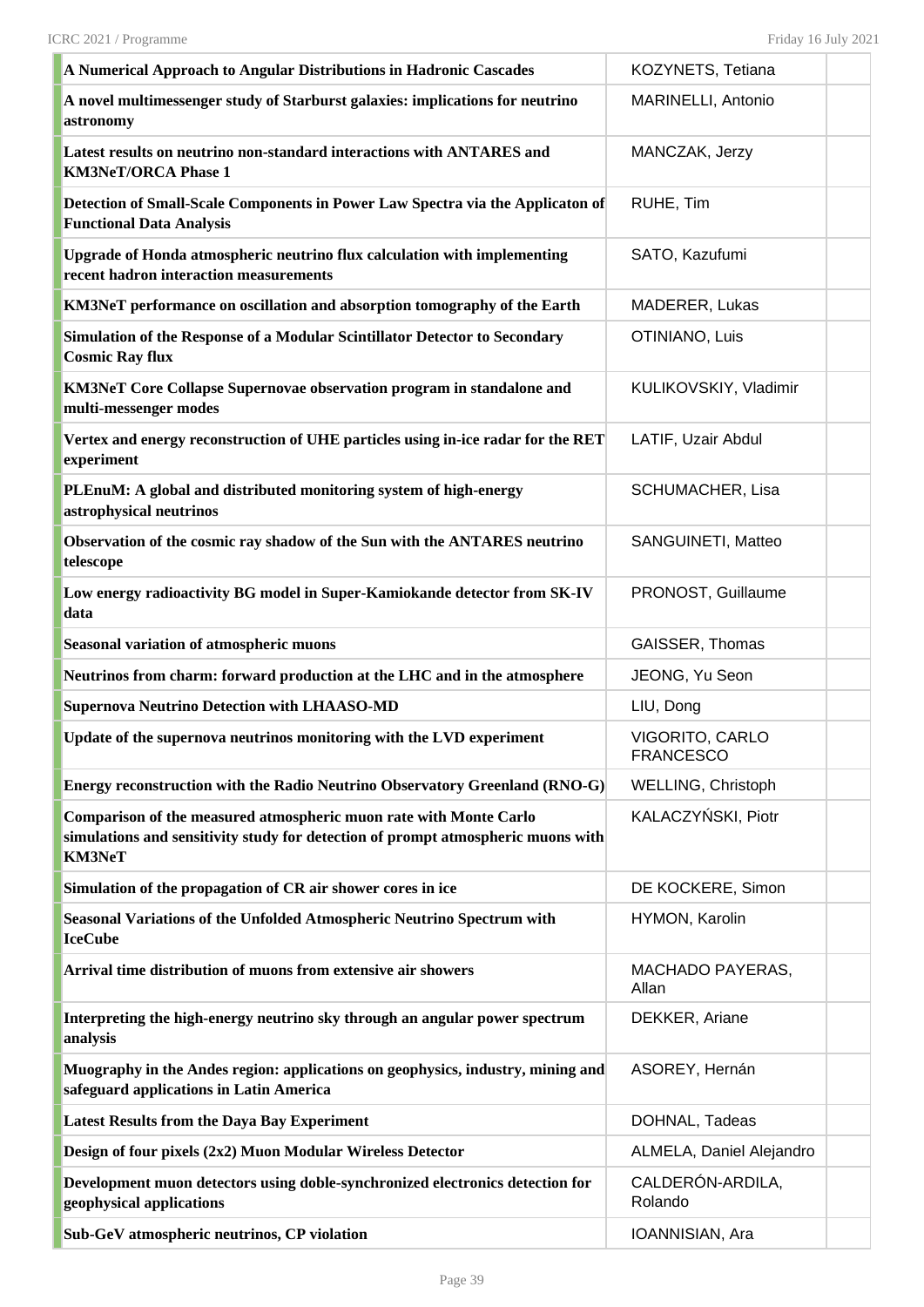| A Numerical Approach to Angular Distributions in Hadronic Cascades                                                                                                     | KOZYNETS, Tetiana                   |  |
|------------------------------------------------------------------------------------------------------------------------------------------------------------------------|-------------------------------------|--|
| A novel multimessenger study of Starburst galaxies: implications for neutrino<br>astronomy                                                                             | MARINELLI, Antonio                  |  |
| Latest results on neutrino non-standard interactions with ANTARES and<br><b>KM3NeT/ORCA Phase 1</b>                                                                    | MANCZAK, Jerzy                      |  |
| Detection of Small-Scale Components in Power Law Spectra via the Applicaton of<br><b>Functional Data Analysis</b>                                                      | RUHE, Tim                           |  |
| Upgrade of Honda atmospheric neutrino flux calculation with implementing<br>recent hadron interaction measurements                                                     | SATO, Kazufumi                      |  |
| KM3NeT performance on oscillation and absorption tomography of the Earth                                                                                               | MADERER, Lukas                      |  |
| Simulation of the Response of a Modular Scintillator Detector to Secondary<br><b>Cosmic Ray flux</b>                                                                   | OTINIANO, Luis                      |  |
| KM3NeT Core Collapse Supernovae observation program in standalone and<br>multi-messenger modes                                                                         | KULIKOVSKIY, Vladimir               |  |
| Vertex and energy reconstruction of UHE particles using in-ice radar for the RET<br>experiment                                                                         | LATIF, Uzair Abdul                  |  |
| PLEnuM: A global and distributed monitoring system of high-energy<br>astrophysical neutrinos                                                                           | SCHUMACHER, Lisa                    |  |
| Observation of the cosmic ray shadow of the Sun with the ANTARES neutrino<br>telescope                                                                                 | SANGUINETI, Matteo                  |  |
| Low energy radioactivity BG model in Super-Kamiokande detector from SK-IV<br>data                                                                                      | PRONOST, Guillaume                  |  |
| <b>Seasonal variation of atmospheric muons</b>                                                                                                                         | GAISSER, Thomas                     |  |
| Neutrinos from charm: forward production at the LHC and in the atmosphere                                                                                              | JEONG, Yu Seon                      |  |
| <b>Supernova Neutrino Detection with LHAASO-MD</b>                                                                                                                     | LIU, Dong                           |  |
| Update of the supernova neutrinos monitoring with the LVD experiment                                                                                                   | VIGORITO, CARLO<br><b>FRANCESCO</b> |  |
| Energy reconstruction with the Radio Neutrino Observatory Greenland (RNO-G)                                                                                            | WELLING, Christoph                  |  |
| Comparison of the measured atmospheric muon rate with Monte Carlo<br>simulations and sensitivity study for detection of prompt atmospheric muons with<br><b>KM3NeT</b> | KALACZYŃSKI, Piotr                  |  |
| Simulation of the propagation of CR air shower cores in ice                                                                                                            | DE KOCKERE, Simon                   |  |
| Seasonal Variations of the Unfolded Atmospheric Neutrino Spectrum with<br><b>IceCube</b>                                                                               | HYMON, Karolin                      |  |
| Arrival time distribution of muons from extensive air showers                                                                                                          | MACHADO PAYERAS,<br>Allan           |  |
| Interpreting the high-energy neutrino sky through an angular power spectrum<br>analysis                                                                                | DEKKER, Ariane                      |  |
| Muography in the Andes region: applications on geophysics, industry, mining and<br>safeguard applications in Latin America                                             | ASOREY, Hernán                      |  |
| <b>Latest Results from the Daya Bay Experiment</b>                                                                                                                     | DOHNAL, Tadeas                      |  |
| Design of four pixels (2x2) Muon Modular Wireless Detector                                                                                                             | ALMELA, Daniel Alejandro            |  |
| Development muon detectors using doble-synchronized electronics detection for<br>geophysical applications                                                              | CALDERÓN-ARDILA,<br>Rolando         |  |
| Sub-GeV atmospheric neutrinos, CP violation                                                                                                                            | IOANNISIAN, Ara                     |  |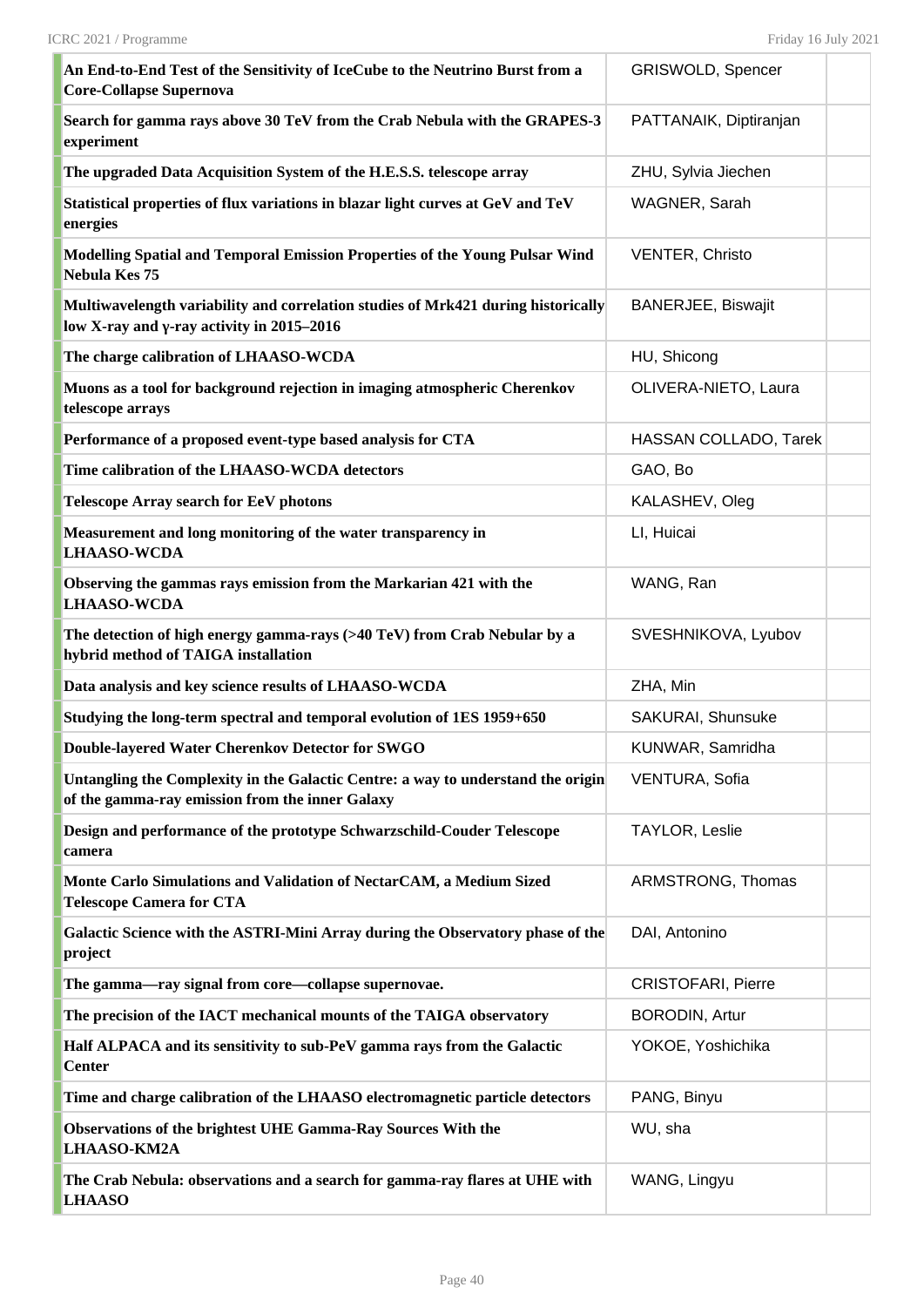| An End-to-End Test of the Sensitivity of IceCube to the Neutrino Burst from a<br><b>Core-Collapse Supernova</b>                        | GRISWOLD, Spencer         |  |
|----------------------------------------------------------------------------------------------------------------------------------------|---------------------------|--|
| Search for gamma rays above 30 TeV from the Crab Nebula with the GRAPES-3<br>experiment                                                | PATTANAIK, Diptiranjan    |  |
| The upgraded Data Acquisition System of the H.E.S.S. telescope array                                                                   | ZHU, Sylvia Jiechen       |  |
| Statistical properties of flux variations in blazar light curves at GeV and TeV<br>energies                                            | WAGNER, Sarah             |  |
| Modelling Spatial and Temporal Emission Properties of the Young Pulsar Wind<br>Nebula Kes 75                                           | <b>VENTER, Christo</b>    |  |
| Multiwavelength variability and correlation studies of Mrk421 during historically<br>low X-ray and $\gamma$ -ray activity in 2015–2016 | <b>BANERJEE, Biswajit</b> |  |
| The charge calibration of LHAASO-WCDA                                                                                                  | HU, Shicong               |  |
| Muons as a tool for background rejection in imaging atmospheric Cherenkov<br>telescope arrays                                          | OLIVERA-NIETO, Laura      |  |
| Performance of a proposed event-type based analysis for CTA                                                                            | HASSAN COLLADO, Tarek     |  |
| Time calibration of the LHAASO-WCDA detectors                                                                                          | GAO, Bo                   |  |
| <b>Telescope Array search for EeV photons</b>                                                                                          | KALASHEV, Oleg            |  |
| Measurement and long monitoring of the water transparency in<br><b>LHAASO-WCDA</b>                                                     | LI, Huicai                |  |
| Observing the gammas rays emission from the Markarian 421 with the<br><b>LHAASO-WCDA</b>                                               | WANG, Ran                 |  |
| The detection of high energy gamma-rays (>40 TeV) from Crab Nebular by a<br>hybrid method of TAIGA installation                        | SVESHNIKOVA, Lyubov       |  |
| Data analysis and key science results of LHAASO-WCDA                                                                                   | ZHA, Min                  |  |
| Studying the long-term spectral and temporal evolution of 1ES 1959+650                                                                 | SAKURAI, Shunsuke         |  |
| Double-layered Water Cherenkov Detector for SWGO                                                                                       | KUNWAR, Samridha          |  |
| Untangling the Complexity in the Galactic Centre: a way to understand the origin<br>of the gamma-ray emission from the inner Galaxy    | VENTURA, Sofia            |  |
| Design and performance of the prototype Schwarzschild-Couder Telescope<br>camera                                                       | TAYLOR, Leslie            |  |
| Monte Carlo Simulations and Validation of NectarCAM, a Medium Sized<br><b>Telescope Camera for CTA</b>                                 | ARMSTRONG, Thomas         |  |
| Galactic Science with the ASTRI-Mini Array during the Observatory phase of the<br>project                                              | DAI, Antonino             |  |
| The gamma—ray signal from core—collapse supernovae.                                                                                    | <b>CRISTOFARI, Pierre</b> |  |
| The precision of the IACT mechanical mounts of the TAIGA observatory                                                                   | <b>BORODIN, Artur</b>     |  |
| Half ALPACA and its sensitivity to sub-PeV gamma rays from the Galactic<br><b>Center</b>                                               | YOKOE, Yoshichika         |  |
| Time and charge calibration of the LHAASO electromagnetic particle detectors                                                           | PANG, Binyu               |  |
| Observations of the brightest UHE Gamma-Ray Sources With the<br><b>LHAASO-KM2A</b>                                                     | WU, sha                   |  |
| The Crab Nebula: observations and a search for gamma-ray flares at UHE with<br><b>LHAASO</b>                                           | WANG, Lingyu              |  |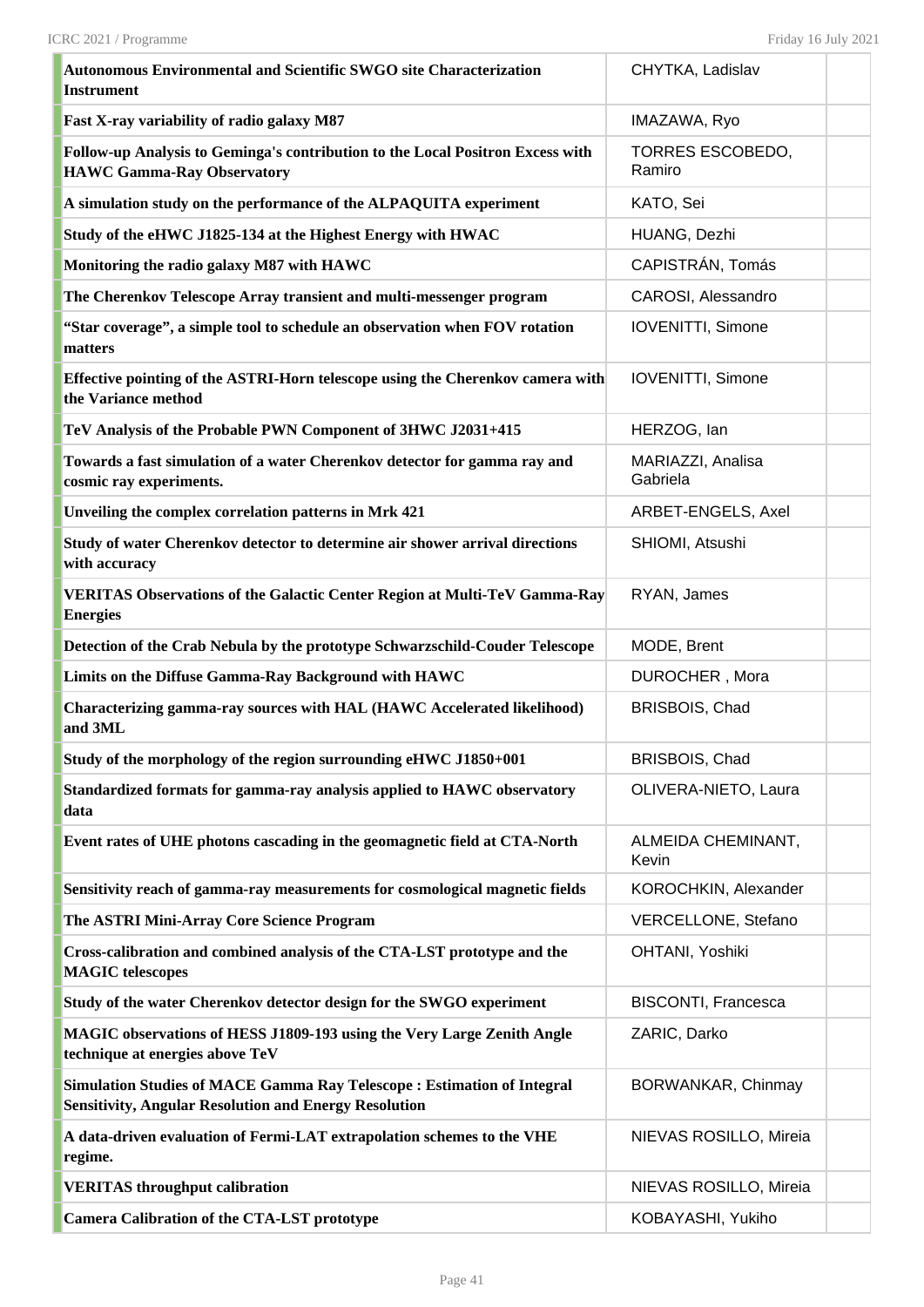| Autonomous Environmental and Scientific SWGO site Characterization<br><b>Instrument</b>                                                       | CHYTKA, Ladislav              |  |
|-----------------------------------------------------------------------------------------------------------------------------------------------|-------------------------------|--|
| Fast X-ray variability of radio galaxy M87                                                                                                    | IMAZAWA, Ryo                  |  |
| Follow-up Analysis to Geminga's contribution to the Local Positron Excess with<br><b>HAWC Gamma-Ray Observatory</b>                           | TORRES ESCOBEDO,<br>Ramiro    |  |
| A simulation study on the performance of the ALPAQUITA experiment                                                                             | KATO, Sei                     |  |
| Study of the eHWC J1825-134 at the Highest Energy with HWAC                                                                                   | HUANG, Dezhi                  |  |
| Monitoring the radio galaxy M87 with HAWC                                                                                                     | CAPISTRÁN, Tomás              |  |
| The Cherenkov Telescope Array transient and multi-messenger program                                                                           | CAROSI, Alessandro            |  |
| "Star coverage", a simple tool to schedule an observation when FOV rotation<br>matters                                                        | IOVENITTI, Simone             |  |
| Effective pointing of the ASTRI-Horn telescope using the Cherenkov camera with<br>the Variance method                                         | <b>IOVENITTI, Simone</b>      |  |
| TeV Analysis of the Probable PWN Component of 3HWC J2031+415                                                                                  | HERZOG, Ian                   |  |
| Towards a fast simulation of a water Cherenkov detector for gamma ray and<br>cosmic ray experiments.                                          | MARIAZZI, Analisa<br>Gabriela |  |
| Unveiling the complex correlation patterns in Mrk 421                                                                                         | ARBET-ENGELS, Axel            |  |
| Study of water Cherenkov detector to determine air shower arrival directions<br>with accuracy                                                 | SHIOMI, Atsushi               |  |
| <b>VERITAS Observations of the Galactic Center Region at Multi-TeV Gamma-Ray</b><br><b>Energies</b>                                           | RYAN, James                   |  |
| Detection of the Crab Nebula by the prototype Schwarzschild-Couder Telescope                                                                  | MODE, Brent                   |  |
| Limits on the Diffuse Gamma-Ray Background with HAWC                                                                                          | DUROCHER, Mora                |  |
| Characterizing gamma-ray sources with HAL (HAWC Accelerated likelihood)<br>and 3ML                                                            | <b>BRISBOIS, Chad</b>         |  |
| Study of the morphology of the region surrounding eHWC J1850+001                                                                              | BRISBOIS, Chad                |  |
| Standardized formats for gamma-ray analysis applied to HAWC observatory<br>data                                                               | OLIVERA-NIETO, Laura          |  |
| Event rates of UHE photons cascading in the geomagnetic field at CTA-North                                                                    | ALMEIDA CHEMINANT,<br>Kevin   |  |
| Sensitivity reach of gamma-ray measurements for cosmological magnetic fields                                                                  | KOROCHKIN, Alexander          |  |
| The ASTRI Mini-Array Core Science Program                                                                                                     | VERCELLONE, Stefano           |  |
| Cross-calibration and combined analysis of the CTA-LST prototype and the<br><b>MAGIC</b> telescopes                                           | OHTANI, Yoshiki               |  |
| Study of the water Cherenkov detector design for the SWGO experiment                                                                          | <b>BISCONTI, Francesca</b>    |  |
| MAGIC observations of HESS J1809-193 using the Very Large Zenith Angle<br>technique at energies above TeV                                     | ZARIC, Darko                  |  |
| <b>Simulation Studies of MACE Gamma Ray Telescope: Estimation of Integral</b><br><b>Sensitivity, Angular Resolution and Energy Resolution</b> | BORWANKAR, Chinmay            |  |
| A data-driven evaluation of Fermi-LAT extrapolation schemes to the VHE<br>regime.                                                             | NIEVAS ROSILLO, Mireia        |  |
| <b>VERITAS throughput calibration</b>                                                                                                         | NIEVAS ROSILLO, Mireia        |  |
| <b>Camera Calibration of the CTA-LST prototype</b>                                                                                            | KOBAYASHI, Yukiho             |  |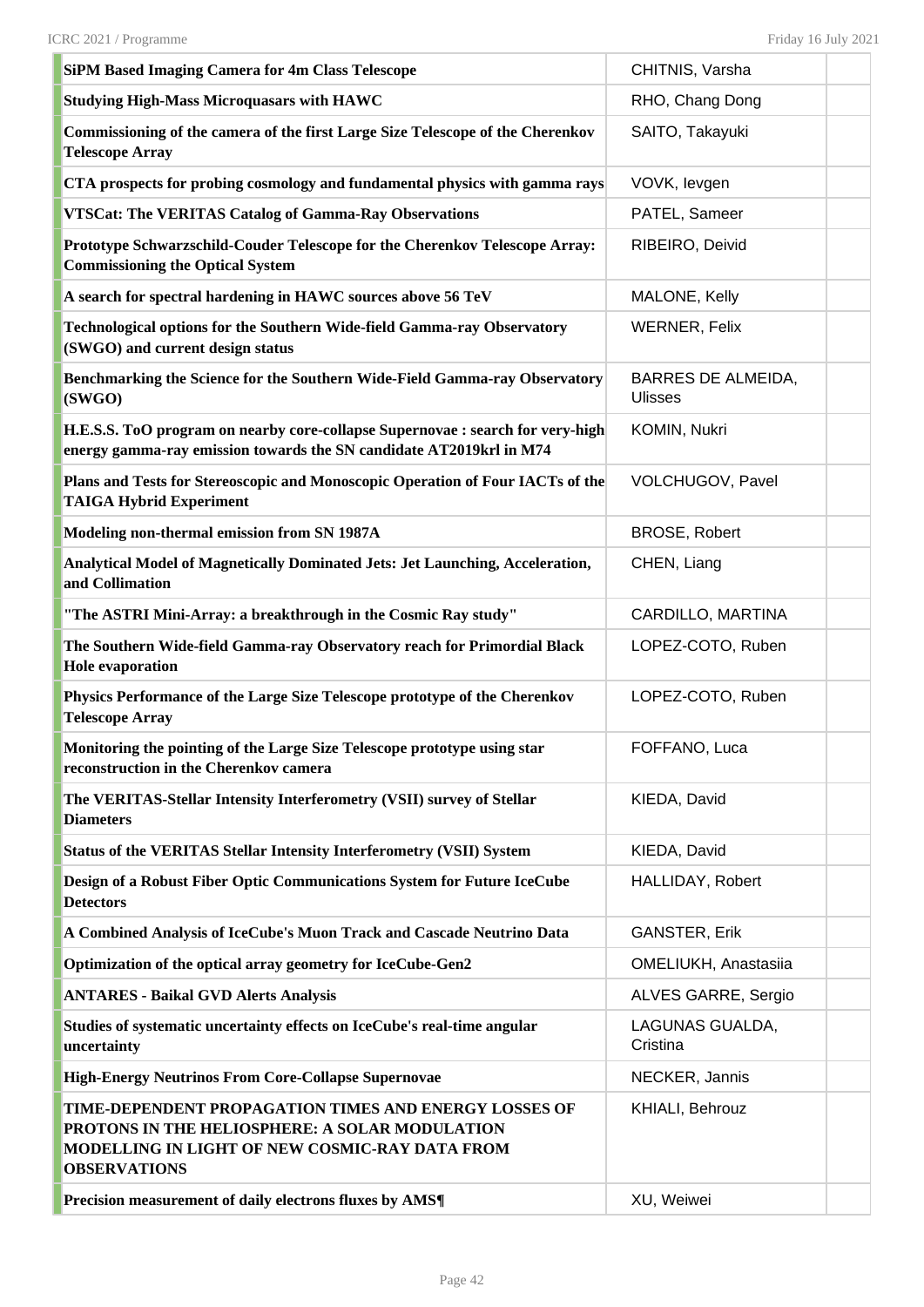| <b>SiPM Based Imaging Camera for 4m Class Telescope</b>                                                                                                                          | CHITNIS, Varsha                             |
|----------------------------------------------------------------------------------------------------------------------------------------------------------------------------------|---------------------------------------------|
| <b>Studying High-Mass Microquasars with HAWC</b>                                                                                                                                 | RHO, Chang Dong                             |
| Commissioning of the camera of the first Large Size Telescope of the Cherenkov<br><b>Telescope Array</b>                                                                         | SAITO, Takayuki                             |
| CTA prospects for probing cosmology and fundamental physics with gamma rays                                                                                                      | VOVK, levgen                                |
| <b>VTSCat: The VERITAS Catalog of Gamma-Ray Observations</b>                                                                                                                     | PATEL, Sameer                               |
| Prototype Schwarzschild-Couder Telescope for the Cherenkov Telescope Array:<br><b>Commissioning the Optical System</b>                                                           | RIBEIRO, Deivid                             |
| A search for spectral hardening in HAWC sources above 56 TeV                                                                                                                     | MALONE, Kelly                               |
| Technological options for the Southern Wide-field Gamma-ray Observatory<br>(SWGO) and current design status                                                                      | <b>WERNER, Felix</b>                        |
| Benchmarking the Science for the Southern Wide-Field Gamma-ray Observatory<br>(SWGO)                                                                                             | <b>BARRES DE ALMEIDA,</b><br><b>Ulisses</b> |
| H.E.S.S. ToO program on nearby core-collapse Supernovae : search for very-high<br>energy gamma-ray emission towards the SN candidate AT2019krl in M74                            | KOMIN, Nukri                                |
| Plans and Tests for Stereoscopic and Monoscopic Operation of Four IACTs of the<br><b>TAIGA Hybrid Experiment</b>                                                                 | VOLCHUGOV, Pavel                            |
| Modeling non-thermal emission from SN 1987A                                                                                                                                      | <b>BROSE, Robert</b>                        |
| Analytical Model of Magnetically Dominated Jets: Jet Launching, Acceleration,<br>and Collimation                                                                                 | CHEN, Liang                                 |
| "The ASTRI Mini-Array: a breakthrough in the Cosmic Ray study"                                                                                                                   | CARDILLO, MARTINA                           |
| The Southern Wide-field Gamma-ray Observatory reach for Primordial Black<br><b>Hole evaporation</b>                                                                              | LOPEZ-COTO, Ruben                           |
| Physics Performance of the Large Size Telescope prototype of the Cherenkov<br><b>Telescope Array</b>                                                                             | LOPEZ-COTO, Ruben                           |
| Monitoring the pointing of the Large Size Telescope prototype using star<br>reconstruction in the Cherenkov camera                                                               | FOFFANO, Luca                               |
| The VERITAS-Stellar Intensity Interferometry (VSII) survey of Stellar<br><b>Diameters</b>                                                                                        | KIEDA, David                                |
| <b>Status of the VERITAS Stellar Intensity Interferometry (VSII) System</b>                                                                                                      | KIEDA, David                                |
| Design of a Robust Fiber Optic Communications System for Future IceCube<br><b>Detectors</b>                                                                                      | HALLIDAY, Robert                            |
| A Combined Analysis of IceCube's Muon Track and Cascade Neutrino Data                                                                                                            | <b>GANSTER, Erik</b>                        |
| Optimization of the optical array geometry for IceCube-Gen2                                                                                                                      | OMELIUKH, Anastasiia                        |
| <b>ANTARES - Baikal GVD Alerts Analysis</b>                                                                                                                                      | ALVES GARRE, Sergio                         |
| Studies of systematic uncertainty effects on IceCube's real-time angular<br>uncertainty                                                                                          | LAGUNAS GUALDA,<br>Cristina                 |
| <b>High-Energy Neutrinos From Core-Collapse Supernovae</b>                                                                                                                       | NECKER, Jannis                              |
| TIME-DEPENDENT PROPAGATION TIMES AND ENERGY LOSSES OF<br>PROTONS IN THE HELIOSPHERE: A SOLAR MODULATION<br>MODELLING IN LIGHT OF NEW COSMIC-RAY DATA FROM<br><b>OBSERVATIONS</b> | KHIALI, Behrouz                             |
| Precision measurement of daily electrons fluxes by AMS¶                                                                                                                          | XU, Weiwei                                  |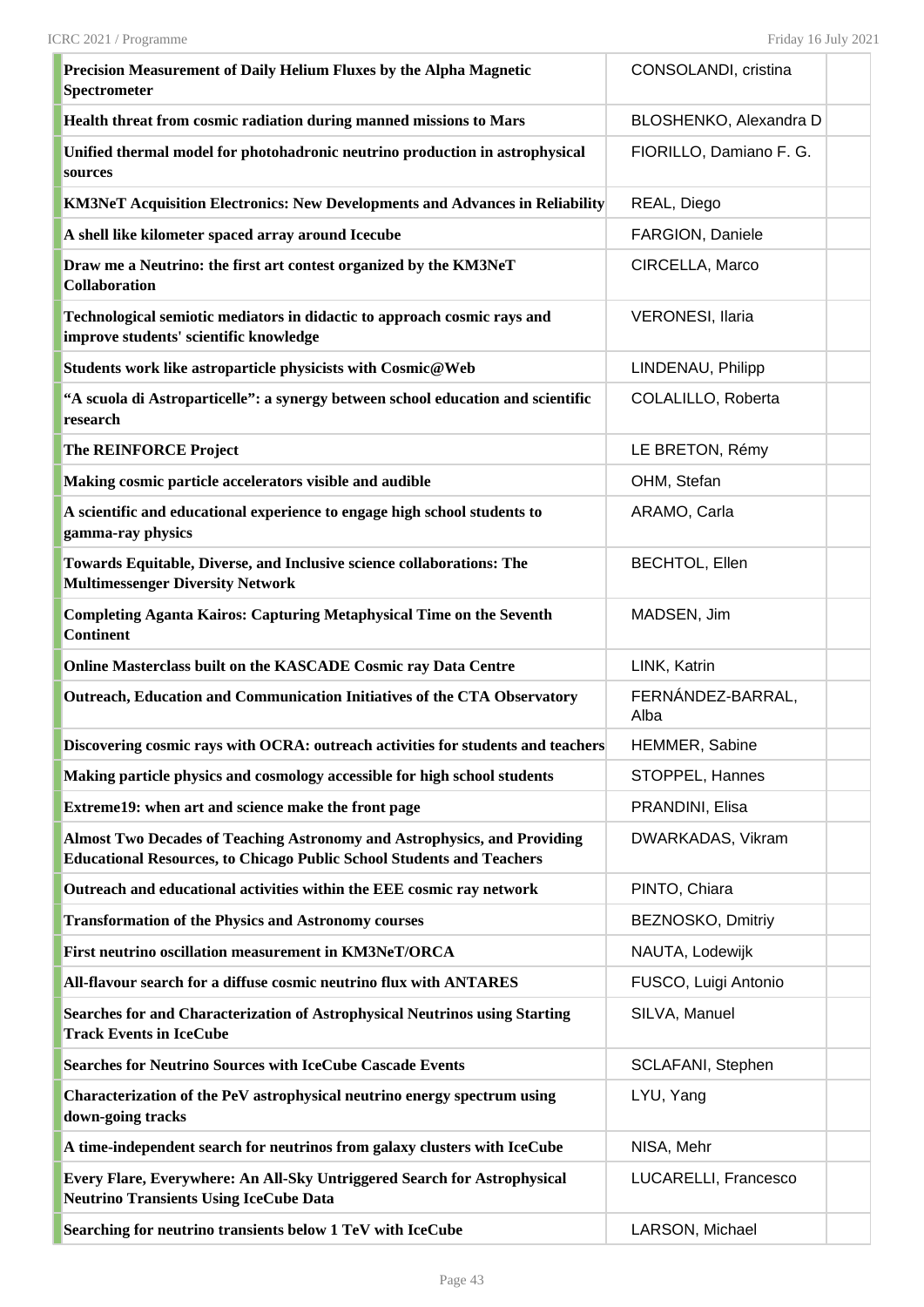| Precision Measurement of Daily Helium Fluxes by the Alpha Magnetic<br>Spectrometer                                                                       | CONSOLANDI, cristina      |
|----------------------------------------------------------------------------------------------------------------------------------------------------------|---------------------------|
| Health threat from cosmic radiation during manned missions to Mars                                                                                       | BLOSHENKO, Alexandra D    |
| Unified thermal model for photohadronic neutrino production in astrophysical<br>sources                                                                  | FIORILLO, Damiano F. G.   |
| <b>KM3NeT Acquisition Electronics: New Developments and Advances in Reliability</b>                                                                      | REAL, Diego               |
| A shell like kilometer spaced array around Icecube                                                                                                       | FARGION, Daniele          |
| Draw me a Neutrino: the first art contest organized by the KM3NeT<br><b>Collaboration</b>                                                                | CIRCELLA, Marco           |
| Technological semiotic mediators in didactic to approach cosmic rays and<br>improve students' scientific knowledge                                       | <b>VERONESI, Ilaria</b>   |
| Students work like astroparticle physicists with Cosmic@Web                                                                                              | LINDENAU, Philipp         |
| "A scuola di Astroparticelle": a synergy between school education and scientific<br>research                                                             | COLALILLO, Roberta        |
| The REINFORCE Project                                                                                                                                    | LE BRETON, Rémy           |
| Making cosmic particle accelerators visible and audible                                                                                                  | OHM, Stefan               |
| A scientific and educational experience to engage high school students to<br>gamma-ray physics                                                           | ARAMO, Carla              |
| Towards Equitable, Diverse, and Inclusive science collaborations: The<br><b>Multimessenger Diversity Network</b>                                         | <b>BECHTOL, Ellen</b>     |
| <b>Completing Aganta Kairos: Capturing Metaphysical Time on the Seventh</b><br><b>Continent</b>                                                          | MADSEN, Jim               |
| Online Masterclass built on the KASCADE Cosmic ray Data Centre                                                                                           | LINK, Katrin              |
| Outreach, Education and Communication Initiatives of the CTA Observatory                                                                                 | FERNÁNDEZ-BARRAL,<br>Alba |
| Discovering cosmic rays with OCRA: outreach activities for students and teachers                                                                         | HEMMER, Sabine            |
| Making particle physics and cosmology accessible for high school students                                                                                | STOPPEL, Hannes           |
| Extreme19: when art and science make the front page                                                                                                      | PRANDINI, Elisa           |
| Almost Two Decades of Teaching Astronomy and Astrophysics, and Providing<br><b>Educational Resources, to Chicago Public School Students and Teachers</b> | DWARKADAS, Vikram         |
| Outreach and educational activities within the EEE cosmic ray network                                                                                    | PINTO, Chiara             |
| <b>Transformation of the Physics and Astronomy courses</b>                                                                                               | BEZNOSKO, Dmitriy         |
| First neutrino oscillation measurement in KM3NeT/ORCA                                                                                                    | NAUTA, Lodewijk           |
| All-flavour search for a diffuse cosmic neutrino flux with ANTARES                                                                                       | FUSCO, Luigi Antonio      |
| Searches for and Characterization of Astrophysical Neutrinos using Starting<br><b>Track Events in IceCube</b>                                            | SILVA, Manuel             |
| <b>Searches for Neutrino Sources with IceCube Cascade Events</b>                                                                                         | SCLAFANI, Stephen         |
| Characterization of the PeV astrophysical neutrino energy spectrum using<br>down-going tracks                                                            | LYU, Yang                 |
| A time-independent search for neutrinos from galaxy clusters with IceCube                                                                                | NISA, Mehr                |
| Every Flare, Everywhere: An All-Sky Untriggered Search for Astrophysical<br><b>Neutrino Transients Using IceCube Data</b>                                | LUCARELLI, Francesco      |
| Searching for neutrino transients below 1 TeV with IceCube                                                                                               | LARSON, Michael           |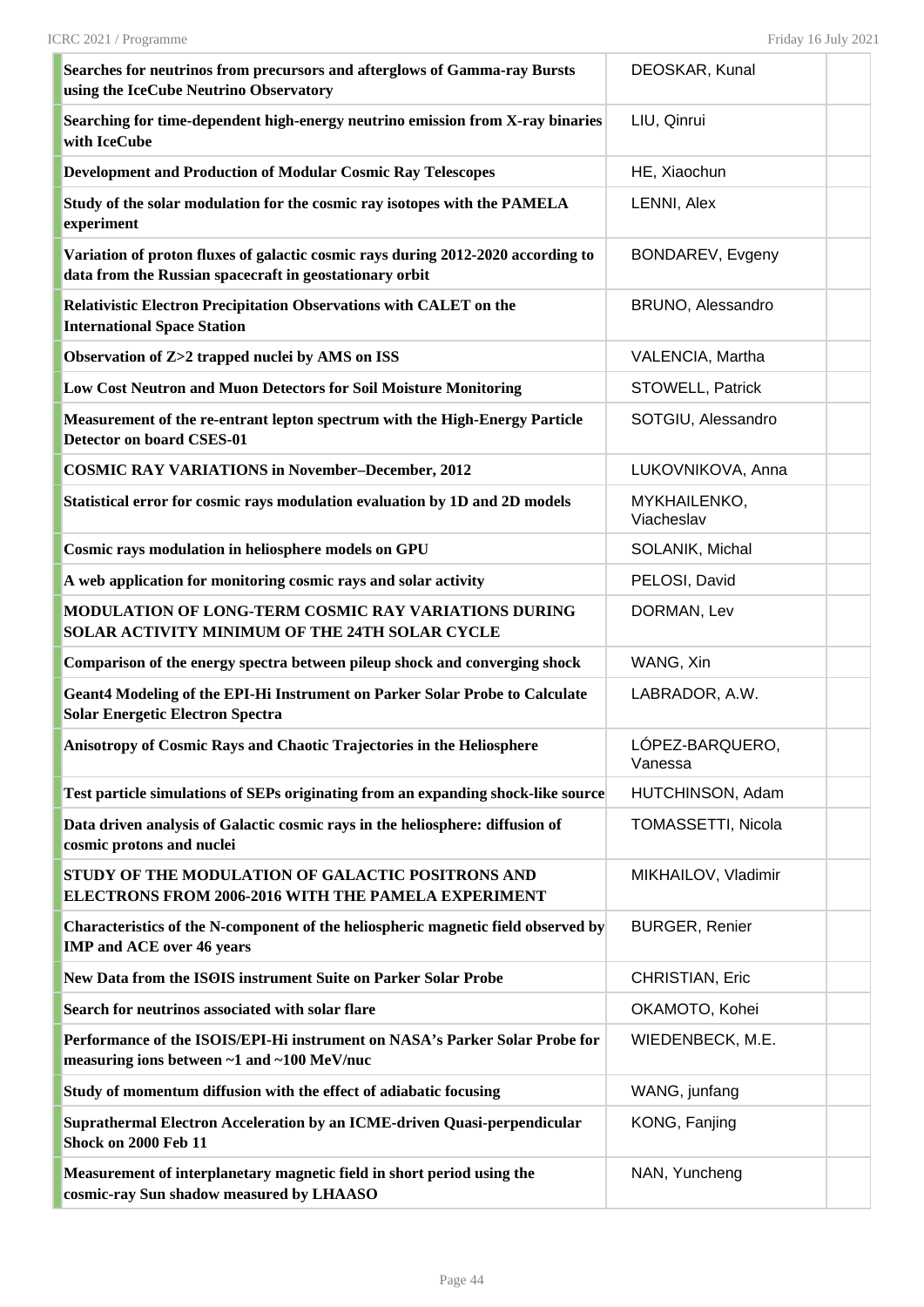| Searches for neutrinos from precursors and afterglows of Gamma-ray Bursts<br>using the IceCube Neutrino Observatory                         | DEOSKAR, Kunal             |  |
|---------------------------------------------------------------------------------------------------------------------------------------------|----------------------------|--|
| Searching for time-dependent high-energy neutrino emission from X-ray binaries<br>with IceCube                                              | LIU, Qinrui                |  |
| <b>Development and Production of Modular Cosmic Ray Telescopes</b>                                                                          | HE, Xiaochun               |  |
| Study of the solar modulation for the cosmic ray isotopes with the PAMELA<br>experiment                                                     | LENNI, Alex                |  |
| Variation of proton fluxes of galactic cosmic rays during 2012-2020 according to<br>data from the Russian spacecraft in geostationary orbit | BONDAREV, Evgeny           |  |
| Relativistic Electron Precipitation Observations with CALET on the<br><b>International Space Station</b>                                    | BRUNO, Alessandro          |  |
| Observation of Z>2 trapped nuclei by AMS on ISS                                                                                             | VALENCIA, Martha           |  |
| Low Cost Neutron and Muon Detectors for Soil Moisture Monitoring                                                                            | STOWELL, Patrick           |  |
| Measurement of the re-entrant lepton spectrum with the High-Energy Particle<br><b>Detector on board CSES-01</b>                             | SOTGIU, Alessandro         |  |
| <b>COSMIC RAY VARIATIONS in November-December, 2012</b>                                                                                     | LUKOVNIKOVA, Anna          |  |
| Statistical error for cosmic rays modulation evaluation by 1D and 2D models                                                                 | MYKHAILENKO,<br>Viacheslav |  |
| Cosmic rays modulation in heliosphere models on GPU                                                                                         | SOLANIK, Michal            |  |
| A web application for monitoring cosmic rays and solar activity                                                                             | PELOSI, David              |  |
| MODULATION OF LONG-TERM COSMIC RAY VARIATIONS DURING<br>SOLAR ACTIVITY MINIMUM OF THE 24TH SOLAR CYCLE                                      | DORMAN, Lev                |  |
| Comparison of the energy spectra between pileup shock and converging shock                                                                  | WANG, Xin                  |  |
| Geant4 Modeling of the EPI-Hi Instrument on Parker Solar Probe to Calculate<br><b>Solar Energetic Electron Spectra</b>                      | LABRADOR, A.W.             |  |
| Anisotropy of Cosmic Rays and Chaotic Trajectories in the Heliosphere                                                                       | LÓPEZ-BARQUERO,<br>Vanessa |  |
| Test particle simulations of SEPs originating from an expanding shock-like source                                                           | HUTCHINSON, Adam           |  |
| Data driven analysis of Galactic cosmic rays in the heliosphere: diffusion of<br>cosmic protons and nuclei                                  | TOMASSETTI, Nicola         |  |
| <b>STUDY OF THE MODULATION OF GALACTIC POSITRONS AND</b><br>ELECTRONS FROM 2006-2016 WITH THE PAMELA EXPERIMENT                             | MIKHAILOV, Vladimir        |  |
| Characteristics of the N-component of the heliospheric magnetic field observed by<br><b>IMP and ACE over 46 years</b>                       | <b>BURGER, Renier</b>      |  |
| New Data from the ISOIS instrument Suite on Parker Solar Probe                                                                              | <b>CHRISTIAN, Eric</b>     |  |
| Search for neutrinos associated with solar flare                                                                                            | OKAMOTO, Kohei             |  |
| Performance of the ISOIS/EPI-Hi instrument on NASA's Parker Solar Probe for<br>measuring ions between ~1 and ~100 MeV/nuc                   | WIEDENBECK, M.E.           |  |
| Study of momentum diffusion with the effect of adiabatic focusing                                                                           | WANG, junfang              |  |
| Suprathermal Electron Acceleration by an ICME-driven Quasi-perpendicular<br>Shock on 2000 Feb 11                                            | KONG, Fanjing              |  |
| Measurement of interplanetary magnetic field in short period using the<br>cosmic-ray Sun shadow measured by LHAASO                          | NAN, Yuncheng              |  |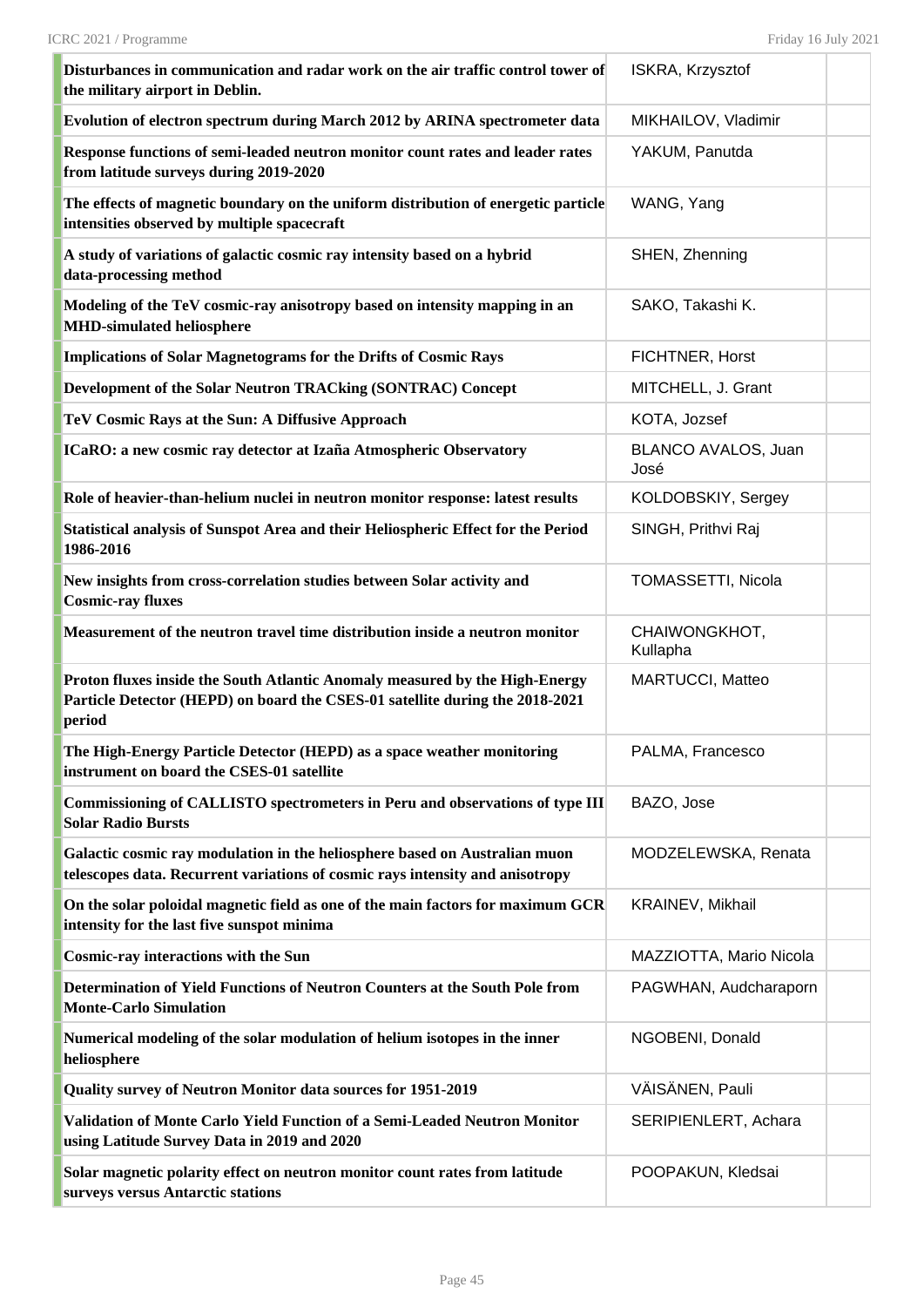| Disturbances in communication and radar work on the air traffic control tower of<br>the military airport in Deblin.                                                   | ISKRA, Krzysztof            |  |
|-----------------------------------------------------------------------------------------------------------------------------------------------------------------------|-----------------------------|--|
| Evolution of electron spectrum during March 2012 by ARINA spectrometer data                                                                                           | MIKHAILOV, Vladimir         |  |
| Response functions of semi-leaded neutron monitor count rates and leader rates<br>from latitude surveys during 2019-2020                                              | YAKUM, Panutda              |  |
| The effects of magnetic boundary on the uniform distribution of energetic particle<br>intensities observed by multiple spacecraft                                     | WANG, Yang                  |  |
| A study of variations of galactic cosmic ray intensity based on a hybrid<br>data-processing method                                                                    | SHEN, Zhenning              |  |
| Modeling of the TeV cosmic-ray anisotropy based on intensity mapping in an<br><b>MHD-simulated heliosphere</b>                                                        | SAKO, Takashi K.            |  |
| <b>Implications of Solar Magnetograms for the Drifts of Cosmic Rays</b>                                                                                               | FICHTNER, Horst             |  |
| Development of the Solar Neutron TRACking (SONTRAC) Concept                                                                                                           | MITCHELL, J. Grant          |  |
| TeV Cosmic Rays at the Sun: A Diffusive Approach                                                                                                                      | KOTA, Jozsef                |  |
| ICaRO: a new cosmic ray detector at Izaña Atmospheric Observatory                                                                                                     | BLANCO AVALOS, Juan<br>José |  |
| Role of heavier-than-helium nuclei in neutron monitor response: latest results                                                                                        | KOLDOBSKIY, Sergey          |  |
| Statistical analysis of Sunspot Area and their Heliospheric Effect for the Period<br>1986-2016                                                                        | SINGH, Prithvi Raj          |  |
| New insights from cross-correlation studies between Solar activity and<br><b>Cosmic-ray fluxes</b>                                                                    | TOMASSETTI, Nicola          |  |
| Measurement of the neutron travel time distribution inside a neutron monitor                                                                                          | CHAIWONGKHOT,<br>Kullapha   |  |
| Proton fluxes inside the South Atlantic Anomaly measured by the High-Energy<br>Particle Detector (HEPD) on board the CSES-01 satellite during the 2018-2021<br>period | MARTUCCI, Matteo            |  |
| The High-Energy Particle Detector (HEPD) as a space weather monitoring<br>instrument on board the CSES-01 satellite                                                   | PALMA, Francesco            |  |
| Commissioning of CALLISTO spectrometers in Peru and observations of type III<br><b>Solar Radio Bursts</b>                                                             | BAZO, Jose                  |  |
| Galactic cosmic ray modulation in the heliosphere based on Australian muon<br>telescopes data. Recurrent variations of cosmic rays intensity and anisotropy           | MODZELEWSKA, Renata         |  |
| On the solar poloidal magnetic field as one of the main factors for maximum GCR<br>intensity for the last five sunspot minima                                         | KRAINEV, Mikhail            |  |
| <b>Cosmic-ray interactions with the Sun</b>                                                                                                                           | MAZZIOTTA, Mario Nicola     |  |
| Determination of Yield Functions of Neutron Counters at the South Pole from<br><b>Monte-Carlo Simulation</b>                                                          | PAGWHAN, Audcharaporn       |  |
| Numerical modeling of the solar modulation of helium isotopes in the inner<br>heliosphere                                                                             | NGOBENI, Donald             |  |
| Quality survey of Neutron Monitor data sources for 1951-2019                                                                                                          | VÄISÄNEN, Pauli             |  |
| Validation of Monte Carlo Yield Function of a Semi-Leaded Neutron Monitor<br>using Latitude Survey Data in 2019 and 2020                                              | SERIPIENLERT, Achara        |  |
| Solar magnetic polarity effect on neutron monitor count rates from latitude<br>surveys versus Antarctic stations                                                      | POOPAKUN, Kledsai           |  |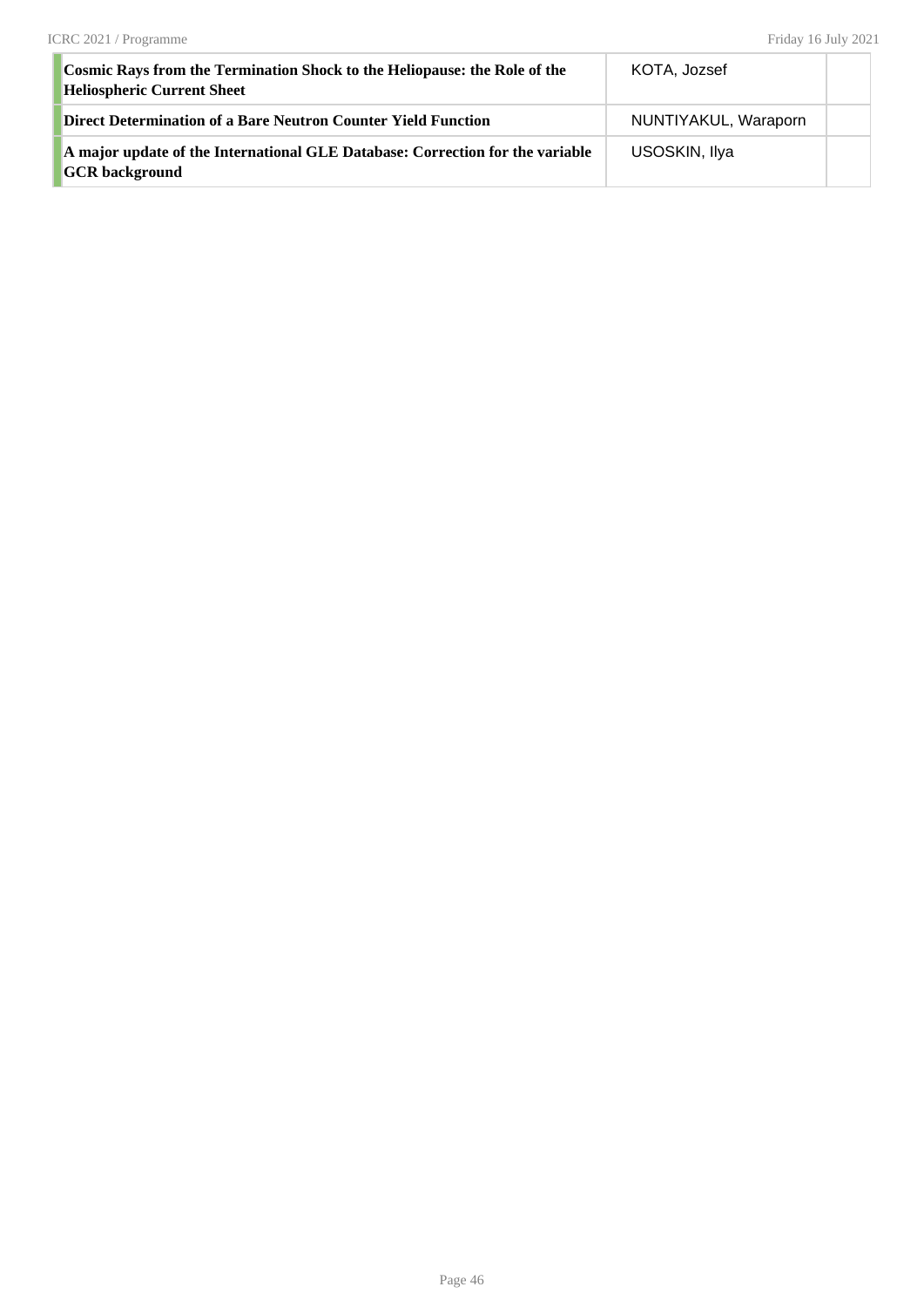| <b>Cosmic Rays from the Termination Shock to the Heliopause: the Role of the</b><br><b>Heliospheric Current Sheet</b> | KOTA, Jozsef         |  |
|-----------------------------------------------------------------------------------------------------------------------|----------------------|--|
| Direct Determination of a Bare Neutron Counter Yield Function                                                         | NUNTIYAKUL, Waraporn |  |
| A major update of the International GLE Database: Correction for the variable<br><b>GCR</b> background                | USOSKIN, Ilya        |  |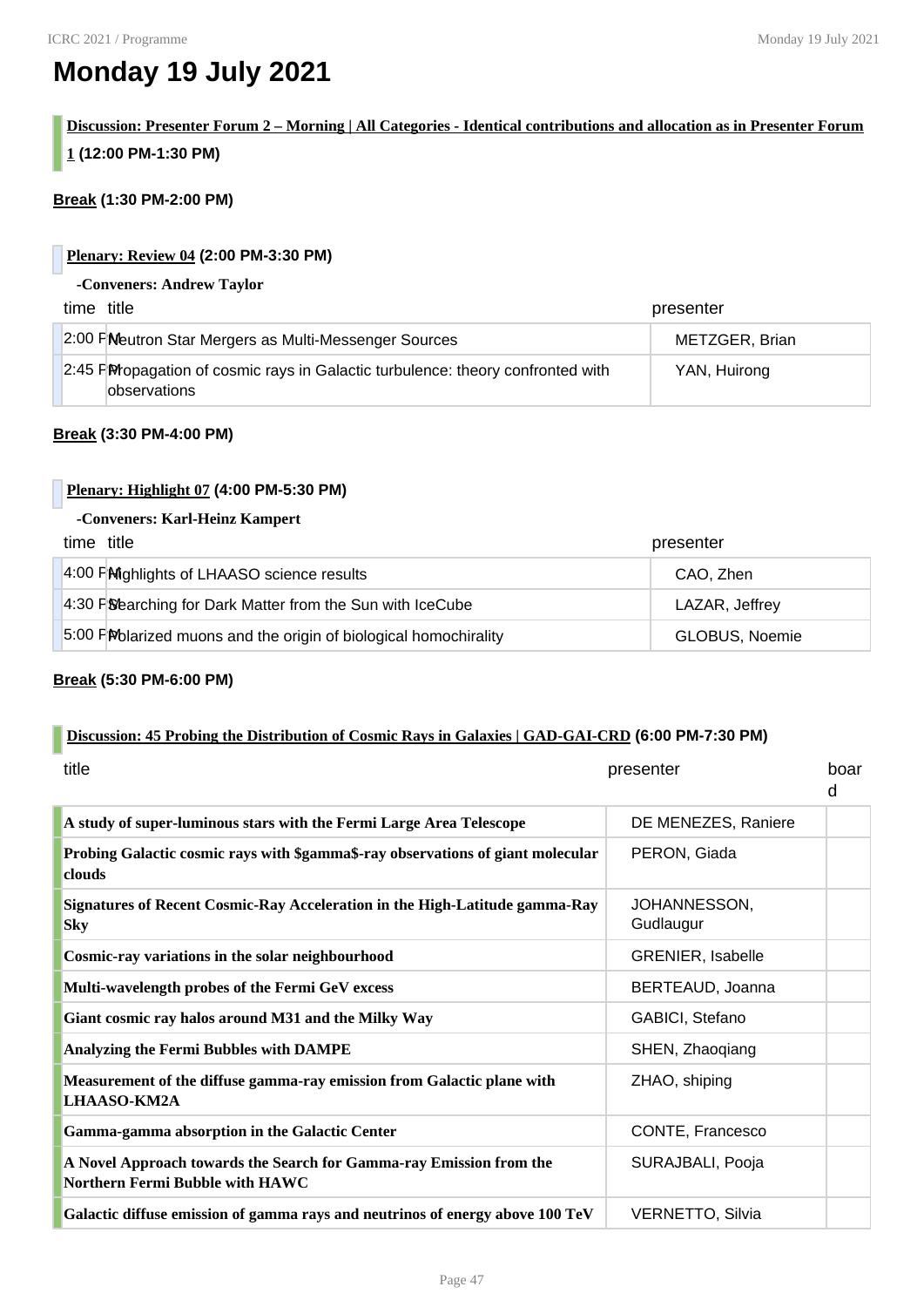# **Monday 19 July 2021**

# **Discussion: Presenter Forum 2 – Morning | All Categories - Identical contributions and allocation as in Presenter Forum 1 (12:00 PM-1:30 PM)**

#### **Break (1:30 PM-2:00 PM)**

#### **Plenary: Review 04 (2:00 PM-3:30 PM)**

#### **-Conveners: Andrew Taylor**

| time title                                                                                              | presenter      |
|---------------------------------------------------------------------------------------------------------|----------------|
| 2:00 FM beutron Star Mergers as Multi-Messenger Sources                                                 | METZGER, Brian |
| 2:45 PM opagation of cosmic rays in Galactic turbulence: theory confronted with<br><b>lobservations</b> | YAN, Huirong   |

#### **Break (3:30 PM-4:00 PM)**

#### **Plenary: Highlight 07 (4:00 PM-5:30 PM)**

#### **-Conveners: Karl-Heinz Kampert**

| time title                                                        | presenter      |
|-------------------------------------------------------------------|----------------|
| 4:00 PM ghlights of LHAASO science results                        | CAO, Zhen      |
| 4:30 PS bearching for Dark Matter from the Sun with IceCube       | LAZAR, Jeffrey |
| 5:00 PM blarized muons and the origin of biological homochirality | GLOBUS, Noemie |

#### **Break (5:30 PM-6:00 PM)**

#### **Discussion: 45 Probing the Distribution of Cosmic Rays in Galaxies | GAD-GAI-CRD (6:00 PM-7:30 PM)**

| title                                                                                                  | presenter                 | boar<br>d |
|--------------------------------------------------------------------------------------------------------|---------------------------|-----------|
| A study of super-luminous stars with the Fermi Large Area Telescope                                    | DE MENEZES, Raniere       |           |
| Probing Galactic cosmic rays with \$gamma\$-ray observations of giant molecular<br>clouds              | PERON, Giada              |           |
| Signatures of Recent Cosmic-Ray Acceleration in the High-Latitude gamma-Ray<br><b>Sky</b>              | JOHANNESSON,<br>Gudlaugur |           |
| Cosmic-ray variations in the solar neighbourhood                                                       | <b>GRENIER, Isabelle</b>  |           |
| Multi-wavelength probes of the Fermi GeV excess                                                        | BERTEAUD, Joanna          |           |
| Giant cosmic ray halos around M31 and the Milky Way                                                    | GABICI, Stefano           |           |
| Analyzing the Fermi Bubbles with DAMPE                                                                 | SHEN, Zhaoqiang           |           |
| Measurement of the diffuse gamma-ray emission from Galactic plane with<br><b>LHAASO-KM2A</b>           | ZHAO, shiping             |           |
| Gamma-gamma absorption in the Galactic Center                                                          | CONTE, Francesco          |           |
| A Novel Approach towards the Search for Gamma-ray Emission from the<br>Northern Fermi Bubble with HAWC | SURAJBALI, Pooja          |           |
| Galactic diffuse emission of gamma rays and neutrinos of energy above 100 TeV                          | <b>VERNETTO, Silvia</b>   |           |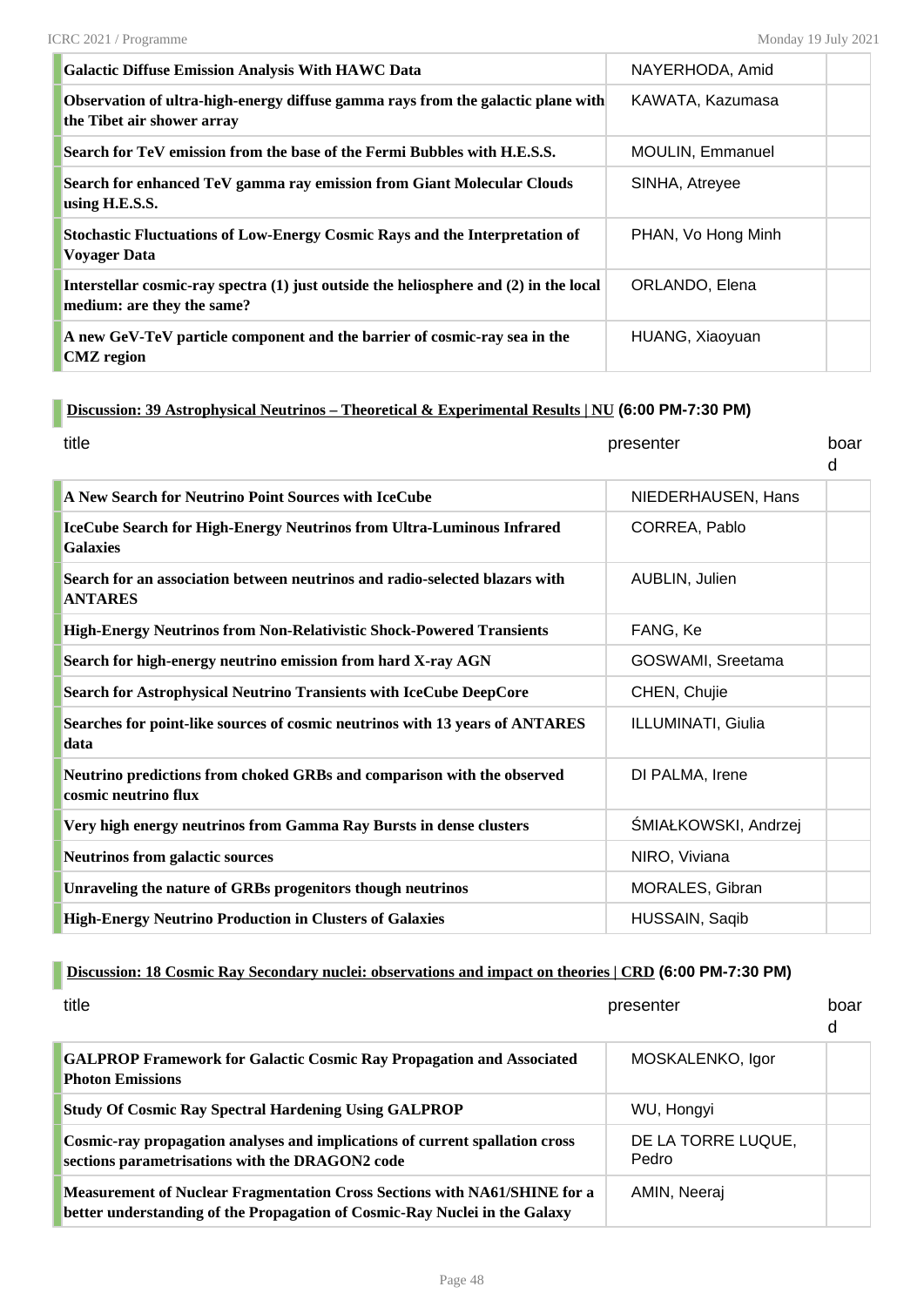| <b>Galactic Diffuse Emission Analysis With HAWC Data</b>                                                            | NAYERHODA, Amid         |  |
|---------------------------------------------------------------------------------------------------------------------|-------------------------|--|
| Observation of ultra-high-energy diffuse gamma rays from the galactic plane with<br>the Tibet air shower array      | KAWATA, Kazumasa        |  |
| Search for TeV emission from the base of the Fermi Bubbles with H.E.S.S.                                            | <b>MOULIN, Emmanuel</b> |  |
| Search for enhanced TeV gamma ray emission from Giant Molecular Clouds<br>using H.E.S.S.                            | SINHA, Atreyee          |  |
| <b>Stochastic Fluctuations of Low-Energy Cosmic Rays and the Interpretation of</b><br>Voyager Data                  | PHAN, Vo Hong Minh      |  |
| Interstellar cosmic-ray spectra (1) just outside the heliosphere and (2) in the local<br>medium: are they the same? | ORLANDO, Elena          |  |
| A new GeV-TeV particle component and the barrier of cosmic-ray sea in the<br><b>CMZ</b> region                      | HUANG, Xiaoyuan         |  |

#### **Discussion: 39 Astrophysical Neutrinos – Theoretical & Experimental Results | NU (6:00 PM-7:30 PM)**

| title                                                                                          | presenter            | hoar<br>d |
|------------------------------------------------------------------------------------------------|----------------------|-----------|
| A New Search for Neutrino Point Sources with IceCube                                           | NIEDERHAUSEN, Hans   |           |
| IceCube Search for High-Energy Neutrinos from Ultra-Luminous Infrared<br><b>Galaxies</b>       | CORREA, Pablo        |           |
| Search for an association between neutrinos and radio-selected blazars with<br><b>ANTARES</b>  | AUBLIN, Julien       |           |
| High-Energy Neutrinos from Non-Relativistic Shock-Powered Transients                           | FANG, Ke             |           |
| Search for high-energy neutrino emission from hard X-ray AGN                                   | GOSWAMI, Sreetama    |           |
| Search for Astrophysical Neutrino Transients with IceCube DeepCore                             | CHEN, Chujie         |           |
| Searches for point-like sources of cosmic neutrinos with 13 years of ANTARES<br>data           | ILLUMINATI, Giulia   |           |
| Neutrino predictions from choked GRBs and comparison with the observed<br>cosmic neutrino flux | DI PALMA, Irene      |           |
| Very high energy neutrinos from Gamma Ray Bursts in dense clusters                             | ŚMIAŁKOWSKI, Andrzej |           |
| <b>Neutrinos from galactic sources</b>                                                         | NIRO, Viviana        |           |
| Unraveling the nature of GRBs progenitors though neutrinos                                     | MORALES, Gibran      |           |
| <b>High-Energy Neutrino Production in Clusters of Galaxies</b>                                 | HUSSAIN, Saqib       |           |

## **Discussion: 18 Cosmic Ray Secondary nuclei: observations and impact on theories | CRD (6:00 PM-7:30 PM)**

| title                                                                                                                                                          | presenter                   | boar<br>d |
|----------------------------------------------------------------------------------------------------------------------------------------------------------------|-----------------------------|-----------|
| <b>GALPROP Framework for Galactic Cosmic Ray Propagation and Associated</b><br><b>Photon Emissions</b>                                                         | MOSKALENKO, Igor            |           |
| <b>Study Of Cosmic Ray Spectral Hardening Using GALPROP</b>                                                                                                    | WU, Hongyi                  |           |
| Cosmic-ray propagation analyses and implications of current spallation cross<br>sections parametrisations with the DRAGON2 code                                | DE LA TORRE LUQUE,<br>Pedro |           |
| <b>Measurement of Nuclear Fragmentation Cross Sections with NA61/SHINE for a</b><br>better understanding of the Propagation of Cosmic-Ray Nuclei in the Galaxy | AMIN, Neeraj                |           |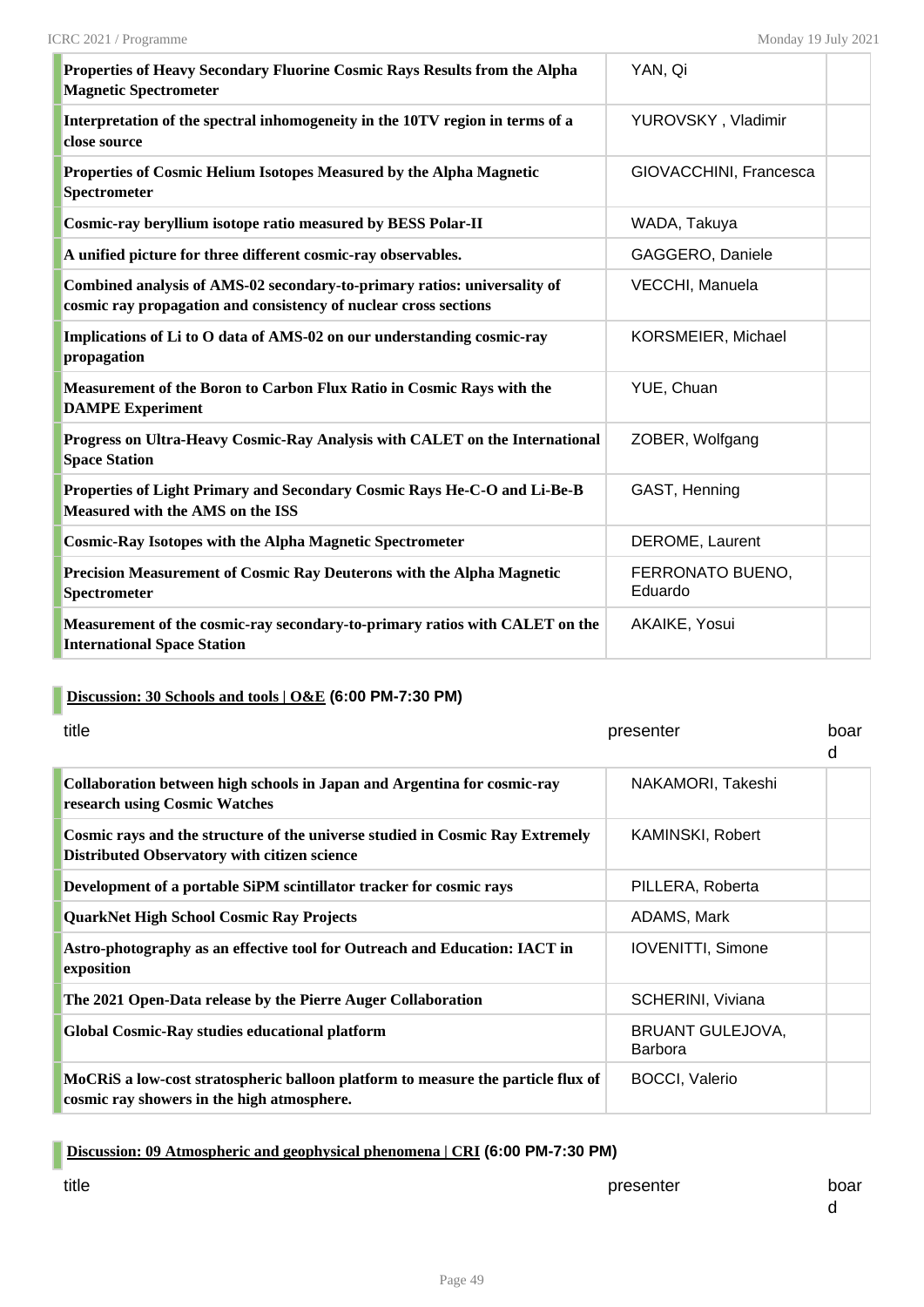| Properties of Heavy Secondary Fluorine Cosmic Rays Results from the Alpha<br><b>Magnetic Spectrometer</b>                                    | YAN, Qi                     |  |
|----------------------------------------------------------------------------------------------------------------------------------------------|-----------------------------|--|
| Interpretation of the spectral inhomogeneity in the 10TV region in terms of a<br>close source                                                | YUROVSKY, Vladimir          |  |
| Properties of Cosmic Helium Isotopes Measured by the Alpha Magnetic<br>Spectrometer                                                          | GIOVACCHINI, Francesca      |  |
| Cosmic-ray beryllium isotope ratio measured by BESS Polar-II                                                                                 | WADA, Takuya                |  |
| A unified picture for three different cosmic-ray observables.                                                                                | GAGGERO, Daniele            |  |
| Combined analysis of AMS-02 secondary-to-primary ratios: universality of<br>cosmic ray propagation and consistency of nuclear cross sections | VECCHI, Manuela             |  |
| Implications of Li to O data of AMS-02 on our understanding cosmic-ray<br>propagation                                                        | KORSMEIER, Michael          |  |
| Measurement of the Boron to Carbon Flux Ratio in Cosmic Rays with the<br><b>DAMPE Experiment</b>                                             | YUE, Chuan                  |  |
| Progress on Ultra-Heavy Cosmic-Ray Analysis with CALET on the International<br><b>Space Station</b>                                          | ZOBER, Wolfgang             |  |
| Properties of Light Primary and Secondary Cosmic Rays He-C-O and Li-Be-B<br><b>Measured with the AMS on the ISS</b>                          | GAST, Henning               |  |
| <b>Cosmic-Ray Isotopes with the Alpha Magnetic Spectrometer</b>                                                                              | DEROME, Laurent             |  |
| Precision Measurement of Cosmic Ray Deuterons with the Alpha Magnetic<br>Spectrometer                                                        | FERRONATO BUENO,<br>Eduardo |  |
| Measurement of the cosmic-ray secondary-to-primary ratios with CALET on the<br><b>International Space Station</b>                            | AKAIKE, Yosui               |  |

## **Discussion: 30 Schools and tools | O&E (6:00 PM-7:30 PM)**

| title                                                                                                                                | presenter                          | boar<br>d |
|--------------------------------------------------------------------------------------------------------------------------------------|------------------------------------|-----------|
| Collaboration between high schools in Japan and Argentina for cosmic-ray<br>research using Cosmic Watches                            | NAKAMORI, Takeshi                  |           |
| Cosmic rays and the structure of the universe studied in Cosmic Ray Extremely<br><b>Distributed Observatory with citizen science</b> | KAMINSKI, Robert                   |           |
| Development of a portable SiPM scintillator tracker for cosmic rays                                                                  | PILLERA, Roberta                   |           |
| QuarkNet High School Cosmic Ray Projects                                                                                             | ADAMS, Mark                        |           |
| Astro-photography as an effective tool for Outreach and Education: IACT in<br>exposition                                             | <b>IOVENITTI, Simone</b>           |           |
| The 2021 Open-Data release by the Pierre Auger Collaboration                                                                         | SCHERINI, Viviana                  |           |
| <b>Global Cosmic-Ray studies educational platform</b>                                                                                | <b>BRUANT GULEJOVA,</b><br>Barbora |           |
| MoCRiS a low-cost stratospheric balloon platform to measure the particle flux of<br>cosmic ray showers in the high atmosphere.       | <b>BOCCI, Valerio</b>              |           |

## **Discussion: 09 Atmospheric and geophysical phenomena | CRI (6:00 PM-7:30 PM)**

title times and the presenter board of the presenter board board board board board board board board board boar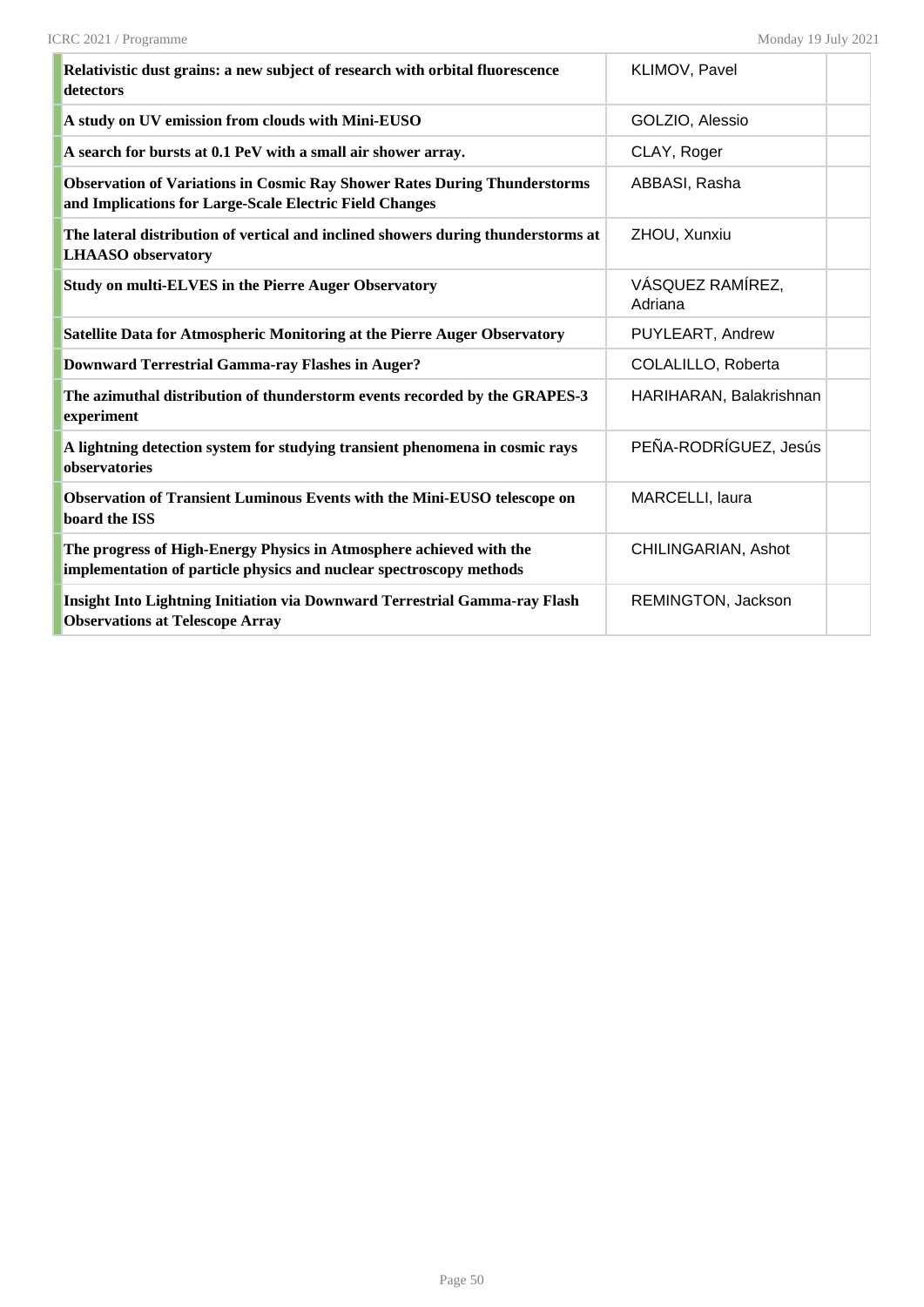| Relativistic dust grains: a new subject of research with orbital fluorescence<br>detectors                                                  | KLIMOV, Pavel               |
|---------------------------------------------------------------------------------------------------------------------------------------------|-----------------------------|
| A study on UV emission from clouds with Mini-EUSO                                                                                           | GOLZIO, Alessio             |
| A search for bursts at 0.1 PeV with a small air shower array.                                                                               | CLAY, Roger                 |
| <b>Observation of Variations in Cosmic Ray Shower Rates During Thunderstorms</b><br>and Implications for Large-Scale Electric Field Changes | ABBASI, Rasha               |
| The lateral distribution of vertical and inclined showers during thunderstorms at<br><b>LHAASO</b> observatory                              | ZHOU, Xunxiu                |
| <b>Study on multi-ELVES in the Pierre Auger Observatory</b>                                                                                 | VÁSQUEZ RAMÍREZ,<br>Adriana |
| Satellite Data for Atmospheric Monitoring at the Pierre Auger Observatory                                                                   | PUYLEART, Andrew            |
| <b>Downward Terrestrial Gamma-ray Flashes in Auger?</b>                                                                                     | COLALILLO, Roberta          |
| The azimuthal distribution of thunderstorm events recorded by the GRAPES-3<br>experiment                                                    | HARIHARAN, Balakrishnan     |
| A lightning detection system for studying transient phenomena in cosmic rays<br>observatories                                               | PEÑA-RODRÍGUEZ, Jesús       |
| Observation of Transient Luminous Events with the Mini-EUSO telescope on<br>board the ISS                                                   | MARCELLI, laura             |
| The progress of High-Energy Physics in Atmosphere achieved with the<br>implementation of particle physics and nuclear spectroscopy methods  | CHILINGARIAN, Ashot         |
| <b>Insight Into Lightning Initiation via Downward Terrestrial Gamma-ray Flash</b><br><b>Observations at Telescope Array</b>                 | REMINGTON, Jackson          |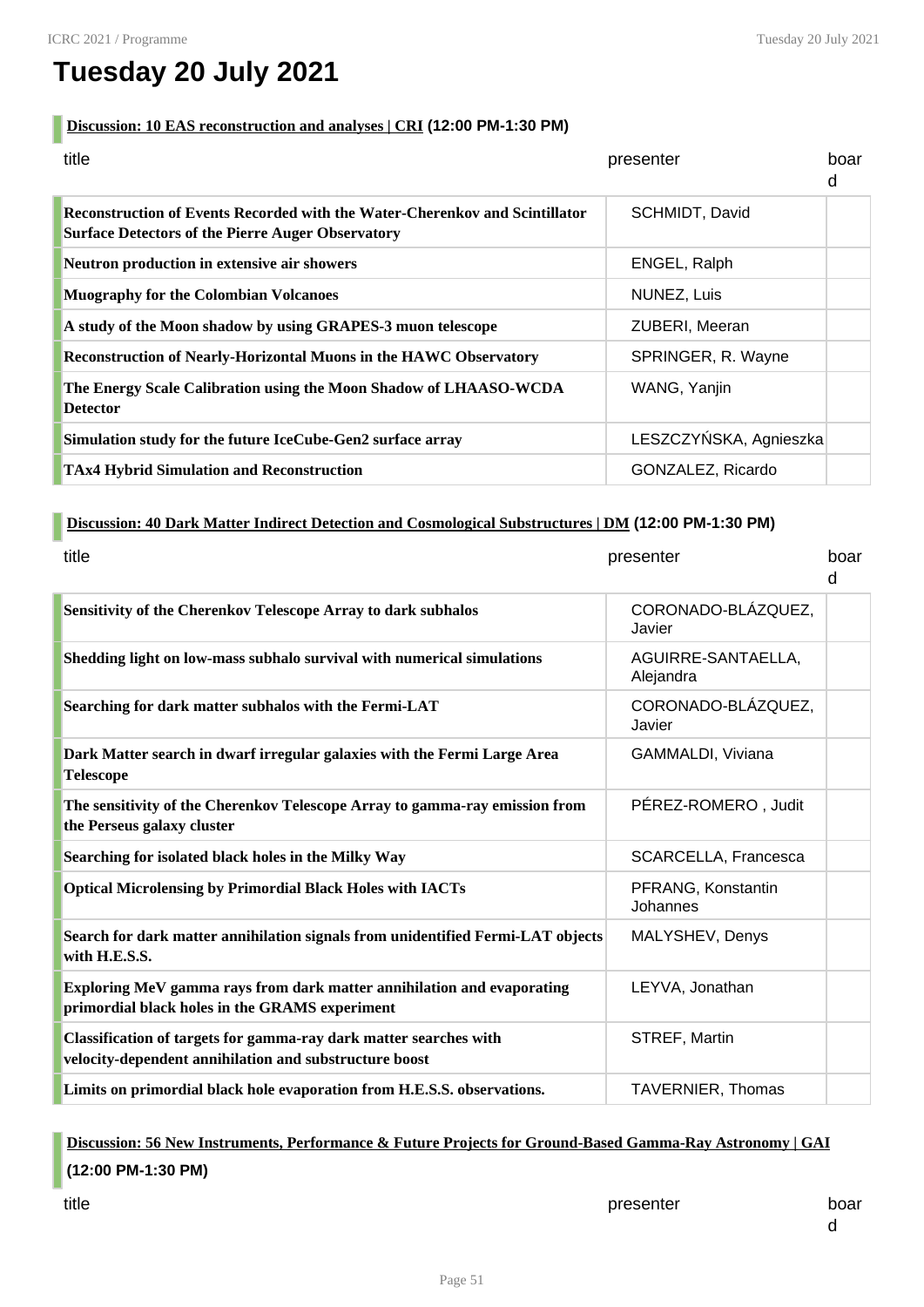# **Tuesday 20 July 2021**

#### **Discussion: 10 EAS reconstruction and analyses | CRI (12:00 PM-1:30 PM)**

| title                                                                                                                                   | presenter              | boar<br>d |
|-----------------------------------------------------------------------------------------------------------------------------------------|------------------------|-----------|
| Reconstruction of Events Recorded with the Water-Cherenkov and Scintillator<br><b>Surface Detectors of the Pierre Auger Observatory</b> | SCHMIDT, David         |           |
| Neutron production in extensive air showers                                                                                             | ENGEL, Ralph           |           |
| <b>Muography for the Colombian Volcanoes</b>                                                                                            | NUNEZ, Luis            |           |
| A study of the Moon shadow by using GRAPES-3 muon telescope                                                                             | ZUBERI, Meeran         |           |
| Reconstruction of Nearly-Horizontal Muons in the HAWC Observatory                                                                       | SPRINGER, R. Wayne     |           |
| The Energy Scale Calibration using the Moon Shadow of LHAASO-WCDA<br><b>Detector</b>                                                    | WANG, Yanjin           |           |
| Simulation study for the future IceCube-Gen2 surface array                                                                              | LESZCZYŃSKA, Agnieszka |           |
| <b>TAx4 Hybrid Simulation and Reconstruction</b>                                                                                        | GONZALEZ, Ricardo      |           |

#### **Discussion: 40 Dark Matter Indirect Detection and Cosmological Substructures | DM (12:00 PM-1:30 PM)**

| title                                                                                                                       | presenter                       | boar<br>d |
|-----------------------------------------------------------------------------------------------------------------------------|---------------------------------|-----------|
| Sensitivity of the Cherenkov Telescope Array to dark subhalos                                                               | CORONADO-BLÁZQUEZ,<br>Javier    |           |
| Shedding light on low-mass subhalo survival with numerical simulations                                                      | AGUIRRE-SANTAELLA,<br>Alejandra |           |
| Searching for dark matter subhalos with the Fermi-LAT                                                                       | CORONADO-BLÁZQUEZ,<br>Javier    |           |
| Dark Matter search in dwarf irregular galaxies with the Fermi Large Area<br><b>Telescope</b>                                | GAMMALDI, Viviana               |           |
| The sensitivity of the Cherenkov Telescope Array to gamma-ray emission from<br>the Perseus galaxy cluster                   | PÉREZ-ROMERO, Judit             |           |
| Searching for isolated black holes in the Milky Way                                                                         | SCARCELLA, Francesca            |           |
| <b>Optical Microlensing by Primordial Black Holes with IACTs</b>                                                            | PFRANG, Konstantin<br>Johannes  |           |
| Search for dark matter annihilation signals from unidentified Fermi-LAT objects<br>with H.E.S.S.                            | MALYSHEV, Denys                 |           |
| Exploring MeV gamma rays from dark matter annihilation and evaporating<br>primordial black holes in the GRAMS experiment    | LEYVA, Jonathan                 |           |
| Classification of targets for gamma-ray dark matter searches with<br>velocity-dependent annihilation and substructure boost | STREF, Martin                   |           |
| Limits on primordial black hole evaporation from H.E.S.S. observations.                                                     | <b>TAVERNIER, Thomas</b>        |           |

# **Discussion: 56 New Instruments, Performance & Future Projects for Ground-Based Gamma-Ray Astronomy | GAI (12:00 PM-1:30 PM)**

title times and the presenter board of the presenter board board board board board board board board board boar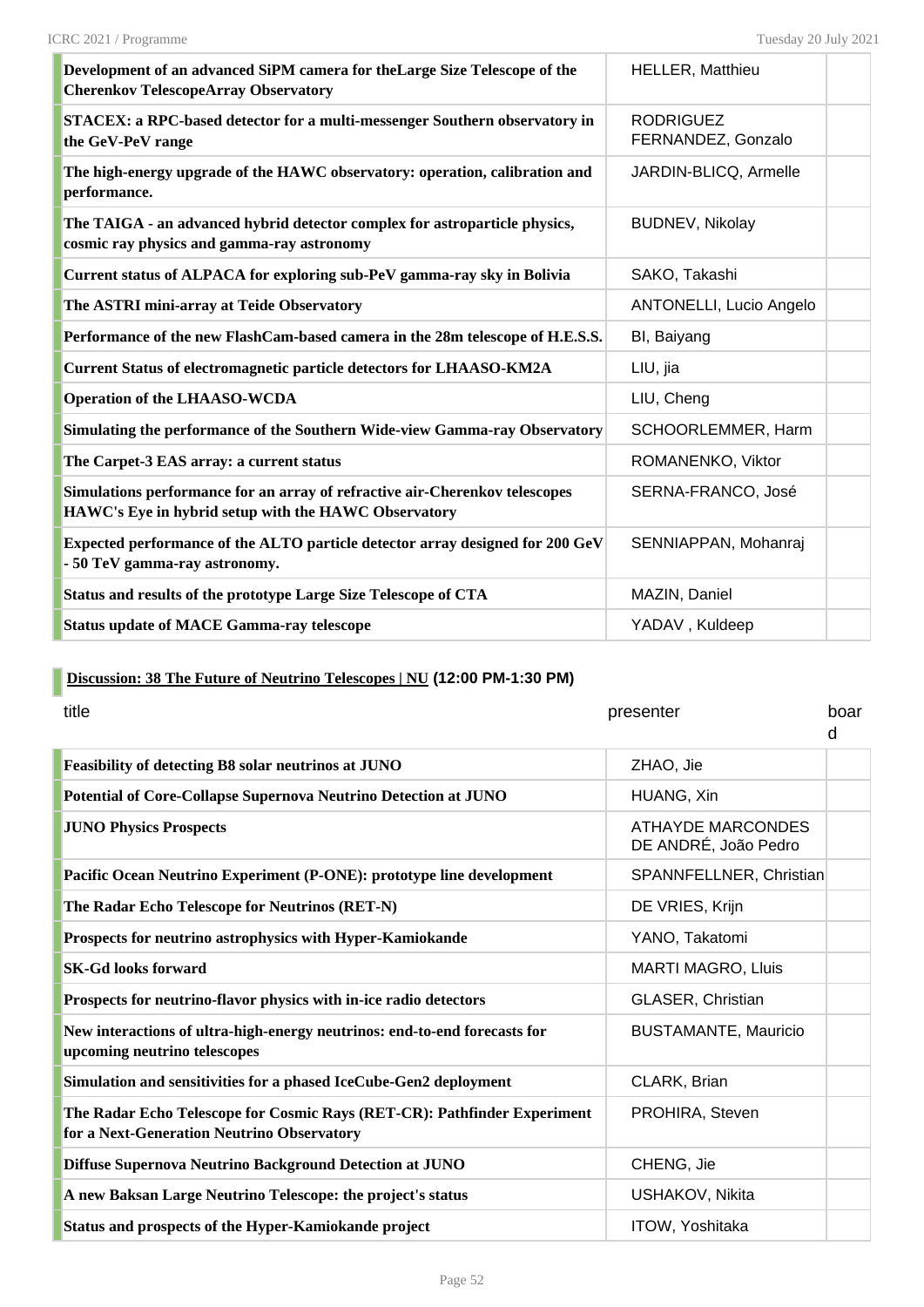| Development of an advanced SiPM camera for the Large Size Telescope of the<br><b>Cherenkov TelescopeArray Observatory</b>           | <b>HELLER, Matthieu</b>                |  |
|-------------------------------------------------------------------------------------------------------------------------------------|----------------------------------------|--|
| STACEX: a RPC-based detector for a multi-messenger Southern observatory in<br>the GeV-PeV range                                     | <b>RODRIGUEZ</b><br>FERNANDEZ, Gonzalo |  |
| The high-energy upgrade of the HAWC observatory: operation, calibration and<br>performance.                                         | JARDIN-BLICQ, Armelle                  |  |
| The TAIGA - an advanced hybrid detector complex for astroparticle physics,<br>cosmic ray physics and gamma-ray astronomy            | <b>BUDNEV, Nikolay</b>                 |  |
| Current status of ALPACA for exploring sub-PeV gamma-ray sky in Bolivia                                                             | SAKO, Takashi                          |  |
| The ASTRI mini-array at Teide Observatory                                                                                           | ANTONELLI, Lucio Angelo                |  |
| Performance of the new FlashCam-based camera in the 28m telescope of H.E.S.S.                                                       | BI, Baiyang                            |  |
| Current Status of electromagnetic particle detectors for LHAASO-KM2A                                                                | LIU, jia                               |  |
| <b>Operation of the LHAASO-WCDA</b>                                                                                                 | LIU, Cheng                             |  |
| Simulating the performance of the Southern Wide-view Gamma-ray Observatory                                                          | SCHOORLEMMER, Harm                     |  |
| The Carpet-3 EAS array: a current status                                                                                            | ROMANENKO, Viktor                      |  |
| Simulations performance for an array of refractive air-Cherenkov telescopes<br>HAWC's Eye in hybrid setup with the HAWC Observatory | SERNA-FRANCO, José                     |  |
| Expected performance of the ALTO particle detector array designed for 200 GeV<br>- 50 TeV gamma-ray astronomy.                      | SENNIAPPAN, Mohanraj                   |  |
| Status and results of the prototype Large Size Telescope of CTA                                                                     | MAZIN, Daniel                          |  |
| <b>Status update of MACE Gamma-ray telescope</b>                                                                                    | YADAV, Kuldeep                         |  |

# **Discussion: 38 The Future of Neutrino Telescopes | NU (12:00 PM-1:30 PM)**

| title                                                                                                                  | presenter                                        | boar<br>d |
|------------------------------------------------------------------------------------------------------------------------|--------------------------------------------------|-----------|
| Feasibility of detecting B8 solar neutrinos at JUNO                                                                    | ZHAO, Jie                                        |           |
| Potential of Core-Collapse Supernova Neutrino Detection at JUNO                                                        | HUANG, Xin                                       |           |
| <b>JUNO Physics Prospects</b>                                                                                          | <b>ATHAYDE MARCONDES</b><br>DE ANDRÉ, João Pedro |           |
| Pacific Ocean Neutrino Experiment (P-ONE): prototype line development                                                  | SPANNFELLNER, Christian                          |           |
| The Radar Echo Telescope for Neutrinos (RET-N)                                                                         | DE VRIES, Krijn                                  |           |
| Prospects for neutrino astrophysics with Hyper-Kamiokande                                                              | YANO, Takatomi                                   |           |
| <b>SK-Gd looks forward</b>                                                                                             | <b>MARTI MAGRO, Lluis</b>                        |           |
| Prospects for neutrino-flavor physics with in-ice radio detectors                                                      | <b>GLASER, Christian</b>                         |           |
| New interactions of ultra-high-energy neutrinos: end-to-end forecasts for<br>upcoming neutrino telescopes              | <b>BUSTAMANTE, Mauricio</b>                      |           |
| Simulation and sensitivities for a phased IceCube-Gen2 deployment                                                      | CLARK, Brian                                     |           |
| The Radar Echo Telescope for Cosmic Rays (RET-CR): Pathfinder Experiment<br>for a Next-Generation Neutrino Observatory | PROHIRA, Steven                                  |           |
| Diffuse Supernova Neutrino Background Detection at JUNO                                                                | CHENG, Jie                                       |           |
| A new Baksan Large Neutrino Telescope: the project's status                                                            | USHAKOV, Nikita                                  |           |
| Status and prospects of the Hyper-Kamiokande project                                                                   | ITOW, Yoshitaka                                  |           |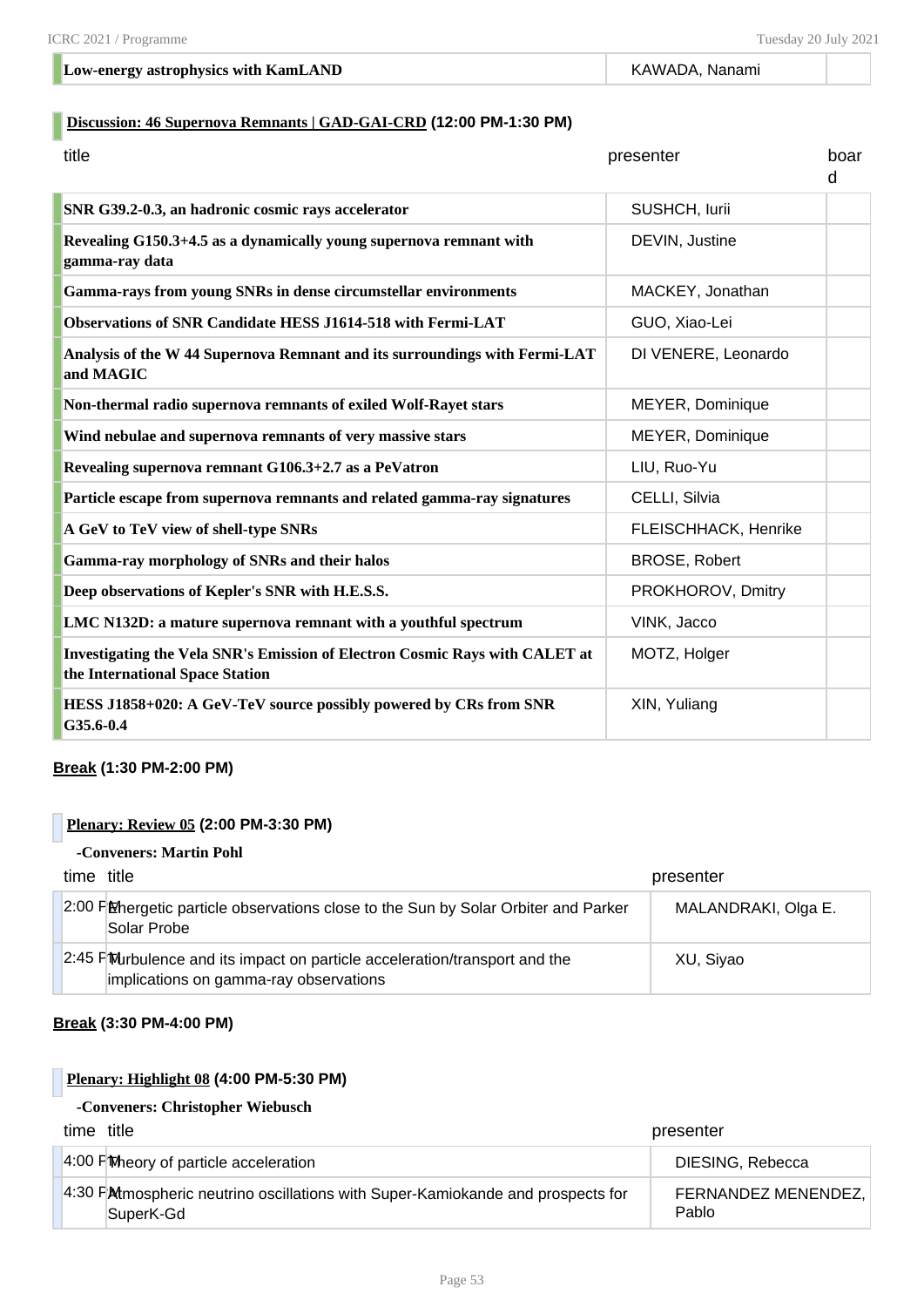#### **Low-energy astrophysics with KamLAND KAWADA, Nanami** KAWADA, Nanami

#### **Discussion: 46 Supernova Remnants | GAD-GAI-CRD (12:00 PM-1:30 PM)**

| title                                                                                                                 | presenter            | boar<br>d |
|-----------------------------------------------------------------------------------------------------------------------|----------------------|-----------|
| SNR G39.2-0.3, an hadronic cosmic rays accelerator                                                                    | SUSHCH, lurii        |           |
| Revealing G150.3+4.5 as a dynamically young supernova remnant with<br>gamma-ray data                                  | DEVIN, Justine       |           |
| Gamma-rays from young SNRs in dense circumstellar environments                                                        | MACKEY, Jonathan     |           |
| <b>Observations of SNR Candidate HESS J1614-518 with Fermi-LAT</b>                                                    | GUO, Xiao-Lei        |           |
| Analysis of the W 44 Supernova Remnant and its surroundings with Fermi-LAT<br>and MAGIC                               | DI VENERE, Leonardo  |           |
| Non-thermal radio supernova remnants of exiled Wolf-Rayet stars                                                       | MEYER, Dominique     |           |
| Wind nebulae and supernova remnants of very massive stars                                                             | MEYER, Dominique     |           |
| Revealing supernova remnant G106.3+2.7 as a PeVatron                                                                  | LIU, Ruo-Yu          |           |
| Particle escape from supernova remnants and related gamma-ray signatures                                              | CELLI, Silvia        |           |
| A GeV to TeV view of shell-type SNRs                                                                                  | FLEISCHHACK, Henrike |           |
| <b>Gamma-ray morphology of SNRs and their halos</b>                                                                   | <b>BROSE, Robert</b> |           |
| Deep observations of Kepler's SNR with H.E.S.S.                                                                       | PROKHOROV, Dmitry    |           |
| LMC N132D: a mature supernova remnant with a youthful spectrum                                                        | VINK, Jacco          |           |
| <b>Investigating the Vela SNR's Emission of Electron Cosmic Rays with CALET at</b><br>the International Space Station | MOTZ, Holger         |           |
| HESS J1858+020: A GeV-TeV source possibly powered by CRs from SNR<br>G35.6-0.4                                        | XIN, Yuliang         |           |

#### **Break (1:30 PM-2:00 PM)**

#### **Plenary: Review 05 (2:00 PM-3:30 PM)**

#### **-Conveners: Martin Pohl**

| time title |                                                                                                                       | presenter           |
|------------|-----------------------------------------------------------------------------------------------------------------------|---------------------|
|            | 2:00 PM Extendelic particle observations close to the Sun by Solar Orbiter and Parker<br>Solar Probe                  | MALANDRAKI, Olga E. |
|            | 2:45 PM urbulence and its impact on particle acceleration/transport and the<br>implications on gamma-ray observations | XU, Siyao           |

#### **Break (3:30 PM-4:00 PM)**

#### **Plenary: Highlight 08 (4:00 PM-5:30 PM)**

#### **-Conveners: Christopher Wiebusch**

| time title                                                                                   | presenter                    |
|----------------------------------------------------------------------------------------------|------------------------------|
| 4:00 PM Neory of particle acceleration                                                       | DIESING, Rebecca             |
| 4:30 PM mospheric neutrino oscillations with Super-Kamiokande and prospects for<br>SuperK-Gd | FERNANDEZ MENENDEZ,<br>Pablo |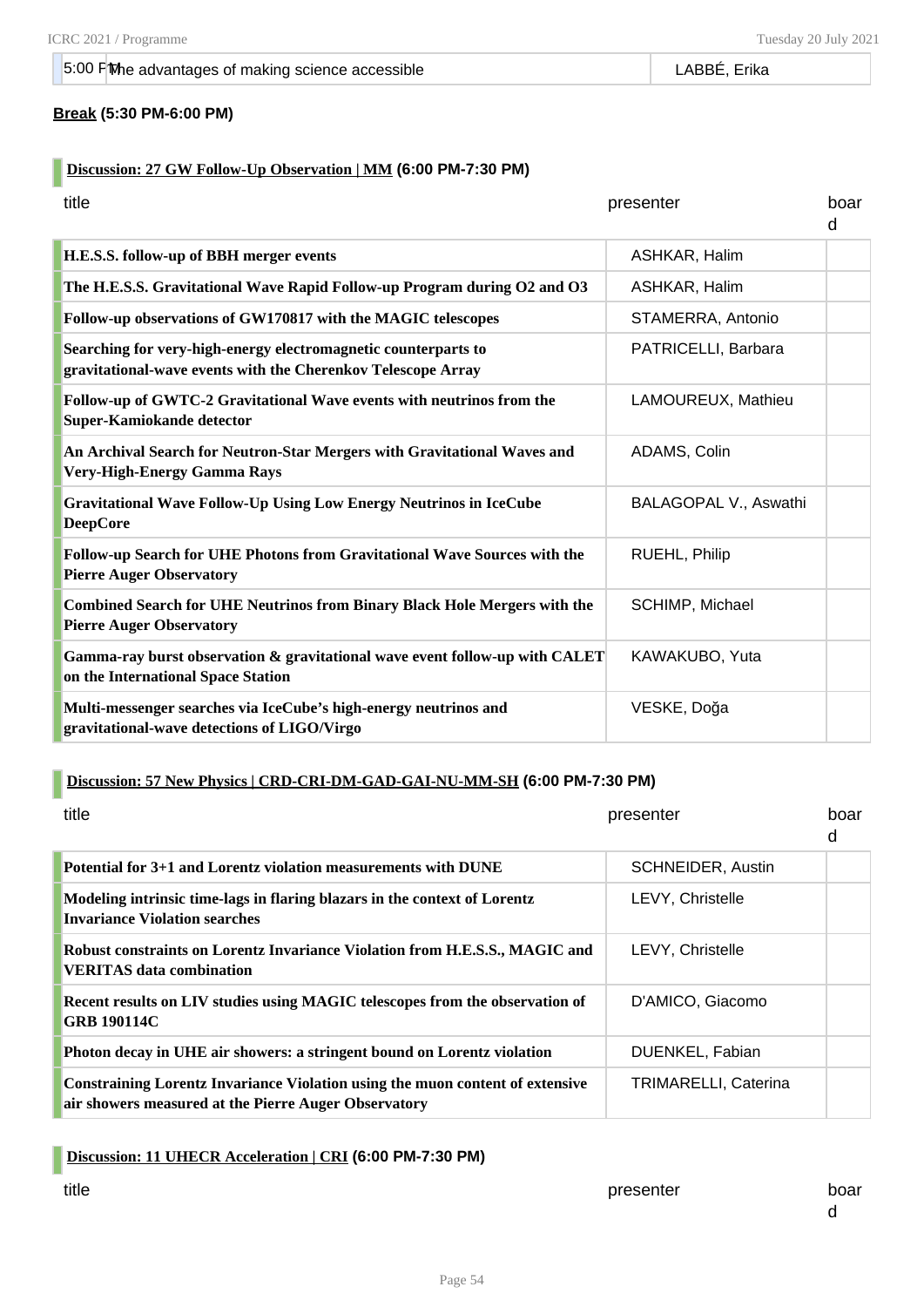#### **Break (5:30 PM-6:00 PM)**

#### **Discussion: 27 GW Follow-Up Observation | MM (6:00 PM-7:30 PM)**

| title                                                                                                                          | presenter             | boar<br>d |
|--------------------------------------------------------------------------------------------------------------------------------|-----------------------|-----------|
| H.E.S.S. follow-up of BBH merger events                                                                                        | ASHKAR, Halim         |           |
| The H.E.S.S. Gravitational Wave Rapid Follow-up Program during O2 and O3                                                       | ASHKAR, Halim         |           |
| Follow-up observations of GW170817 with the MAGIC telescopes                                                                   | STAMERRA, Antonio     |           |
| Searching for very-high-energy electromagnetic counterparts to<br>gravitational-wave events with the Cherenkov Telescope Array | PATRICELLI, Barbara   |           |
| Follow-up of GWTC-2 Gravitational Wave events with neutrinos from the<br>Super-Kamiokande detector                             | LAMOUREUX, Mathieu    |           |
| An Archival Search for Neutron-Star Mergers with Gravitational Waves and<br>Very-High-Energy Gamma Rays                        | ADAMS, Colin          |           |
| <b>Gravitational Wave Follow-Up Using Low Energy Neutrinos in IceCube</b><br><b>DeepCore</b>                                   | BALAGOPAL V., Aswathi |           |
| Follow-up Search for UHE Photons from Gravitational Wave Sources with the<br><b>Pierre Auger Observatory</b>                   | RUEHL, Philip         |           |
| <b>Combined Search for UHE Neutrinos from Binary Black Hole Mergers with the</b><br><b>Pierre Auger Observatory</b>            | SCHIMP, Michael       |           |
| Gamma-ray burst observation & gravitational wave event follow-up with CALET<br>on the International Space Station              | KAWAKUBO, Yuta        |           |
| Multi-messenger searches via IceCube's high-energy neutrinos and<br>gravitational-wave detections of LIGO/Virgo                | VESKE, Doğa           |           |

### **Discussion: 57 New Physics | CRD-CRI-DM-GAD-GAI-NU-MM-SH (6:00 PM-7:30 PM)**

| title                                                                                                                                        | presenter                   | hoar<br>d |
|----------------------------------------------------------------------------------------------------------------------------------------------|-----------------------------|-----------|
| Potential for 3+1 and Lorentz violation measurements with DUNE                                                                               | <b>SCHNEIDER, Austin</b>    |           |
| Modeling intrinsic time-lags in flaring blazars in the context of Lorentz<br>Invariance Violation searches                                   | LEVY, Christelle            |           |
| Robust constraints on Lorentz Invariance Violation from H.E.S.S., MAGIC and<br><b>VERITAS</b> data combination                               | <b>LEVY. Christelle</b>     |           |
| Recent results on LIV studies using MAGIC telescopes from the observation of<br><b>GRB 190114C</b>                                           | D'AMICO, Giacomo            |           |
| Photon decay in UHE air showers: a stringent bound on Lorentz violation                                                                      | DUENKEL, Fabian             |           |
| <b>Constraining Lorentz Invariance Violation using the muon content of extensive</b><br>air showers measured at the Pierre Auger Observatory | <b>TRIMARELLI, Caterina</b> |           |

#### **Discussion: 11 UHECR Acceleration | CRI (6:00 PM-7:30 PM)**

title times and the presenter board of the presenter board board board board board board board board board boar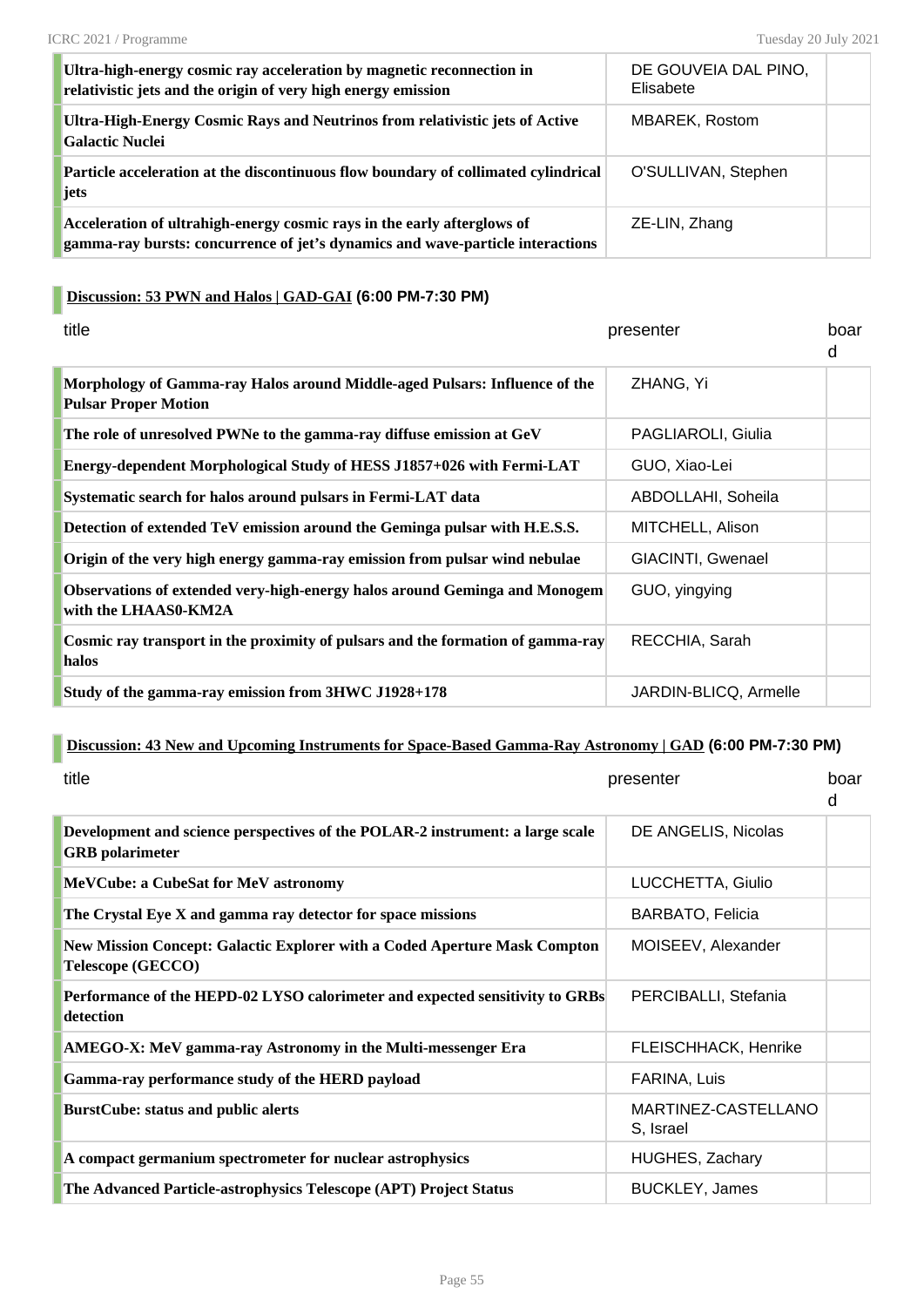| Ultra-high-energy cosmic ray acceleration by magnetic reconnection in<br>relativistic jets and the origin of very high energy emission                    | DE GOUVEIA DAL PINO,<br>Elisabete |  |
|-----------------------------------------------------------------------------------------------------------------------------------------------------------|-----------------------------------|--|
| Ultra-High-Energy Cosmic Rays and Neutrinos from relativistic jets of Active<br>Galactic Nuclei                                                           | <b>MBAREK, Rostom</b>             |  |
| Particle acceleration at the discontinuous flow boundary of collimated cylindrical<br>jets                                                                | O'SULLIVAN, Stephen               |  |
| Acceleration of ultrahigh-energy cosmic rays in the early afterglows of<br>gamma-ray bursts: concurrence of jet's dynamics and wave-particle interactions | ZE-LIN, Zhang                     |  |

# **Discussion: 53 PWN and Halos | GAD-GAI (6:00 PM-7:30 PM)**

| title                                                                                                     | presenter             | boar<br>d |
|-----------------------------------------------------------------------------------------------------------|-----------------------|-----------|
| Morphology of Gamma-ray Halos around Middle-aged Pulsars: Influence of the<br><b>Pulsar Proper Motion</b> | ZHANG, Yi             |           |
| The role of unresolved PWNe to the gamma-ray diffuse emission at GeV                                      | PAGLIAROLI, Giulia    |           |
| Energy-dependent Morphological Study of HESS J1857+026 with Fermi-LAT                                     | GUO, Xiao-Lei         |           |
| Systematic search for halos around pulsars in Fermi-LAT data                                              | ABDOLLAHI, Soheila    |           |
| Detection of extended TeV emission around the Geminga pulsar with H.E.S.S.                                | MITCHELL, Alison      |           |
| Origin of the very high energy gamma-ray emission from pulsar wind nebulae                                | GIACINTI, Gwenael     |           |
| Observations of extended very-high-energy halos around Geminga and Monogem<br>with the LHAAS0-KM2A        | GUO, yingying         |           |
| Cosmic ray transport in the proximity of pulsars and the formation of gamma-ray<br>halos                  | RECCHIA, Sarah        |           |
| Study of the gamma-ray emission from 3HWC J1928+178                                                       | JARDIN-BLICQ, Armelle |           |

#### **Discussion: 43 New and Upcoming Instruments for Space-Based Gamma-Ray Astronomy | GAD (6:00 PM-7:30 PM)**

| title                                                                                                   | presenter                        | boar<br>d |
|---------------------------------------------------------------------------------------------------------|----------------------------------|-----------|
| Development and science perspectives of the POLAR-2 instrument: a large scale<br><b>GRB</b> polarimeter | DE ANGELIS, Nicolas              |           |
| <b>MeVCube: a CubeSat for MeV astronomy</b>                                                             | LUCCHETTA, Giulio                |           |
| The Crystal Eye X and gamma ray detector for space missions                                             | <b>BARBATO, Felicia</b>          |           |
| New Mission Concept: Galactic Explorer with a Coded Aperture Mask Compton<br><b>Telescope (GECCO)</b>   | MOISEEV, Alexander               |           |
| Performance of the HEPD-02 LYSO calorimeter and expected sensitivity to GRBs<br>detection               | PERCIBALLI, Stefania             |           |
| AMEGO-X: MeV gamma-ray Astronomy in the Multi-messenger Era                                             | FLEISCHHACK, Henrike             |           |
| Gamma-ray performance study of the HERD payload                                                         | FARINA, Luis                     |           |
| <b>BurstCube: status and public alerts</b>                                                              | MARTINEZ-CASTELLANO<br>S, Israel |           |
| A compact germanium spectrometer for nuclear astrophysics                                               | <b>HUGHES, Zachary</b>           |           |
| The Advanced Particle-astrophysics Telescope (APT) Project Status                                       | <b>BUCKLEY, James</b>            |           |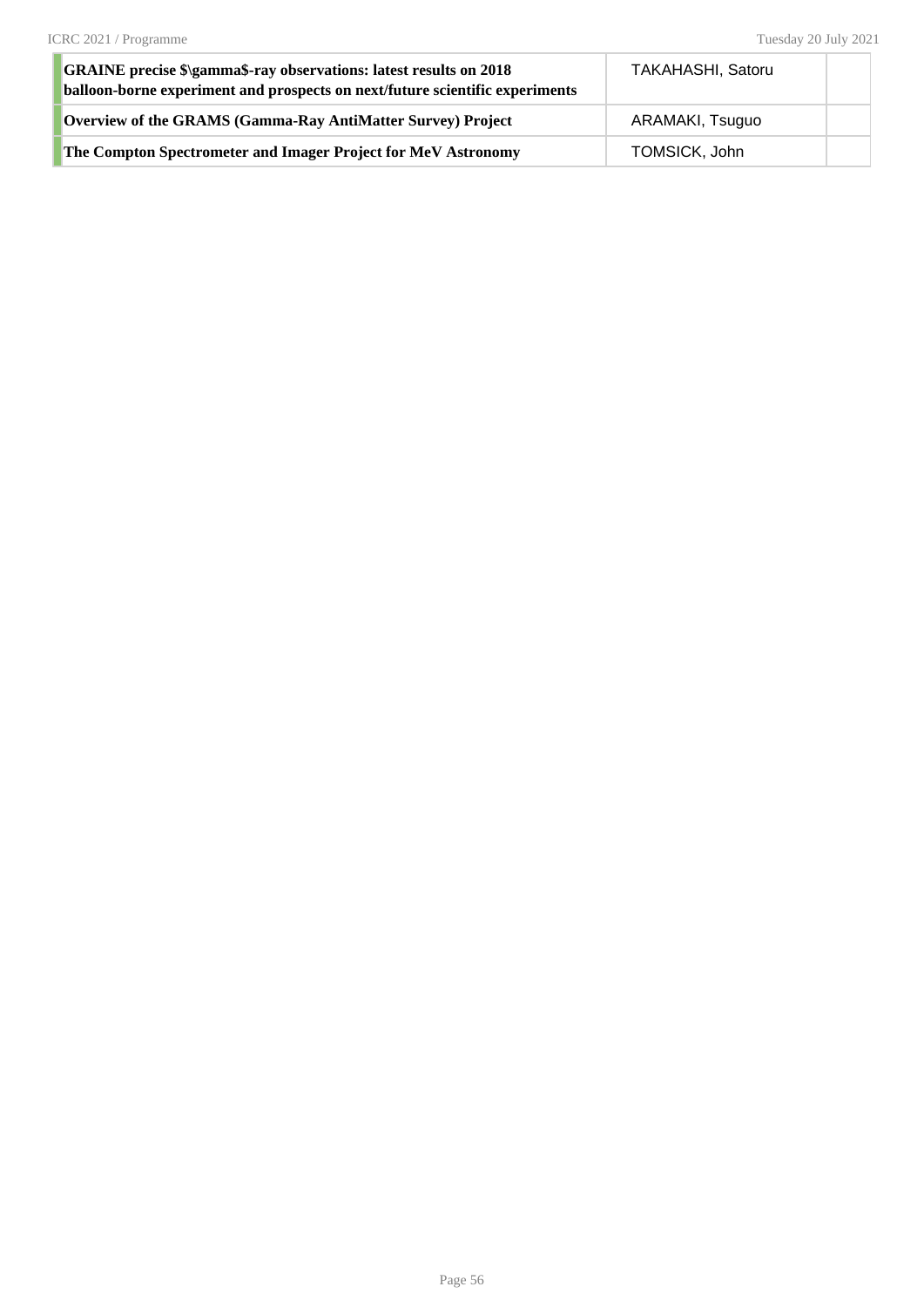| <b>GRAINE</b> precise \$\gamma\$-ray observations: latest results on 2018<br>balloon-borne experiment and prospects on next/future scientific experiments | <b>TAKAHASHI, Satoru</b> |  |
|-----------------------------------------------------------------------------------------------------------------------------------------------------------|--------------------------|--|
| Overview of the GRAMS (Gamma-Ray AntiMatter Survey) Project                                                                                               | ARAMAKI, Tsuguo          |  |
| The Compton Spectrometer and Imager Project for MeV Astronomy                                                                                             | TOMSICK, John            |  |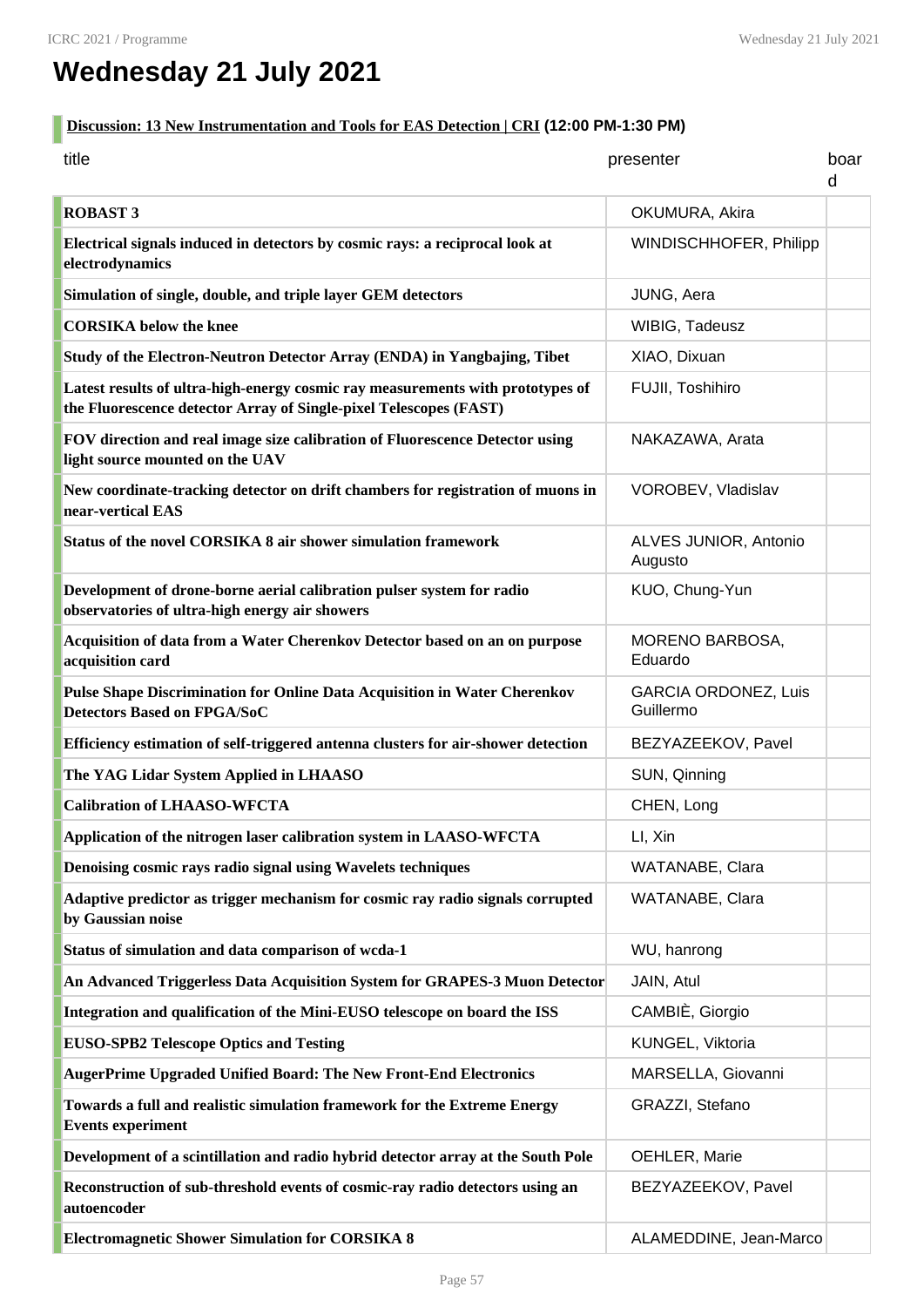# **Wednesday 21 July 2021**

#### **Discussion: 13 New Instrumentation and Tools for EAS Detection | CRI (12:00 PM-1:30 PM)** п

| title                                                                                                                                               | presenter                                | boar<br>d |
|-----------------------------------------------------------------------------------------------------------------------------------------------------|------------------------------------------|-----------|
| <b>ROBAST 3</b>                                                                                                                                     | OKUMURA, Akira                           |           |
| Electrical signals induced in detectors by cosmic rays: a reciprocal look at<br>electrodynamics                                                     | WINDISCHHOFER, Philipp                   |           |
| Simulation of single, double, and triple layer GEM detectors                                                                                        | JUNG, Aera                               |           |
| <b>CORSIKA</b> below the knee                                                                                                                       | WIBIG, Tadeusz                           |           |
| Study of the Electron-Neutron Detector Array (ENDA) in Yangbajing, Tibet                                                                            | XIAO, Dixuan                             |           |
| Latest results of ultra-high-energy cosmic ray measurements with prototypes of<br>the Fluorescence detector Array of Single-pixel Telescopes (FAST) | FUJII, Toshihiro                         |           |
| FOV direction and real image size calibration of Fluorescence Detector using<br>light source mounted on the UAV                                     | NAKAZAWA, Arata                          |           |
| New coordinate-tracking detector on drift chambers for registration of muons in<br>near-vertical EAS                                                | VOROBEV, Vladislav                       |           |
| Status of the novel CORSIKA 8 air shower simulation framework                                                                                       | ALVES JUNIOR, Antonio<br>Augusto         |           |
| Development of drone-borne aerial calibration pulser system for radio<br>observatories of ultra-high energy air showers                             | KUO, Chung-Yun                           |           |
| Acquisition of data from a Water Cherenkov Detector based on an on purpose<br>acquisition card                                                      | MORENO BARBOSA,<br>Eduardo               |           |
| Pulse Shape Discrimination for Online Data Acquisition in Water Cherenkov<br><b>Detectors Based on FPGA/SoC</b>                                     | <b>GARCIA ORDONEZ, Luis</b><br>Guillermo |           |
| Efficiency estimation of self-triggered antenna clusters for air-shower detection                                                                   | BEZYAZEEKOV, Pavel                       |           |
| The YAG Lidar System Applied in LHAASO                                                                                                              | SUN, Qinning                             |           |
| <b>Calibration of LHAASO-WFCTA</b>                                                                                                                  | CHEN, Long                               |           |
| Application of the nitrogen laser calibration system in LAASO-WFCTA                                                                                 | LI, Xin                                  |           |
| Denoising cosmic rays radio signal using Wavelets techniques                                                                                        | WATANABE, Clara                          |           |
| Adaptive predictor as trigger mechanism for cosmic ray radio signals corrupted<br>by Gaussian noise                                                 | WATANABE, Clara                          |           |
| Status of simulation and data comparison of wcda-1                                                                                                  | WU, hanrong                              |           |
| An Advanced Triggerless Data Acquisition System for GRAPES-3 Muon Detector                                                                          | JAIN, Atul                               |           |
| Integration and qualification of the Mini-EUSO telescope on board the ISS                                                                           | CAMBIÈ, Giorgio                          |           |
| <b>EUSO-SPB2 Telescope Optics and Testing</b>                                                                                                       | KUNGEL, Viktoria                         |           |
| AugerPrime Upgraded Unified Board: The New Front-End Electronics                                                                                    | MARSELLA, Giovanni                       |           |
| Towards a full and realistic simulation framework for the Extreme Energy<br><b>Events experiment</b>                                                | GRAZZI, Stefano                          |           |
| Development of a scintillation and radio hybrid detector array at the South Pole                                                                    | OEHLER, Marie                            |           |
| Reconstruction of sub-threshold events of cosmic-ray radio detectors using an<br>autoencoder                                                        | BEZYAZEEKOV, Pavel                       |           |
| <b>Electromagnetic Shower Simulation for CORSIKA 8</b>                                                                                              | ALAMEDDINE, Jean-Marco                   |           |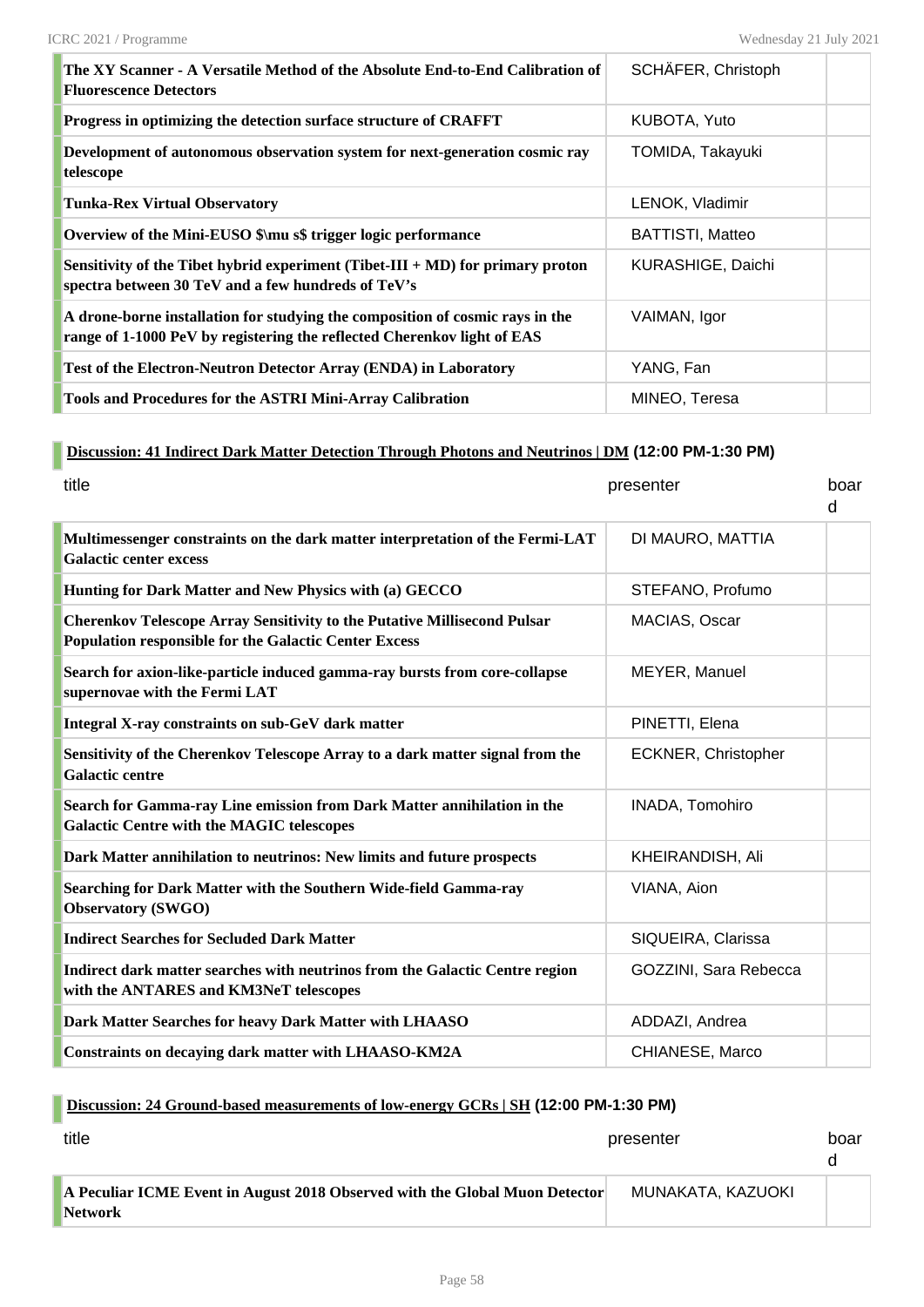| The XY Scanner - A Versatile Method of the Absolute End-to-End Calibration of<br><b>Fluorescence Detectors</b>                                           | SCHÄFER, Christoph       |  |
|----------------------------------------------------------------------------------------------------------------------------------------------------------|--------------------------|--|
| Progress in optimizing the detection surface structure of CRAFFT                                                                                         | KUBOTA, Yuto             |  |
| Development of autonomous observation system for next-generation cosmic ray<br>telescope                                                                 | TOMIDA, Takayuki         |  |
| <b>Tunka-Rex Virtual Observatory</b>                                                                                                                     | LENOK, Vladimir          |  |
| Overview of the Mini-EUSO \$\mu s\$ trigger logic performance                                                                                            | <b>BATTISTI, Matteo</b>  |  |
| Sensitivity of the Tibet hybrid experiment (Tibet-III + MD) for primary proton<br>spectra between 30 TeV and a few hundreds of TeV's                     | <b>KURASHIGE, Daichi</b> |  |
| A drone-borne installation for studying the composition of cosmic rays in the<br>range of 1-1000 PeV by registering the reflected Cherenkov light of EAS | VAIMAN, Igor             |  |
| Test of the Electron-Neutron Detector Array (ENDA) in Laboratory                                                                                         | YANG, Fan                |  |
| <b>Tools and Procedures for the ASTRI Mini-Array Calibration</b>                                                                                         | MINEO, Teresa            |  |

# **Discussion: 41 Indirect Dark Matter Detection Through Photons and Neutrinos | DM (12:00 PM-1:30 PM)**

| title                                                                                                                                           | presenter             | boar<br>d |
|-------------------------------------------------------------------------------------------------------------------------------------------------|-----------------------|-----------|
| Multimessenger constraints on the dark matter interpretation of the Fermi-LAT<br><b>Galactic center excess</b>                                  | DI MAURO, MATTIA      |           |
| Hunting for Dark Matter and New Physics with (a) GECCO                                                                                          | STEFANO, Profumo      |           |
| <b>Cherenkov Telescope Array Sensitivity to the Putative Millisecond Pulsar</b><br><b>Population responsible for the Galactic Center Excess</b> | MACIAS, Oscar         |           |
| Search for axion-like-particle induced gamma-ray bursts from core-collapse<br>supernovae with the Fermi LAT                                     | MEYER, Manuel         |           |
| Integral X-ray constraints on sub-GeV dark matter                                                                                               | PINETTI, Elena        |           |
| Sensitivity of the Cherenkov Telescope Array to a dark matter signal from the<br><b>Galactic centre</b>                                         | ECKNER, Christopher   |           |
| Search for Gamma-ray Line emission from Dark Matter annihilation in the<br><b>Galactic Centre with the MAGIC telescopes</b>                     | INADA, Tomohiro       |           |
| Dark Matter annihilation to neutrinos: New limits and future prospects                                                                          | KHEIRANDISH, Ali      |           |
| Searching for Dark Matter with the Southern Wide-field Gamma-ray<br><b>Observatory (SWGO)</b>                                                   | VIANA, Aion           |           |
| <b>Indirect Searches for Secluded Dark Matter</b>                                                                                               | SIQUEIRA, Clarissa    |           |
| Indirect dark matter searches with neutrinos from the Galactic Centre region<br>with the ANTARES and KM3NeT telescopes                          | GOZZINI, Sara Rebecca |           |
| Dark Matter Searches for heavy Dark Matter with LHAASO                                                                                          | ADDAZI, Andrea        |           |
| Constraints on decaying dark matter with LHAASO-KM2A                                                                                            | CHIANESE, Marco       |           |

## **Discussion: 24 Ground-based measurements of low-energy GCRs | SH (12:00 PM-1:30 PM)**

| title                                                                                         | presenter         | boar |
|-----------------------------------------------------------------------------------------------|-------------------|------|
| A Peculiar ICME Event in August 2018 Observed with the Global Muon Detector<br><b>Network</b> | MUNAKATA, KAZUOKI |      |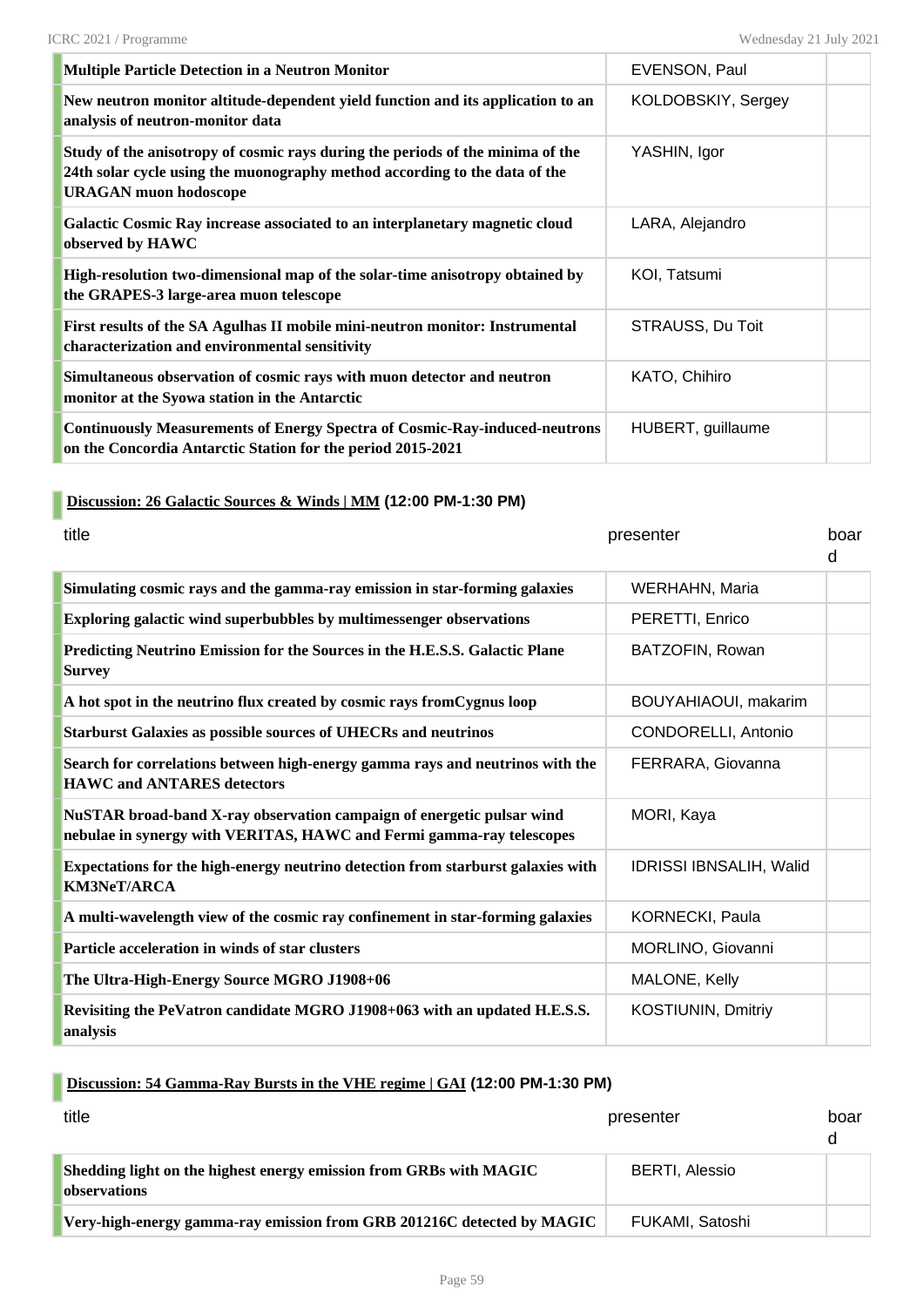| <b>Multiple Particle Detection in a Neutron Monitor</b>                                                                                                                                      | <b>EVENSON, Paul</b> |  |
|----------------------------------------------------------------------------------------------------------------------------------------------------------------------------------------------|----------------------|--|
| New neutron monitor altitude-dependent yield function and its application to an<br>analysis of neutron-monitor data                                                                          | KOLDOBSKIY, Sergey   |  |
| Study of the anisotropy of cosmic rays during the periods of the minima of the<br>24th solar cycle using the muonography method according to the data of the<br><b>URAGAN</b> muon hodoscope | YASHIN, Igor         |  |
| Galactic Cosmic Ray increase associated to an interplanetary magnetic cloud<br>observed by HAWC                                                                                              | LARA, Alejandro      |  |
| High-resolution two-dimensional map of the solar-time anisotropy obtained by<br>the GRAPES-3 large-area muon telescope                                                                       | KOI, Tatsumi         |  |
| First results of the SA Agulhas II mobile mini-neutron monitor: Instrumental<br>characterization and environmental sensitivity                                                               | STRAUSS, Du Toit     |  |
| Simultaneous observation of cosmic rays with muon detector and neutron<br>monitor at the Syowa station in the Antarctic                                                                      | KATO, Chihiro        |  |
| <b>Continuously Measurements of Energy Spectra of Cosmic-Ray-induced-neutrons</b><br>on the Concordia Antarctic Station for the period 2015-2021                                             | HUBERT, guillaume    |  |

#### **Discussion: 26 Galactic Sources & Winds | MM (12:00 PM-1:30 PM)**

| title                                                                                                                                         | presenter                      | boar<br>d |
|-----------------------------------------------------------------------------------------------------------------------------------------------|--------------------------------|-----------|
| Simulating cosmic rays and the gamma-ray emission in star-forming galaxies                                                                    | WERHAHN, Maria                 |           |
| Exploring galactic wind superbubbles by multimessenger observations                                                                           | PERETTI, Enrico                |           |
| Predicting Neutrino Emission for the Sources in the H.E.S.S. Galactic Plane<br><b>Survey</b>                                                  | BATZOFIN, Rowan                |           |
| A hot spot in the neutrino flux created by cosmic rays from Cygnus loop                                                                       | BOUYAHIAOUI, makarim           |           |
| <b>Starburst Galaxies as possible sources of UHECRs and neutrinos</b>                                                                         | CONDORELLI, Antonio            |           |
| Search for correlations between high-energy gamma rays and neutrinos with the<br><b>HAWC and ANTARES detectors</b>                            | FERRARA, Giovanna              |           |
| NuSTAR broad-band X-ray observation campaign of energetic pulsar wind<br>nebulae in synergy with VERITAS, HAWC and Fermi gamma-ray telescopes | MORI, Kaya                     |           |
| Expectations for the high-energy neutrino detection from starburst galaxies with<br><b>KM3NeT/ARCA</b>                                        | <b>IDRISSI IBNSALIH, Walid</b> |           |
| A multi-wavelength view of the cosmic ray confinement in star-forming galaxies                                                                | KORNECKI, Paula                |           |
| Particle acceleration in winds of star clusters                                                                                               | MORLINO, Giovanni              |           |
| The Ultra-High-Energy Source MGRO J1908+06                                                                                                    | MALONE, Kelly                  |           |
| Revisiting the PeVatron candidate MGRO J1908+063 with an updated H.E.S.S.<br>analysis                                                         | <b>KOSTIUNIN, Dmitriy</b>      |           |

# **Discussion: 54 Gamma-Ray Bursts in the VHE regime | GAI (12:00 PM-1:30 PM)**

| title                                                                                     | presenter             | boar<br>U. |
|-------------------------------------------------------------------------------------------|-----------------------|------------|
| Shedding light on the highest energy emission from GRBs with MAGIC<br><b>observations</b> | <b>BERTI, Alessio</b> |            |
| Very-high-energy gamma-ray emission from GRB 201216C detected by MAGIC                    | FUKAMI, Satoshi       |            |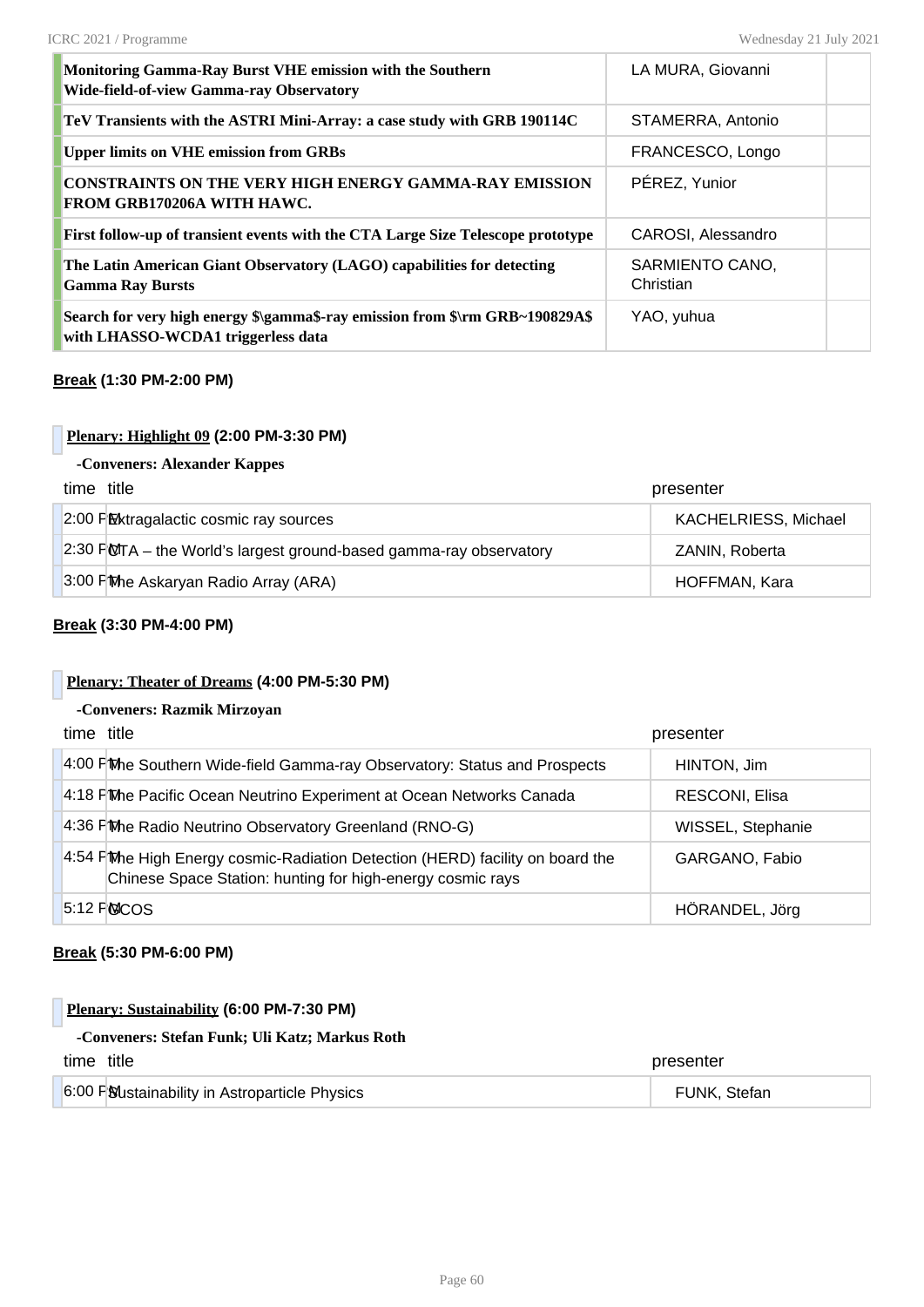| Monitoring Gamma-Ray Burst VHE emission with the Southern<br><b>Wide-field-of-view Gamma-ray Observatory</b>       | LA MURA, Giovanni            |  |
|--------------------------------------------------------------------------------------------------------------------|------------------------------|--|
| TeV Transients with the ASTRI Mini-Array: a case study with GRB 190114C                                            | STAMERRA, Antonio            |  |
| <b>Upper limits on VHE emission from GRBs</b>                                                                      | FRANCESCO, Longo             |  |
| <b>CONSTRAINTS ON THE VERY HIGH ENERGY GAMMA-RAY EMISSION</b><br>FROM GRB170206A WITH HAWC.                        | PÉREZ, Yunior                |  |
| First follow-up of transient events with the CTA Large Size Telescope prototype                                    | CAROSI, Alessandro           |  |
| The Latin American Giant Observatory (LAGO) capabilities for detecting<br><b>Gamma Ray Bursts</b>                  | SARMIENTO CANO,<br>Christian |  |
| Search for very high energy \$\gamma\$-ray emission from \$\rm GRB~190829A\$<br>with LHASSO-WCDA1 triggerless data | YAO, yuhua                   |  |

#### **Break (1:30 PM-2:00 PM)**

#### **Plenary: Highlight 09 (2:00 PM-3:30 PM)**

#### **-Conveners: Alexander Kappes**

| time title                                                                 | presenter                   |
|----------------------------------------------------------------------------|-----------------------------|
| 2:00 PM Extragalactic cosmic ray sources                                   | <b>KACHELRIESS, Michael</b> |
| $\vert$ 2:30 FMTA – the World's largest ground-based gamma-ray observatory | ZANIN, Roberta              |
| 3:00 FMhe Askaryan Radio Array (ARA)                                       | HOFFMAN, Kara               |

#### **Break (3:30 PM-4:00 PM)**

#### **Plenary: Theater of Dreams (4:00 PM-5:30 PM)**

#### **-Conveners: Razmik Mirzoyan**

| time title |                                                                                                                                             | presenter         |
|------------|---------------------------------------------------------------------------------------------------------------------------------------------|-------------------|
|            | 4:00 FM b Southern Wide-field Gamma-ray Observatory: Status and Prospects                                                                   | HINTON, Jim       |
|            | 4:18 FM Pacific Ocean Neutrino Experiment at Ocean Networks Canada                                                                          | RESCONI, Elisa    |
|            | 4:36 FM Phe Radio Neutrino Observatory Greenland (RNO-G)                                                                                    | WISSEL, Stephanie |
|            | 4:54 FMhe High Energy cosmic-Radiation Detection (HERD) facility on board the<br>Chinese Space Station: hunting for high-energy cosmic rays | GARGANO, Fabio    |
|            | 5:12 FOCOS                                                                                                                                  | HÖRANDEL, Jörg    |

#### **Break (5:30 PM-6:00 PM)**

#### **Plenary: Sustainability (6:00 PM-7:30 PM)**

#### **-Conveners: Stefan Funk; Uli Katz; Markus Roth**

| time title |                                               | presenter    |
|------------|-----------------------------------------------|--------------|
|            | 6:00 PSUstainability in Astroparticle Physics | FUNK. Stefan |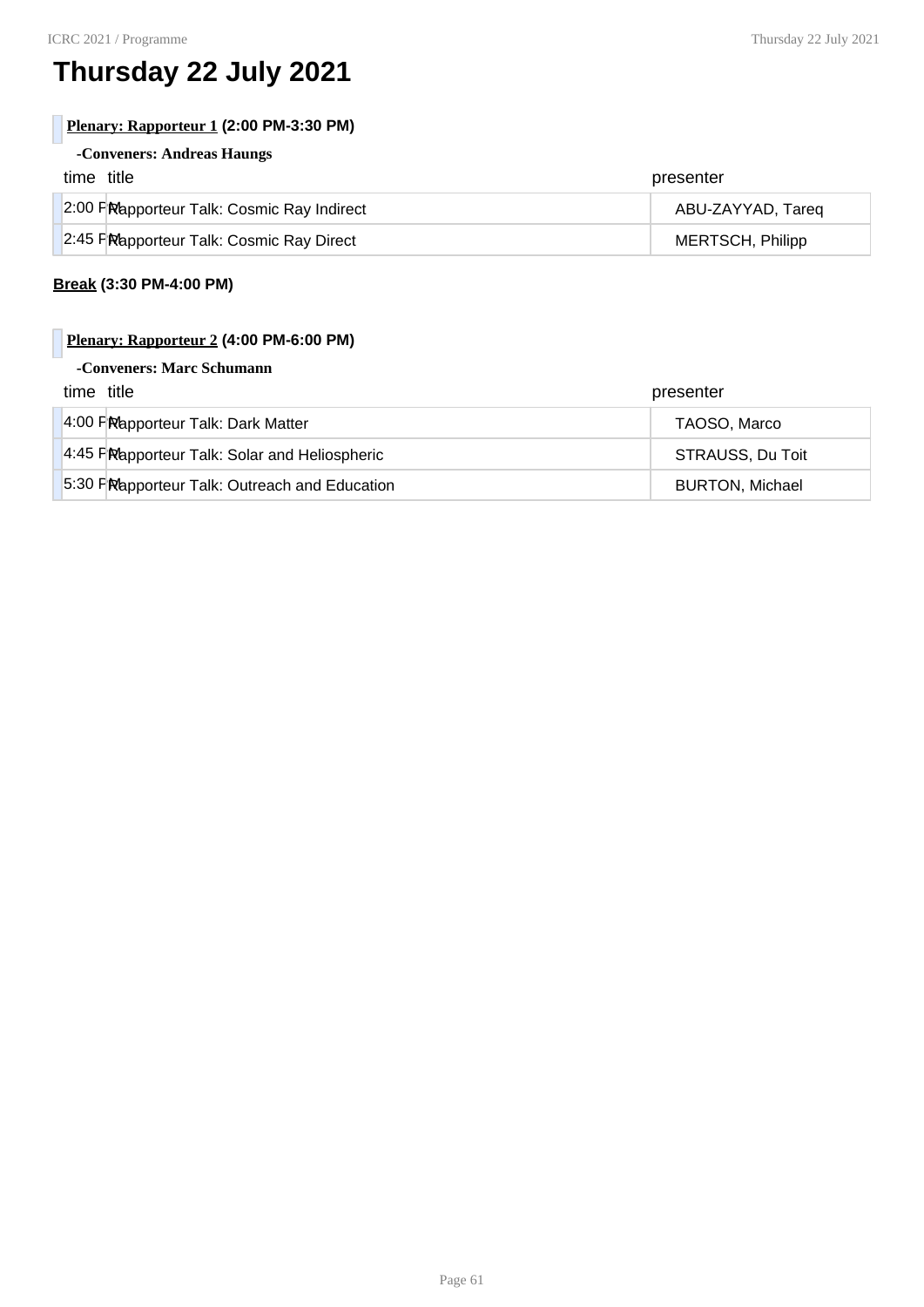# **Thursday 22 July 2021**

#### **Plenary: Rapporteur 1 (2:00 PM-3:30 PM)**

## **-Conveners: Andreas Haungs**

| time title                                 | presenter         |
|--------------------------------------------|-------------------|
| 2:00 PRapporteur Talk: Cosmic Ray Indirect | ABU-ZAYYAD, Tareg |
| 2:45 FRapporteur Talk: Cosmic Ray Direct   | MERTSCH, Philipp  |

#### **Break (3:30 PM-4:00 PM)**

### **Plenary: Rapporteur 2 (4:00 PM-6:00 PM)**

#### **-Conveners: Marc Schumann**

| time title                                    | presenter              |
|-----------------------------------------------|------------------------|
| 4:00 FRapporteur Talk: Dark Matter            | TAOSO, Marco           |
| 4:45 PRapporteur Talk: Solar and Heliospheric | STRAUSS, Du Toit       |
| 5:30 FRapporteur Talk: Outreach and Education | <b>BURTON, Michael</b> |